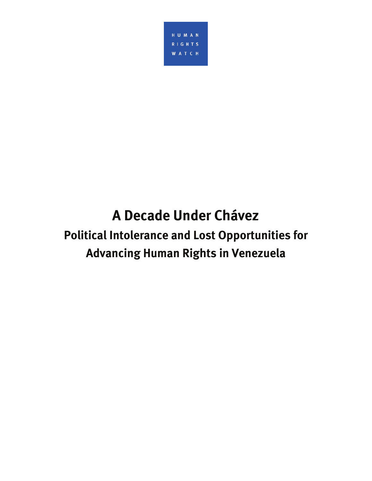

# **A Decade Under Chávez Political Intolerance and Lost Opportunities for Advancing Human Rights in Venezuela**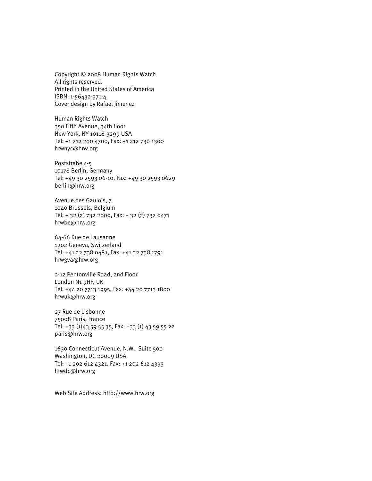Copyright © 2008 Human Rights Watch All rights reserved. Printed in the United States of America ISBN: 1-56432-371-4 Cover design by Rafael Jimenez

Human Rights Watch 350 Fifth Avenue, 34th floor New York, NY 10118-3299 USA Tel: +1 212 290 4700, Fax: +1 212 736 1300 hrwnyc@hrw.org

Poststraße 4-5 10178 Berlin, Germany Tel: +49 30 2593 06-10, Fax: +49 30 2593 0629 berlin@hrw.org

Avenue des Gaulois, 7 1040 Brussels, Belgium Tel: + 32 (2) 732 2009, Fax: + 32 (2) 732 0471 hrwbe@hrw.org

64-66 Rue de Lausanne 1202 Geneva, Switzerland Tel: +41 22 738 0481, Fax: +41 22 738 1791 hrwgva@hrw.org

2-12 Pentonville Road, 2nd Floor London N1 9HF, UK Tel: +44 20 7713 1995, Fax: +44 20 7713 1800 hrwuk@hrw.org

27 Rue de Lisbonne 75008 Paris, France Tel: +33 (1)43 59 55 35, Fax: +33 (1) 43 59 55 22 paris@hrw.org

1630 Connecticut Avenue, N.W., Suite 500 Washington, DC 20009 USA Tel: +1 202 612 4321, Fax: +1 202 612 4333 hrwdc@hrw.org

Web Site Address: http://www.hrw.org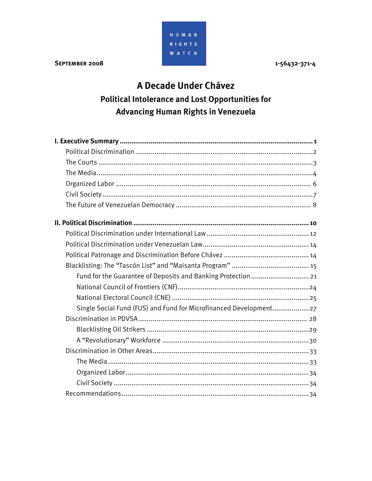

#### SEPTEMBER 2008

1-56432-371-4

# A Decade Under Chávez **Political Intolerance and Lost Opportunities for** Advancing Human Rights in Venezuela

| Fund for the Guarantee of Deposits and Banking Protection 21      |
|-------------------------------------------------------------------|
|                                                                   |
|                                                                   |
| Single Social Fund (FUS) and Fund for Microfinanced Development27 |
|                                                                   |
|                                                                   |
|                                                                   |
|                                                                   |
|                                                                   |
|                                                                   |
|                                                                   |
|                                                                   |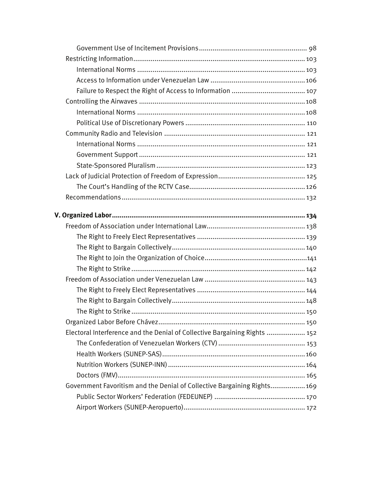| Electoral Interference and the Denial of Collective Bargaining Rights  152 |  |
|----------------------------------------------------------------------------|--|
|                                                                            |  |
|                                                                            |  |
|                                                                            |  |
|                                                                            |  |
| Government Favoritism and the Denial of Collective Bargaining Rights 169   |  |
|                                                                            |  |
|                                                                            |  |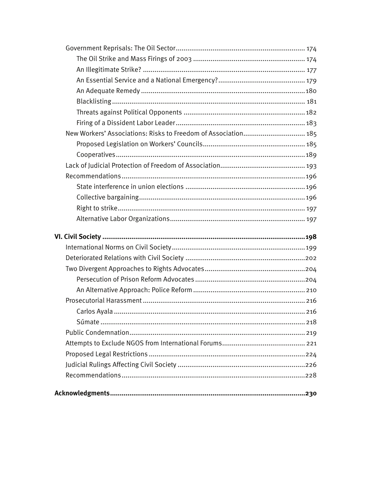| New Workers' Associations: Risks to Freedom of Association 185 |  |
|----------------------------------------------------------------|--|
|                                                                |  |
|                                                                |  |
|                                                                |  |
|                                                                |  |
|                                                                |  |
|                                                                |  |
|                                                                |  |
|                                                                |  |
|                                                                |  |
|                                                                |  |
|                                                                |  |
|                                                                |  |
|                                                                |  |
|                                                                |  |
|                                                                |  |
|                                                                |  |
|                                                                |  |
|                                                                |  |
|                                                                |  |
|                                                                |  |
|                                                                |  |
|                                                                |  |
|                                                                |  |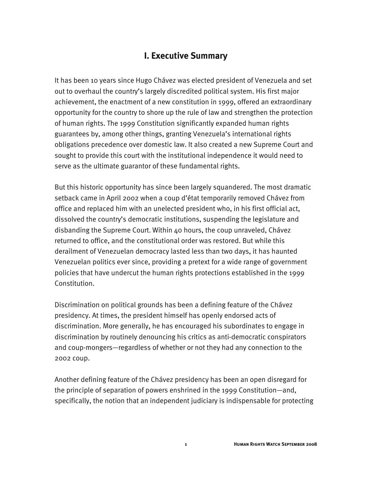# **I. Executive Summary**

It has been 10 years since Hugo Chávez was elected president of Venezuela and set out to overhaul the country's largely discredited political system. His first major achievement, the enactment of a new constitution in 1999, offered an extraordinary opportunity for the country to shore up the rule of law and strengthen the protection of human rights. The 1999 Constitution significantly expanded human rights guarantees by, among other things, granting Venezuela's international rights obligations precedence over domestic law. It also created a new Supreme Court and sought to provide this court with the institutional independence it would need to serve as the ultimate guarantor of these fundamental rights.

But this historic opportunity has since been largely squandered. The most dramatic setback came in April 2002 when a coup d'état temporarily removed Chávez from office and replaced him with an unelected president who, in his first official act, dissolved the country's democratic institutions, suspending the legislature and disbanding the Supreme Court. Within 40 hours, the coup unraveled, Chávez returned to office, and the constitutional order was restored. But while this derailment of Venezuelan democracy lasted less than two days, it has haunted Venezuelan politics ever since, providing a pretext for a wide range of government policies that have undercut the human rights protections established in the 1999 Constitution.

Discrimination on political grounds has been a defining feature of the Chávez presidency. At times, the president himself has openly endorsed acts of discrimination. More generally, he has encouraged his subordinates to engage in discrimination by routinely denouncing his critics as anti-democratic conspirators and coup-mongers—regardless of whether or not they had any connection to the 2002 coup.

Another defining feature of the Chávez presidency has been an open disregard for the principle of separation of powers enshrined in the 1999 Constitution—and, specifically, the notion that an independent judiciary is indispensable for protecting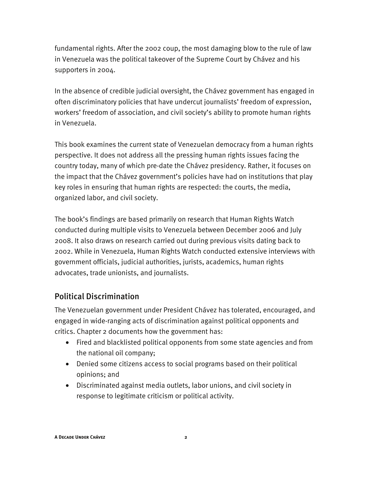fundamental rights. After the 2002 coup, the most damaging blow to the rule of law in Venezuela was the political takeover of the Supreme Court by Chávez and his supporters in 2004.

In the absence of credible judicial oversight, the Chávez government has engaged in often discriminatory policies that have undercut journalists' freedom of expression, workers' freedom of association, and civil society's ability to promote human rights in Venezuela.

This book examines the current state of Venezuelan democracy from a human rights perspective. It does not address all the pressing human rights issues facing the country today, many of which pre-date the Chávez presidency. Rather, it focuses on the impact that the Chávez government's policies have had on institutions that play key roles in ensuring that human rights are respected: the courts, the media, organized labor, and civil society.

The book's findings are based primarily on research that Human Rights Watch conducted during multiple visits to Venezuela between December 2006 and July 2008. It also draws on research carried out during previous visits dating back to 2002. While in Venezuela, Human Rights Watch conducted extensive interviews with government officials, judicial authorities, jurists, academics, human rights advocates, trade unionists, and journalists.

# Political Discrimination

The Venezuelan government under President Chávez has tolerated, encouraged, and engaged in wide-ranging acts of discrimination against political opponents and critics. Chapter 2 documents how the government has:

- Fired and blacklisted political opponents from some state agencies and from the national oil company;
- Denied some citizens access to social programs based on their political opinions; and
- Discriminated against media outlets, labor unions, and civil society in response to legitimate criticism or political activity.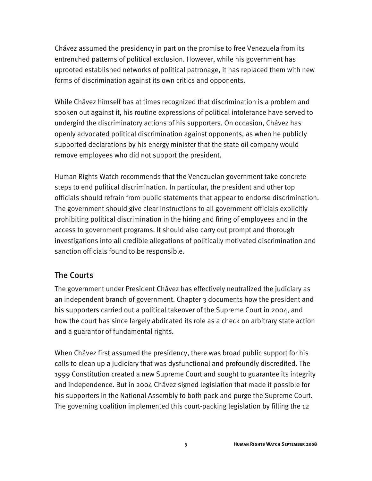Chávez assumed the presidency in part on the promise to free Venezuela from its entrenched patterns of political exclusion. However, while his government has uprooted established networks of political patronage, it has replaced them with new forms of discrimination against its own critics and opponents.

While Chávez himself has at times recognized that discrimination is a problem and spoken out against it, his routine expressions of political intolerance have served to undergird the discriminatory actions of his supporters. On occasion, Chávez has openly advocated political discrimination against opponents, as when he publicly supported declarations by his energy minister that the state oil company would remove employees who did not support the president.

Human Rights Watch recommends that the Venezuelan government take concrete steps to end political discrimination. In particular, the president and other top officials should refrain from public statements that appear to endorse discrimination. The government should give clear instructions to all government officials explicitly prohibiting political discrimination in the hiring and firing of employees and in the access to government programs. It should also carry out prompt and thorough investigations into all credible allegations of politically motivated discrimination and sanction officials found to be responsible.

#### The Courts

The government under President Chávez has effectively neutralized the judiciary as an independent branch of government. Chapter 3 documents how the president and his supporters carried out a political takeover of the Supreme Court in 2004, and how the court has since largely abdicated its role as a check on arbitrary state action and a guarantor of fundamental rights.

When Chávez first assumed the presidency, there was broad public support for his calls to clean up a judiciary that was dysfunctional and profoundly discredited. The 1999 Constitution created a new Supreme Court and sought to guarantee its integrity and independence. But in 2004 Chávez signed legislation that made it possible for his supporters in the National Assembly to both pack and purge the Supreme Court. The governing coalition implemented this court-packing legislation by filling the 12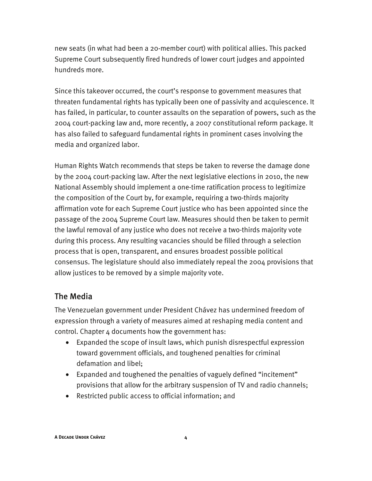new seats (in what had been a 20-member court) with political allies. This packed Supreme Court subsequently fired hundreds of lower court judges and appointed hundreds more.

Since this takeover occurred, the court's response to government measures that threaten fundamental rights has typically been one of passivity and acquiescence. It has failed, in particular, to counter assaults on the separation of powers, such as the 2004 court-packing law and, more recently, a 2007 constitutional reform package. It has also failed to safeguard fundamental rights in prominent cases involving the media and organized labor.

Human Rights Watch recommends that steps be taken to reverse the damage done by the 2004 court-packing law. After the next legislative elections in 2010, the new National Assembly should implement a one-time ratification process to legitimize the composition of the Court by, for example, requiring a two-thirds majority affirmation vote for each Supreme Court justice who has been appointed since the passage of the 2004 Supreme Court law. Measures should then be taken to permit the lawful removal of any justice who does not receive a two-thirds majority vote during this process. Any resulting vacancies should be filled through a selection process that is open, transparent, and ensures broadest possible political consensus. The legislature should also immediately repeal the 2004 provisions that allow justices to be removed by a simple majority vote.

#### The Media

The Venezuelan government under President Chávez has undermined freedom of expression through a variety of measures aimed at reshaping media content and control. Chapter  $4$  documents how the government has:

- Expanded the scope of insult laws, which punish disrespectful expression toward government officials, and toughened penalties for criminal defamation and libel;
- Expanded and toughened the penalties of vaguely defined "incitement" provisions that allow for the arbitrary suspension of TV and radio channels;
- Restricted public access to official information; and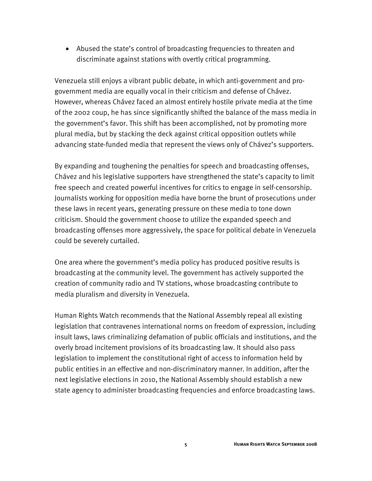• Abused the state's control of broadcasting frequencies to threaten and discriminate against stations with overtly critical programming.

Venezuela still enjoys a vibrant public debate, in which anti-government and progovernment media are equally vocal in their criticism and defense of Chávez. However, whereas Chávez faced an almost entirely hostile private media at the time of the 2002 coup, he has since significantly shifted the balance of the mass media in the government's favor. This shift has been accomplished, not by promoting more plural media, but by stacking the deck against critical opposition outlets while advancing state-funded media that represent the views only of Chávez's supporters.

By expanding and toughening the penalties for speech and broadcasting offenses, Chávez and his legislative supporters have strengthened the state's capacity to limit free speech and created powerful incentives for critics to engage in self-censorship. Journalists working for opposition media have borne the brunt of prosecutions under these laws in recent years, generating pressure on these media to tone down criticism. Should the government choose to utilize the expanded speech and broadcasting offenses more aggressively, the space for political debate in Venezuela could be severely curtailed.

One area where the government's media policy has produced positive results is broadcasting at the community level. The government has actively supported the creation of community radio and TV stations, whose broadcasting contribute to media pluralism and diversity in Venezuela.

Human Rights Watch recommends that the National Assembly repeal all existing legislation that contravenes international norms on freedom of expression, including insult laws, laws criminalizing defamation of public officials and institutions, and the overly broad incitement provisions of its broadcasting law. It should also pass legislation to implement the constitutional right of access to information held by public entities in an effective and non-discriminatory manner. In addition, after the next legislative elections in 2010, the National Assembly should establish a new state agency to administer broadcasting frequencies and enforce broadcasting laws.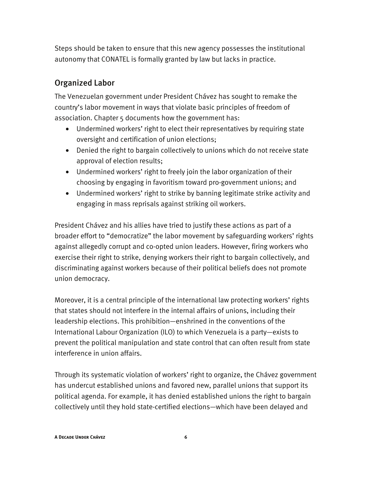Steps should be taken to ensure that this new agency possesses the institutional autonomy that CONATEL is formally granted by law but lacks in practice.

# Organized Labor

The Venezuelan government under President Chávez has sought to remake the country's labor movement in ways that violate basic principles of freedom of association. Chapter 5 documents how the government has:

- Undermined workers' right to elect their representatives by requiring state oversight and certification of union elections;
- Denied the right to bargain collectively to unions which do not receive state approval of election results;
- Undermined workers' right to freely join the labor organization of their choosing by engaging in favoritism toward pro-government unions; and
- Undermined workers' right to strike by banning legitimate strike activity and engaging in mass reprisals against striking oil workers.

President Chávez and his allies have tried to justify these actions as part of a broader effort to "democratize" the labor movement by safeguarding workers' rights against allegedly corrupt and co-opted union leaders. However, firing workers who exercise their right to strike, denying workers their right to bargain collectively, and discriminating against workers because of their political beliefs does not promote union democracy.

Moreover, it is a central principle of the international law protecting workers' rights that states should not interfere in the internal affairs of unions, including their leadership elections. This prohibition—enshrined in the conventions of the International Labour Organization (ILO) to which Venezuela is a party—exists to prevent the political manipulation and state control that can often result from state interference in union affairs.

Through its systematic violation of workers' right to organize, the Chávez government has undercut established unions and favored new, parallel unions that support its political agenda. For example, it has denied established unions the right to bargain collectively until they hold state-certified elections—which have been delayed and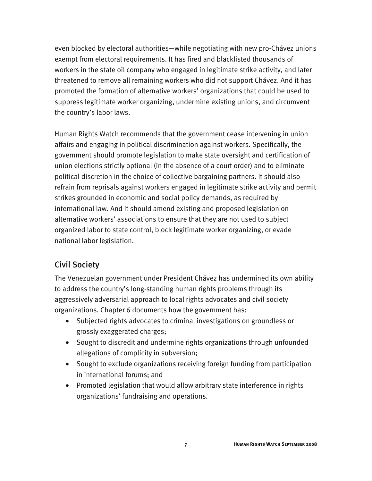even blocked by electoral authorities—while negotiating with new pro-Chávez unions exempt from electoral requirements. It has fired and blacklisted thousands of workers in the state oil company who engaged in legitimate strike activity, and later threatened to remove all remaining workers who did not support Chávez. And it has promoted the formation of alternative workers' organizations that could be used to suppress legitimate worker organizing, undermine existing unions, and circumvent the country's labor laws.

Human Rights Watch recommends that the government cease intervening in union affairs and engaging in political discrimination against workers. Specifically, the government should promote legislation to make state oversight and certification of union elections strictly optional (in the absence of a court order) and to eliminate political discretion in the choice of collective bargaining partners. It should also refrain from reprisals against workers engaged in legitimate strike activity and permit strikes grounded in economic and social policy demands, as required by international law. And it should amend existing and proposed legislation on alternative workers' associations to ensure that they are not used to subject organized labor to state control, block legitimate worker organizing, or evade national labor legislation.

# Civil Society

The Venezuelan government under President Chávez has undermined its own ability to address the country's long-standing human rights problems through its aggressively adversarial approach to local rights advocates and civil society organizations. Chapter 6 documents how the government has:

- Subjected rights advocates to criminal investigations on groundless or grossly exaggerated charges;
- Sought to discredit and undermine rights organizations through unfounded allegations of complicity in subversion;
- Sought to exclude organizations receiving foreign funding from participation in international forums; and
- Promoted legislation that would allow arbitrary state interference in rights organizations' fundraising and operations.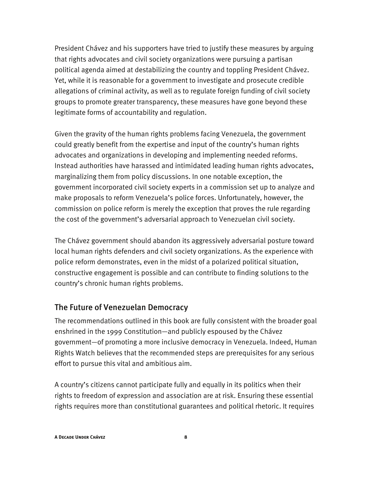President Chávez and his supporters have tried to justify these measures by arguing that rights advocates and civil society organizations were pursuing a partisan political agenda aimed at destabilizing the country and toppling President Chávez. Yet, while it is reasonable for a government to investigate and prosecute credible allegations of criminal activity, as well as to regulate foreign funding of civil society groups to promote greater transparency, these measures have gone beyond these legitimate forms of accountability and regulation.

Given the gravity of the human rights problems facing Venezuela, the government could greatly benefit from the expertise and input of the country's human rights advocates and organizations in developing and implementing needed reforms. Instead authorities have harassed and intimidated leading human rights advocates, marginalizing them from policy discussions. In one notable exception, the government incorporated civil society experts in a commission set up to analyze and make proposals to reform Venezuela's police forces. Unfortunately, however, the commission on police reform is merely the exception that proves the rule regarding the cost of the government's adversarial approach to Venezuelan civil society.

The Chávez government should abandon its aggressively adversarial posture toward local human rights defenders and civil society organizations. As the experience with police reform demonstrates, even in the midst of a polarized political situation, constructive engagement is possible and can contribute to finding solutions to the country's chronic human rights problems.

#### The Future of Venezuelan Democracy

The recommendations outlined in this book are fully consistent with the broader goal enshrined in the 1999 Constitution—and publicly espoused by the Chávez government—of promoting a more inclusive democracy in Venezuela. Indeed, Human Rights Watch believes that the recommended steps are prerequisites for any serious effort to pursue this vital and ambitious aim.

A country's citizens cannot participate fully and equally in its politics when their rights to freedom of expression and association are at risk. Ensuring these essential rights requires more than constitutional guarantees and political rhetoric. It requires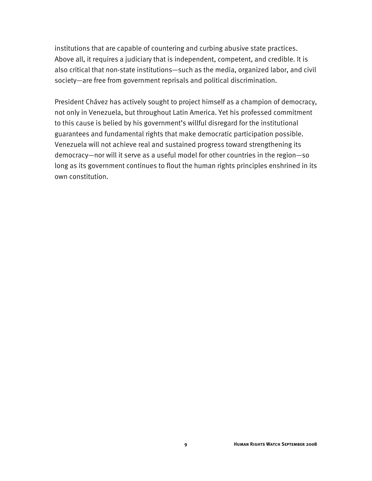institutions that are capable of countering and curbing abusive state practices. Above all, it requires a judiciary that is independent, competent, and credible. It is also critical that non-state institutions—such as the media, organized labor, and civil society—are free from government reprisals and political discrimination.

President Chávez has actively sought to project himself as a champion of democracy, not only in Venezuela, but throughout Latin America. Yet his professed commitment to this cause is belied by his government's willful disregard for the institutional guarantees and fundamental rights that make democratic participation possible. Venezuela will not achieve real and sustained progress toward strengthening its democracy—nor will it serve as a useful model for other countries in the region—so long as its government continues to flout the human rights principles enshrined in its own constitution.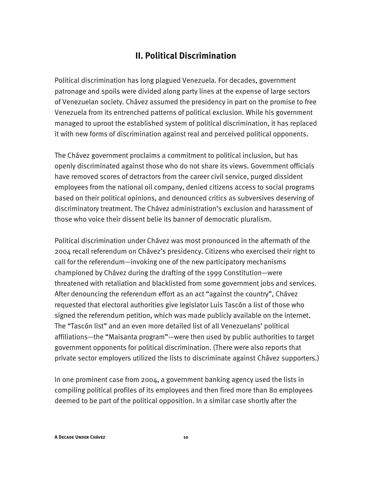# **II. Political Discrimination**

Political discrimination has long plagued Venezuela. For decades, government patronage and spoils were divided along party lines at the expense of large sectors of Venezuelan society. Chávez assumed the presidency in part on the promise to free Venezuela from its entrenched patterns of political exclusion. While his government managed to uproot the established system of political discrimination, it has replaced it with new forms of discrimination against real and perceived political opponents.

The Chávez government proclaims a commitment to political inclusion, but has openly discriminated against those who do not share its views. Government officials have removed scores of detractors from the career civil service, purged dissident employees from the national oil company, denied citizens access to social programs based on their political opinions, and denounced critics as subversives deserving of discriminatory treatment. The Chávez administration's exclusion and harassment of those who voice their dissent belie its banner of democratic pluralism.

Political discrimination under Chávez was most pronounced in the aftermath of the 2004 recall referendum on Chávez's presidency. Citizens who exercised their right to call for the referendum—invoking one of the new participatory mechanisms championed by Chávez during the drafting of the 1999 Constitution—were threatened with retaliation and blacklisted from some government jobs and services. After denouncing the referendum effort as an act "against the country", Chávez requested that electoral authorities give legislator Luis Tascón a list of those who signed the referendum petition, which was made publicly available on the internet. The "Tascón list" and an even more detailed list of all Venezuelans' political affiliations—the "Maisanta program"—were then used by public authorities to target government opponents for political discrimination. (There were also reports that private sector employers utilized the lists to discriminate against Chávez supporters.)

In one prominent case from 2004, a government banking agency used the lists in compiling political profiles of its employees and then fired more than 80 employees deemed to be part of the political opposition. In a similar case shortly after the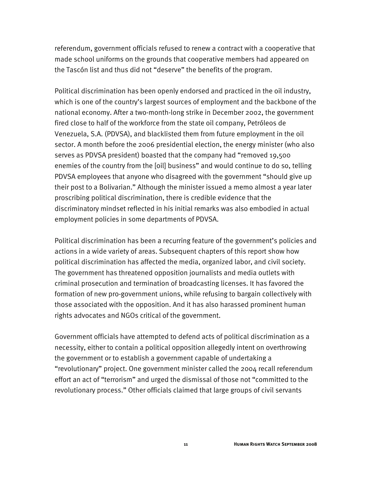referendum, government officials refused to renew a contract with a cooperative that made school uniforms on the grounds that cooperative members had appeared on the Tascón list and thus did not "deserve" the benefits of the program.

Political discrimination has been openly endorsed and practiced in the oil industry, which is one of the country's largest sources of employment and the backbone of the national economy. After a two-month-long strike in December 2002, the government fired close to half of the workforce from the state oil company, Petróleos de Venezuela, S.A. (PDVSA), and blacklisted them from future employment in the oil sector. A month before the 2006 presidential election, the energy minister (who also serves as PDVSA president) boasted that the company had "removed 19,500 enemies of the country from the [oil] business" and would continue to do so, telling PDVSA employees that anyone who disagreed with the government "should give up their post to a Bolivarian." Although the minister issued a memo almost a year later proscribing political discrimination, there is credible evidence that the discriminatory mindset reflected in his initial remarks was also embodied in actual employment policies in some departments of PDVSA.

Political discrimination has been a recurring feature of the government's policies and actions in a wide variety of areas. Subsequent chapters of this report show how political discrimination has affected the media, organized labor, and civil society. The government has threatened opposition journalists and media outlets with criminal prosecution and termination of broadcasting licenses. It has favored the formation of new pro-government unions, while refusing to bargain collectively with those associated with the opposition. And it has also harassed prominent human rights advocates and NGOs critical of the government.

Government officials have attempted to defend acts of political discrimination as a necessity, either to contain a political opposition allegedly intent on overthrowing the government or to establish a government capable of undertaking a "revolutionary" project. One government minister called the 2004 recall referendum effort an act of "terrorism" and urged the dismissal of those not "committed to the revolutionary process." Other officials claimed that large groups of civil servants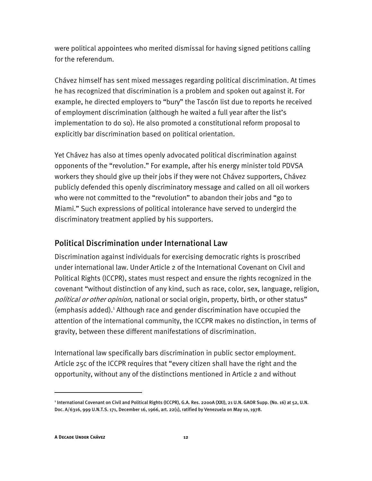were political appointees who merited dismissal for having signed petitions calling for the referendum.

Chávez himself has sent mixed messages regarding political discrimination. At times he has recognized that discrimination is a problem and spoken out against it. For example, he directed employers to "bury" the Tascón list due to reports he received of employment discrimination (although he waited a full year after the list's implementation to do so). He also promoted a constitutional reform proposal to explicitly bar discrimination based on political orientation.

Yet Chávez has also at times openly advocated political discrimination against opponents of the "revolution." For example, after his energy minister told PDVSA workers they should give up their jobs if they were not Chávez supporters, Chávez publicly defended this openly discriminatory message and called on all oil workers who were not committed to the "revolution" to abandon their jobs and "go to Miami." Such expressions of political intolerance have served to undergird the discriminatory treatment applied by his supporters.

## Political Discrimination under International Law

Discrimination against individuals for exercising democratic rights is proscribed under international law. Under Article 2 of the International Covenant on Civil and Political Rights (ICCPR), states must respect and ensure the rights recognized in the covenant "without distinction of any kind, such as race, color, sex, language, religion, political or other opinion, national or social origin, property, birth, or other status" (emphasis added).<sup>1</sup> Although race and gender discrimination have occupied the attention of the international community, the ICCPR makes no distinction, in terms of gravity, between these different manifestations of discrimination.

International law specifically bars discrimination in public sector employment. Article 25c of the ICCPR requires that "every citizen shall have the right and the opportunity, without any of the distinctions mentioned in Article 2 and without

<sup>1</sup> International Covenant on Civil and Political Rights (ICCPR), G.A. Res. 2200A (XXI), 21 U.N. GAOR Supp. (No. 16) at 52, U.N. Doc. A/6316, 999 U.N.T.S. 171, December 16, 1966, art. 22(1), ratified by Venezuela on May 10, 1978.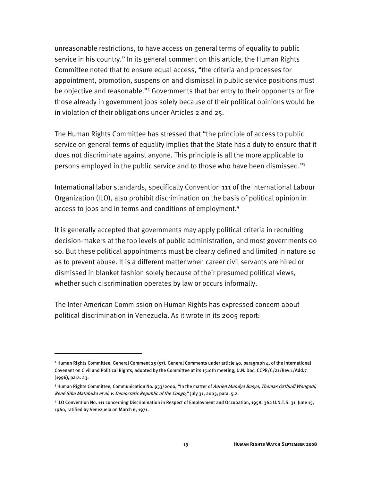unreasonable restrictions, to have access on general terms of equality to public service in his country." In its general comment on this article, the Human Rights Committee noted that to ensure equal access, "the criteria and processes for appointment, promotion, suspension and dismissal in public service positions must be objective and reasonable."<sup>2</sup> Governments that bar entry to their opponents or fire those already in government jobs solely because of their political opinions would be in violation of their obligations under Articles 2 and 25.

The Human Rights Committee has stressed that "the principle of access to public service on general terms of equality implies that the State has a duty to ensure that it does not discriminate against anyone. This principle is all the more applicable to persons employed in the public service and to those who have been dismissed."3

International labor standards, specifically Convention 111 of the International Labour Organization (ILO), also prohibit discrimination on the basis of political opinion in access to jobs and in terms and conditions of employment.<sup>4</sup>

It is generally accepted that governments may apply political criteria in recruiting decision-makers at the top levels of public administration, and most governments do so. But these political appointments must be clearly defined and limited in nature so as to prevent abuse. It is a different matter when career civil servants are hired or dismissed in blanket fashion solely because of their presumed political views, whether such discrimination operates by law or occurs informally.

The Inter-American Commission on Human Rights has expressed concern about political discrimination in Venezuela. As it wrote in its 2005 report:

<sup>2</sup> Human Rights Committee, General Comment 25 (57), General Comments under article 40, paragraph 4, of the International Covenant on Civil and Political Rights, adopted by the Committee at its 1510th meeting, U.N. Doc. CCPR/C/21/Rev.1/Add.7 (1996), para. 23.

<sup>&</sup>lt;sup>3</sup> Human Rights Committee, Communication No. 933/2000, "In the matter of *Adrien Mundyo Busyo, Thomas Osthudi Wongodi,* René Sibu Matubuka et al. v. Democratic Republic of the Congo," July 31, 2003, para. 5.2.

<sup>4</sup> ILO Convention No. 111 concerning Discrimination in Respect of Employment and Occupation, 1958, 362 U.N.T.S. 31, June 15, 1960, ratified by Venezuela on March 6, 1971.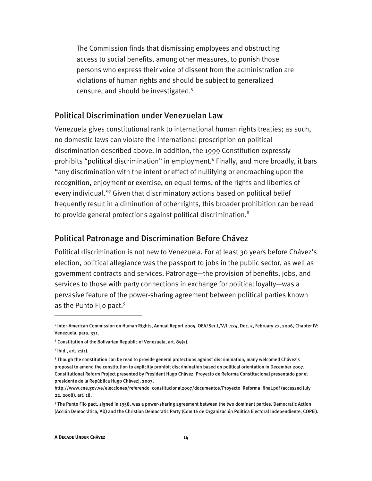The Commission finds that dismissing employees and obstructing access to social benefits, among other measures, to punish those persons who express their voice of dissent from the administration are violations of human rights and should be subject to generalized censure, and should be investigated.5

#### Political Discrimination under Venezuelan Law

Venezuela gives constitutional rank to international human rights treaties; as such, no domestic laws can violate the international proscription on political discrimination described above. In addition, the 1999 Constitution expressly prohibits "political discrimination" in employment.<sup>6</sup> Finally, and more broadly, it bars "any discrimination with the intent or effect of nullifying or encroaching upon the recognition, enjoyment or exercise, on equal terms, of the rights and liberties of every individual."<sup>7</sup> Given that discriminatory actions based on political belief frequently result in a diminution of other rights, this broader prohibition can be read to provide general protections against political discrimination. $^8$ 

#### Political Patronage and Discrimination Before Chávez

Political discrimination is not new to Venezuela. For at least 30 years before Chávez's election, political allegiance was the passport to jobs in the public sector, as well as government contracts and services. Patronage—the provision of benefits, jobs, and services to those with party connections in exchange for political loyalty—was a pervasive feature of the power-sharing agreement between political parties known as the Punto Fijo pact.<sup>9</sup>

<sup>5</sup> Inter-American Commission on Human Rights, Annual Report 2005, OEA/Ser.L/V/II.124, Doc. 5, February 27, 2006, Chapter IV: Venezuela, para. 331.

 $6$  Constitution of the Bolivarian Republic of Venezuela, art. 89(5).

 $7$  lbid., art. 21(1).

 $^8$  Though the constitution can be read to provide general protections against discrimination, many welcomed Chávez's proposal to amend the constitution to explicitly prohibit discrimination based on political orientation in December 2007. Constitutional Reform Project presented by President Hugo Chávez [Proyecto de Reforma Constitucional presentado por el presidente de la República Hugo Chávez], 2007,

http://www.cne.gov.ve/elecciones/referendo\_constitucional2007/documentos/Proyecto\_Reforma\_final.pdf (accessed July 22, 2008), art. 18.

<sup>9</sup> The Punto Fijo pact, signed in 1958, was a power-sharing agreement between the two dominant parties, Democratic Action (Acción Democrática, AD) and the Christian Democratic Party (Comité de Organización Política Electoral Independiente, COPEI).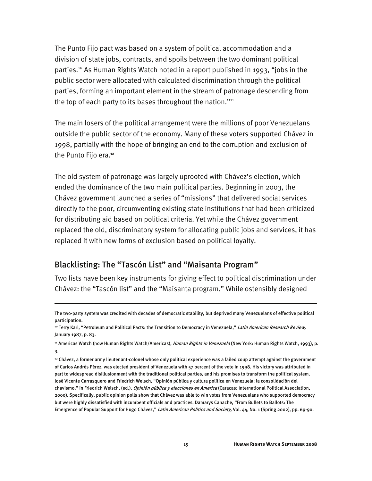The Punto Fijo pact was based on a system of political accommodation and a division of state jobs, contracts, and spoils between the two dominant political parties.10 As Human Rights Watch noted in a report published in 1993, "jobs in the public sector were allocated with calculated discrimination through the political parties, forming an important element in the stream of patronage descending from the top of each party to its bases throughout the nation."<sup>11</sup>

The main losers of the political arrangement were the millions of poor Venezuelans outside the public sector of the economy. Many of these voters supported Chávez in 1998, partially with the hope of bringing an end to the corruption and exclusion of the Punto Fijo era.**<sup>12</sup>**

The old system of patronage was largely uprooted with Chávez's election, which ended the dominance of the two main political parties. Beginning in 2003, the Chávez government launched a series of "missions" that delivered social services directly to the poor, circumventing existing state institutions that had been criticized for distributing aid based on political criteria. Yet while the Chávez government replaced the old, discriminatory system for allocating public jobs and services, it has replaced it with new forms of exclusion based on political loyalty.

#### Blacklisting: The "Tascón List" and "Maisanta Program"

I

Two lists have been key instruments for giving effect to political discrimination under Chávez: the "Tascón list" and the "Maisanta program." While ostensibly designed

The two-party system was credited with decades of democratic stability, but deprived many Venezuelans of effective political participation.

<sup>&</sup>lt;sup>10</sup> Terry Karl, "Petroleum and Political Pacts: the Transition to Democracy in Venezuela," Latin American Research Review, January 1987, p. 83.

<sup>&</sup>lt;sup>11</sup> Americas Watch (now Human Rights Watch/Americas), *Human Rights in Venezuela* (New York: Human Rights Watch, 1993), p. 3.

<sup>&</sup>lt;sup>12</sup> Chávez, a former army lieutenant-colonel whose only political experience was a failed coup attempt against the government of Carlos Andrés Pérez, was elected president of Venezuela with 57 percent of the vote in 1998. His victory was attributed in part to widespread disillusionment with the traditional political parties, and his promises to transform the political system. José Vicente Carrasquero and Friedrich Welsch, "Opinión pública y cultura política en Venezuela: la consolidación del chavismo," in Friedrich Welsch, (ed.), Opinión pública y elecciones en America (Caracas: International Political Association, 2000). Specifically, public opinion polls show that Chávez was able to win votes from Venezuelans who supported democracy but were highly dissatisfied with incumbent officials and practices. Damarys Canache, "From Bullets to Ballots: The Emergence of Popular Support for Hugo Chávez," Latin American Politics and Society, Vol. 44, No. 1 (Spring 2002), pp. 69-90.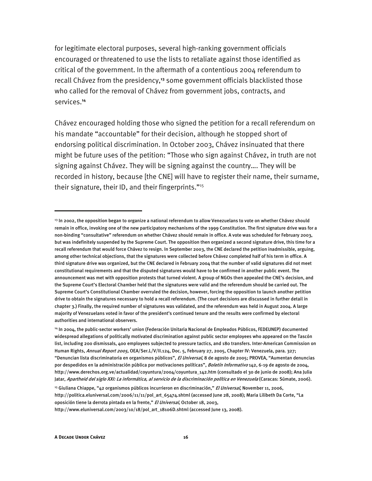for legitimate electoral purposes, several high-ranking government officials encouraged or threatened to use the lists to retaliate against those identified as critical of the government. In the aftermath of a contentious 2004 referendum to recall Chávez from the presidency,**<sup>13</sup>** some government officials blacklisted those who called for the removal of Chávez from government jobs, contracts, and services.**<sup>14</sup>**

Chávez encouraged holding those who signed the petition for a recall referendum on his mandate "accountable" for their decision, although he stopped short of endorsing political discrimination. In October 2003, Chávez insinuated that there might be future uses of the petition: "Those who sign against Chávez, in truth are not signing against Chávez. They will be signing against the country…. They will be recorded in history, because [the CNE] will have to register their name, their surname, their signature, their ID, and their fingerprints."15

<sup>&</sup>lt;sup>13</sup> In 2002, the opposition began to organize a national referendum to allow Venezuelans to vote on whether Chávez should remain in office, invoking one of the new participatory mechanisms of the 1999 Constitution. The first signature drive was for a non-binding "consultative" referendum on whether Chávez should remain in office. A vote was scheduled for February 2003, but was indefinitely suspended by the Supreme Court. The opposition then organized a second signature drive, this time for a recall referendum that would force Chávez to resign. In September 2003, the CNE declared the petition inadmissible, arguing, among other technical objections, that the signatures were collected before Chávez completed half of his term in office. A third signature drive was organized, but the CNE declared in February 2004 that the number of valid signatures did not meet constitutional requirements and that the disputed signatures would have to be confirmed in another public event. The announcement was met with opposition protests that turned violent. A group of NGOs then appealed the CNE's decision, and the Supreme Court's Electoral Chamber held that the signatures were valid and the referendum should be carried out. The Supreme Court's Constitutional Chamber overruled the decision, however, forcing the opposition to launch another petition drive to obtain the signatures necessary to hold a recall referendum. (The court decisions are discussed in further detail in chapter 3.) Finally, the required number of signatures was validated, and the referendum was held in August 2004. A large majority of Venezuelans voted in favor of the president's continued tenure and the results were confirmed by electoral authorities and international observers.

<sup>14</sup> In 2004, the public-sector workers' union (Federación Unitaria Nacional de Empleados Públicos, FEDEUNEP) documented widespread allegations of politically motivated discrimination against public sector employees who appeared on the Tascón list, including 200 dismissals, 400 employees subjected to pressure tactics, and 180 transfers. Inter-American Commission on Human Rights, Annual Report 2005, OEA/Ser.L/V/II.124, Doc. 5, February 27, 2005, Chapter IV: Venezuela, para. 327; "Denuncian lista discriminatoria en organismos públicos", El Universal, 8 de agosto de 2005; PROVEA, "Aumentan denuncias por despedidos en la administración pública por motivaciones políticas", *Boletín Informativo* 142, 6-19 de agosto de 2004, http://www.derechos.org.ve/actualidad/coyuntura/2004/coyuntura\_142.htm (consultado el 30 de junio de 2008); Ana Julia Jatar, *Apartheid del siglo XXI: La informática, al servicio de la discriminación política en Venezuela* (Caracas: Súmate, 2006).

<sup>&</sup>lt;sup>15</sup> Giuliana Chiappe, "42 organismos públicos incurrieron en discriminación," El Universal, November 11, 2006, http://politica.eluniversal.com/2006/11/11/pol\_art\_65474.shtml (accessed June 28, 2008); Maria Lilibeth Da Corte, "La oposición tiene la derrota pintada en la frente," El Universal, October 18, 2003,

http://www.eluniversal.com/2003/10/18/pol\_art\_18106D.shtml (accessed June 13, 2008).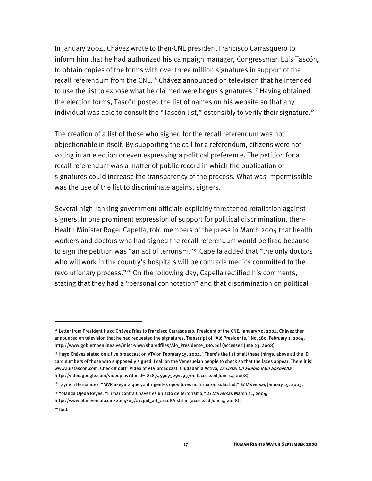In January 2004, Chávez wrote to then-CNE president Francisco Carrasquero to inform him that he had authorized his campaign manager, Congressman Luis Tascón, to obtain copies of the forms with over three million signatures in support of the recall referendum from the CNE.<sup>16</sup> Chávez announced on television that he intended to use the list to expose what he claimed were bogus signatures.<sup>17</sup> Having obtained the election forms, Tascón posted the list of names on his website so that any individual was able to consult the "Tascón list," ostensibly to verify their signature.<sup>18</sup>

The creation of a list of those who signed for the recall referendum was not objectionable in itself. By supporting the call for a referendum, citizens were not voting in an election or even expressing a political preference. The petition for a recall referendum was a matter of public record in which the publication of signatures could increase the transparency of the process. What was impermissible was the use of the list to discriminate against signers.

Several high-ranking government officials explicitly threatened retaliation against signers. In one prominent expression of support for political discrimination, then-Health Minister Roger Capella, told members of the press in March 2004 that health workers and doctors who had signed the recall referendum would be fired because to sign the petition was "an act of terrorism."<sup>19</sup> Capella added that "the only doctors who will work in the country's hospitals will be comrade medics committed to the revolutionary process."<sup>20</sup> On the following day, Capella rectified his comments, stating that they had a "personal connotation" and that discrimination on political

<sup>16</sup> Letter from President Hugo Chávez Frías to Francisco Carrasquero, President of the CNE, January 30, 2004. Chávez then announced on television that he had requested the signatures. Transcript of "Aló Presidente," No. 180, February 1, 2004, http://www.gobiernoenlinea.ve/misc-view/sharedfiles/Alo\_Presidente\_180.pdf (accessed June 23, 2008).

<sup>17</sup> Hugo Chávez stated on a live broadcast on VTV on February 15, 2004, "There's the list of all these things, above all the ID card numbers of those who supposedly signed. I call on the Venezuelan people to check so that the faces appear. There it is! www.luistascon.com. Check it out!" Video of VTV broadcast, Ciudadanía Activa, La Lista: Un Pueblo Bajo Sospecha, http://video.google.com/videoplay?docid=-8187459075291793700 (accessed June 14, 2008).

<sup>&</sup>lt;sup>18</sup> Taynem Hernández, "MVR asegura que 72 dirigentes opositores no firmaron solicitud," *El Universal,* January 15, 2003.

<sup>&</sup>lt;sup>19</sup> Yolanda Ojeda Reyes, "Firmar contra Chávez es un acto de terrorismo," El Universal, March 21, 2004, http://www.eluniversal.com/2004/03/21/pol\_art\_21108A.shtml (accessed June 4, 2008).

 $20$  Ibid.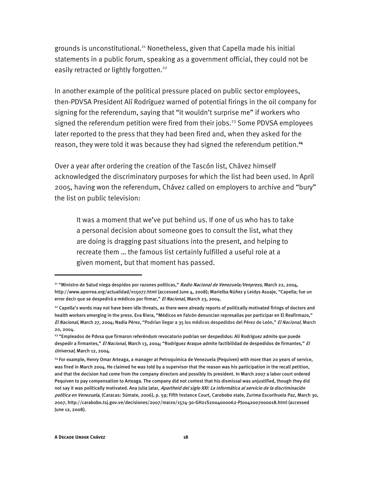grounds is unconstitutional.<sup>21</sup> Nonetheless, given that Capella made his initial statements in a public forum, speaking as a government official, they could not be easily retracted or lightly forgotten.<sup>22</sup>

In another example of the political pressure placed on public sector employees, then-PDVSA President Alí Rodríguez warned of potential firings in the oil company for signing for the referendum, saying that "it wouldn't surprise me" if workers who signed the referendum petition were fired from their jobs.<sup>23</sup> Some PDVSA employees later reported to the press that they had been fired and, when they asked for the reason, they were told it was because they had signed the referendum petition.**<sup>24</sup>**

Over a year after ordering the creation of the Tascón list, Chávez himself acknowledged the discriminatory purposes for which the list had been used. In April 2005, having won the referendum, Chávez called on employers to archive and "bury" the list on public television:

It was a moment that we've put behind us. If one of us who has to take a personal decision about someone goes to consult the list, what they are doing is dragging past situations into the present, and helping to recreate them … the famous list certainly fulfilled a useful role at a given moment, but that moment has passed.

-

<sup>&</sup>lt;sup>21</sup> "Ministro de Salud niega despidos por razones políticas," Radio Nacional de Venezuela/Venpress, March 22, 2004, http://www.aporrea.org/actualidad/n15077.html (accessed June 4, 2008); Marielba Núñez y Leidys Asuaje, "Capella; fue un error decir que se despedirá a médicos por firmar," El Nacional, March 23, 2004.

<sup>&</sup>lt;sup>22</sup> Capella's words may not have been idle threats, as there were already reports of politically motivated firings of doctors and health workers emerging in the press. Eva Riera, "Médicos en Falcón denuncian represalias por participar en El Reafirmazo," El Nacional, March 27, 2004; Nadia Pérez, "Podrían llegar a 35 los médicos despedidos del Pérez de León," El Nacional, March 20, 2004.

<sup>&</sup>lt;sup>23</sup> "Empleados de Pdvsa que firmaron referéndum revocatorio podrían ser despedidos: Alí Rodríguez admite que puede despedir a firmantes," El Nacional, March 13, 2004; "Rodríguez Araque admite factibilidad de despedidos de firmantes," El Universal, March 12, 2004.

<sup>24</sup> For example, Henry Omar Arteaga, a manager at Petroquímica de Venezuela (Pequiven) with more than 20 years of service, was fired in March 2004. He claimed he was told by a supervisor that the reason was his participation in the recall petition, and that the decision had come from the company directors and possibly its president. In March 2007 a labor court ordered Pequiven to pay compensation to Arteaga. The company did not contest that his dismissal was unjustified, though they did not say it was politically motivated. Ana Julia Jatar, Apartheid del siglo XXI: La informática al servicio de la discriminación política en Venezuela, (Caracas: Súmate, 2006), p. 59; Fifth Instance Court, Carobobo state, Zurima Escorihuela Paz, March 30, 2007, http://carabobo.tsj.gov.ve/decisiones/2007/marzo/1574-30-GH21S2004000062-PJ0042007000018.html (accessed June 12, 2008).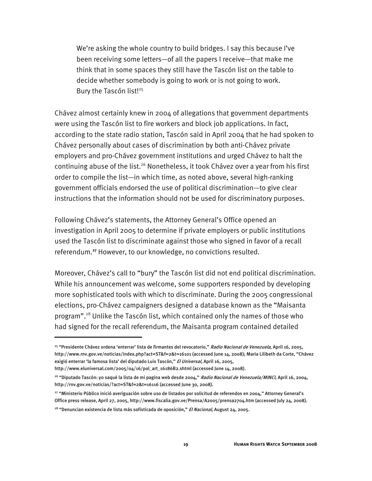We're asking the whole country to build bridges. I say this because I've been receiving some letters—of all the papers I receive—that make me think that in some spaces they still have the Tascón list on the table to decide whether somebody is going to work or is not going to work. Bury the Tascón list!<sup>25</sup>

Chávez almost certainly knew in 2004 of allegations that government departments were using the Tascón list to fire workers and block job applications. In fact, according to the state radio station, Tascón said in April 2004 that he had spoken to Chávez personally about cases of discrimination by both anti-Chávez private employers and pro-Chávez government institutions and urged Chávez to halt the continuing abuse of the list.<sup>26</sup> Nonetheless, it took Chávez over a year from his first order to compile the list—in which time, as noted above, several high-ranking government officials endorsed the use of political discrimination—to give clear instructions that the information should not be used for discriminatory purposes.

Following Chávez's statements, the Attorney General's Office opened an investigation in April 2005 to determine if private employers or public institutions used the Tascón list to discriminate against those who signed in favor of a recall referendum.**<sup>27</sup>** However, to our knowledge, no convictions resulted.

Moreover, Chávez's call to "bury" the Tascón list did not end political discrimination. While his announcement was welcome, some supporters responded by developing more sophisticated tools with which to discriminate. During the 2005 congressional elections, pro-Chávez campaigners designed a database known as the "Maisanta program".28 Unlike the Tascón list, which contained only the names of those who had signed for the recall referendum, the Maisanta program contained detailed

j

<sup>&</sup>lt;sup>25</sup> "Presidente Chávez ordena 'enterrar' lista de firmantes del revocatorio," *Radio Nacional de Venezuela,* April 16, 2005, http://www.rnv.gov.ve/noticias/index.php?act=ST&f=2&t=16101 (accessed June 14, 2008); Maria Lilibeth da Corte, "Chávez exigió enterrar 'la famosa lista' del diputado Luis Tascón," El Universal, April 16, 2005,

http://www.eluniversal.com/2005/04/16/pol\_art\_16186B2.shtml (accessed June 14, 2008).

<sup>&</sup>lt;sup>26</sup> "Diputado Tascón: yo saqué la lista de mi pagina web desde 2004," *Radio Nacional de Venezuela/MINCI,* April 16, 2004, http://rnv.gov.ve/noticias/?act=ST&f=2&t=16116 (accessed June 30, 2008).

<sup>27 &</sup>quot;Ministerio Público inició averiguación sobre uso de listados por solicitud de referendos en 2004," Attorney General's Office press release, April 27, 2005, http://www.fiscalia.gov.ve/Prensa/A2005/prensa2704.htm (accessed July 24, 2008).

<sup>&</sup>lt;sup>28</sup> "Denuncian existencia de lista más sofisticada de oposición," El Nacional, August 24, 2005.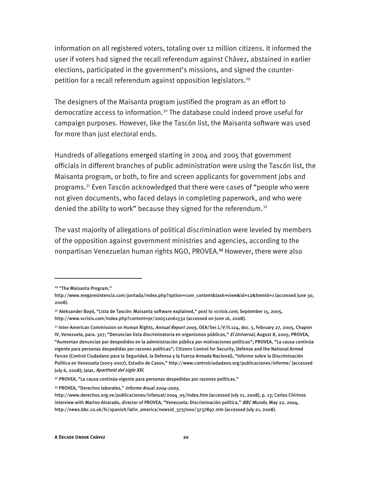information on all registered voters, totaling over 12 million citizens. It informed the user if voters had signed the recall referendum against Chávez, abstained in earlier elections, participated in the government's missions, and signed the counterpetition for a recall referendum against opposition legislators.<sup>29</sup>

The designers of the Maisanta program justified the program as an effort to democratize access to information.30 The database could indeed prove useful for campaign purposes. However, like the Tascón list, the Maisanta software was used for more than just electoral ends.

Hundreds of allegations emerged starting in 2004 and 2005 that government officials in different branches of public administration were using the Tascón list, the Maisanta program, or both, to fire and screen applicants for government jobs and programs.31 Even Tascón acknowledged that there were cases of "people who were not given documents, who faced delays in completing paperwork, and who were denied the ability to work" because they signed for the referendum.<sup>32</sup>

The vast majority of allegations of political discrimination were leveled by members of the opposition against government ministries and agencies, according to the nonpartisan Venezuelan human rights NGO, PROVEA.**<sup>33</sup>** However, there were also

j

<sup>29 &</sup>quot;The Maisanta Program,"

http://www.megaresistencia.com/portada/index.php?option=com\_content&task=view&id=12&Itemid=1 (accessed June 30, 2008).

<sup>&</sup>lt;sup>30</sup> Aleksander Boyd, "Lista de Tascón: Maisanta software explained," post to *vcrisis.com*, September 15, 2005, http://www.vcrisis.com/index.php?content=pr/200512061532 (accessed on June 16, 2008).

<sup>&</sup>lt;sup>31</sup> Inter-American Commission on Human Rights, *Annual Report 2005,* OEA/Ser.L/V/II.124, doc. 5, February 27, 2005, Chapter IV, Venezuela, para. 327; "Denuncian lista discriminatoria en organismos públicos," El Universal, August 8, 2005; PROVEA, "Aumentan denuncias por despedidos en la administración pública por motivaciones políticas"; PROVEA, "La causa continúa vigente para personas despedidas por razones políticas"; Citizens Control for Security, Defense and the National Armed Forces (Control Ciudadano para la Seguridad, la Defensa y la Fuerza Armada Nacional), "Informe sobre la Discriminación Política en Venezuela (2003-2007), Estudio de Casos," http://www.controlciudadano.org/publicaciones/informe/ (accessed July 6, 2008); Jatar, Apartheid del siglo XXI.

<sup>32</sup> PROVEA, "La causa continúa vigente para personas despedidas por razones políticas."

<sup>33</sup> PROVEA, "Derechos laborales," Informe Anual 2004-2005,

http://www.derechos.org.ve/publicaciones/infanual/2004\_05/index.htm (accessed July 21, 2008), p. 13; Carlos Chirinos interview with Marino Alvarado, director of PROVEA, "Venezuela: Discriminación política," BBC Mundo, May 22, 2004, http://news.bbc.co.uk/hi/spanish/latin\_america/newsid\_3737000/3737897.stm (accessed July 21, 2008).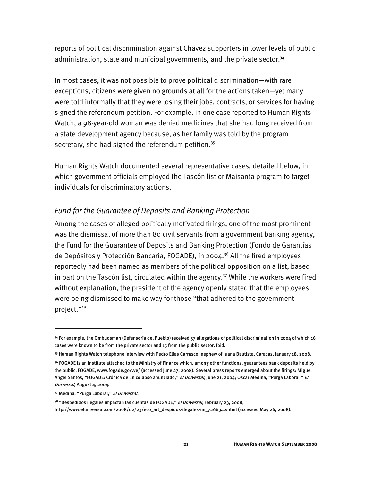reports of political discrimination against Chávez supporters in lower levels of public administration, state and municipal governments, and the private sector.**<sup>34</sup>**

In most cases, it was not possible to prove political discrimination—with rare exceptions, citizens were given no grounds at all for the actions taken—yet many were told informally that they were losing their jobs, contracts, or services for having signed the referendum petition. For example, in one case reported to Human Rights Watch, a 98-year-old woman was denied medicines that she had long received from a state development agency because, as her family was told by the program secretary, she had signed the referendum petition.<sup>35</sup>

Human Rights Watch documented several representative cases, detailed below, in which government officials employed the Tascón list or Maisanta program to target individuals for discriminatory actions.

#### *Fund for the Guarantee of Deposits and Banking Protection*

Among the cases of alleged politically motivated firings, one of the most prominent was the dismissal of more than 80 civil servants from a government banking agency, the Fund for the Guarantee of Deposits and Banking Protection (Fondo de Garantías de Depósitos y Protección Bancaria, FOGADE), in 2004.<sup>36</sup> All the fired employees reportedly had been named as members of the political opposition on a list, based in part on the Tascón list, circulated within the agency.<sup>37</sup> While the workers were fired without explanation, the president of the agency openly stated that the employees were being dismissed to make way for those "that adhered to the government project."38

-

<sup>34</sup> For example, the Ombudsman (Defensoría del Pueblo) received 57 allegations of political discrimination in 2004 of which 16 cases were known to be from the private sector and 15 from the public sector. Ibid.

<sup>35</sup> Human Rights Watch telephone interview with Pedro Elias Carrasco, nephew of Juana Bautista, Caracas, January 18, 2008.

<sup>36</sup> FOGADE is an institute attached to the Ministry of Finance which, among other functions, guarantees bank deposits held by the public. FOGADE, www.fogade.gov.ve/ (accessed June 27, 2008). Several press reports emerged about the firings: Miguel Angel Santos, "FOGADE: Crónica de un colapso anunciado," El Universal, June 21, 2004; Oscar Medina, "Purga Laboral," El Universal, August 4, 2004.

<sup>37</sup> Medina, "Purga Laboral," El Universal.

<sup>&</sup>lt;sup>38</sup> "Despedidos ilegales impactan las cuentas de FOGADE," *El Universal*, February 23, 2008,

http://www.eluniversal.com/2008/02/23/eco\_art\_despidos-ilegales-im\_726634.shtml (accessed May 26, 2008).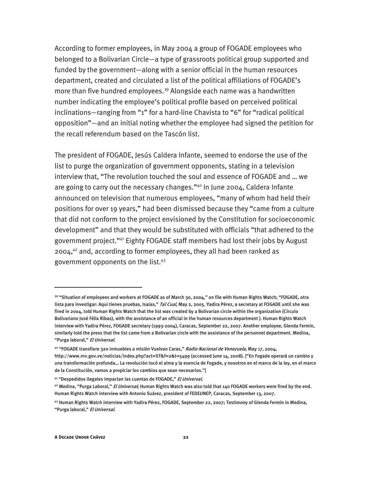According to former employees, in May 2004 a group of FOGADE employees who belonged to a Bolivarian Circle—a type of grassroots political group supported and funded by the government—along with a senior official in the human resources department, created and circulated a list of the political affiliations of FOGADE's more than five hundred employees.<sup>39</sup> Alongside each name was a handwritten number indicating the employee's political profile based on perceived political inclinations—ranging from "1" for a hard-line Chavista to "6" for "radical political opposition"—and an initial noting whether the employee had signed the petition for the recall referendum based on the Tascón list.

The president of FOGADE, Jesús Caldera Infante, seemed to endorse the use of the list to purge the organization of government opponents, stating in a television interview that, "The revolution touched the soul and essence of FOGADE and … we are going to carry out the necessary changes."<sup>40</sup> In June 2004, Caldera Infante announced on television that numerous employees, "many of whom had held their positions for over 19 years," had been dismissed because they "came from a culture that did not conform to the project envisioned by the Constitution for socioeconomic development" and that they would be substituted with officials "that adhered to the government project."41 Eighty FOGADE staff members had lost their jobs by August  $2004<sub>1</sub><sup>42</sup>$  and, according to former employees, they all had been ranked as government opponents on the list.43

j

<sup>39 &</sup>quot;Situation of employees and workers at FOGADE as of March 30, 2004," on file with Human Rights Watch; "FOGADE, otra lista para investigar: Aqui tienes pruebas, Isaías," *Tal Cual, M*ay 2, 2005. Yadira Pérez, a secretary at FOGADE until she was fired in 2004, told Human Rights Watch that the list was created by a Bolivarian circle within the organization (Círculo Bolivariano José Félix Ribas), with the assistance of an official in the human resources department ). Human Rights Watch interview with Yadira Pérez, FOGADE secretary (1993-2004), Caracas, September 22, 2007. Another employee, Glenda Fermín, similarly told the press that the list came from a Bolivarian circle with the assistance of the personnel department. Medina, "Purga laboral," El Universal.

<sup>&</sup>lt;sup>40</sup> "FOGADE transfiere 320 inmuebles a misión Vuelvan Caras," *Radio Nacional de Venezuela,* May 17, 2004,

http://www.rnv.gov.ve/noticias/index.php?act=ST&f=2&t=5499 (accessed June 14, 2008). ["En Fogade operará un cambio y una transformación profunda… La revolución tocó el alma y la esencia de Fogade, y nosotros en el marco de la ley, en el marco de la Constitución, vamos a propiciar los cambios que sean necesarios."]

<sup>&</sup>lt;sup>41</sup> "Despedidos ilegales impactan las cuentas de FOGADE," El Universal.

<sup>&</sup>lt;sup>42</sup> Medina, "Purga Laboral," *El Universal*; Human Rights Watch was also told that 140 FOGADE workers were fired by the end. Human Rights Watch interview with Antonio Suárez, president of FEDEUNEP, Caracas, September 13, 2007.

<sup>43</sup> Human Rights Watch interview with Yadira Pérez, FOGADE, September 22, 2007; Testimony of Glenda Fermín in Medina, "Purga laboral," El Universal.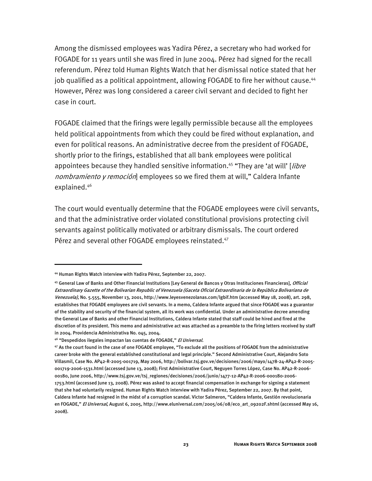Among the dismissed employees was Yadira Pérez, a secretary who had worked for FOGADE for 11 years until she was fired in June 2004. Pérez had signed for the recall referendum. Pérez told Human Rights Watch that her dismissal notice stated that her job qualified as a political appointment, allowing FOGADE to fire her without cause.<sup>44</sup> However, Pérez was long considered a career civil servant and decided to fight her case in court.

FOGADE claimed that the firings were legally permissible because all the employees held political appointments from which they could be fired without explanation, and even for political reasons. An administrative decree from the president of FOGADE, shortly prior to the firings, established that all bank employees were political appointees because they handled sensitive information.<sup>45</sup> "They are 'at will' [*libre* nombramiento y remoción] employees so we fired them at will," Caldera Infante explained.46

The court would eventually determine that the FOGADE employees were civil servants, and that the administrative order violated constitutional provisions protecting civil servants against politically motivated or arbitrary dismissals. The court ordered Pérez and several other FOGADE employees reinstated.<sup>47</sup>

j

<sup>44</sup> Human Rights Watch interview with Yadira Pérez, September 22, 2007.

<sup>45</sup> General Law of Banks and Other Financial Institutions [Ley General de Bancos y Otras Instituciones Financieras], Official Extraordinary Gazette of the Bolivarian Republic of Venezuela (Gaceta Oficial Extraordinaria de la República Bolivariana de Venezuela), No. 5.555, November 13, 2001, http://www.leyesvenezolanas.com/lgbif.htm (accessed May 18, 2008), art. 298, establishes that FOGADE employees are civil servants. In a memo, Caldera Infante argued that since FOGADE was a guarantor of the stability and security of the financial system, all its work was confidential. Under an administrative decree amending the General Law of Banks and other Financial Institutions, Caldera Infante stated that staff could be hired and fired at the discretion of its president. This memo and administrative act was attached as a preamble to the firing letters received by staff in 2004. Providencia Administrativa No. 045, 2004.

<sup>&</sup>lt;sup>46</sup> "Despedidos ilegales impactan las cuentas de FOGADE," *El Universal.* 

<sup>47</sup> As the court found in the case of one FOGADE employee, "To exclude all the positions of FOGADE from the administrative career broke with the general established constitutional and legal principle." Second Administrative Court, Alejandro Soto Villasmil, Case No. AP42-R-2005-001719, May 2006, http://bolivar.tsj.gov.ve/decisiones/2006/mayo/1478-24-AP42-R-2005- 001719-2006-1531.html (accessed June 13, 2008); First Administrative Court, Neguyen Torres López, Case No. AP42-R-2006- 00180, June 2006, http://www.tsj.gov.ve/tsj\_regiones/decisiones/2006/junio/1477-12-AP42-R-2006-000180-2006- 1753.html (accessed June 13, 2008). Pérez was asked to accept financial compensation in exchange for signing a statement that she had voluntarily resigned. Human Rights Watch interview with Yadira Pérez, September 22, 2007. By that point, Caldera Infante had resigned in the midst of a corruption scandal. Victor Salmeron, "Caldera Infante, Gestión revolucionaria en FOGADE," El Universal, August 6, 2005, http://www.eluniversal.com/2005/06/08/eco\_art\_09202F.shtml (accessed May 16, 2008).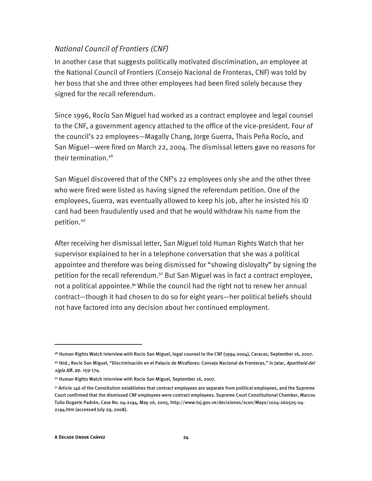#### *National Council of Frontiers (CNF)*

In another case that suggests politically motivated discrimination, an employee at the National Council of Frontiers (Consejo Nacional de Fronteras, CNF) was told by her boss that she and three other employees had been fired solely because they signed for the recall referendum.

Since 1996, Rocío San Miguel had worked as a contract employee and legal counsel to the CNF, a government agency attached to the office of the vice-president. Four of the council's 22 employees—Magally Chang, Jorge Guerra, Thais Peña Rocío, and San Miguel—were fired on March 22, 2004. The dismissal letters gave no reasons for their termination.48

San Miguel discovered that of the CNF's 22 employees only she and the other three who were fired were listed as having signed the referendum petition. One of the employees, Guerra, was eventually allowed to keep his job, after he insisted his ID card had been fraudulently used and that he would withdraw his name from the petition.49

After receiving her dismissal letter, San Miguel told Human Rights Watch that her supervisor explained to her in a telephone conversation that she was a political appointee and therefore was being dismissed for "showing disloyalty" by signing the petition for the recall referendum.<sup>50</sup> But San Miguel was in fact a contract employee, not a political appointee.**<sup>51</sup>** While the council had the right not to renew her annual contract—though it had chosen to do so for eight years—her political beliefs should not have factored into any decision about her continued employment.

-

<sup>48</sup> Human Rights Watch interview with Rocío San Miguel, legal counsel to the CNF (1994-2004), Caracas, September 16, 2007.

<sup>49</sup> Ibid.; Rocío San Miguel, "Discriminación en el Palacio de Miraflores: Consejo Nacional de Fronteras," in Jatar, *Apartheid del* siglo XXI, pp. 159-174.

<sup>50</sup> Human Rights Watch interview with Rocío San Miguel, September 16, 2007.

 $51$  Article 146 of the Constitution establishes that contract employees are separate from political employees, and the Supreme Court confirmed that the dismissed CNF employees were contract employees. Supreme Court Constitutional Chamber, Marcos Tulio Dugarte Padrón, Case No. 04-2194, May 26, 2005, http://www.tsj.gov.ve/decisiones/scon/Mayo/1024-260505-04- 2194.htm (accessed July 29, 2008).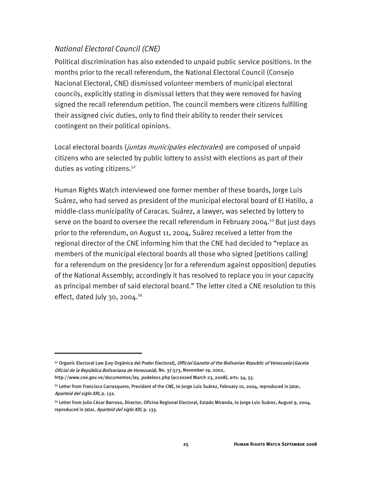#### *National Electoral Council (CNE)*

Political discrimination has also extended to unpaid public service positions. In the months prior to the recall referendum, the National Electoral Council (Consejo Nacional Electoral, CNE) dismissed volunteer members of municipal electoral councils, explicitly stating in dismissal letters that they were removed for having signed the recall referendum petition. The council members were citizens fulfilling their assigned civic duties, only to find their ability to render their services contingent on their political opinions.

Local electoral boards (*juntas municipales electorales*) are composed of unpaid citizens who are selected by public lottery to assist with elections as part of their duties as voting citizens.<sup>52</sup>

Human Rights Watch interviewed one former member of these boards, Jorge Luis Suárez, who had served as president of the municipal electoral board of El Hatillo, a middle-class municipality of Caracas. Suárez, a lawyer, was selected by lottery to serve on the board to oversee the recall referendum in February 2004.<sup>53</sup> But just days prior to the referendum, on August 11, 2004, Suárez received a letter from the regional director of the CNE informing him that the CNE had decided to "replace as members of the municipal electoral boards all those who signed [petitions calling] for a referendum on the presidency [or for a referendum against opposition] deputies of the National Assembly; accordingly it has resolved to replace you in your capacity as principal member of said electoral board." The letter cited a CNE resolution to this effect, dated July 30, 2004. $54$ 

-

<sup>52</sup> Organic Electoral Law [Ley Orgánica del Poder Electoral], *Official Gazette of the Bolivarian Republic of Venezuela* (*Gaceta* Oficial de la República Bolivariana de Venezuela), No. 37.573, November 19, 2002,

http://www.cne.gov.ve/documentos/ley\_podele01.php (accessed March 23, 2008), arts. 54, 55.

<sup>53</sup> Letter from Francisco Carrasquero, President of the CNE, to Jorge Luis Suárez, February 10, 2004, reproduced in Jatar, Aparteid del siglo XXI, p. 132.

<sup>54</sup> Letter from Julio César Barroso, Director, Oficina Regional Electoral, Estado Miranda, to Jorge Luis Suárez, August 9, 2004, reproduced in Jatar, Aparteid del siglo XXI, p. 133.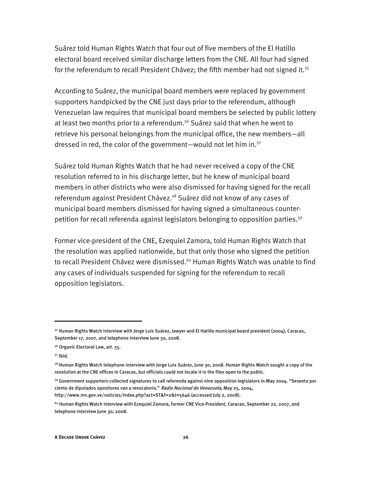Suárez told Human Rights Watch that four out of five members of the El Hatillo electoral board received similar discharge letters from the CNE. All four had signed for the referendum to recall President Chávez; the fifth member had not signed it.<sup>55</sup>

According to Suárez, the municipal board members were replaced by government supporters handpicked by the CNE just days prior to the referendum, although Venezuelan law requires that municipal board members be selected by public lottery at least two months prior to a referendum.<sup>56</sup> Suárez said that when he went to retrieve his personal belongings from the municipal office, the new members—all dressed in red, the color of the government—would not let him in.<sup>57</sup>

Suárez told Human Rights Watch that he had never received a copy of the CNE resolution referred to in his discharge letter, but he knew of municipal board members in other districts who were also dismissed for having signed for the recall referendum against President Chávez.58 Suárez did not know of any cases of municipal board members dismissed for having signed a simultaneous counterpetition for recall referenda against legislators belonging to opposition parties.<sup>59</sup>

Former vice-president of the CNE, Ezequiel Zamora, told Human Rights Watch that the resolution was applied nationwide, but that only those who signed the petition to recall President Chávez were dismissed.<sup>60</sup> Human Rights Watch was unable to find any cases of individuals suspended for signing for the referendum to recall opposition legislators.

<sup>55</sup> Human Rights Watch interview with Jorge Luis Suárez, lawyer and El Hatillo municipal board president (2004), Caracas, September 17, 2007, and telephone interview June 30, 2008.

<sup>56</sup> Organic Electoral Law, art. 55.

<sup>57</sup> Ibid.

<sup>&</sup>lt;sup>58</sup> Human Rights Watch telephone interview with Jorge Luis Suárez, June 30, 2008. Human Rights Watch sought a copy of the resolution at the CNE offices in Caracas, but officials could not locate it in the files open to the public.

<sup>59</sup> Government supporters collected signatures to call referenda against nine opposition legislators in May 2004. "Sesenta por ciento de diputados opositores van a revocatorio," Radio Nacional de Venezuela, May 25, 2004, http://www.rnv.gov.ve/noticias/index.php?act=ST&f=2&t=5646 (accessed July 2, 2008).

<sup>60</sup> Human Rights Watch interview with Ezequiel Zamora, former CNE Vice-President, Caracas, September 22, 2007, and telephone interview June 30, 2008.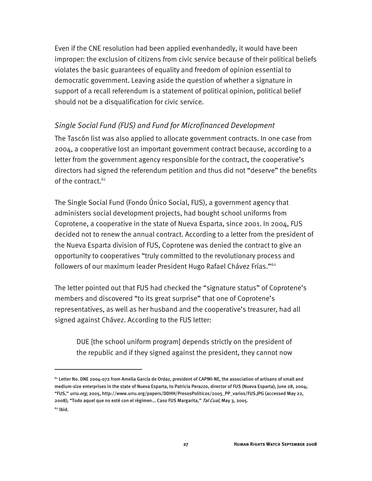Even if the CNE resolution had been applied evenhandedly, it would have been improper: the exclusion of citizens from civic service because of their political beliefs violates the basic guarantees of equality and freedom of opinion essential to democratic government. Leaving aside the question of whether a signature in support of a recall referendum is a statement of political opinion, political belief should not be a disqualification for civic service.

### *Single Social Fund (FUS) and Fund for Microfinanced Development*

The Tascón list was also applied to allocate government contracts. In one case from 2004, a cooperative lost an important government contract because, according to a letter from the government agency responsible for the contract, the cooperative's directors had signed the referendum petition and thus did not "deserve" the benefits of the contract.<sup>61</sup>

The Single Social Fund (Fondo Único Social, FUS), a government agency that administers social development projects, had bought school uniforms from Coprotene, a cooperative in the state of Nueva Esparta, since 2001. In 2004, FUS decided not to renew the annual contract. According to a letter from the president of the Nueva Esparta division of FUS, Coprotene was denied the contract to give an opportunity to cooperatives "truly committed to the revolutionary process and followers of our maximum leader President Hugo Rafael Chávez Frías."62

The letter pointed out that FUS had checked the "signature status" of Coprotene's members and discovered "to its great surprise" that one of Coprotene's representatives, as well as her husband and the cooperative's treasurer, had all signed against Chávez. According to the FUS letter:

DUE [the school uniform program] depends strictly on the president of the republic and if they signed against the president, they cannot now

-

<sup>&</sup>lt;sup>61</sup> Letter No. DNE 2004-072 from Amelia García de Ordaz, president of CAPMI-NE, the association of artisans of small and medium-size enterprises in the state of Nueva Esparta, to Patricia Perazzo, director of FUS (Nueva Esparta), June 28, 2004; "FUS," urru.org, 2005, http://www.urru.org/papers/DDHH/PresosPoliticos/2005\_PP\_varios/FUS.JPG (accessed May 22, 2008); "Todo aquel que no esté con el régimen... Caso FUS Margarita," Tal Cual, May 3, 2005.

 $62$  Ibid.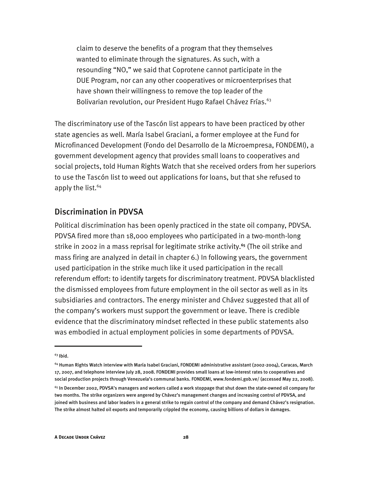claim to deserve the benefits of a program that they themselves wanted to eliminate through the signatures. As such, with a resounding "NO," we said that Coprotene cannot participate in the DUE Program, nor can any other cooperatives or microenterprises that have shown their willingness to remove the top leader of the Bolivarian revolution, our President Hugo Rafael Chávez Frías.<sup>63</sup>

The discriminatory use of the Tascón list appears to have been practiced by other state agencies as well. María Isabel Graciani, a former employee at the Fund for Microfinanced Development (Fondo del Desarrollo de la Microempresa, FONDEMI), a government development agency that provides small loans to cooperatives and social projects, told Human Rights Watch that she received orders from her superiors to use the Tascón list to weed out applications for loans, but that she refused to apply the list.  $64$ 

#### Discrimination in PDVSA

Political discrimination has been openly practiced in the state oil company, PDVSA. PDVSA fired more than 18,000 employees who participated in a two-month-long strike in 2002 in a mass reprisal for legitimate strike activity.**<sup>65</sup>** (The oil strike and mass firing are analyzed in detail in chapter 6.) In following years, the government used participation in the strike much like it used participation in the recall referendum effort: to identify targets for discriminatory treatment. PDVSA blacklisted the dismissed employees from future employment in the oil sector as well as in its subsidiaries and contractors. The energy minister and Chávez suggested that all of the company's workers must support the government or leave. There is credible evidence that the discriminatory mindset reflected in these public statements also was embodied in actual employment policies in some departments of PDVSA.

 $63$  Ibid.

<sup>64</sup> Human Rights Watch interview with María Isabel Graciani, FONDEMI administrative assistant (2002-2004), Caracas, March 17, 2007, and telephone interview July 28, 2008. FONDEMI provides small loans at low-interest rates to cooperatives and social production projects through Venezuela's communal banks. FONDEMI, www.fondemi.gob.ve/ (accessed May 22, 2008).

<sup>&</sup>lt;sup>65</sup> In December 2002, PDVSA's managers and workers called a work stoppage that shut down the state-owned oil company for two months. The strike organizers were angered by Chávez's management changes and increasing control of PDVSA, and joined with business and labor leaders in a general strike to regain control of the company and demand Chávez's resignation. The strike almost halted oil exports and temporarily crippled the economy, causing billions of dollars in damages.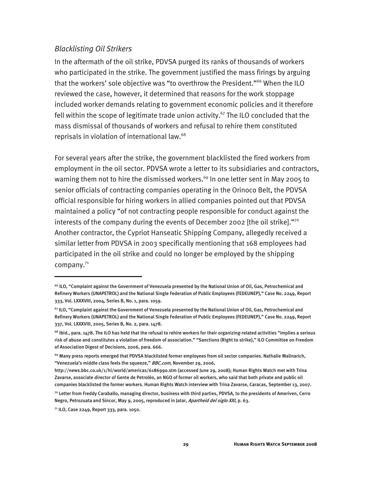#### *Blacklisting Oil Strikers*

In the aftermath of the oil strike, PDVSA purged its ranks of thousands of workers who participated in the strike. The government justified the mass firings by arguing that the workers' sole objective was "to overthrow the President."<sup>66</sup> When the ILO reviewed the case, however, it determined that reasons for the work stoppage included worker demands relating to government economic policies and it therefore fell within the scope of legitimate trade union activity.<sup>67</sup> The ILO concluded that the mass dismissal of thousands of workers and refusal to rehire them constituted reprisals in violation of international law.<sup>68</sup>

For several years after the strike, the government blacklisted the fired workers from employment in the oil sector. PDVSA wrote a letter to its subsidiaries and contractors, warning them not to hire the dismissed workers.<sup>69</sup> In one letter sent in May 2005 to senior officials of contracting companies operating in the Orinoco Belt, the PDVSA official responsible for hiring workers in allied companies pointed out that PDVSA maintained a policy "of not contracting people responsible for conduct against the interests of the company during the events of December 2002 [the oil strike]."70 Another contractor, the Cypriot Hanseatic Shipping Company, allegedly received a similar letter from PDVSA in 2003 specifically mentioning that 168 employees had participated in the oil strike and could no longer be employed by the shipping company.<sup>71</sup>

j

<sup>66</sup> ILO, "Complaint against the Government of Venezuela presented by the National Union of Oil, Gas, Petrochemical and Refinery Workers (UNAPETROL) and the National Single Federation of Public Employees (FEDEUNEP)," Case No. 2249, Report 333, Vol. LXXXVIII, 2004, Series B, No. 1, para. 1059.

 $67$  ILO, "Complaint against the Government of Venezuela presented by the National Union of Oil, Gas, Petrochemical and Refinery Workers (UNAPETROL) and the National Single Federation of Public Employees (FEDEUNEP)," Case No. 2249, Report 337, Vol. LXXXVIII, 2005, Series B, No. 2, para. 1478.

 $^{68}$  Ibid., para. 1478. The ILO has held that the refusal to rehire workers for their organizing-related activities "implies a serious risk of abuse and constitutes a violation of freedom of association." "Sanctions (Right to strike)," ILO Committee on Freedom of Association Digest of Decisions, 2006, para. 666.

 $69$  Many press reports emerged that PDVSA blacklisted former employees from oil sector companies. Nathalie Malinarich, "Venezuela's middle class feels the squeeze," BBC.com, November 29, 2006,

http://news.bbc.co.uk/1/hi/world/americas/6186990.stm (accessed June 29, 2008); Human Rights Watch met with Trina Zavarse, associate director of Gente de Petroléo, an NGO of former oil workers, who said that both private and public oil companies blacklisted the former workers. Human Rights Watch interview with Trina Zavarse, Caracas, September 13, 2007.

<sup>70</sup> Letter from Freddy Caraballo, managing director, business with third parties, PDVSA, to the presidents of Ameriven, Cerro Negro, Petrozuata and Sincor, May 9, 2005, reproduced in Jatar, Apartheid del siglo XXI, p. 63.

<sup>71</sup> ILO, Case 2249, Report 333, para. 1050.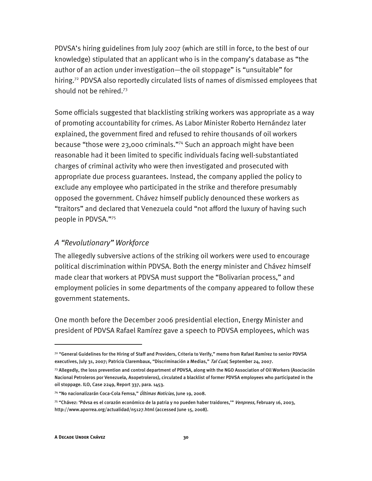PDVSA's hiring guidelines from July 2007 (which are still in force, to the best of our knowledge) stipulated that an applicant who is in the company's database as "the author of an action under investigation—the oil stoppage" is "unsuitable" for hiring.<sup>72</sup> PDVSA also reportedly circulated lists of names of dismissed employees that should not be rehired.73

Some officials suggested that blacklisting striking workers was appropriate as a way of promoting accountability for crimes. As Labor Minister Roberto Hernández later explained, the government fired and refused to rehire thousands of oil workers because "those were 23,000 criminals."74 Such an approach might have been reasonable had it been limited to specific individuals facing well-substantiated charges of criminal activity who were then investigated and prosecuted with appropriate due process guarantees. Instead, the company applied the policy to exclude any employee who participated in the strike and therefore presumably opposed the government. Chávez himself publicly denounced these workers as "traitors" and declared that Venezuela could "not afford the luxury of having such people in PDVSA."75

#### *A "Revolutionary" Workforce*

The allegedly subversive actions of the striking oil workers were used to encourage political discrimination within PDVSA. Both the energy minister and Chávez himself made clear that workers at PDVSA must support the "Bolivarian process," and employment policies in some departments of the company appeared to follow these government statements.

One month before the December 2006 presidential election, Energy Minister and president of PDVSA Rafael Ramírez gave a speech to PDVSA employees, which was

<sup>72 &</sup>quot;General Guidelines for the Hiring of Staff and Providers, Criteria to Verify," memo from Rafael Ramírez to senior PDVSA executives, July 31, 2007; Patricia Clarembaux, "Discriminación a Medias," Tal Cual, September 24, 2007.

<sup>73</sup> Allegedly, the loss prevention and control department of PDVSA, along with the NGO Association of Oil Workers (Asociación Nacional Petroleros por Venezuela, Asopetroleros), circulated a blacklist of former PDVSA employees who participated in the oil stoppage. ILO, Case 2249, Report 337, para. 1453.

<sup>&</sup>lt;sup>74</sup> "No nacionalizarán Coca-Cola Femsa," *Últimas Noticias,* June 19, 2008.

<sup>&</sup>lt;sup>75</sup> "Chávez: 'Pdvsa es el corazón económico de la patria y no pueden haber traidores,'" *Venpress*, February 16, 2003, http://www.aporrea.org/actualidad/n5127.html (accessed June 15, 2008).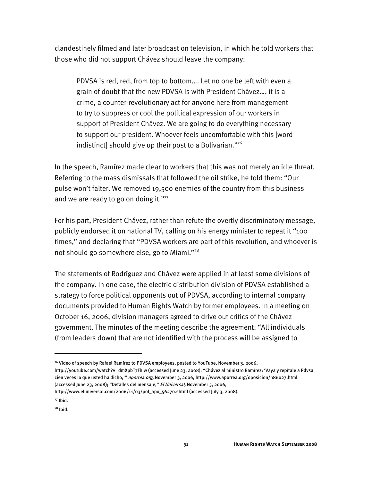clandestinely filmed and later broadcast on television, in which he told workers that those who did not support Chávez should leave the company:

PDVSA is red, red, from top to bottom…. Let no one be left with even a grain of doubt that the new PDVSA is with President Chávez…. it is a crime, a counter-revolutionary act for anyone here from management to try to suppress or cool the political expression of our workers in support of President Chávez. We are going to do everything necessary to support our president. Whoever feels uncomfortable with this [word indistinct] should give up their post to a Bolivarian."76

In the speech, Ramírez made clear to workers that this was not merely an idle threat. Referring to the mass dismissals that followed the oil strike, he told them: "Our pulse won't falter. We removed 19,500 enemies of the country from this business and we are ready to go on doing it."77

For his part, President Chávez, rather than refute the overtly discriminatory message, publicly endorsed it on national TV, calling on his energy minister to repeat it "100 times," and declaring that "PDVSA workers are part of this revolution, and whoever is not should go somewhere else, go to Miami."78

The statements of Rodríguez and Chávez were applied in at least some divisions of the company. In one case, the electric distribution division of PDVSA established a strategy to force political opponents out of PDVSA, according to internal company documents provided to Human Rights Watch by former employees. In a meeting on October 16, 2006, division managers agreed to drive out critics of the Chávez government. The minutes of the meeting describe the agreement: "All individuals (from leaders down) that are not identified with the process will be assigned to

 $76$  Video of speech by Rafael Ramírez to PDVSA employees, posted to YouTube, November 3, 2006,

http://youtube.com/watch?v=dmXpbT7Fhiw (accessed June 23, 2008); "Chávez al ministro Ramírez: 'Vaya y repítale a Pdvsa cien veces lo que usted ha dicho,"" aporrea.org, November 3, 2006, http://www.aporrea.org/oposicion/n86027.html (accessed June 23, 2008); "Detalles del mensaje," El Universal, November 3, 2006,

http://www.eluniversal.com/2006/11/03/pol\_apo\_56270.shtml (accessed July 3, 2008).

<sup>77</sup> Ibid.

 $78$  Ibid.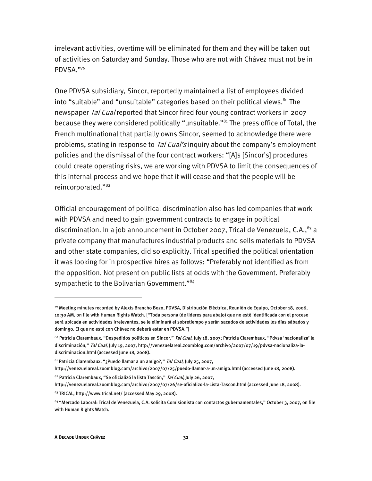irrelevant activities, overtime will be eliminated for them and they will be taken out of activities on Saturday and Sunday. Those who are not with Chávez must not be in PDVSA."79

One PDVSA subsidiary, Sincor, reportedly maintained a list of employees divided into "suitable" and "unsuitable" categories based on their political views. $80$  The newspaper Tal Cual reported that Sincor fired four young contract workers in 2007 because they were considered politically "unsuitable."81 The press office of Total, the French multinational that partially owns Sincor, seemed to acknowledge there were problems, stating in response to Tal Cual's inquiry about the company's employment policies and the dismissal of the four contract workers: "[A]s [Sincor's] procedures could create operating risks, we are working with PDVSA to limit the consequences of this internal process and we hope that it will cease and that the people will be reincorporated."82

Official encouragement of political discrimination also has led companies that work with PDVSA and need to gain government contracts to engage in political discrimination. In a job announcement in October 2007, Trical de Venezuela, C.A., $^{83}$  a private company that manufactures industrial products and sells materials to PDVSA and other state companies, did so explicitly. Trical specified the political orientation it was looking for in prospective hires as follows: "Preferably not identified as from the opposition. Not present on public lists at odds with the Government. Preferably sympathetic to the Bolivarian Government."<sup>84</sup>

<sup>79</sup> Meeting minutes recorded by Alexis Brancho Bozo, PDVSA, Distribución Eléctrica, Reunión de Equipo, October 18, 2006, 10:30 AM, on file with Human Rights Watch. ["Toda persona (de lideres para abajo) que no esté identificada con el proceso será ubicada en actividades irrelevantes, se le eliminará el sobretiempo y serán sacados de actividades los días sábados y domingo. El que no esté con Chávez no deberá estar en PDVSA."]

<sup>&</sup>lt;sup>8</sup>º Patricia Clarembaux, "Despedidos políticos en Sincor," *Tal Cual,* July 18, 2007; Patricia Clarembaux, "Pdvsa 'nacionaliza' la discriminación," Tal Cual, July 19, 2007, http://venezuelareal.zoomblog.com/archivo/2007/07/19/pdvsa-nacionaliza-ladiscriminacion.html (accessed June 18, 2008).

<sup>81</sup> Patricia Clarembaux, "¿Puedo llamar a un amigo?," Tal Cual, July 25, 2007,

http://venezuelareal.zoomblog.com/archivo/2007/07/25/puedo-llamar-a-un-amigo.html (accessed June 18, 2008).

<sup>82</sup> Patricia Clarembaux, "Se oficializó la lista Tascón," Tal Cual, July 26, 2007,

http://venezuelareal.zoomblog.com/archivo/2007/07/26/se-oficializo-la-Lista-Tascon.html (accessed June 18, 2008).

<sup>83</sup> TRICAL, http://www.trical.net/ (accessed May 29, 2008).

<sup>84 &</sup>quot;Mercado Laboral: Trical de Venezuela, C.A. solicita Comisionista con contactos gubernamentales," October 3, 2007, on file with Human Rights Watch.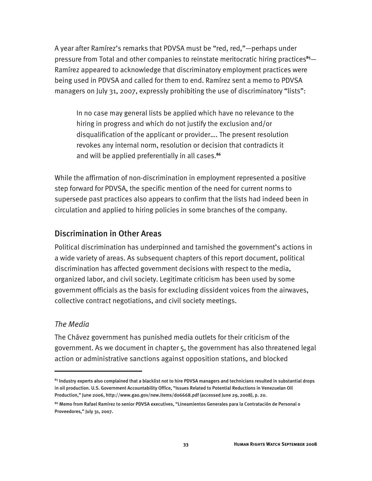A year after Ramírez's remarks that PDVSA must be "red, red,"—perhaps under pressure from Total and other companies to reinstate meritocratic hiring practices**<sup>85</sup>**— Ramírez appeared to acknowledge that discriminatory employment practices were being used in PDVSA and called for them to end. Ramírez sent a memo to PDVSA managers on July 31, 2007, expressly prohibiting the use of discriminatory "lists":

In no case may general lists be applied which have no relevance to the hiring in progress and which do not justify the exclusion and/or disqualification of the applicant or provider…. The present resolution revokes any internal norm, resolution or decision that contradicts it and will be applied preferentially in all cases.**<sup>86</sup>**

While the affirmation of non-discrimination in employment represented a positive step forward for PDVSA, the specific mention of the need for current norms to supersede past practices also appears to confirm that the lists had indeed been in circulation and applied to hiring policies in some branches of the company.

# Discrimination in Other Areas

Political discrimination has underpinned and tarnished the government's actions in a wide variety of areas. As subsequent chapters of this report document, political discrimination has affected government decisions with respect to the media, organized labor, and civil society. Legitimate criticism has been used by some government officials as the basis for excluding dissident voices from the airwaves, collective contract negotiations, and civil society meetings.

## *The Media*

j

The Chávez government has punished media outlets for their criticism of the government. As we document in chapter 5, the government has also threatened legal action or administrative sanctions against opposition stations, and blocked

<sup>&</sup>lt;sup>85</sup> Industry experts also complained that a blacklist not to hire PDVSA managers and technicians resulted in substantial drops in oil production. U.S. Government Accountability Office, "Issues Related to Potential Reductions in Venezuelan Oil Production," June 2006, http://www.gao.gov/new.items/d06668.pdf (accessed June 29, 2008), p. 20.

<sup>86</sup> Memo from Rafael Ramírez to senior PDVSA executives, "Lineamientos Generales para la Contratación de Personal o Proveedores," July 31, 2007.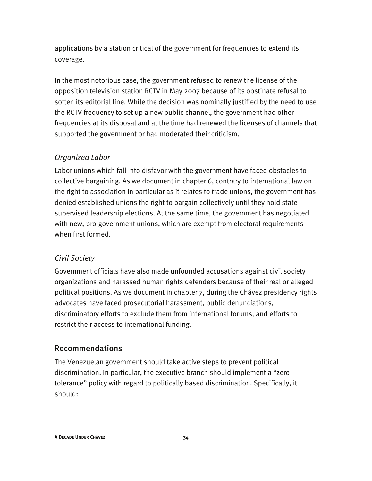applications by a station critical of the government for frequencies to extend its coverage.

In the most notorious case, the government refused to renew the license of the opposition television station RCTV in May 2007 because of its obstinate refusal to soften its editorial line. While the decision was nominally justified by the need to use the RCTV frequency to set up a new public channel, the government had other frequencies at its disposal and at the time had renewed the licenses of channels that supported the government or had moderated their criticism.

## *Organized Labor*

Labor unions which fall into disfavor with the government have faced obstacles to collective bargaining. As we document in chapter 6, contrary to international law on the right to association in particular as it relates to trade unions, the government has denied established unions the right to bargain collectively until they hold statesupervised leadership elections. At the same time, the government has negotiated with new, pro-government unions, which are exempt from electoral requirements when first formed.

# *Civil Society*

Government officials have also made unfounded accusations against civil society organizations and harassed human rights defenders because of their real or alleged political positions. As we document in chapter 7, during the Chávez presidency rights advocates have faced prosecutorial harassment, public denunciations, discriminatory efforts to exclude them from international forums, and efforts to restrict their access to international funding.

# Recommendations

The Venezuelan government should take active steps to prevent political discrimination. In particular, the executive branch should implement a "zero tolerance" policy with regard to politically based discrimination. Specifically, it should: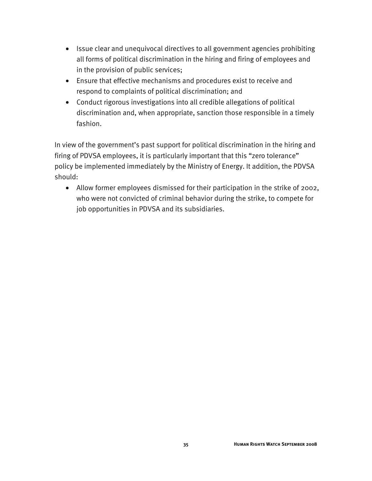- Issue clear and unequivocal directives to all government agencies prohibiting all forms of political discrimination in the hiring and firing of employees and in the provision of public services;
- Ensure that effective mechanisms and procedures exist to receive and respond to complaints of political discrimination; and
- Conduct rigorous investigations into all credible allegations of political discrimination and, when appropriate, sanction those responsible in a timely fashion.

In view of the government's past support for political discrimination in the hiring and firing of PDVSA employees, it is particularly important that this "zero tolerance" policy be implemented immediately by the Ministry of Energy. It addition, the PDVSA should:

• Allow former employees dismissed for their participation in the strike of 2002, who were not convicted of criminal behavior during the strike, to compete for job opportunities in PDVSA and its subsidiaries.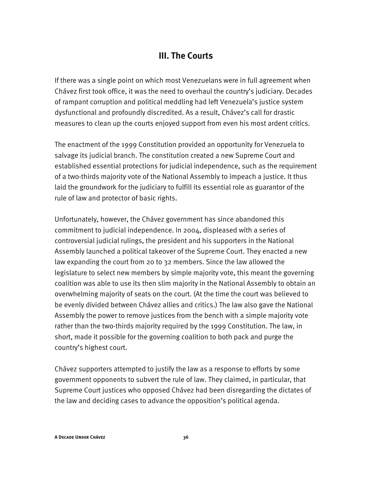# **III. The Courts**

If there was a single point on which most Venezuelans were in full agreement when Chávez first took office, it was the need to overhaul the country's judiciary. Decades of rampant corruption and political meddling had left Venezuela's justice system dysfunctional and profoundly discredited. As a result, Chávez's call for drastic measures to clean up the courts enjoyed support from even his most ardent critics.

The enactment of the 1999 Constitution provided an opportunity for Venezuela to salvage its judicial branch. The constitution created a new Supreme Court and established essential protections for judicial independence, such as the requirement of a two-thirds majority vote of the National Assembly to impeach a justice. It thus laid the groundwork for the judiciary to fulfill its essential role as guarantor of the rule of law and protector of basic rights.

Unfortunately, however, the Chávez government has since abandoned this commitment to judicial independence. In 2004, displeased with a series of controversial judicial rulings, the president and his supporters in the National Assembly launched a political takeover of the Supreme Court. They enacted a new law expanding the court from 20 to 32 members. Since the law allowed the legislature to select new members by simple majority vote, this meant the governing coalition was able to use its then slim majority in the National Assembly to obtain an overwhelming majority of seats on the court. (At the time the court was believed to be evenly divided between Chávez allies and critics.) The law also gave the National Assembly the power to remove justices from the bench with a simple majority vote rather than the two-thirds majority required by the 1999 Constitution. The law, in short, made it possible for the governing coalition to both pack and purge the country's highest court.

Chávez supporters attempted to justify the law as a response to efforts by some government opponents to subvert the rule of law. They claimed, in particular, that Supreme Court justices who opposed Chávez had been disregarding the dictates of the law and deciding cases to advance the opposition's political agenda.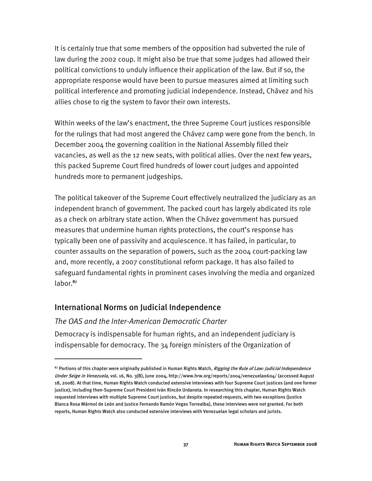It is certainly true that some members of the opposition had subverted the rule of law during the 2002 coup. It might also be true that some judges had allowed their political convictions to unduly influence their application of the law. But if so, the appropriate response would have been to pursue measures aimed at limiting such political interference and promoting judicial independence. Instead, Chávez and his allies chose to rig the system to favor their own interests.

Within weeks of the law's enactment, the three Supreme Court justices responsible for the rulings that had most angered the Chávez camp were gone from the bench. In December 2004 the governing coalition in the National Assembly filled their vacancies, as well as the 12 new seats, with political allies. Over the next few years, this packed Supreme Court fired hundreds of lower court judges and appointed hundreds more to permanent judgeships.

The political takeover of the Supreme Court effectively neutralized the judiciary as an independent branch of government. The packed court has largely abdicated its role as a check on arbitrary state action. When the Chávez government has pursued measures that undermine human rights protections, the court's response has typically been one of passivity and acquiescence. It has failed, in particular, to counter assaults on the separation of powers, such as the 2004 court-packing law and, more recently, a 2007 constitutional reform package. It has also failed to safeguard fundamental rights in prominent cases involving the media and organized labor.**<sup>87</sup>**

## International Norms on Judicial Independence

I

### *The OAS and the Inter-American Democratic Charter*

Democracy is indispensable for human rights, and an independent judiciary is indispensable for democracy. The 34 foreign ministers of the Organization of

<sup>&</sup>lt;sup>87</sup> Portions of this chapter were originally published in Human Rights Watch, *Rigging the Rule of Law: Judicial Independence* Under Seige in Venezuela, vol. 16, No. 3(B), June 2004, http://www.hrw.org/reports/2004/venezuela0604/ (accessed August 18, 2008). At that time, Human Rights Watch conducted extensive interviews with four Supreme Court justices (and one former justice), including then-Supreme Court President Iván Rincón Urdaneta. In researching this chapter, Human Rights Watch requested interviews with multiple Supreme Court justices, but despite repeated requests, with two exceptions (Justice Blanca Rosa Mármol de León and Justice Fernando Ramón Vegas Torrealba), these interviews were not granted. For both reports, Human Rights Watch also conducted extensive interviews with Venezuelan legal scholars and jurists.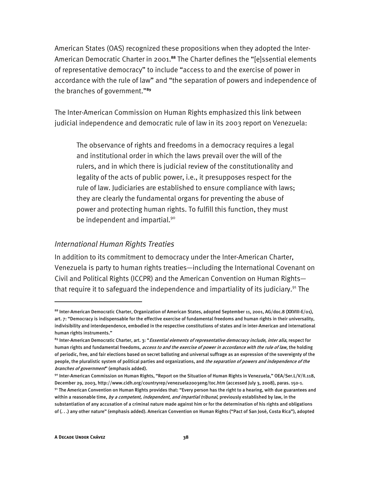American States (OAS) recognized these propositions when they adopted the Inter-American Democratic Charter in 2001.**<sup>88</sup>** The Charter defines the "[e]ssential elements of representative democracy" to include "access to and the exercise of power in accordance with the rule of law" and "the separation of powers and independence of the branches of government."**<sup>89</sup>**

The Inter-American Commission on Human Rights emphasized this link between judicial independence and democratic rule of law in its 2003 report on Venezuela:

The observance of rights and freedoms in a democracy requires a legal and institutional order in which the laws prevail over the will of the rulers, and in which there is judicial review of the constitutionality and legality of the acts of public power, i.e., it presupposes respect for the rule of law. Judiciaries are established to ensure compliance with laws; they are clearly the fundamental organs for preventing the abuse of power and protecting human rights. To fulfill this function, they must be independent and impartial.<sup>90</sup>

#### *International Human Rights Treaties*

In addition to its commitment to democracy under the Inter-American Charter, Venezuela is party to human rights treaties—including the International Covenant on Civil and Political Rights (ICCPR) and the American Convention on Human Rights that require it to safeguard the independence and impartiality of its judiciary.<sup>91</sup> The

<sup>88</sup> Inter-American Democratic Charter, Organization of American States, adopted September 11, 2001, AG/doc.8 (XXVIII-E/01), art. 7: "Democracy is indispensable for the effective exercise of fundamental freedoms and human rights in their universality, indivisibility and interdependence, embodied in the respective constitutions of states and in inter-American and international human rights instruments."

<sup>&</sup>lt;sup>89</sup> Inter-American Democratic Charter, art. 3: "Essential elements of representative democracy include, inter alia, respect for human rights and fundamental freedoms, access to and the exercise of power in accordance with the rule of law, the holding of periodic, free, and fair elections based on secret balloting and universal suffrage as an expression of the sovereignty of the people, the pluralistic system of political parties and organizations, and the separation of powers and independence of the branches of government" (emphasis added).

<sup>90</sup> Inter-American Commission on Human Rights, "Report on the Situation of Human Rights in Venezuela," OEA/Ser.L/V/II.118, December 29, 2003, http://www.cidh.org/countryrep/venezuela2003eng/toc.htm (accessed July 3, 2008), paras. 150-1. 91 The American Convention on Human Rights provides that: "Every person has the right to a hearing, with due guarantees and within a reasonable time, *by a competent, independent, and impartial tribunal*, previously established by law, in the substantiation of any accusation of a criminal nature made against him or for the determination of his rights and obligations of (. . .) any other nature" (emphasis added). American Convention on Human Rights ("Pact of San José, Costa Rica"), adopted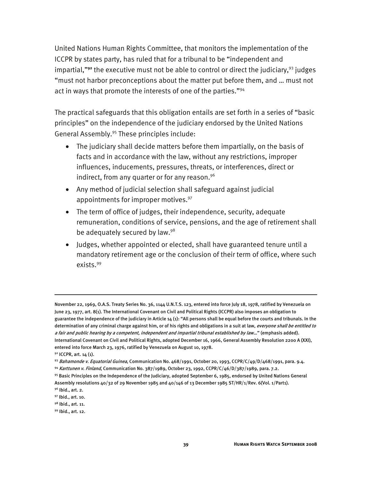United Nations Human Rights Committee, that monitors the implementation of the ICCPR by states party, has ruled that for a tribunal to be "independent and impartial,"<sup>92</sup> the executive must not be able to control or direct the judiciary,<sup>93</sup> judges "must not harbor preconceptions about the matter put before them, and … must not act in ways that promote the interests of one of the parties."94

The practical safeguards that this obligation entails are set forth in a series of "basic principles" on the independence of the judiciary endorsed by the United Nations General Assembly.95 These principles include:

- The judiciary shall decide matters before them impartially, on the basis of facts and in accordance with the law, without any restrictions, improper influences, inducements, pressures, threats, or interferences, direct or indirect, from any quarter or for any reason.<sup>96</sup>
- Any method of judicial selection shall safeguard against judicial appointments for improper motives.<sup>97</sup>
- The term of office of judges, their independence, security, adequate remuneration, conditions of service, pensions, and the age of retirement shall be adequately secured by law.<sup>98</sup>
- Judges, whether appointed or elected, shall have guaranteed tenure until a mandatory retirement age or the conclusion of their term of office, where such exists.99

-

November 22, 1969, O.A.S. Treaty Series No. 36, 1144 U.N.T.S. 123, entered into force July 18, 1978, ratified by Venezuela on June 23, 1977, art. 8(1). The International Covenant on Civil and Political Rights (ICCPR) also imposes an obligation to guarantee the independence of the judiciary in Article  $14 (1)$ : "All persons shall be equal before the courts and tribunals. In the determination of any criminal charge against him, or of his rights and obligations in a suit at law, everyone shall be entitled to a fair and public hearing by a competent, independent and impartial tribunal established by law..." (emphasis added). International Covenant on Civil and Political Rights, adopted December 16, 1966, General Assembly Resolution 2200 A (XXI), entered into force March 23, 1976, ratified by Venezuela on August 10, 1978.

<sup>92</sup> ICCPR, art. 14 (1).

<sup>93</sup> Bahamonde v. Equatorial Guinea, Communication No. 468/1991, October 20, 1993, CCPR/C/49/D/468/1991, para. 9.4.

<sup>94</sup> Karttunen v. Finland, Communication No. 387/1989, October 23, 1992, CCPR/C/46/D/387/1989, para. 7.2.

<sup>95</sup> Basic Principles on the Independence of the Judiciary, adopted September 6, 1985, endorsed by United Nations General Assembly resolutions 40/32 of 29 November 1985 and 40/146 of 13 December 1985 ST/HR/1/Rev. 6(Vol. 1/Part1). <sup>96</sup> Ibid., art. 2.

<sup>97</sup> Ibid., art. 10. 98 Ibid., art. 11.

<sup>99</sup> Ibid., art. 12.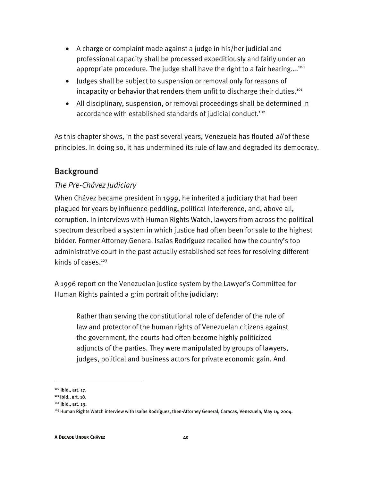- A charge or complaint made against a judge in his/her judicial and professional capacity shall be processed expeditiously and fairly under an appropriate procedure. The judge shall have the right to a fair hearing....<sup>100</sup>
- Judges shall be subject to suspension or removal only for reasons of incapacity or behavior that renders them unfit to discharge their duties.<sup>101</sup>
- All disciplinary, suspension, or removal proceedings shall be determined in accordance with established standards of judicial conduct.<sup>102</sup>

As this chapter shows, in the past several years, Venezuela has flouted all of these principles. In doing so, it has undermined its rule of law and degraded its democracy.

# Background

# *The Pre-Chávez Judiciary*

When Chávez became president in 1999, he inherited a judiciary that had been plagued for years by influence-peddling, political interference, and, above all, corruption. In interviews with Human Rights Watch, lawyers from across the political spectrum described a system in which justice had often been for sale to the highest bidder. Former Attorney General Isaías Rodríguez recalled how the country's top administrative court in the past actually established set fees for resolving different kinds of cases. $103$ 

A 1996 report on the Venezuelan justice system by the Lawyer's Committee for Human Rights painted a grim portrait of the judiciary:

Rather than serving the constitutional role of defender of the rule of law and protector of the human rights of Venezuelan citizens against the government, the courts had often become highly politicized adjuncts of the parties. They were manipulated by groups of lawyers, judges, political and business actors for private economic gain. And

<sup>100</sup> Ibid., art. 17.

<sup>101</sup> Ibid., art. 18.

<sup>102</sup> Ibid., art. 19.

<sup>103</sup> Human Rights Watch interview with Isaías Rodríguez, then-Attorney General, Caracas, Venezuela, May 14, 2004.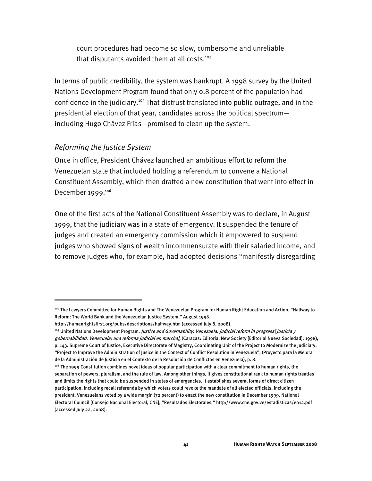court procedures had become so slow, cumbersome and unreliable that disputants avoided them at all costs.<sup>104</sup>

In terms of public credibility, the system was bankrupt. A 1998 survey by the United Nations Development Program found that only 0.8 percent of the population had confidence in the judiciary.<sup>105</sup> That distrust translated into public outrage, and in the presidential election of that year, candidates across the political spectrum including Hugo Chávez Frías—promised to clean up the system.

### *Reforming the Justice System*

I

Once in office, President Chávez launched an ambitious effort to reform the Venezuelan state that included holding a referendum to convene a National Constituent Assembly, which then drafted a new constitution that went into effect in December 1999.**<sup>106</sup>**

One of the first acts of the National Constituent Assembly was to declare, in August 1999, that the judiciary was in a state of emergency. It suspended the tenure of judges and created an emergency commission which it empowered to suspend judges who showed signs of wealth incommensurate with their salaried income, and to remove judges who, for example, had adopted decisions "manifestly disregarding

<sup>104</sup> The Lawyers Committee for Human Rights and The Venezuelan Program for Human Right Education and Action, "Halfway to Reform: The World Bank and the Venezuelan Justice System," August 1996,

http://humanrightsfirst.org/pubs/descriptions/halfway.htm (accessed July 8, 2008).

<sup>&</sup>lt;sup>105</sup> United Nations Development Program, Justice and Governability. Venezuela: judicial reform in progress [Justicia y gobernabilidad. Venezuela: una reforma judicial en marcha], (Caracas: Editorial New Society [Editorial Nueva Sociedad], 1998), p. 143. Supreme Court of Justice, Executive Directorate of Magistry, Coordinating Unit of the Project to Modernize the Judiciary, "Project to Improve the Administration of Jusice in the Context of Conflict Resolution in Venezuela", (Proyecto para la Mejora de la Administración de Justicia en el Contexto de la Resolución de Conflictos en Venezuela), p. 8.

<sup>106</sup> The 1999 Constitution combines novel ideas of popular participation with a clear commitment to human rights, the separation of powers, pluralism, and the rule of law. Among other things, it gives constitutional rank to human rights treaties and limits the rights that could be suspended in states of emergencies. It establishes several forms of direct citizen participation, including recall referenda by which voters could revoke the mandate of all elected officials, including the president. Venezuelans voted by a wide margin (72 percent) to enact the new constitution in December 1999. National Electoral Council [Consejo Nacional Electoral, CNE], "Resultados Electorales," http://www.cne.gov.ve/estadisticas/e012.pdf (accessed July 22, 2008).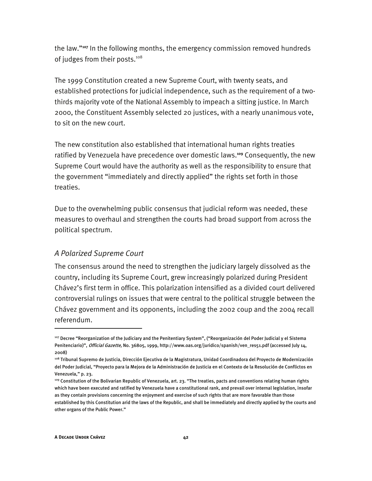the law."**<sup>107</sup>** In the following months, the emergency commission removed hundreds of judges from their posts.<sup>108</sup>

The 1999 Constitution created a new Supreme Court, with twenty seats, and established protections for judicial independence, such as the requirement of a twothirds majority vote of the National Assembly to impeach a sitting justice. In March 2000, the Constituent Assembly selected 20 justices, with a nearly unanimous vote, to sit on the new court.

The new constitution also established that international human rights treaties ratified by Venezuela have precedence over domestic laws.**<sup>109</sup>** Consequently, the new Supreme Court would have the authority as well as the responsibility to ensure that the government "immediately and directly applied" the rights set forth in those treaties.

Due to the overwhelming public consensus that judicial reform was needed, these measures to overhaul and strengthen the courts had broad support from across the political spectrum.

#### *A Polarized Supreme Court*

The consensus around the need to strengthen the judiciary largely dissolved as the country, including its Supreme Court, grew increasingly polarized during President Chávez's first term in office. This polarization intensified as a divided court delivered controversial rulings on issues that were central to the political struggle between the Chávez government and its opponents, including the 2002 coup and the 2004 recall referendum.

<sup>107</sup> Decree "Reorganization of the Judiciary and the Penitentiary System", ("Reorganización del Poder Judicial y el Sistema Penitenciario)", Official Gazette, No. 36805, 1999, http://www.oas.org/juridico/spanish/ven\_res51.pdf (accessed July 14, 2008)

<sup>108</sup> Tribunal Supremo de Justicia, Dirección Ejecutiva de la Magistratura, Unidad Coordinadora del Proyecto de Modernización del Poder Judicial, "Proyecto para la Mejora de la Administración de Justicia en el Contexto de la Resolución de Conflictos en Venezuela," p. 23.

<sup>109</sup> Constitution of the Bolivarian Republic of Venezuela, art. 23. "The treaties, pacts and conventions relating human rights which have been executed and ratified by Venezuela have a constitutional rank, and prevail over internal legislation, insofar as they contain provisions concerning the enjoyment and exercise of such rights that are more favorable than those established by this Constitution arid the laws of the Republic, and shall be immediately and directly applied by the courts and other organs of the Public Power."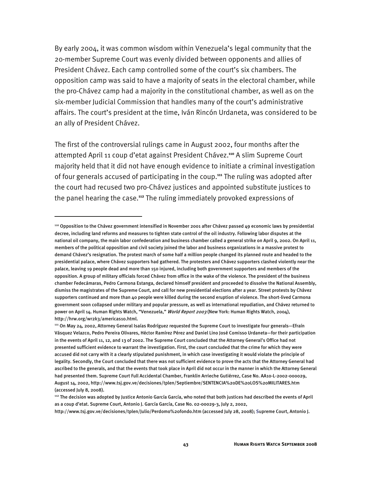By early 2004, it was common wisdom within Venezuela's legal community that the 20-member Supreme Court was evenly divided between opponents and allies of President Chávez. Each camp controlled some of the court's six chambers. The opposition camp was said to have a majority of seats in the electoral chamber, while the pro-Chávez camp had a majority in the constitutional chamber, as well as on the six-member Judicial Commission that handles many of the court's administrative affairs. The court's president at the time, Iván Rincón Urdaneta, was considered to be an ally of President Chávez.

The first of the controversial rulings came in August 2002, four months after the attempted April 11 coup d'etat against President Chávez.**<sup>110</sup>** A slim Supreme Court majority held that it did not have enough evidence to initiate a criminal investigation of four generals accused of participating in the coup.**<sup>111</sup>** The ruling was adopted after the court had recused two pro-Chávez justices and appointed substitute justices to the panel hearing the case.**<sup>112</sup>** The ruling immediately provoked expressions of

<sup>110</sup> Opposition to the Chávez government intensified in November 2001 after Chávez passed 49 economic laws by presidential decree, including land reforms and measures to tighten state control of the oil industry. Following labor disputes at the national oil company, the main labor confederation and business chamber called a general strike on April 9, 2002. On April 11, members of the political opposition and civil society joined the labor and business organizations in a massive protest to demand Chávez's resignation. The protest march of some half a million people changed its planned route and headed to the presidential palace, where Chávez supporters had gathered. The protesters and Chávez supporters clashed violently near the palace, leaving 19 people dead and more than 150 injured, including both government supporters and members of the opposition. A group of military officials forced Chávez from office in the wake of the violence. The president of the business chamber Fedecámaras, Pedro Carmona Estanga, declared himself president and proceeded to dissolve the National Assembly, dismiss the magistrates of the Supreme Court, and call for new presidential elections after a year. Street protests by Chávez supporters continued and more than 40 people were killed during the second eruption of violence. The short-lived Carmona government soon collapsed under military and popular pressure, as well as international repudiation, and Chávez returned to power on April 14. Human Rights Watch, "Venezuela," World Report 2003 (New York: Human Rights Watch, 2004), http://hrw.org/wr2k3/americas10.html.

<sup>111</sup> On May 24, 2002, Attorney General Isaías Rodríguez requested the Supreme Court to investigate four generals—Efraín Vásquez Velazco, Pedro Pereira Olivares, Héctor Ramírez Pérez and Daniel Lino José Comisso Urdaneta—for their participation in the events of April 11, 12, and 13 of 2002. The Supreme Court concluded that the Attorney General's Office had not presented sufficient evidence to warrant the investigation. First, the court concluded that the crime for which they were accused did not carry with it a clearly stipulated punishment, in which case investigating it would violate the principle of legality. Secondly, the Court concluded that there was not sufficient evidence to prove the acts that the Attorney General had ascribed to the generals, and that the events that took place in April did not occur in the manner in which the Attorney General had presented them. Supreme Court Full Accidental Chamber, Franklin Arrieche Gutiérrez, Case No. AA10-L-2002-000029, August 14, 2002, http://www.tsj.gov.ve/decisiones/tplen/Septiembre/SENTENCIA%20DE%20LOS%20MILITARES.htm (accessed July 8, 2008).

<sup>112</sup> The decision was adopted by Justice Antonio García García, who noted that both justices had described the events of April as a coup d'etat. Supreme Court, Antonio J. García García, Case No. 02-00029-3, July 2, 2002,

http://www.tsj.gov.ve/decisiones/tplen/Julio/Perdomo%20fondo.htm (accessed July 28, 2008); Supreme Court, Antonio J.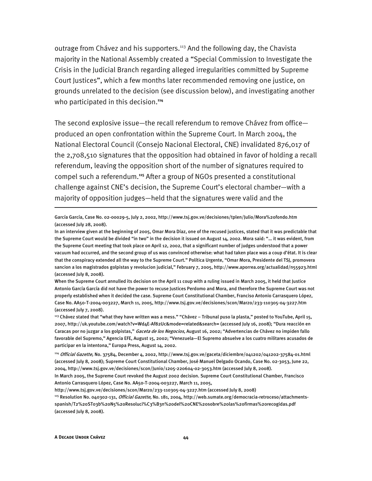outrage from Chávez and his supporters.<sup>113</sup> And the following day, the Chavista majority in the National Assembly created a "Special Commission to Investigate the Crisis in the Judicial Branch regarding alleged irregularities committed by Supreme Court Justices", which a few months later recommended removing one justice, on grounds unrelated to the decision (see discussion below), and investigating another who participated in this decision.**<sup>114</sup>**

The second explosive issue—the recall referendum to remove Chávez from office produced an open confrontation within the Supreme Court. In March 2004, the National Electoral Council (Consejo Nacional Electoral, CNE) invalidated 876,017 of the 2,708,510 signatures that the opposition had obtained in favor of holding a recall referendum, leaving the opposition short of the number of signatures required to compel such a referendum.**<sup>115</sup>** After a group of NGOs presented a constitutional challenge against CNE's decision, the Supreme Court's electoral chamber—with a majority of opposition judges—held that the signatures were valid and the

García García, Case No. 02-00029-5, July 2, 2002, http://www.tsj.gov.ve/decisiones/tplen/Julio/Mora%20fondo.htm (accessed July 28, 2008).

When the Supreme Court annulled its decision on the April 11 coup with a ruling issued in March 2005, it held that Justice Antonio García García did not have the power to recuse Justices Perdomo and Mora, and therefore the Supreme Court was not properly established when it decided the case. Supreme Court Constitutional Chamber, Franciso Antonio Carrasquero López, Case No. AA50-T-2004-003227, March 11, 2005, http://www.tsj.gov.ve/decisiones/scon/Marzo/233-110305-04-3227.htm (accessed July 7, 2008).

113 Chávez stated that "what they have written was a mess." "Chávez – Tribunal puso la plasta," posted to YouTube, April 15, 2007, http://uk.youtube.com/watch?v=Wd4E-Af82Uc&mode=related&search= (accessed July 16, 2008); "Dura reacción en Caracas por no juzgar a los golpistas," Gaceta de los Negocios, August 16, 2002; "Advertencias de Chávez no impiden fallo favorable del Supremo," Agencia EFE, August 15, 2002; "Venezuela—El Supremo absuelve a los cuatro militares acusados de participar en la intentona," Europa Press, August 14, 2002.

114 Official Gazette, No. 37584, December 4, 2002, http://www.tsj.gov.ve/gaceta/diciembre/041202/041202-37584-01.html (accessed July 8, 2008); Supreme Court Constitutional Chamber, José Manuel Delgado Ocando, Case No. 02-3053, June 22, 2004, http://www.tsj.gov.ve/decisiones/scon/Junio/1205-220604-02-3053.htm (accessed July 8, 2008).

In March 2005, the Supreme Court revoked the August 2002 decision. Supreme Court Constitutional Chamber, Francisco Antonio Carrasquero López, Case No. AA50-T-2004-003227, March 11, 2005,

http://www.tsj.gov.ve/decisiones/scon/Marzo/233-110305-04-3227.htm (accessed July 8, 2008) 115 Resolution No. 040302-131, Official Gazette, No. 181, 2004, http://web.sumate.org/democracia-retroceso/attachmentsspanish/T2%20ST03b%20N5%20Resoluci%C3%B3n%20del%20CNE%20sobre%20las%20firmas%20recogidas.pdf (accessed July 8, 2008).

j

In an interview given at the beginning of 2005, Omar Mora Díaz, one of the recused justices, stated that it was predictable that the Supreme Court would be divided "in two" in the decision it issued on August 14, 2002. Mora said: "… it was evident, from the Supreme Court meeting that took place on April 12, 2002, that a significant number of judges understood that a power vacuum had occurred, and the second group of us was convinced otherwise: what had taken place was a coup d'état. It is clear that the conspiracy extended all the way to the Supreme Court." Política Urgente, "Omar Mora, Presidente del TSJ, promovera sancion a los magistrados golpistas y revolucion judicial," February 7, 2005, http://www.aporrea.org/actualidad/n55923.html (accessed July 8, 2008).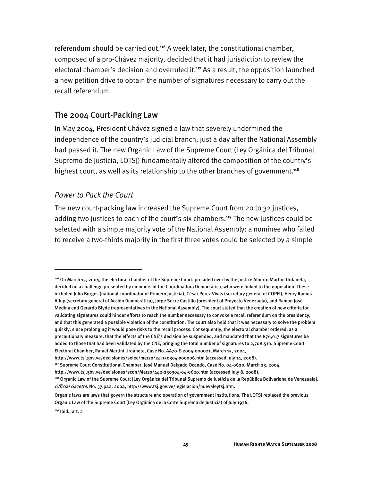referendum should be carried out.**<sup>116</sup>** A week later, the constitutional chamber, composed of a pro-Chávez majority, decided that it had jurisdiction to review the electoral chamber's decision and overruled it.**<sup>117</sup>** As a result, the opposition launched a new petition drive to obtain the number of signatures necessary to carry out the recall referendum.

# The 2004 Court-Packing Law

In May 2004, President Chávez signed a law that severely undermined the independence of the country's judicial branch, just a day after the National Assembly had passed it. The new Organic Law of the Supreme Court (Ley Orgánica del Tribunal Supremo de Justicia, LOTSJ) fundamentally altered the composition of the country's highest court, as well as its relationship to the other branches of government.**<sup>118</sup>**

## *Power to Pack the Court*

The new court-packing law increased the Supreme Court from 20 to 32 justices, adding two justices to each of the court's six chambers.**<sup>119</sup>** The new justices could be selected with a simple majority vote of the National Assembly: a nominee who failed to receive a two-thirds majority in the first three votes could be selected by a simple

<sup>116</sup> On March 15, 2004, the electoral chamber of the Supreme Court, presided over by the Justice Alberto Martini Urdaneta, decided on a challenge presented by members of the Coordinadora Democrática, who were linked to the opposition. These included Julio Borges (national coordinator of Primero Justicia), César Pérez Vivas (secretary general of COPEI), Henry Ramos Allup (secretary general of Acción Democrática), Jorge Sucre Castillo (president of Proyecto Venezuela), and Ramon José Medina and Gerardo Blyde (representatives in the National Assembly). The court stated that the creation of new criteria for validating signatures could hinder efforts to reach the number necessary to convoke a recall referendum on the presidency, and that this generated a possible violation of the constitution. The court also held that it was necessary to solve the problem quickly, since prolonging it would pose risks to the recall process. Consequently, the electoral chamber ordered, as a precautionary measure, that the effects of the CNE's decision be suspended, and mandated that the 876,017 signatures be added to those that had been validated by the CNE, bringing the total number of signatures to 2,708,510. Supreme Court Electoral Chamber, Rafael Martini Urdaneta, Case No. AA70-E-2004-000021, March 15, 2004,

http://www.tsj.gov.ve/decisiones/selec/marzo/24-150304-x00006.htm (accessed July 14, 2008).

<sup>117</sup> Supreme Court Constitutional Chamber, José Manuel Delgado Ocando, Case No. 04-0620, March 23, 2004,

http://www.tsj.gov.ve/decisiones/scon/Marzo/442-230304-04-0620.htm (accessed July 8, 2008).

<sup>&</sup>lt;sup>118</sup> Organic Law of the Supreme Court [Ley Orgánica del Tribunal Supremo de Justicia de la República Bolivariana de Venezuela], Official Gazette, No. 37.942, 2004, http://www.tsj.gov.ve/legislacion/nuevaleytsj.htm.

Organic laws are laws that govern the structure and operation of government institutions. The LOTSJ replaced the previous Organic Law of the Supreme Court (Ley Orgánica de la Corte Suprema de Justicia) of July 1976.

<sup>119</sup> Ibid., art. 2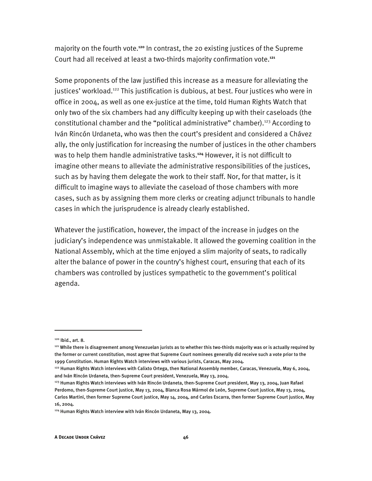majority on the fourth vote.**<sup>120</sup>** In contrast, the 20 existing justices of the Supreme Court had all received at least a two-thirds majority confirmation vote.**<sup>121</sup>**

Some proponents of the law justified this increase as a measure for alleviating the justices' workload.<sup>122</sup> This justification is dubious, at best. Four justices who were in office in 2004, as well as one ex-justice at the time, told Human Rights Watch that only two of the six chambers had any difficulty keeping up with their caseloads (the constitutional chamber and the "political administrative" chamber).<sup>123</sup> According to Iván Rincón Urdaneta, who was then the court's president and considered a Chávez ally, the only justification for increasing the number of justices in the other chambers was to help them handle administrative tasks.**<sup>124</sup>** However, it is not difficult to imagine other means to alleviate the administrative responsibilities of the justices, such as by having them delegate the work to their staff. Nor, for that matter, is it difficult to imagine ways to alleviate the caseload of those chambers with more cases, such as by assigning them more clerks or creating adjunct tribunals to handle cases in which the jurisprudence is already clearly established.

Whatever the justification, however, the impact of the increase in judges on the judiciary's independence was unmistakable. It allowed the governing coalition in the National Assembly, which at the time enjoyed a slim majority of seats, to radically alter the balance of power in the country's highest court, ensuring that each of its chambers was controlled by justices sympathetic to the government's political agenda.

<sup>&</sup>lt;sup>120</sup> Ibid., art. 8.

<sup>&</sup>lt;sup>121</sup> While there is disagreement among Venezuelan jurists as to whether this two-thirds majority was or is actually required by the former or current constitution, most agree that Supreme Court nominees generally did receive such a vote prior to the 1999 Constitution. Human Rights Watch interviews with various jurists, Caracas, May 2004.

<sup>122</sup> Human Rights Watch interviews with Calixto Ortega, then National Assembly member, Caracas, Venezuela, May 6, 2004, and Iván Rincón Urdaneta, then-Supreme Court president, Venezuela, May 13, 2004.

<sup>123</sup> Human Rights Watch interviews with Iván Rincón Urdaneta, then-Supreme Court president, May 13, 2004, Juan Rafael Perdomo, then-Supreme Court justice, May 13, 2004, Blanca Rosa Mármol de León, Supreme Court justice, May 13, 2004, Carlos Martini, then former Supreme Court justice, May 14, 2004, and Carlos Escarra, then former Supreme Court justice, May 16, 2004.

<sup>124</sup> Human Rights Watch interview with Iván Rincón Urdaneta, May 13, 2004.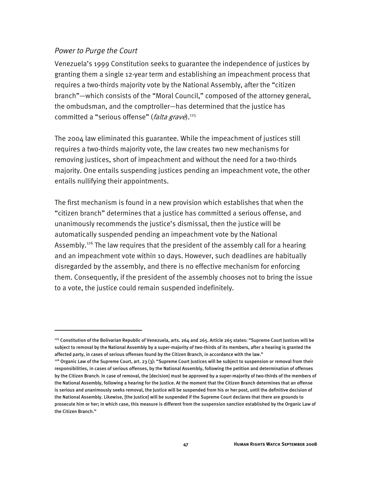#### *Power to Purge the Court*

I

Venezuela's 1999 Constitution seeks to guarantee the independence of justices by granting them a single 12-year term and establishing an impeachment process that requires a two-thirds majority vote by the National Assembly, after the "citizen branch"—which consists of the "Moral Council," composed of the attorney general, the ombudsman, and the comptroller—has determined that the justice has committed a "serious offense" (falta grave).<sup>125</sup>

The 2004 law eliminated this guarantee. While the impeachment of justices still requires a two-thirds majority vote, the law creates two new mechanisms for removing justices, short of impeachment and without the need for a two-thirds majority. One entails suspending justices pending an impeachment vote, the other entails nullifying their appointments.

The first mechanism is found in a new provision which establishes that when the "citizen branch" determines that a justice has committed a serious offense, and unanimously recommends the justice's dismissal, then the justice will be automatically suspended pending an impeachment vote by the National Assembly.<sup>126</sup> The law requires that the president of the assembly call for a hearing and an impeachment vote within 10 days. However, such deadlines are habitually disregarded by the assembly, and there is no effective mechanism for enforcing them. Consequently, if the president of the assembly chooses not to bring the issue to a vote, the justice could remain suspended indefinitely.

 $125$  Constitution of the Bolivarian Republic of Venezuela, arts. 264 and 265. Article 265 states: "Supreme Court Justices will be subject to removal by the National Assembly by a super-majority of two-thirds of its members, after a hearing is granted the affected party, in cases of serious offenses found by the Citizen Branch, in accordance with the law."

<sup>126</sup> Organic Law of the Supreme Court, art. 23 (3): "Supreme Court Justices will be subject to suspension or removal from their responsibilities, in cases of serious offenses, by the National Assembly, following the petition and determination of offenses by the Citizen Branch. In case of removal, the [decision] must be approved by a super-majority of two-thirds of the members of the National Assembly, following a hearing for the Justice. At the moment that the Citizen Branch determines that an offense is serious and unanimously seeks removal, the Justice will be suspended from his or her post, until the definitive decision of the National Assembly. Likewise, [the Justice] will be suspended if the Supreme Court declares that there are grounds to prosecute him or her; in which case, this measure is different from the suspension sanction established by the Organic Law of the Citizen Branch."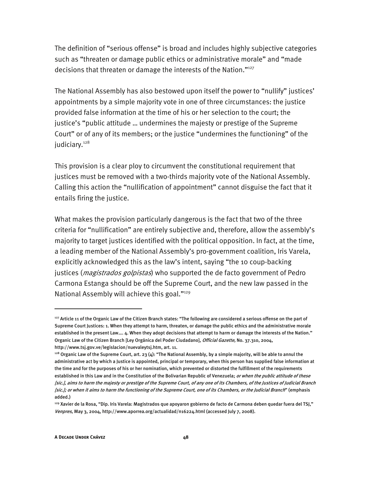The definition of "serious offense" is broad and includes highly subjective categories such as "threaten or damage public ethics or administrative morale" and "made decisions that threaten or damage the interests of the Nation."127

The National Assembly has also bestowed upon itself the power to "nullify" justices' appointments by a simple majority vote in one of three circumstances: the justice provided false information at the time of his or her selection to the court; the justice's "public attitude … undermines the majesty or prestige of the Supreme Court" or of any of its members; or the justice "undermines the functioning" of the judiciary.<sup>128</sup>

This provision is a clear ploy to circumvent the constitutional requirement that justices must be removed with a two-thirds majority vote of the National Assembly. Calling this action the "nullification of appointment" cannot disguise the fact that it entails firing the justice.

What makes the provision particularly dangerous is the fact that two of the three criteria for "nullification" are entirely subjective and, therefore, allow the assembly's majority to target justices identified with the political opposition. In fact, at the time, a leading member of the National Assembly's pro-government coalition, Iris Varela, explicitly acknowledged this as the law's intent, saying "the 10 coup-backing justices (*magistrados golpistas*) who supported the de facto government of Pedro Carmona Estanga should be off the Supreme Court, and the new law passed in the National Assembly will achieve this goal."129

-

<sup>&</sup>lt;sup>127</sup> Article 11 of the Organic Law of the Citizen Branch states: "The following are considered a serious offense on the part of Supreme Court Justices: 1. When they attempt to harm, threaten, or damage the public ethics and the administrative morale established in the present Law.... 4. When they adopt decisions that attempt to harm or damage the interests of the Nation." Organic Law of the Citizen Branch [Ley Orgánica del Poder Ciudadano], Official Gazette, No. 37.310, 2004, http://www.tsj.gov.ve/legislacion/nuevaleytsj.htm, art. 11.

 $128$  Organic Law of the Supreme Court, art. 23 (4): "The National Assembly, by a simple majority, will be able to annul the administrative act by which a Justice is appointed, principal or temporary, when this person has supplied false information at the time and for the purposes of his or her nomination, which prevented or distorted the fulfillment of the requirements established in this Law and in the Constitution of the Bolivarian Republic of Venezuela; or when the public attitude of these [sic.], aims to harm the majesty or prestige of the Supreme Court, of any one of its Chambers, of the Justices of Judicial Branch [sic.]; or when it aims to harm the functioning of the Supreme Court, one of its Chambers, or the Judicial Branch" (emphasis added.)

<sup>&</sup>lt;sup>129</sup> Xavier de la Rosa, "Dip. Iris Varela: Magistrados que apoyaron gobierno de facto de Carmona deben quedar fuera del TSJ," Venpres, May 3, 2004, http://www.aporrea.org/actualidad/n16224.html (accessed July 7, 2008).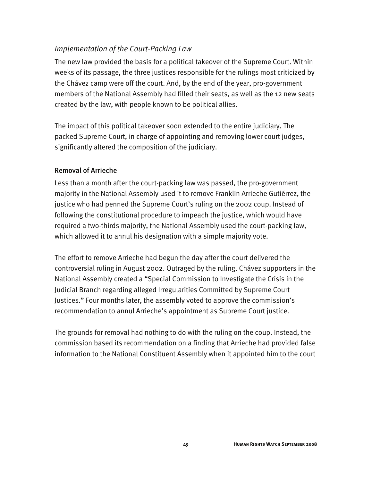# *Implementation of the Court-Packing Law*

The new law provided the basis for a political takeover of the Supreme Court. Within weeks of its passage, the three justices responsible for the rulings most criticized by the Chávez camp were off the court. And, by the end of the year, pro-government members of the National Assembly had filled their seats, as well as the 12 new seats created by the law, with people known to be political allies.

The impact of this political takeover soon extended to the entire judiciary. The packed Supreme Court, in charge of appointing and removing lower court judges, significantly altered the composition of the judiciary.

## Removal of Arrieche

Less than a month after the court-packing law was passed, the pro-government majority in the National Assembly used it to remove Franklin Arrieche Gutiérrez, the justice who had penned the Supreme Court's ruling on the 2002 coup. Instead of following the constitutional procedure to impeach the justice, which would have required a two-thirds majority, the National Assembly used the court-packing law, which allowed it to annul his designation with a simple majority vote.

The effort to remove Arrieche had begun the day after the court delivered the controversial ruling in August 2002. Outraged by the ruling, Chávez supporters in the National Assembly created a "Special Commission to Investigate the Crisis in the Judicial Branch regarding alleged Irregularities Committed by Supreme Court Justices." Four months later, the assembly voted to approve the commission's recommendation to annul Arrieche's appointment as Supreme Court justice.

The grounds for removal had nothing to do with the ruling on the coup. Instead, the commission based its recommendation on a finding that Arrieche had provided false information to the National Constituent Assembly when it appointed him to the court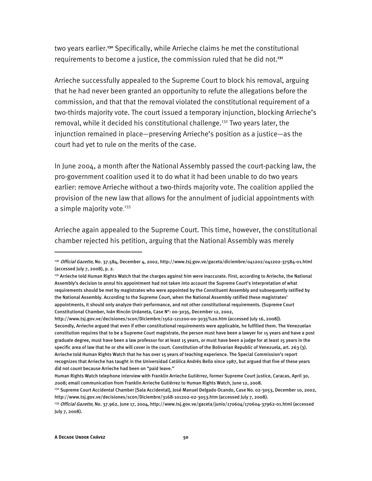two years earlier.**<sup>130</sup>** Specifically, while Arrieche claims he met the constitutional requirements to become a justice, the commission ruled that he did not.**<sup>131</sup>**

Arrieche successfully appealed to the Supreme Court to block his removal, arguing that he had never been granted an opportunity to refute the allegations before the commission, and that that the removal violated the constitutional requirement of a two-thirds majority vote. The court issued a temporary injunction, blocking Arrieche's removal, while it decided his constitutional challenge.<sup>132</sup> Two years later, the injunction remained in place—preserving Arrieche's position as a justice—as the court had yet to rule on the merits of the case.

In June 2004, a month after the National Assembly passed the court-packing law, the pro-government coalition used it to do what it had been unable to do two years earlier: remove Arrieche without a two-thirds majority vote. The coalition applied the provision of the new law that allows for the annulment of judicial appointments with a simple majority vote.<sup>133</sup>

Arrieche again appealed to the Supreme Court. This time, however, the constitutional chamber rejected his petition, arguing that the National Assembly was merely

<sup>&</sup>lt;sup>130</sup> *Official Gazette,* No. 37.584, December 4, 2002, http://www.tsj.gov.ve/gaceta/diciembre/041202/041202-37584-01.html (accessed July 7, 2008), p. 2.

<sup>&</sup>lt;sup>131</sup> Arrieche told Human Rights Watch that the charges against him were inaccurate. First, according to Arrieche, the National Assembly's decision to annul his appointment had not taken into account the Supreme Court's interpretation of what requirements should be met by magistrates who were appointed by the Constituent Assembly and subsequently ratified by the National Assembly. According to the Supreme Court, when the National Assembly ratified these magistrates' appointments, it should only analyze their performance, and not other constitutional requirements. (Supreme Court Constitutional Chamber, Iván Rincón Urdaneta, Case N°: 00-3035, December 12, 2002,

http://www.tsj.gov.ve/decisiones/scon/Diciembre/1562-121200-00-3035%20.htm (accessed July 16, 2008)). Secondly, Arrieche argued that even if other constitutional requirements were applicable, he fulfilled them. The Venezuelan constitution requires that to be a Supreme Court magistrate, the person must have been a lawyer for 15 years and have a post graduate degree, must have been a law professor for at least 15 years, or must have been a judge for at least 15 years in the specific area of law that he or she will cover in the court. Constitution of the Bolivarian Republic of Venezuela, art. 263 (3). Arrieche told Human Rights Watch that he has over 15 years of teaching experience. The Special Commission's report recognizes that Arrieche has taught in the Universidad Católica Andrés Bello since 1987, but argued that five of these years did not count because Arrieche had been on "paid leave."

Human Rights Watch telephone interview with Franklin Arrieche Gutiérrez, former Supreme Court justice, Caracas, April 30, 2008; email communication from Franklin Arrieche Gutiérrez to Human Rights Watch, June 12, 2008.

<sup>&</sup>lt;sup>132</sup> Supreme Court Accidental Chamber [Sala Accidental], José Manuel Delgado Ocando, Case No. 02-3053, December 10, 2002, http://www.tsj.gov.ve/decisiones/scon/Diciembre/3168-101202-02-3053.htm (accessed July 7, 2008).

<sup>133</sup> Official Gazette, No. 37.962, June 17, 2004, http://www.tsj.gov.ve/gaceta/junio/170604/170604-37962-01.html (accessed July 7, 2008).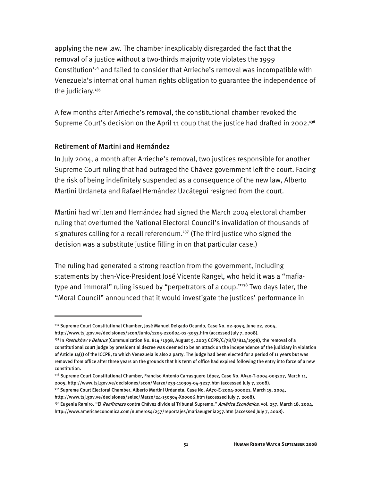applying the new law. The chamber inexplicably disregarded the fact that the removal of a justice without a two-thirds majority vote violates the 1999 Constitution<sup>134</sup> and failed to consider that Arrieche's removal was incompatible with Venezuela's international human rights obligation to guarantee the independence of the judiciary.**<sup>135</sup>**

A few months after Arrieche's removal, the constitutional chamber revoked the Supreme Court's decision on the April 11 coup that the justice had drafted in 2002.**<sup>136</sup>**

### Retirement of Martini and Hernández

j

In July 2004, a month after Arrieche's removal, two justices responsible for another Supreme Court ruling that had outraged the Chávez government left the court. Facing the risk of being indefinitely suspended as a consequence of the new law, Alberto Martini Urdaneta and Rafael Hernández Uzcátegui resigned from the court.

Martini had written and Hernández had signed the March 2004 electoral chamber ruling that overturned the National Electoral Council's invalidation of thousands of signatures calling for a recall referendum.<sup>137</sup> (The third justice who signed the decision was a substitute justice filling in on that particular case.)

The ruling had generated a strong reaction from the government, including statements by then-Vice-President José Vicente Rangel, who held it was a "mafiatype and immoral" ruling issued by "perpetrators of a coup."<sup>138</sup> Two days later, the "Moral Council" announced that it would investigate the justices' performance in

<sup>134</sup> Supreme Court Constitutional Chamber, José Manuel Delgado Ocando, Case No. 02-3053, June 22, 2004, http://www.tsj.gov.ve/decisiones/scon/Junio/1205-220604-02-3053.htm (accessed July 7, 2008).

<sup>&</sup>lt;sup>135</sup> In Pastukhov v Belarus (Communication No. 814 /1998, August 5, 2003 CCPR/C/78/D/814/1998), the removal of a constitutional court judge by presidential decree was deemed to be an attack on the independence of the judiciary in violation of Article  $14(1)$  of the ICCPR, to which Venezuela is also a party. The judge had been elected for a period of 11 years but was removed from office after three years on the grounds that his term of office had expired following the entry into force of a new constitution.

<sup>136</sup> Supreme Court Constitutional Chamber, Franciso Antonio Carrasquero López, Case No. AA50-T-2004-003227, March 11, 2005, http://www.tsj.gov.ve/decisiones/scon/Marzo/233-110305-04-3227.htm (accessed July 7, 2008).

<sup>137</sup> Supreme Court Electoral Chamber, Alberto Martini Urdaneta, Case No. AA70-E-2004-000021, March 15, 2004,

http://www.tsj.gov.ve/decisiones/selec/Marzo/24-150304-X00006.htm (accessed July 7, 2008).

<sup>138</sup> Eugenia Ramiro, "El *Reafirmazo* contra Chávez divide al Tribunal Supremo," *América Económica*, vol. 257, March 18, 2004, http://www.americaeconomica.com/numeros4/257/reportajes/mariaeugenia257.htm (accessed July 7, 2008).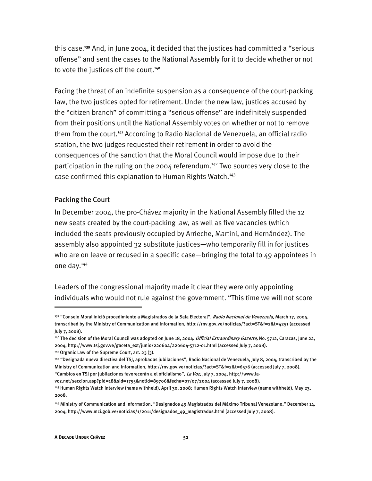this case.**<sup>139</sup>** And, in June 2004, it decided that the justices had committed a "serious offense" and sent the cases to the National Assembly for it to decide whether or not to vote the justices off the court.**<sup>140</sup>**

Facing the threat of an indefinite suspension as a consequence of the court-packing law, the two justices opted for retirement. Under the new law, justices accused by the "citizen branch" of committing a "serious offense" are indefinitely suspended from their positions until the National Assembly votes on whether or not to remove them from the court.**<sup>141</sup>** According to Radio Nacional de Venezuela, an official radio station, the two judges requested their retirement in order to avoid the consequences of the sanction that the Moral Council would impose due to their participation in the ruling on the 2004 referendum.<sup>142</sup> Two sources very close to the case confirmed this explanation to Human Rights Watch.<sup>143</sup>

#### Packing the Court

I

In December 2004, the pro-Chávez majority in the National Assembly filled the 12 new seats created by the court-packing law, as well as five vacancies (which included the seats previously occupied by Arrieche, Martini, and Hernández). The assembly also appointed 32 substitute justices—who temporarily fill in for justices who are on leave or recused in a specific case—bringing the total to 49 appointees in one day.144

Leaders of the congressional majority made it clear they were only appointing individuals who would not rule against the government. "This time we will not score

<sup>139 &</sup>quot;Consejo Moral inició procedimiento a Magistrados de la Sala Electoral", *Radio Nacional de Venezuela,* March 17, 2004, transcribed by the Ministry of Communication and Information, http://rnv.gov.ve/noticias/?act=ST&f=2&t=4251 (accessed July 7, 2008).

<sup>&</sup>lt;sup>140</sup> The decision of the Moral Council was adopted on June 18, 2004. Official Extraordinary Gazette, No. 5712, Caracas, June 22, 2004, http://www.tsj.gov.ve/gaceta\_ext/junio/220604/220604-5712-01.html (accessed July 7, 2008).

 $141$  Organic Law of the Supreme Court, art. 23 (3).

<sup>142 &</sup>quot;Designada nueva directiva del TSJ, aprobadas jubilaciones", Radio Nacional de Venezuela, July 8, 2004, transcribed by the Ministry of Communication and Information, http://rnv.gov.ve/noticias/?act=ST&f=2&t=6576 (accessed July 7, 2008).

<sup>&</sup>quot;Cambios en TSJ por jubilaciones favorecerán a el oficialismo", La Voz, July 7, 2004, http://www.la-

voz.net/seccion.asp?pid=18&sid=1755&notid=89706&fecha=07/07/2004 (accessed July 7, 2008).

<sup>143</sup> Human Rights Watch interview (name withheld), April 30, 2008; Human Rights Watch interview (name withheld), May 23, 2008.

<sup>144</sup> Ministry of Communication and Information, "Designados 49 Magistrados del Máximo Tribunal Venezolano," December 14, 2004, http://www.mci.gob.ve/noticias/1/2011/designados\_49\_magistrados.html (accessed July 7, 2008).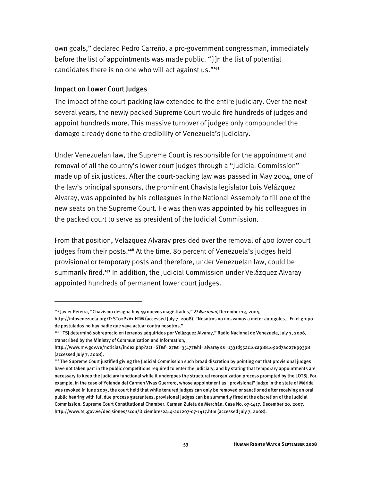own goals," declared Pedro Carreño, a pro-government congressman, immediately before the list of appointments was made public. "[I]n the list of potential candidates there is no one who will act against us."**<sup>145</sup>**

#### Impact on Lower Court Judges

I

The impact of the court-packing law extended to the entire judiciary. Over the next several years, the newly packed Supreme Court would fire hundreds of judges and appoint hundreds more. This massive turnover of judges only compounded the damage already done to the credibility of Venezuela's judiciary.

Under Venezuelan law, the Supreme Court is responsible for the appointment and removal of all the country's lower court judges through a "Judicial Commission" made up of six justices. After the court-packing law was passed in May 2004, one of the law's principal sponsors, the prominent Chavista legislator Luis Velázquez Alvaray, was appointed by his colleagues in the National Assembly to fill one of the new seats on the Supreme Court. He was then was appointed by his colleagues in the packed court to serve as president of the Judicial Commission.

From that position, Velázquez Alvaray presided over the removal of 400 lower court judges from their posts.**<sup>146</sup>** At the time, 80 percent of Venezuela's judges held provisional or temporary posts and therefore, under Venezuelan law, could be summarily fired.**<sup>147</sup>** In addition, the Judicial Commission under Velázquez Alvaray appointed hundreds of permanent lower court judges.

<sup>&</sup>lt;sup>145</sup> Javier Pereira, "Chavismo designa hoy 49 nuevos magistrados," El Nacional, December 13, 2004,

http://infovenezuela.org/T1ST02P7V1.HTM (accessed July 7, 2008). "Nosotros no nos vamos a meter autogoles… En el grupo de postulados no hay nadie que vaya actuar contra nosotros."

<sup>146 &</sup>quot;TSJ determinó sobreprecio en terrenos adquiridos por Velázquez Alvaray," Radio Nacional de Venezuela, July 3, 2006, transcribed by the Ministry of Communication and Information,

http://www.rnv.gov.ve/noticias/index.php?act=ST&f=27&t=35177&hl=alvaray&s=1331d552c16ca9881690d7a027899398 (accessed July 7, 2008).

<sup>&</sup>lt;sup>147</sup> The Supreme Court justified giving the Judicial Commission such broad discretion by pointing out that provisional judges have not taken part in the public competitions required to enter the judiciary, and by stating that temporary appointments are necessary to keep the judiciary functional while it undergoes the structural reorganization process prompted by the LOTSJ. For example, in the case of Yolanda del Carmen Vivas Guerrero, whose appointment as "provisional" judge in the state of Mérida was revoked in June 2005, the court held that while tenured judges can only be removed or sanctioned after receiving an oral public hearing with full due process guarantees, provisional judges can be summarily fired at the discretion of the Judicial Commission. Supreme Court Constitutional Chamber, Carmen Zuleta de Merchán, Case No. 07-1417, December 20, 2007, http://www.tsj.gov.ve/decisiones/scon/Diciembre/2414-201207-07-1417.htm (accessed July 7, 2008).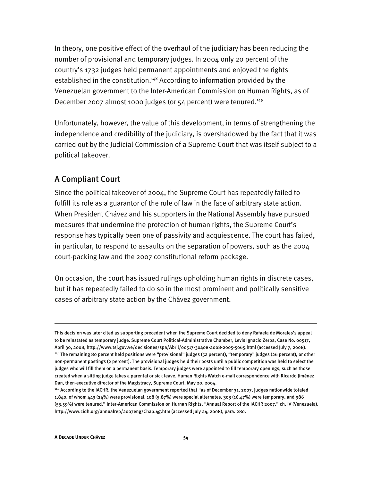In theory, one positive effect of the overhaul of the judiciary has been reducing the number of provisional and temporary judges. In 2004 only 20 percent of the country's 1732 judges held permanent appointments and enjoyed the rights established in the constitution.<sup>148</sup> According to information provided by the Venezuelan government to the Inter-American Commission on Human Rights, as of December 2007 almost 1000 judges (or 54 percent) were tenured.**<sup>149</sup>**

Unfortunately, however, the value of this development, in terms of strengthening the independence and credibility of the judiciary, is overshadowed by the fact that it was carried out by the Judicial Commission of a Supreme Court that was itself subject to a political takeover.

### A Compliant Court

Since the political takeover of 2004, the Supreme Court has repeatedly failed to fulfill its role as a guarantor of the rule of law in the face of arbitrary state action. When President Chávez and his supporters in the National Assembly have pursued measures that undermine the protection of human rights, the Supreme Court's response has typically been one of passivity and acquiescence. The court has failed, in particular, to respond to assaults on the separation of powers, such as the 2004 court-packing law and the 2007 constitutional reform package.

On occasion, the court has issued rulings upholding human rights in discrete cases, but it has repeatedly failed to do so in the most prominent and politically sensitive cases of arbitrary state action by the Chávez government.

This decision was later cited as supporting precedent when the Supreme Court decided to deny Rafaela de Morales's appeal to be reinstated as temporary judge. Supreme Court Political-Administrative Chamber, Levis Ignacio Zerpa, Case No. 00517, April 30, 2008, http://www.tsj.gov.ve/decisiones/spa/Abril/00517-30408-2008-2005-5065.html (accessed July 7, 2008). <sup>148</sup> The remaining 80 percent held positions were "provisional" judges (52 percent), "temporary" judges (26 percent), or other non-permanent postings (2 percent). The provisional judges held their posts until a public competition was held to select the judges who will fill them on a permanent basis. Temporary judges were appointed to fill temporary openings, such as those created when a sitting judge takes a parental or sick leave. Human Rights Watch e-mail correspondence with Ricardo Jiménez Dan, then-executive director of the Magistracy, Supreme Court, May 20, 2004.

<sup>&</sup>lt;sup>149</sup> According to the IACHR, the Venezuelan government reported that "as of December 31, 2007, judges nationwide totaled 1,840, of whom 443 (24%) were provisional, 108 (5.87%) were special alternates, 303 (16.47%) were temporary, and 986 (53.59%) were tenured." Inter-American Commission on Hurnan Rights, "Annual Report of the IACHR 2007," ch. IV (Venezuela), http://www.cidh.org/annualrep/2007eng/Chap.4g.htm (accessed July 24, 2008), para. 280.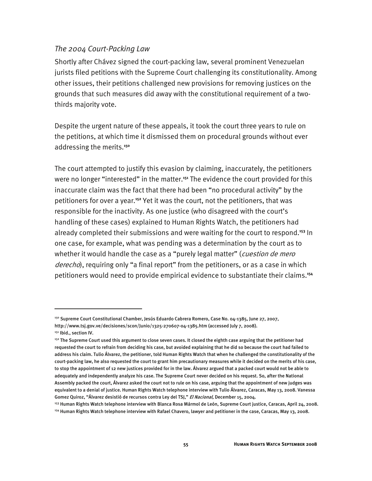### *The 2004 Court-Packing Law*

Shortly after Chávez signed the court-packing law, several prominent Venezuelan jurists filed petitions with the Supreme Court challenging its constitutionality. Among other issues, their petitions challenged new provisions for removing justices on the grounds that such measures did away with the constitutional requirement of a twothirds majority vote.

Despite the urgent nature of these appeals, it took the court three years to rule on the petitions, at which time it dismissed them on procedural grounds without ever addressing the merits.**<sup>150</sup>**

The court attempted to justify this evasion by claiming, inaccurately, the petitioners were no longer "interested" in the matter.**<sup>151</sup>** The evidence the court provided for this inaccurate claim was the fact that there had been "no procedural activity" by the petitioners for over a year.**<sup>152</sup>** Yet it was the court, not the petitioners, that was responsible for the inactivity. As one justice (who disagreed with the court's handling of these cases) explained to Human Rights Watch, the petitioners had already completed their submissions and were waiting for the court to respond.**<sup>153</sup>** In one case, for example, what was pending was a determination by the court as to whether it would handle the case as a "purely legal matter" (cuestion de mero derecho), requiring only "a final report" from the petitioners, or as a case in which petitioners would need to provide empirical evidence to substantiate their claims.**<sup>154</sup>**

<sup>&</sup>lt;sup>150</sup> Supreme Court Constitutional Chamber, Jesús Eduardo Cabrera Romero, Case No. 04-1385, June 27, 2007, http://www.tsj.gov.ve/decisiones/scon/Junio/1325-270607-04-1385.htm (accessed July 7, 2008).

<sup>&</sup>lt;sup>151</sup> Ibid., section IV.

<sup>&</sup>lt;sup>152</sup> The Supreme Court used this argument to close seven cases. It closed the eighth case arguing that the petitioner had requested the court to refrain from deciding his case, but avoided explaining that he did so because the court had failed to address his claim. Tulio Álvarez, the petitioner, told Human Rights Watch that when he challenged the constitutionality of the court-packing law, he also requested the court to grant him precautionary measures while it decided on the merits of his case, to stop the appointment of 12 new justices provided for in the law. Álvarez argued that a packed court would not be able to adequately and independently analyze his case. The Supreme Court never decided on his request. So, after the National Assembly packed the court, Álvarez asked the court not to rule on his case, arguing that the appointment of new judges was equivalent to a denial of justice. Human Rights Watch telephone interview with Tulio Álvarez, Caracas, May 13, 2008. Vanessa Gomez Quiroz, "Álvarez desistió de recursos contra Ley del TSJ," El Nacional, December 15, 2004.

<sup>&</sup>lt;sup>153</sup> Human Rights Watch telephone interview with Blanca Rosa Mármol de León, Supreme Court justice, Caracas, April 24, 2008. 154 Human Rights Watch telephone interview with Rafael Chavero, lawyer and petitioner in the case, Caracas, May 13, 2008.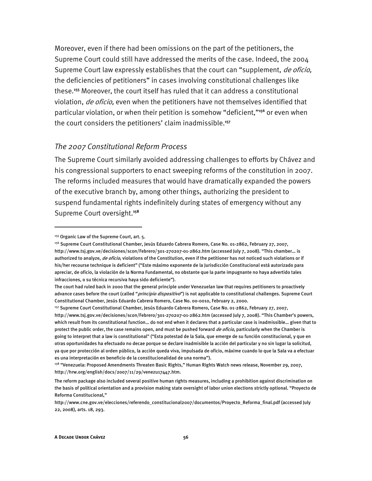Moreover, even if there had been omissions on the part of the petitioners, the Supreme Court could still have addressed the merits of the case. Indeed, the 2004 Supreme Court law expressly establishes that the court can "supplement, de oficio, the deficiencies of petitioners" in cases involving constitutional challenges like these.**<sup>155</sup>** Moreover, the court itself has ruled that it can address a constitutional violation, *de oficio*, even when the petitioners have not themselves identified that particular violation, or when their petition is somehow "deficient,"**<sup>156</sup>** or even when the court considers the petitioners' claim inadmissible.**<sup>157</sup>**

#### *The 2007 Constitutional Reform Process*

The Supreme Court similarly avoided addressing challenges to efforts by Chávez and his congressional supporters to enact sweeping reforms of the constitution in 2007. The reforms included measures that would have dramatically expanded the powers of the executive branch by, among other things, authorizing the president to suspend fundamental rights indefinitely during states of emergency without any Supreme Court oversight.**<sup>158</sup>**

<sup>155</sup> Organic Law of the Supreme Court, art. 5.

<sup>&</sup>lt;sup>156</sup> Supreme Court Constitutional Chamber, Jesús Eduardo Cabrera Romero, Case No. 01-2862, February 27, 2007, http://www.tsj.gov.ve/decisiones/scon/Febrero/301-270207-01-2862.htm (accessed July 7, 2008). "This chamber… is authorized to analyze, de oficio, violations of the Constitution, even if the petitioner has not noticed such violations or if his/her recourse technique is deficient" ("Este máximo exponente de la Jurisdicción Constitucional está autorizado para apreciar, de oficio, la violación de la Norma Fundamental, no obstante que la parte impugnante no haya advertido tales infracciones, o su técnica recursiva haya sido deficiente").

The court had ruled back in 2000 that the general principle under Venezuelan law that requires petitioners to proactively advance cases before the court (called "principio dispositivo") is not applicable to constitutional challenges. Supreme Court Constitutional Chamber, Jesús Eduardo Cabrera Romero, Case No. 00-0010, February 2, 2000.

<sup>157</sup> Supreme Court Constitutional Chamber, Jesús Eduardo Cabrera Romero, Case No. 01-2862, February 27, 2007, http://www.tsj.gov.ve/decisiones/scon/Febrero/301-270207-01-2862.htm (accessed July 7, 2008). "This Chamber's powers, which result from its constitutional function… do not end when it declares that a particular case is inadmissible… given that to protect the public order, the case remains open, and must be pushed forward *de oficio*, particularly when the Chamber is going to interpret that a law is constitutional" ("Esta potestad de la Sala, que emerge de su función constitucional, y que en otras oportunidades ha efectuado no decae porque se declare inadmisible la acción del particular y no sin lugar la solicitud, ya que por protección al orden público, la acción queda viva, impulsada de oficio, máxime cuando lo que la Sala va a efectuar es una interpretación en beneficio de la constitucionalidad de una norma").

<sup>&</sup>lt;sup>158</sup> "Venezuela: Proposed Amendments Threaten Basic Rights," Human Rights Watch news release, November 29, 2007, http://hrw.org/english/docs/2007/11/29/venezu17447.htm.

The reform package also included several positive human rights measures, including a prohibition against discrimination on the basis of political orientation and a provision making state oversight of labor union elections strictly optional. "Proyecto de Reforma Constitucional,"

http://www.cne.gov.ve/elecciones/referendo\_constitucional2007/documentos/Proyecto\_Reforma\_final.pdf (accessed July 22, 2008), arts. 18, 293.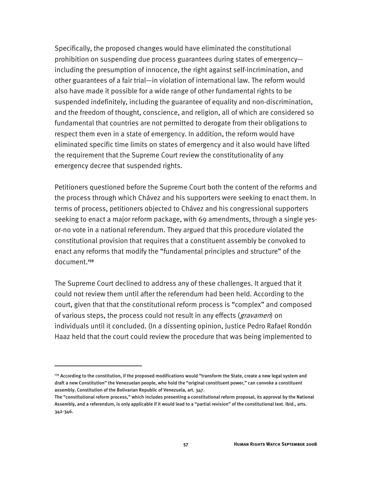Specifically, the proposed changes would have eliminated the constitutional prohibition on suspending due process guarantees during states of emergency including the presumption of innocence, the right against self-incrimination, and other guarantees of a fair trial—in violation of international law. The reform would also have made it possible for a wide range of other fundamental rights to be suspended indefinitely, including the guarantee of equality and non-discrimination, and the freedom of thought, conscience, and religion, all of which are considered so fundamental that countries are not permitted to derogate from their obligations to respect them even in a state of emergency. In addition, the reform would have eliminated specific time limits on states of emergency and it also would have lifted the requirement that the Supreme Court review the constitutionality of any emergency decree that suspended rights.

Petitioners questioned before the Supreme Court both the content of the reforms and the process through which Chávez and his supporters were seeking to enact them. In terms of process, petitioners objected to Chávez and his congressional supporters seeking to enact a major reform package, with 69 amendments, through a single yesor-no vote in a national referendum. They argued that this procedure violated the constitutional provision that requires that a constituent assembly be convoked to enact any reforms that modify the "fundamental principles and structure" of the document.**<sup>159</sup>**

The Supreme Court declined to address any of these challenges. It argued that it could not review them until after the referendum had been held. According to the court, given that that the constitutional reform process is "complex" and composed of various steps, the process could not result in any effects (*gravamen*) on individuals until it concluded. (In a dissenting opinion, Justice Pedro Rafael Rondón Haaz held that the court could review the procedure that was being implemented to

-

<sup>159</sup> According to the constitution, if the proposed modifications would "transform the State, create a new legal system and draft a new Constitution" the Venezuelan people, who hold the "original constituent power," can convoke a constituent assembly. Constitution of the Bolivarian Republic of Venezuela, art. 347.

The "constitutional reform process," which includes presenting a constitutional reform proposal, its approval by the National Assembly, and a referendum, is only applicable if it would lead to a "partial revision" of the constitutional text. Ibid., arts. 342-346.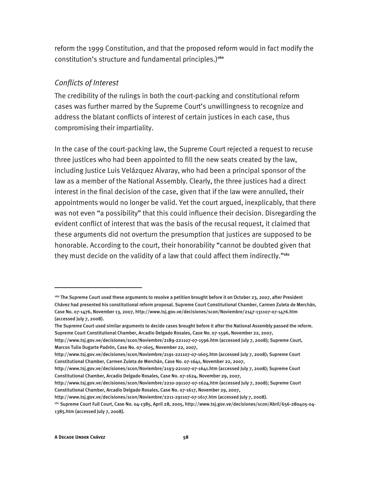reform the 1999 Constitution, and that the proposed reform would in fact modify the constitution's structure and fundamental principles.)**<sup>160</sup>**

### *Conflicts of Interest*

The credibility of the rulings in both the court-packing and constitutional reform cases was further marred by the Supreme Court's unwillingness to recognize and address the blatant conflicts of interest of certain justices in each case, thus compromising their impartiality.

In the case of the court-packing law, the Supreme Court rejected a request to recuse three justices who had been appointed to fill the new seats created by the law, including Justice Luis Velázquez Alvaray, who had been a principal sponsor of the law as a member of the National Assembly. Clearly, the three justices had a direct interest in the final decision of the case, given that if the law were annulled, their appointments would no longer be valid. Yet the court argued, inexplicably, that there was not even "a possibility" that this could influence their decision. Disregarding the evident conflict of interest that was the basis of the recusal request, it claimed that these arguments did not overturn the presumption that justices are supposed to be honorable. According to the court, their honorability "cannot be doubted given that they must decide on the validity of a law that could affect them indirectly."**<sup>161</sup>**

j

<sup>160</sup> The Supreme Court used these arguments to resolve a petition brought before it on October 23, 2007, after President Chávez had presented his constitutional reform proposal. Supreme Court Constitutional Chamber, Carmen Zuleta de Merchán, Case No. 07-1476, November 13, 2007, http://www.tsj.gov.ve/decisiones/scon/Noviembre/2147-131107-07-1476.htm (accessed July 7, 2008).

The Supreme Court used similar arguments to decide cases brought before it after the National Assembly passed the reform. Supreme Court Constitutional Chamber, Arcadio Delgado Rosales, Case No. 07-1596, November 22, 2007,

http://www.tsj.gov.ve/decisiones/scon/Noviembre/2189-221107-07-1596.htm (accessed July 7, 2008); Supreme Court, Marcos Tulio Dugarte Padrón, Case No. 07-1605, November 22, 2007,

http://www.tsj.gov.ve/decisiones/scon/Noviembre/2191-221107-07-1605.htm (accessed July 7, 2008); Supreme Court Constitutional Chamber, Carmen Zuleta de Merchán, Case No. 07-1641, November 22, 2007,

http://www.tsj.gov.ve/decisiones/scon/Noviembre/2193-221107-07-1641.htm (accessed July 7, 2008); Supreme Court Constitutional Chamber, Arcadio Delgado Rosales, Case No. 07-1624, November 29, 2007,

http://www.tsj.gov.ve/decisiones/scon/Noviembre/2210-291107-07-1624.htm (accessed July 7, 2008); Supreme Court Constitutional Chamber, Arcadio Delgado Rosales, Case No. 07-1617, November 29, 2007,

http://www.tsj.gov.ve/decisiones/scon/Noviembre/2211-291107-07-1617.htm (accessed July 7, 2008).

<sup>161</sup> Supreme Court Full Court, Case No. 04-1385, April 28, 2005, http://www.tsj.gov.ve/decisiones/scon/Abril/656-280405-04- 1385.htm (accessed July 7, 2008).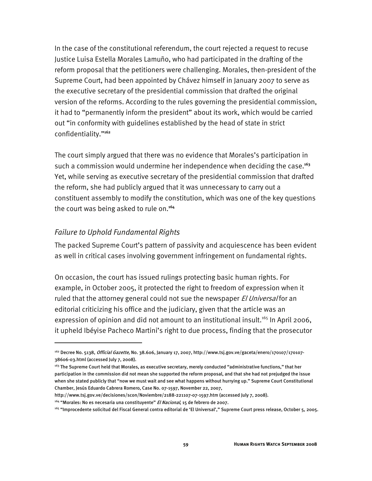In the case of the constitutional referendum, the court rejected a request to recuse Justice Luisa Estella Morales Lamuño, who had participated in the drafting of the reform proposal that the petitioners were challenging. Morales, then-president of the Supreme Court, had been appointed by Chávez himself in January 2007 to serve as the executive secretary of the presidential commission that drafted the original version of the reforms. According to the rules governing the presidential commission, it had to "permanently inform the president" about its work, which would be carried out "in conformity with guidelines established by the head of state in strict confidentiality."**<sup>162</sup>**

The court simply argued that there was no evidence that Morales's participation in such a commission would undermine her independence when deciding the case.**<sup>163</sup>** Yet, while serving as executive secretary of the presidential commission that drafted the reform, she had publicly argued that it was unnecessary to carry out a constituent assembly to modify the constitution, which was one of the key questions the court was being asked to rule on.**<sup>164</sup>**

## *Failure to Uphold Fundamental Rights*

j

The packed Supreme Court's pattern of passivity and acquiescence has been evident as well in critical cases involving government infringement on fundamental rights.

On occasion, the court has issued rulings protecting basic human rights. For example, in October 2005, it protected the right to freedom of expression when it ruled that the attorney general could not sue the newspaper El Universal for an editorial criticizing his office and the judiciary, given that the article was an expression of opinion and did not amount to an institutional insult.<sup>165</sup> In April 2006. it upheld Ibéyise Pacheco Martini's right to due process, finding that the prosecutor

http://www.tsj.gov.ve/decisiones/scon/Noviembre/2188-221107-07-1597.htm (accessed July 7, 2008).

<sup>162</sup> Decree No. 5138, *Official Gazette*, No. 38.606, January 17, 2007, http://www.tsj.gov.ve/gaceta/enero/170107/170107-38606-03.html (accessed July 7, 2008).

<sup>&</sup>lt;sup>163</sup> The Supreme Court held that Morales, as executive secretary, merely conducted "administrative functions," that her participation in the commission did not mean she supported the reform proposal, and that she had not prejudged the issue when she stated publicly that "now we must wait and see what happens without hurrying up." Supreme Court Constitutional Chamber, Jesús Eduardo Cabrera Romero, Case No. 07-1597, November 22, 2007,

<sup>&</sup>lt;sup>164</sup> "Morales: No es necesaria una constituyente" El Nacional, 15 de febrero de 2007.

<sup>165 &</sup>quot;Improcedente solicitud del Fiscal General contra editorial de 'El Universal'," Supreme Court press release, October 5, 2005.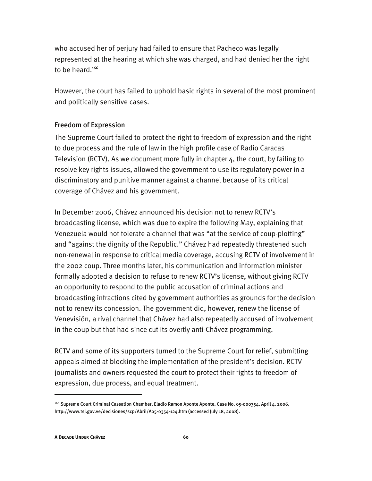who accused her of perjury had failed to ensure that Pacheco was legally represented at the hearing at which she was charged, and had denied her the right to be heard.**<sup>166</sup>**

However, the court has failed to uphold basic rights in several of the most prominent and politically sensitive cases.

#### Freedom of Expression

The Supreme Court failed to protect the right to freedom of expression and the right to due process and the rule of law in the high profile case of Radio Caracas Television (RCTV). As we document more fully in chapter 4, the court, by failing to resolve key rights issues, allowed the government to use its regulatory power in a discriminatory and punitive manner against a channel because of its critical coverage of Chávez and his government.

In December 2006, Chávez announced his decision not to renew RCTV's broadcasting license, which was due to expire the following May, explaining that Venezuela would not tolerate a channel that was "at the service of coup-plotting" and "against the dignity of the Republic." Chávez had repeatedly threatened such non-renewal in response to critical media coverage, accusing RCTV of involvement in the 2002 coup. Three months later, his communication and information minister formally adopted a decision to refuse to renew RCTV's license, without giving RCTV an opportunity to respond to the public accusation of criminal actions and broadcasting infractions cited by government authorities as grounds for the decision not to renew its concession. The government did, however, renew the license of Venevisión, a rival channel that Chávez had also repeatedly accused of involvement in the coup but that had since cut its overtly anti-Chávez programming.

RCTV and some of its supporters turned to the Supreme Court for relief, submitting appeals aimed at blocking the implementation of the president's decision. RCTV journalists and owners requested the court to protect their rights to freedom of expression, due process, and equal treatment.

<sup>166</sup> Supreme Court Criminal Cassation Chamber, Eladio Ramon Aponte Aponte, Case No. 05-000354, April 4, 2006, http://www.tsj.gov.ve/decisiones/scp/Abril/A05-0354-124.htm (accessed July 18, 2008).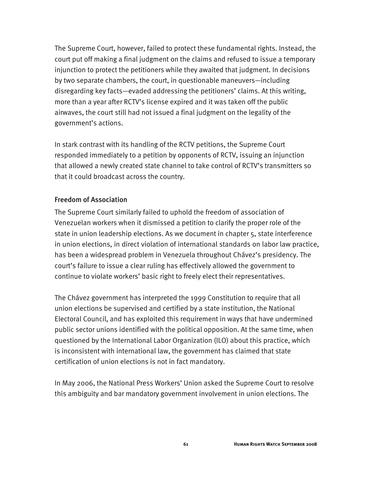The Supreme Court, however, failed to protect these fundamental rights. Instead, the court put off making a final judgment on the claims and refused to issue a temporary injunction to protect the petitioners while they awaited that judgment. In decisions by two separate chambers, the court, in questionable maneuvers—including disregarding key facts—evaded addressing the petitioners' claims. At this writing, more than a year after RCTV's license expired and it was taken off the public airwaves, the court still had not issued a final judgment on the legality of the government's actions.

In stark contrast with its handling of the RCTV petitions, the Supreme Court responded immediately to a petition by opponents of RCTV, issuing an injunction that allowed a newly created state channel to take control of RCTV's transmitters so that it could broadcast across the country.

## Freedom of Association

The Supreme Court similarly failed to uphold the freedom of association of Venezuelan workers when it dismissed a petition to clarify the proper role of the state in union leadership elections. As we document in chapter 5, state interference in union elections, in direct violation of international standards on labor law practice, has been a widespread problem in Venezuela throughout Chávez's presidency. The court's failure to issue a clear ruling has effectively allowed the government to continue to violate workers' basic right to freely elect their representatives.

The Chávez government has interpreted the 1999 Constitution to require that all union elections be supervised and certified by a state institution, the National Electoral Council, and has exploited this requirement in ways that have undermined public sector unions identified with the political opposition. At the same time, when questioned by the International Labor Organization (ILO) about this practice, which is inconsistent with international law, the government has claimed that state certification of union elections is not in fact mandatory.

In May 2006, the National Press Workers' Union asked the Supreme Court to resolve this ambiguity and bar mandatory government involvement in union elections. The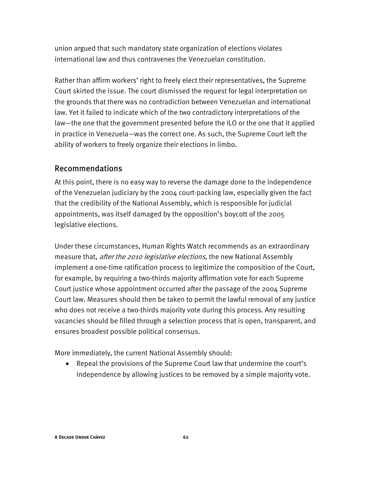union argued that such mandatory state organization of elections violates international law and thus contravenes the Venezuelan constitution.

Rather than affirm workers' right to freely elect their representatives, the Supreme Court skirted the issue. The court dismissed the request for legal interpretation on the grounds that there was no contradiction between Venezuelan and international law. Yet it failed to indicate which of the two contradictory interpretations of the law—the one that the government presented before the ILO or the one that it applied in practice in Venezuela—was the correct one. As such, the Supreme Court left the ability of workers to freely organize their elections in limbo.

## Recommendations

At this point, there is no easy way to reverse the damage done to the independence of the Venezuelan judiciary by the 2004 court-packing law, especially given the fact that the credibility of the National Assembly, which is responsible for judicial appointments, was itself damaged by the opposition's boycott of the 2005 legislative elections.

Under these circumstances, Human Rights Watch recommends as an extraordinary measure that, *after the 2010 legislative elections*, the new National Assembly implement a one-time ratification process to legitimize the composition of the Court, for example, by requiring a two-thirds majority affirmation vote for each Supreme Court justice whose appointment occurred after the passage of the 2004 Supreme Court law. Measures should then be taken to permit the lawful removal of any justice who does not receive a two-thirds majority vote during this process. Any resulting vacancies should be filled through a selection process that is open, transparent, and ensures broadest possible political consensus.

More immediately, the current National Assembly should:

• Repeal the provisions of the Supreme Court law that undermine the court's independence by allowing justices to be removed by a simple majority vote.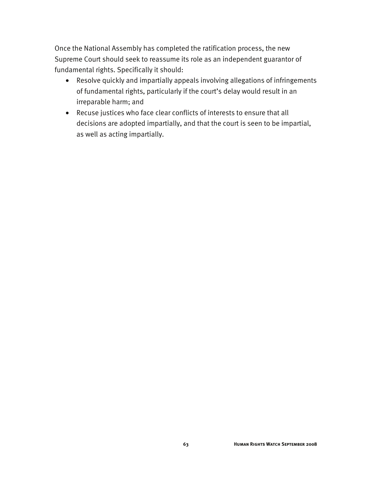Once the National Assembly has completed the ratification process, the new Supreme Court should seek to reassume its role as an independent guarantor of fundamental rights. Specifically it should:

- Resolve quickly and impartially appeals involving allegations of infringements of fundamental rights, particularly if the court's delay would result in an irreparable harm; and
- Recuse justices who face clear conflicts of interests to ensure that all decisions are adopted impartially, and that the court is seen to be impartial, as well as acting impartially.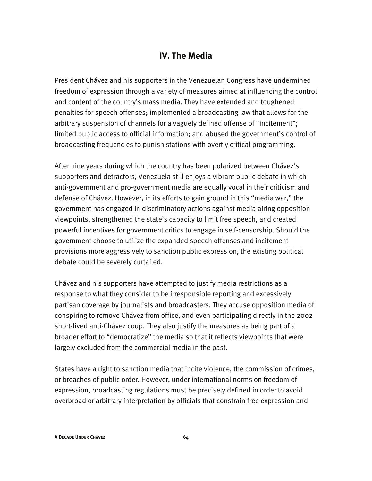# **IV. The Media**

President Chávez and his supporters in the Venezuelan Congress have undermined freedom of expression through a variety of measures aimed at influencing the control and content of the country's mass media. They have extended and toughened penalties for speech offenses; implemented a broadcasting law that allows for the arbitrary suspension of channels for a vaguely defined offense of "incitement"; limited public access to official information; and abused the government's control of broadcasting frequencies to punish stations with overtly critical programming.

After nine years during which the country has been polarized between Chávez's supporters and detractors, Venezuela still enjoys a vibrant public debate in which anti-government and pro-government media are equally vocal in their criticism and defense of Chávez. However, in its efforts to gain ground in this "media war," the government has engaged in discriminatory actions against media airing opposition viewpoints, strengthened the state's capacity to limit free speech, and created powerful incentives for government critics to engage in self-censorship. Should the government choose to utilize the expanded speech offenses and incitement provisions more aggressively to sanction public expression, the existing political debate could be severely curtailed.

Chávez and his supporters have attempted to justify media restrictions as a response to what they consider to be irresponsible reporting and excessively partisan coverage by journalists and broadcasters. They accuse opposition media of conspiring to remove Chávez from office, and even participating directly in the 2002 short-lived anti-Chávez coup. They also justify the measures as being part of a broader effort to "democratize" the media so that it reflects viewpoints that were largely excluded from the commercial media in the past.

States have a right to sanction media that incite violence, the commission of crimes, or breaches of public order. However, under international norms on freedom of expression, broadcasting regulations must be precisely defined in order to avoid overbroad or arbitrary interpretation by officials that constrain free expression and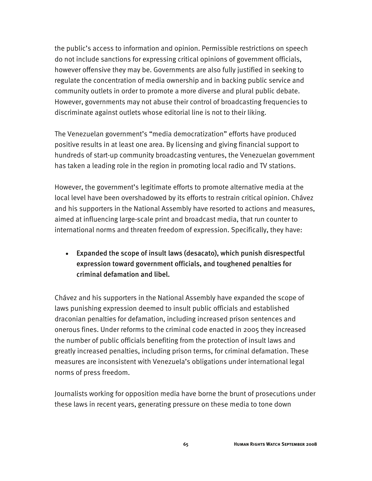the public's access to information and opinion. Permissible restrictions on speech do not include sanctions for expressing critical opinions of government officials, however offensive they may be. Governments are also fully justified in seeking to regulate the concentration of media ownership and in backing public service and community outlets in order to promote a more diverse and plural public debate. However, governments may not abuse their control of broadcasting frequencies to discriminate against outlets whose editorial line is not to their liking.

The Venezuelan government's "media democratization" efforts have produced positive results in at least one area. By licensing and giving financial support to hundreds of start-up community broadcasting ventures, the Venezuelan government has taken a leading role in the region in promoting local radio and TV stations.

However, the government's legitimate efforts to promote alternative media at the local level have been overshadowed by its efforts to restrain critical opinion. Chávez and his supporters in the National Assembly have resorted to actions and measures, aimed at influencing large-scale print and broadcast media, that run counter to international norms and threaten freedom of expression. Specifically, they have:

• Expanded the scope of insult laws (desacato), which punish disrespectful expression toward government officials, and toughened penalties for criminal defamation and libel.

Chávez and his supporters in the National Assembly have expanded the scope of laws punishing expression deemed to insult public officials and established draconian penalties for defamation, including increased prison sentences and onerous fines. Under reforms to the criminal code enacted in 2005 they increased the number of public officials benefiting from the protection of insult laws and greatly increased penalties, including prison terms, for criminal defamation. These measures are inconsistent with Venezuela's obligations under international legal norms of press freedom.

Journalists working for opposition media have borne the brunt of prosecutions under these laws in recent years, generating pressure on these media to tone down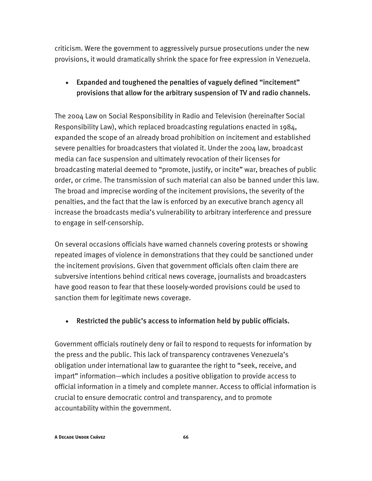criticism. Were the government to aggressively pursue prosecutions under the new provisions, it would dramatically shrink the space for free expression in Venezuela.

# • Expanded and toughened the penalties of vaguely defined "incitement" provisions that allow for the arbitrary suspension of TV and radio channels.

The 2004 Law on Social Responsibility in Radio and Television (hereinafter Social Responsibility Law), which replaced broadcasting regulations enacted in 1984, expanded the scope of an already broad prohibition on incitement and established severe penalties for broadcasters that violated it. Under the 2004 law, broadcast media can face suspension and ultimately revocation of their licenses for broadcasting material deemed to "promote, justify, or incite" war, breaches of public order, or crime. The transmission of such material can also be banned under this law. The broad and imprecise wording of the incitement provisions, the severity of the penalties, and the fact that the law is enforced by an executive branch agency all increase the broadcasts media's vulnerability to arbitrary interference and pressure to engage in self-censorship.

On several occasions officials have warned channels covering protests or showing repeated images of violence in demonstrations that they could be sanctioned under the incitement provisions. Given that government officials often claim there are subversive intentions behind critical news coverage, journalists and broadcasters have good reason to fear that these loosely-worded provisions could be used to sanction them for legitimate news coverage.

• Restricted the public's access to information held by public officials.

Government officials routinely deny or fail to respond to requests for information by the press and the public. This lack of transparency contravenes Venezuela's obligation under international law to guarantee the right to "seek, receive, and impart" information—which includes a positive obligation to provide access to official information in a timely and complete manner. Access to official information is crucial to ensure democratic control and transparency, and to promote accountability within the government.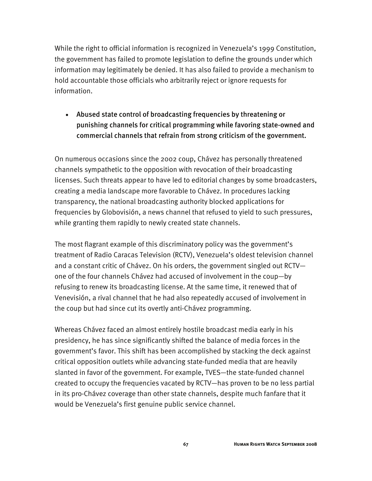While the right to official information is recognized in Venezuela's 1999 Constitution, the government has failed to promote legislation to define the grounds under which information may legitimately be denied. It has also failed to provide a mechanism to hold accountable those officials who arbitrarily reject or ignore requests for information.

• Abused state control of broadcasting frequencies by threatening or punishing channels for critical programming while favoring state-owned and commercial channels that refrain from strong criticism of the government.

On numerous occasions since the 2002 coup, Chávez has personally threatened channels sympathetic to the opposition with revocation of their broadcasting licenses. Such threats appear to have led to editorial changes by some broadcasters, creating a media landscape more favorable to Chávez. In procedures lacking transparency, the national broadcasting authority blocked applications for frequencies by Globovisión, a news channel that refused to yield to such pressures, while granting them rapidly to newly created state channels.

The most flagrant example of this discriminatory policy was the government's treatment of Radio Caracas Television (RCTV), Venezuela's oldest television channel and a constant critic of Chávez. On his orders, the government singled out RCTV one of the four channels Chávez had accused of involvement in the coup—by refusing to renew its broadcasting license. At the same time, it renewed that of Venevisión, a rival channel that he had also repeatedly accused of involvement in the coup but had since cut its overtly anti-Chávez programming.

Whereas Chávez faced an almost entirely hostile broadcast media early in his presidency, he has since significantly shifted the balance of media forces in the government's favor. This shift has been accomplished by stacking the deck against critical opposition outlets while advancing state-funded media that are heavily slanted in favor of the government. For example, TVES—the state-funded channel created to occupy the frequencies vacated by RCTV—has proven to be no less partial in its pro-Chávez coverage than other state channels, despite much fanfare that it would be Venezuela's first genuine public service channel.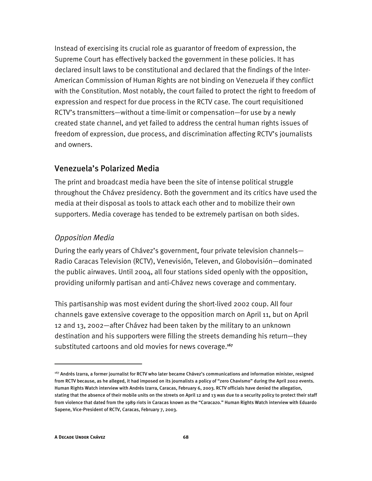Instead of exercising its crucial role as guarantor of freedom of expression, the Supreme Court has effectively backed the government in these policies. It has declared insult laws to be constitutional and declared that the findings of the Inter-American Commission of Human Rights are not binding on Venezuela if they conflict with the Constitution. Most notably, the court failed to protect the right to freedom of expression and respect for due process in the RCTV case. The court requisitioned RCTV's transmitters—without a time-limit or compensation—for use by a newly created state channel, and yet failed to address the central human rights issues of freedom of expression, due process, and discrimination affecting RCTV's journalists and owners.

# Venezuela's Polarized Media

The print and broadcast media have been the site of intense political struggle throughout the Chávez presidency. Both the government and its critics have used the media at their disposal as tools to attack each other and to mobilize their own supporters. Media coverage has tended to be extremely partisan on both sides.

## *Opposition Media*

During the early years of Chávez's government, four private television channels— Radio Caracas Television (RCTV), Venevisión, Televen, and Globovisión—dominated the public airwaves. Until 2004, all four stations sided openly with the opposition, providing uniformly partisan and anti-Chávez news coverage and commentary.

This partisanship was most evident during the short-lived 2002 coup. All four channels gave extensive coverage to the opposition march on April 11, but on April 12 and 13, 2002—after Chávez had been taken by the military to an unknown destination and his supporters were filling the streets demanding his return—they substituted cartoons and old movies for news coverage.**<sup>167</sup>**

<sup>&</sup>lt;sup>167</sup> Andrés Izarra, a former journalist for RCTV who later became Chávez's communications and information minister, resigned from RCTV because, as he alleged, it had imposed on its journalists a policy of "zero Chavismo" during the April 2002 events. Human Rights Watch interview with Andrés Izarra, Caracas, February 6, 2003. RCTV officials have denied the allegation, stating that the absence of their mobile units on the streets on April 12 and 13 was due to a security policy to protect their staff from violence that dated from the 1989 riots in Caracas known as the "Caracazo." Human Rights Watch interview with Eduardo Sapene, Vice-President of RCTV, Caracas, February 7, 2003.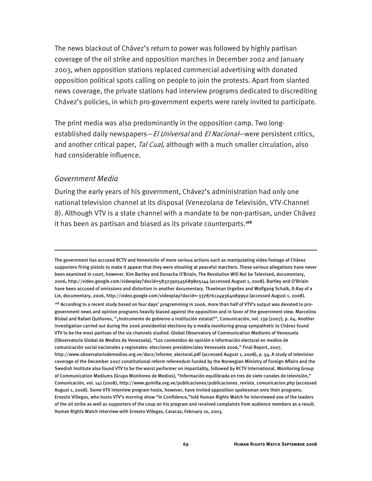The news blackout of Chávez's return to power was followed by highly partisan coverage of the oil strike and opposition marches in December 2002 and January 2003, when opposition stations replaced commercial advertising with donated opposition political spots calling on people to join the protests. Apart from slanted news coverage, the private stations had interview programs dedicated to discrediting Chávez's policies, in which pro-government experts were rarely invited to participate.

The print media was also predominantly in the opposition camp. Two longestablished daily newspapers—*El Universal* and *El Nacional*—were persistent critics, and another critical paper, Tal Cual, although with a much smaller circulation, also had considerable influence.

### *Government Media*

I

During the early years of his government, Chávez's administration had only one national television channel at its disposal (Venezolana de Televisión, VTV-Channel 8). Although VTV is a state channel with a mandate to be non-partisan, under Chávez it has been as partisan and biased as its private counterparts.**<sup>168</sup>**

The government has accused RCTV and Venevisión of more serious actions such as manipulating video footage of Chávez supporters firing pistols to make it appear that they were shooting at peaceful marchers. These serious allegations have never been examined in court, however. Kim Bartley and Donacha O'Briain, The Revolution Will Not be Televised, documentary, 2006, http://video.google.com/videoplay?docid=5832390545689805144 (accessed August 1, 2008). Bartley and O'Briain have been accused of omissions and distortion in another documentary. Thaelman Urgelles and Wolfgang Schalk, X-Ray of a Lie, documentary, 2006, http://video.google.com/videoplay?docid=-3378761249364089950 (accessed August 1, 2008). 168 According to a recent study based on four days' programming in 2006, more than half of VTV's output was devoted to progovernment news and opinion programs heavily biased against the opposition and in favor of the government view. Marcelino Bisbal and Rafael Quiñones, "¿Instrumento de gobierno o institución estatal?", Comunicación, vol. 139 (2007), p. 64. Another investigation carried out during the 2006 presidential elections by a media monitoring group sympathetic to Chávez found VTV to be the most partisan of the six channels studied. Global Observatory of Communication Mediums of Venezuela (Observatorio Global de Medios de Venezuela), "Los contenidos de opinión e información electoral en medios de comunicación social nacionales y regionales: elecciones presidenciales Venezuela 2006," Final Report, 2007, http://www.observatoriodemedios.org.ve/docs/informe\_electoral.pdf (accessed August 1, 2008), p. 54. A study of television coverage of the December 2007 constitutional reform referendum funded by the Norwegian Ministry of Foreign Affairs and the Swedish Institute also found VTV to be the worst performer on impartiality, followed by RCTV International. Monitoring Group of Communication Mediums (Grupo Monitoreo de Medios), "Información equilibrada en tres de siete canales de televisión," Comunicación, vol. 141 (2008), http://www.gumilla.org.ve/publicaciones/publicaciones\_revista\_comunicacion.php (accessed August 1, 2008). Some VTV interview program hosts, however, have invited opposition spokesman onto their programs. Ernesto Villegas, who hosts VTV's morning show "In Confidence,"told Human Rights Watch he interviewed one of the leaders of the oil strike as well as supporters of the coup on his program and received complaints from audience members as a result. Human Rights Watch interview with Ernesto Villegas, Caracas, February 10, 2003.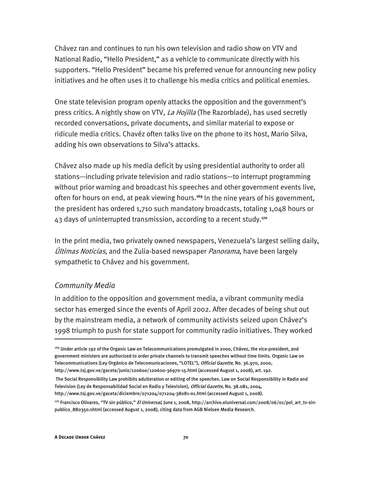Chávez ran and continues to run his own television and radio show on VTV and National Radio, "Hello President," as a vehicle to communicate directly with his supporters. "Hello President" became his preferred venue for announcing new policy initiatives and he often uses it to challenge his media critics and political enemies.

One state television program openly attacks the opposition and the government's press critics. A nightly show on VTV, La Hojilla (The Razorblade), has used secretly recorded conversations, private documents, and similar material to expose or ridicule media critics. Chavéz often talks live on the phone to its host, Mario Silva, adding his own observations to Silva's attacks.

Chávez also made up his media deficit by using presidential authority to order all stations—including private television and radio stations—to interrupt programming without prior warning and broadcast his speeches and other government events live, often for hours on end, at peak viewing hours.**<sup>169</sup>** In the nine years of his government, the president has ordered 1,710 such mandatory broadcasts, totaling 1,048 hours or 43 days of uninterrupted transmission, according to a recent study.**<sup>170</sup>**

In the print media, two privately owned newspapers, Venezuela's largest selling daily, Últimas Noticias, and the Zulia-based newspaper Panorama, have been largely sympathetic to Chávez and his government.

## *Community Media*

j

In addition to the opposition and government media, a vibrant community media sector has emerged since the events of April 2002. After decades of being shut out by the mainstream media, a network of community activists seized upon Chávez's 1998 triumph to push for state support for community radio initiatives. They worked

http://www.tsj.gov.ve/gaceta/diciembre/071204/071204-38081-01.html (accessed August 1, 2008).

<sup>169</sup> Under article 192 of the Organic Law on Telecommunications promulgated in 2000, Chávez, the vice-president, and government ministers are authorized to order private channels to transmit speeches without time limits. Organic Law on Telecommunications (Ley Orgánico de Telecomunicaciones, "LOTEL"), Official Gazette, No. 36.970, 2000, http://www.tsj.gov.ve/gaceta/junio/120600/120600-36970-15.html (accessed August 1, 2008), art. 192.

The Social Responsibility Law prohibits adulteration or editing of the speeches. Law on Social Responsibility in Radio and Television (Ley de Responsabilidad Social en Radio y Televisíon), Official Gazette, No. 38.081, 2004,

<sup>&</sup>lt;sup>170</sup> Francisco Olivares, "TV sin público," *El Universal*, June 1, 2008, http://archivo.eluniversal.com/2008/06/01/pol\_art\_tv-sinpublico\_880350.shtml (accessed August 1, 2008), citing data from AGB Nielsen Media Research.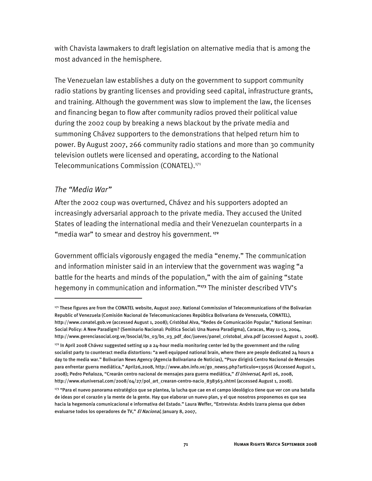with Chavista lawmakers to draft legislation on alternative media that is among the most advanced in the hemisphere.

The Venezuelan law establishes a duty on the government to support community radio stations by granting licenses and providing seed capital, infrastructure grants, and training. Although the government was slow to implement the law, the licenses and financing began to flow after community radios proved their political value during the 2002 coup by breaking a news blackout by the private media and summoning Chávez supporters to the demonstrations that helped return him to power. By August 2007, 266 community radio stations and more than 30 community television outlets were licensed and operating, according to the National Telecommunications Commission (CONATEL).<sup>171</sup>

# *The "Media War"*

I

After the 2002 coup was overturned, Chávez and his supporters adopted an increasingly adversarial approach to the private media. They accused the United States of leading the international media and their Venezuelan counterparts in a "media war" to smear and destroy his government. **<sup>172</sup>**

Government officials vigorously engaged the media "enemy." The communication and information minister said in an interview that the government was waging "a battle for the hearts and minds of the population," with the aim of gaining "state hegemony in communication and information."**<sup>173</sup>** The minister described VTV's

<sup>171</sup> These figures are from the CONATEL website, August 2007. National Commission of Telecommunications of the Bolivarian Republic of Venezuela (Comisión Nacional de Telecomunicaciones República Bolivariana de Venezuela, CONATEL), http://www.conatel.gob.ve (accessed August 1, 2008); Cristóbal Alva, "Redes de Comunicación Popular," National Seminar: Social Policy: A New Paradigm? (Seminario Nacional: Política Social: Una Nueva Paradigma), Caracas, May 11-13, 2004, http://www.gerenciasocial.org.ve/bsocial/bs\_03/bs\_03\_pdf\_doc/jueves/panel\_cristobal\_alva.pdf (accessed August 1, 2008).

<sup>172</sup> In April 2008 Chávez suggested setting up a 24-hour media monitoring center led by the government and the ruling socialist party to counteract media distortions: "a well equipped national brain, where there are people dedicated 24 hours a day to the media war." Bolivarian News Agency (Agencia Bolivariana de Noticias), "Psuv dirigirá Centro Nacional de Mensajes para enfrentar guerra mediática," April26,2008, http://www.abn.info.ve/go\_news5.php?articulo=130516 (Accessed August 1, 2008); Pedro Peñaloza, "Crearán centro nacional de mensajes para guerra mediática," El Universal, April 26, 2008, http://www.eluniversal.com/2008/04/27/pol\_art\_crearan-centro-nacio\_838363.shtml (accessed August 1, 2008).

<sup>173 &</sup>quot;Para el nuevo panorama estratégico que se plantea, la lucha que cae en el campo ideológico tiene que ver con una batalla de ideas por el corazón y la mente de la gente. Hay que elaborar un nuevo plan, y el que nosotros proponemos es que sea hacia la hegemonía comunicacional e informativa del Estado." Laura Weffer, "Entrevista: Andrés Izarra piensa que deben evaluarse todos los operadores de TV," El Nacional, January 8, 2007,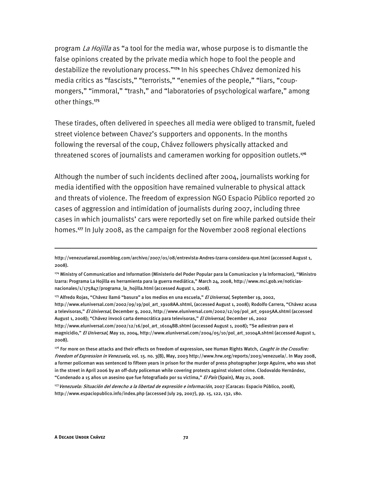program La Hojilla as "a tool for the media war, whose purpose is to dismantle the false opinions created by the private media which hope to fool the people and destabilize the revolutionary process."**<sup>174</sup>** In his speeches Chávez demonized his media critics as "fascists," "terrorists," "enemies of the people," "liars, "coupmongers," "immoral," "trash," and "laboratories of psychological warfare," among other things.**<sup>175</sup>**

These tirades, often delivered in speeches all media were obliged to transmit, fueled street violence between Chavez's supporters and opponents. In the months following the reversal of the coup, Chávez followers physically attacked and threatened scores of journalists and cameramen working for opposition outlets.**<sup>176</sup>**

Although the number of such incidents declined after 2004, journalists working for media identified with the opposition have remained vulnerable to physical attack and threats of violence. The freedom of expression NGO Espacio Público reported 20 cases of aggression and intimidation of journalists during 2007, including three cases in which journalists' cars were reportedly set on fire while parked outside their homes.**<sup>177</sup>** In July 2008, as the campaign for the November 2008 regional elections

August 1, 2008); "Chávez invocó carta democrática para televisoras," El Universal, December 16, 2002 http://www.eluniversal.com/2002/12/16/pol\_art\_16104BB.shtml (accessed August 1, 2008); "Se adiestran para el magnicidio," El Universal, May 10, 2004, http://www.eluniversal.com/2004/05/10/pol\_art\_10104A.shtml (accessed August 1, 2008).

<sup>177</sup> Venezuela: Situación del derecho a la libertad de expresión e información, 2007 (Caracas: Espacio Público, 2008), http://www.espaciopublico.info/index.php (accessed July 29, 2007), pp. 15, 122, 132, 180.

http://venezuelareal.zoomblog.com/archivo/2007/01/08/entrevista-Andres-Izarra-considera-que.html (accessed August 1, 2008).

<sup>174</sup> Ministry of Communication and Information (Ministerio del Poder Popular para la Comunicacion y la Informacion), "Ministro Izarra: Programa La Hojilla es herramienta para la guerra mediática," March 24, 2008, http://www.mci.gob.ve/noticiasnacionales/1/175847/programa\_la\_hojilla.html (accessed August 1, 2008).

<sup>175</sup> Alfredo Rojas, "Chávez llamó "basura" a los medios en una escuela," *El Universal*, September 19, 2002, http://www.eluniversal.com/2002/09/19/pol\_art\_19108AA.shtml, (accessed August 1, 2008); Rodolfo Carrera, "Chávez acusa a televisoras," El Universal, December 9, 2002, http://www.eluniversal.com/2002/12/09/pol\_art\_09105AA.shtml (accessed

<sup>&</sup>lt;sup>176</sup> For more on these attacks and their effects on freedom of expression, see Human Rights Watch, Caught in the Crossfire: Freedom of Expression in Venezuela, vol. 15. no. 3(B), May, 2003 http://www.hrw.org/reports/2003/venezuela/. In May 2008, a former policeman was sentenced to fifteen years in prison for the murder of press photographer Jorge Aguirre, who was shot in the street in April 2006 by an off-duty policeman while covering protests against violent crime. Clodovaldo Hernández, "Condenado a 15 años un asesino que fue fotografiado por su víctima," El País (Spain), May 21, 2008.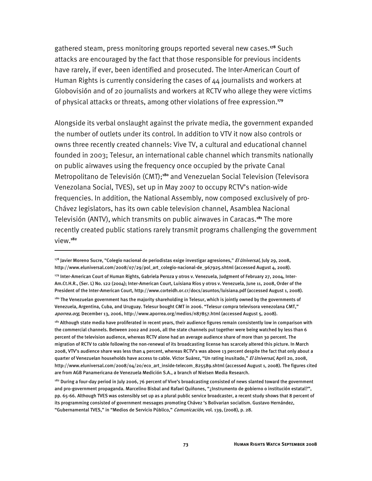gathered steam, press monitoring groups reported several new cases.**<sup>178</sup>** Such attacks are encouraged by the fact that those responsible for previous incidents have rarely, if ever, been identified and prosecuted. The Inter-American Court of Human Rights is currently considering the cases of 44 journalists and workers at Globovisión and of 20 journalists and workers at RCTV who allege they were victims of physical attacks or threats, among other violations of free expression.**<sup>179</sup>**

Alongside its verbal onslaught against the private media, the government expanded the number of outlets under its control. In addition to VTV it now also controls or owns three recently created channels: Vive TV, a cultural and educational channel founded in 2003; Telesur, an international cable channel which transmits nationally on public airwaves using the frequency once occupied by the private Canal Metropolitano de Televisión (CMT);**<sup>180</sup>** and Venezuelan Social Television (Televisora Venezolana Social, TVES), set up in May 2007 to occupy RCTV's nation-wide frequencies. In addition, the National Assembly, now composed exclusively of pro-Chávez legislators, has its own cable television channel, Asamblea Nacional Televisión (ANTV), which transmits on public airwaves in Caracas.**<sup>181</sup>** The more recently created public stations rarely transmit programs challenging the government view.**<sup>182</sup>**

j

<sup>178</sup> Javier Moreno Sucre, "Colegio nacional de periodistas exige investigar agresiones," *El Universal,* July 29, 2008, http://www.eluniversal.com/2008/07/29/pol\_art\_colegio-nacional-de\_967925.shtml (accessed August 4, 2008).

<sup>179</sup> Inter-American Court of Human Rights, Gabriela Peroza y otros v. Venezuela, Judgment of February 27, 2004, Inter-Am.Ct.H.R., (Ser. L) No. 122 (2004); Inter-American Court, Luisiana Ríos y otros v. Venezuela, June 11, 2008, Order of the President of the Inter-American Court, http://www.corteidh.or.cr/docs/asuntos/luisiana.pdf (accessed August 1, 2008). 180 The Venezuelan government has the majority shareholding in Telesur, which is jointly owned by the governments of Venezuela, Argentina, Cuba, and Uruguay. Telesur bought CMT in 2006. "Telesur compra televisora venezolana CMT," aporrea.org, December 13, 2006, http://www.aporrea.org/medios/n87857.html (accessed August 5, 2008).

<sup>&</sup>lt;sup>181</sup> Although state media have proliferated in recent years, their audience figures remain consistently low in comparison with the commercial channels. Between 2002 and 2006, all the state channels put together were being watched by less than 6 percent of the television audience, whereas RCTV alone had an average audience share of more than 30 percent. The migration of RCTV to cable following the non-renewal of its broadcasting license has scarcely altered this picture. In March 2008, VTV's audience share was less than 4 percent, whereas RCTV's was above 13 percent despite the fact that only about a quarter of Venezuelan households have access to cable. Víctor Suárez, "Un rating inusitado," El Universal, April 20, 2008, http://www.eluniversal.com/2008/04/20/eco\_art\_inside-telecom\_825589.shtml (accessed August 1, 2008). The figures cited are from AGB Panamericana de Venezuela Medición S.A., a branch of Nielsen Media Research.

<sup>&</sup>lt;sup>182</sup> During a four-day period in July 2006, 76 percent of Vive's broadcasting consisted of news slanted toward the government and pro-government propaganda. Marcelino Bisbal and Rafael Quiñones, "¿Instrumento de gobierno o institución estatal?", pp. 65-66. Although TVES was ostensibly set up as a plural public service broadcaster, a recent study shows that 8 percent of its programming consisted of government messages promoting Chávez 's Bolivarian socialism. Gustavo Hernández, "Gubernamental TVES," in "Medios de Servicio Público," Comunicación, vol. 139, (2008), p. 28.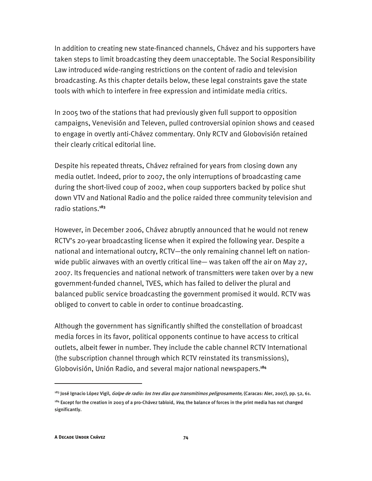In addition to creating new state-financed channels, Chávez and his supporters have taken steps to limit broadcasting they deem unacceptable. The Social Responsibility Law introduced wide-ranging restrictions on the content of radio and television broadcasting. As this chapter details below, these legal constraints gave the state tools with which to interfere in free expression and intimidate media critics.

In 2005 two of the stations that had previously given full support to opposition campaigns, Venevisión and Televen, pulled controversial opinion shows and ceased to engage in overtly anti-Chávez commentary. Only RCTV and Globovisión retained their clearly critical editorial line.

Despite his repeated threats, Chávez refrained for years from closing down any media outlet. Indeed, prior to 2007, the only interruptions of broadcasting came during the short-lived coup of 2002, when coup supporters backed by police shut down VTV and National Radio and the police raided three community television and radio stations.**<sup>183</sup>**

However, in December 2006, Chávez abruptly announced that he would not renew RCTV's 20-year broadcasting license when it expired the following year. Despite a national and international outcry, RCTV—the only remaining channel left on nationwide public airwaves with an overtly critical line— was taken off the air on May 27, 2007. Its frequencies and national network of transmitters were taken over by a new government-funded channel, TVES, which has failed to deliver the plural and balanced public service broadcasting the government promised it would. RCTV was obliged to convert to cable in order to continue broadcasting.

Although the government has significantly shifted the constellation of broadcast media forces in its favor, political opponents continue to have access to critical outlets, albeit fewer in number. They include the cable channel RCTV International (the subscription channel through which RCTV reinstated its transmissions), Globovisión, Unión Radio, and several major national newspapers.**<sup>184</sup>**

<sup>&</sup>lt;sup>183</sup> José Ignacio López Vigil, *Golpe de radio: los tres días que transmitimos peligrosamente,* (Caracas: Aler, 2007), pp. 52, 61.  $184$  Except for the creation in 2003 of a pro-Chávez tabloid, Vea, the balance of forces in the print media has not changed significantly.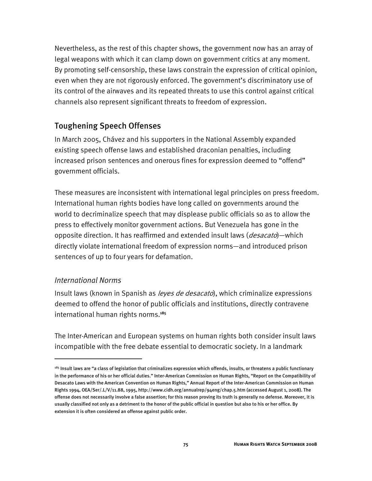Nevertheless, as the rest of this chapter shows, the government now has an array of legal weapons with which it can clamp down on government critics at any moment. By promoting self-censorship, these laws constrain the expression of critical opinion, even when they are not rigorously enforced. The government's discriminatory use of its control of the airwaves and its repeated threats to use this control against critical channels also represent significant threats to freedom of expression.

# Toughening Speech Offenses

In March 2005, Chávez and his supporters in the National Assembly expanded existing speech offense laws and established draconian penalties, including increased prison sentences and onerous fines for expression deemed to "offend" government officials.

These measures are inconsistent with international legal principles on press freedom. International human rights bodies have long called on governments around the world to decriminalize speech that may displease public officials so as to allow the press to effectively monitor government actions. But Venezuela has gone in the opposite direction. It has reaffirmed and extended insult laws (*desacato*)—which directly violate international freedom of expression norms—and introduced prison sentences of up to four years for defamation.

# *International Norms*

I

Insult laws (known in Spanish as *leyes de desacato*), which criminalize expressions deemed to offend the honor of public officials and institutions, directly contravene international human rights norms.**<sup>185</sup>**

The Inter-American and European systems on human rights both consider insult laws incompatible with the free debate essential to democratic society. In a landmark

 $185$  Insult laws are "a class of legislation that criminalizes expression which offends, insults, or threatens a public functionary in the performance of his or her official duties." Inter-American Commission on Human Rights, "Report on the Compatibility of Desacato Laws with the American Convention on Human Rights," Annual Report of the Inter-American Commission on Human Rights 1994, OEA/Ser/.L/V/11.88, 1995, http://www.cidh.org/annualrep/94eng/chap.5.htm (accessed August 1, 2008). The offense does not necessarily involve a false assertion; for this reason proving its truth is generally no defense. Moreover, it is usually classified not only as a detriment to the honor of the public official in question but also to his or her office. By extension it is often considered an offense against public order.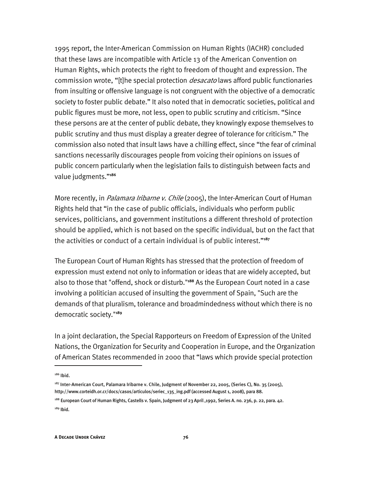1995 report, the Inter-American Commission on Human Rights (IACHR) concluded that these laws are incompatible with Article 13 of the American Convention on Human Rights, which protects the right to freedom of thought and expression. The commission wrote, "[t]he special protection *desacato* laws afford public functionaries from insulting or offensive language is not congruent with the objective of a democratic society to foster public debate." It also noted that in democratic societies, political and public figures must be more, not less, open to public scrutiny and criticism. "Since these persons are at the center of public debate, they knowingly expose themselves to public scrutiny and thus must display a greater degree of tolerance for criticism." The commission also noted that insult laws have a chilling effect, since "the fear of criminal sanctions necessarily discourages people from voicing their opinions on issues of public concern particularly when the legislation fails to distinguish between facts and value judgments."**<sup>186</sup>**

More recently, in *Palamara Iribarne v. Chile* (2005), the Inter-American Court of Human Rights held that "in the case of public officials, individuals who perform public services, politicians, and government institutions a different threshold of protection should be applied, which is not based on the specific individual, but on the fact that the activities or conduct of a certain individual is of public interest."**<sup>187</sup>**

The European Court of Human Rights has stressed that the protection of freedom of expression must extend not only to information or ideas that are widely accepted, but also to those that "offend, shock or disturb."**<sup>188</sup>** As the European Court noted in a case involving a politician accused of insulting the government of Spain, "Such are the demands of that pluralism, tolerance and broadmindedness without which there is no democratic society."**<sup>189</sup>**

In a joint declaration, the Special Rapporteurs on Freedom of Expression of the United Nations, the Organization for Security and Cooperation in Europe, and the Organization of American States recommended in 2000 that "laws which provide special protection

j

<sup>186</sup> Ibid.

<sup>187</sup> Inter-American Court, Palamara Iribarne v. Chile, Judgment of November 22, 2005, (Series C), No. 35 (2005), http://www.corteidh.or.cr/docs/casos/articulos/seriec\_135\_ing.pdf (accessed August 1, 2008), para 88.

<sup>&</sup>lt;sup>188</sup> European Court of Human Rights, Castells v. Spain, Judgment of 23 April ,1992, Series A. no. 236, p. 22, para. 42.  $189$  Ibid.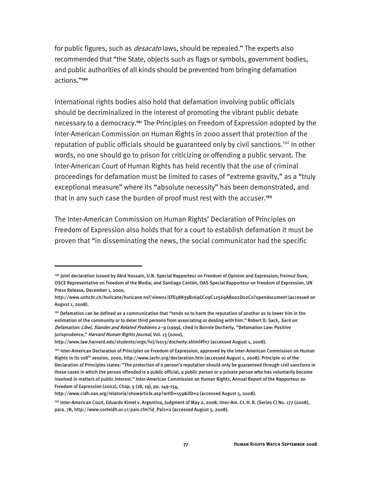for public figures, such as *desacato* laws, should be repealed." The experts also recommended that "the State, objects such as flags or symbols, government bodies, and public authorities of all kinds should be prevented from bringing defamation actions."**<sup>190</sup>**

International rights bodies also hold that defamation involving public officials should be decriminalized in the interest of promoting the vibrant public debate necessary to a democracy.**<sup>191</sup>** The Principles on Freedom of Expression adopted by the Inter-American Commission on Human Rights in 2000 assert that protection of the reputation of public officials should be guaranteed only by civil sanctions.<sup>192</sup> In other words, no one should go to prison for criticizing or offending a public servant. The Inter-American Court of Human Rights has held recently that the use of criminal proceedings for defamation must be limited to cases of "extreme gravity," as a "truly exceptional measure" where its "absolute necessity" has been demonstrated, and that in any such case the burden of proof must rest with the accuser.**<sup>193</sup>**

The Inter-American Commission on Human Rights' Declaration of Principles on Freedom of Expression also holds that for a court to establish defamation it must be proven that "in disseminating the news, the social communicator had the specific

<sup>&</sup>lt;sup>190</sup> Joint declaration issued by Abid Hussain, U.N. Special Rapporteur on Freedom of Opinion and Expression; Freimut Duve, OSCE Representative on Freedom of the Media; and Santiago Cantón, OAS Special Rapporteur on Freedom of Expression, UN Press Release, December 1, 2000,

http://www.unhchr.ch/huricane/huricane.nsf/view01/EFE58839B169CC09C12569AB002D02C0?opendocument (accessed on August 1, 2008).

<sup>191</sup> Defamation can be defined as a communication that "tends so to harm the reputation of another as to lower him in the estimation of the community or to deter third persons from associating or dealing with him." Robert D. Sack, Sack on Defamation: Libel, Slander and Related Problems 2-9 (1999), cited in Bonnie Docherty, "Defamation Law: Positive Jurisprudence," Harvard Human Rights Journal, Vol. 13 (2000),

http://www.law.harvard.edu/students/orgs/hrj/iss13/docherty.shtml#fn7 (accessed August 1, 2008).

<sup>192</sup> Inter-American Declaration of Principles on Freedom of Expression, approved by the Inter-American Commission on Human Rights in its 108th session, 2000, http://www.iachr.org/declaration.htm (accessed August 1, 2008). Principle 10 of the Declaration of Principles states: "The protection of a person's reputation should only be guaranteed through civil sanctions in those cases in which the person offended is a public official, a public person or a private person who has voluntarily become involved in matters of public interest." Inter-American Commission on Human Rights, Annual Report of the Rapporteur on Freedom of Expression (2002), Chap. 5 (18, 19), pp. 149-154,

http://www.cidh.oas.org/relatoria/showarticle.asp?artID=159&lID=2 (accessed August 5, 2008).

<sup>&</sup>lt;sup>193</sup> Inter-American Court, Eduardo Kimel v. Argentina, Judgment of May 2, 2008, Inter-Am. Ct. H. R. (Series C) No. 177 (2008), para. 78, http://www.corteidh.or.cr/pais.cfm?id\_Pais=2 (accessed August 5, 2008).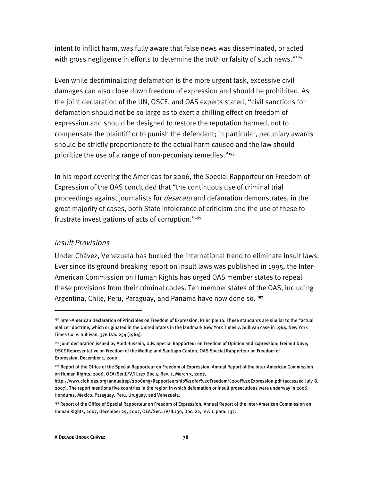intent to inflict harm, was fully aware that false news was disseminated, or acted with gross negligence in efforts to determine the truth or falsity of such news."<sup>194</sup>

Even while decriminalizing defamation is the more urgent task, excessive civil damages can also close down freedom of expression and should be prohibited. As the joint declaration of the UN, OSCE, and OAS experts stated, "civil sanctions for defamation should not be so large as to exert a chilling effect on freedom of expression and should be designed to restore the reputation harmed, not to compensate the plaintiff or to punish the defendant; in particular, pecuniary awards should be strictly proportionate to the actual harm caused and the law should prioritize the use of a range of non-pecuniary remedies."**<sup>195</sup>**

In his report covering the Americas for 2006, the Special Rapporteur on Freedom of Expression of the OAS concluded that "the continuous use of criminal trial proceedings against journalists for *desacato* and defamation demonstrates, in the great majority of cases, both State intolerance of criticism and the use of these to frustrate investigations of acts of corruption."196

### *Insult Provisions*

j

Under Chávez, Venezuela has bucked the international trend to eliminate insult laws. Ever since its ground breaking report on insult laws was published in 1995, the Inter-American Commission on Human Rights has urged OAS member states to repeal these provisions from their criminal codes. Ten member states of the OAS, including Argentina, Chile, Peru, Paraguay, and Panama have now done so. **<sup>197</sup>**

<sup>194</sup> Inter-American Declaration of Principles on Freedom of Expression, Principle 10. These standards are similar to the "actual malice" doctrine, which originated in the United States in the landmark New York Times v. Sullivan case in 1964. New York Times Co. v. Sullivan, 376 U.S. 254 (1964).

<sup>195</sup> Joint declaration issued by Abid Hussain, U.N. Special Rapporteur on Freedom of Opinion and Expression; Freimut Duve, OSCE Representative on Freedom of the Media; and Santiago Canton, OAS Special Rapporteur on Freedom of Expression, December 1, 2000.

<sup>196</sup> Report of the Office of the Special Rapporteur on Freedom of Expression, Annual Report of the Inter-American Commission on Human Rights, 2006. OEA/Ser.L/V/II.127 Doc 4. Rev. 1, March 3, 2007,

http://www.cidh.oas.org/annualrep/2006eng/Rapporteurship%20for%20Freedom%20of%20Expression.pdf (accessed July 8, 2007). The report mentions five countries in the region in which defamation or insult prosecutions were underway in 2006: Honduras, Mexico, Paraguay, Peru, Uruguay, and Venezuela.

<sup>&</sup>lt;sup>197</sup> Report of the Office of Special Rapporteur on Freedom of Expression, Annual Report of the Inter-American Commission on Human Rights, 2007, December 29, 2007, OEA/Ser.L/V/II.130, Doc. 22, rev. 1, para. 137.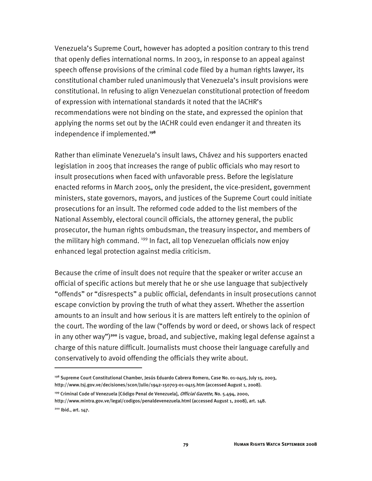Venezuela's Supreme Court, however has adopted a position contrary to this trend that openly defies international norms. In 2003, in response to an appeal against speech offense provisions of the criminal code filed by a human rights lawyer, its constitutional chamber ruled unanimously that Venezuela's insult provisions were constitutional. In refusing to align Venezuelan constitutional protection of freedom of expression with international standards it noted that the IACHR's recommendations were not binding on the state, and expressed the opinion that applying the norms set out by the IACHR could even endanger it and threaten its independence if implemented.**<sup>198</sup>**

Rather than eliminate Venezuela's insult laws, Chávez and his supporters enacted legislation in 2005 that increases the range of public officials who may resort to insult prosecutions when faced with unfavorable press. Before the legislature enacted reforms in March 2005, only the president, the vice-president, government ministers, state governors, mayors, and justices of the Supreme Court could initiate prosecutions for an insult. The reformed code added to the list members of the National Assembly, electoral council officials, the attorney general, the public prosecutor, the human rights ombudsman, the treasury inspector, and members of the military high command. <sup>199</sup> In fact, all top Venezuelan officials now enjoy enhanced legal protection against media criticism.

Because the crime of insult does not require that the speaker or writer accuse an official of specific actions but merely that he or she use language that subjectively "offends" or "disrespects" a public official, defendants in insult prosecutions cannot escape conviction by proving the truth of what they assert. Whether the assertion amounts to an insult and how serious it is are matters left entirely to the opinion of the court. The wording of the law ("offends by word or deed, or shows lack of respect in any other way")**<sup>200</sup>** is vague, broad, and subjective, making legal defense against a charge of this nature difficult. Journalists must choose their language carefully and conservatively to avoid offending the officials they write about.

<sup>198</sup> Supreme Court Constitutional Chamber, Jesús Eduardo Cabrera Romero, Case No. 01-0415, July 15, 2003, http://www.tsj.gov.ve/decisiones/scon/Julio/1942-150703-01-0415.htm (accessed August 1, 2008).

<sup>&</sup>lt;sup>199</sup> Criminal Code of Venezuela [Código Penal de Venezuela], *Official Gazette,* No. 5.494, 2000,

http://www.mintra.gov.ve/legal/codigos/penaldevenezuela.html (accessed August 1, 2008), art. 148.

<sup>200</sup> Ibid., art. 147.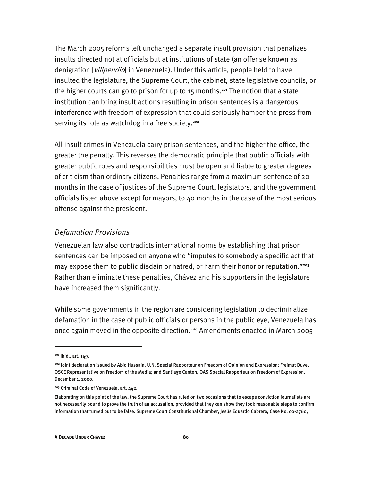The March 2005 reforms left unchanged a separate insult provision that penalizes insults directed not at officials but at institutions of state (an offense known as denigration [vilipendio] in Venezuela). Under this article, people held to have insulted the legislature, the Supreme Court, the cabinet, state legislative councils, or the higher courts can go to prison for up to 15 months.**<sup>201</sup>** The notion that a state institution can bring insult actions resulting in prison sentences is a dangerous interference with freedom of expression that could seriously hamper the press from serving its role as watchdog in a free society.**<sup>202</sup>**

All insult crimes in Venezuela carry prison sentences, and the higher the office, the greater the penalty. This reverses the democratic principle that public officials with greater public roles and responsibilities must be open and liable to greater degrees of criticism than ordinary citizens. Penalties range from a maximum sentence of 20 months in the case of justices of the Supreme Court, legislators, and the government officials listed above except for mayors, to 40 months in the case of the most serious offense against the president.

## *Defamation Provisions*

Venezuelan law also contradicts international norms by establishing that prison sentences can be imposed on anyone who "imputes to somebody a specific act that may expose them to public disdain or hatred, or harm their honor or reputation."**<sup>203</sup>** Rather than eliminate these penalties, Chávez and his supporters in the legislature have increased them significantly.

While some governments in the region are considering legislation to decriminalize defamation in the case of public officials or persons in the public eye, Venezuela has once again moved in the opposite direction.<sup>204</sup> Amendments enacted in March 2005

<sup>201</sup> Ibid., art. 149.

<sup>202</sup> Joint declaration issued by Abid Hussain, U.N. Special Rapporteur on Freedom of Opinion and Expression; Freimut Duve, OSCE Representative on Freedom of the Media; and Santiago Canton, OAS Special Rapporteur on Freedom of Expression, December 1, 2000.

<sup>203</sup> Criminal Code of Venezuela, art. 442.

Elaborating on this point of the law, the Supreme Court has ruled on two occasions that to escape conviction journalists are not necessarily bound to prove the truth of an accusation, provided that they can show they took reasonable steps to confirm information that turned out to be false. Supreme Court Constitutional Chamber, Jesús Eduardo Cabrera, Case No. 00-2760,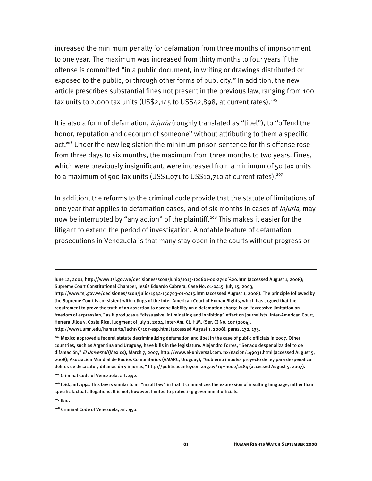increased the minimum penalty for defamation from three months of imprisonment to one year. The maximum was increased from thirty months to four years if the offense is committed "in a public document, in writing or drawings distributed or exposed to the public, or through other forms of publicity." In addition, the new article prescribes substantial fines not present in the previous law, ranging from 100 tax units to 2,000 tax units (US\$2,145 to US\$42,898, at current rates).<sup>205</sup>

It is also a form of defamation, *injuria* (roughly translated as "libel"), to "offend the honor, reputation and decorum of someone" without attributing to them a specific act.**<sup>206</sup>** Under the new legislation the minimum prison sentence for this offense rose from three days to six months, the maximum from three months to two years. Fines, which were previously insignificant, were increased from a minimum of 50 tax units to a maximum of 500 tax units (US\$1,071 to US\$10,710 at current rates).<sup>207</sup>

In addition, the reforms to the criminal code provide that the statute of limitations of one year that applies to defamation cases, and of six months in cases of *injuria*, may now be interrupted by "any action" of the plaintiff.<sup>208</sup> This makes it easier for the litigant to extend the period of investigation. A notable feature of defamation prosecutions in Venezuela is that many stay open in the courts without progress or

June 12, 2001, http://www.tsj.gov.ve/decisiones/scon/Junio/1013-120601-00-2760%20.htm (accessed August 1, 2008); Supreme Court Constitutional Chamber, Jesús Eduardo Cabrera, Case No. 01-0415, July 15, 2003,

http://www.tsj.gov.ve/decisiones/scon/Julio/1942-150703-01-0415.htm (accessed August 1, 2008). The principle followed by the Supreme Court is consistent with rulings of the Inter-American Court of Human Rights, which has argued that the requirement to prove the truth of an assertion to escape liability on a defamation charge is an "excessive limitation on freedom of expression," as it produces a "dissuasive, intimidating and inhibiting" effect on journalists. Inter-American Court, Herrera Ulloa v. Costa Rica, Judgment of July 2, 2004, Inter-Am. Ct. H.M. (Ser. C) No. 107 (2004),

http://www1.umn.edu/humanrts/iachr/C/107-esp.html (accessed August 1, 2008), paras. 132, 133.

<sup>204</sup> Mexico approved a federal statute decriminalizing defamation and libel in the case of public officials in 2007. Other countries, such as Argentina and Uruguay, have bills in the legislature. Alejandro Torres, "Senado despenaliza delito de difamación," El Universal (Mexico), March 7, 2007, http://www.el-universal.com.mx/nacion/149031.html (accessed August 5, 2008); Asociación Mundial de Radios Comunitarios (AMARC, Uruguay), "Gobierno impulsa proyecto de ley para despenalizar delitos de desacato y difamación y injurias," http://politicas.infoycom.org.uy/?q=node/2184 (accessed August 5, 2007).

<sup>205</sup> Criminal Code of Venezuela, art. 442.

<sup>&</sup>lt;sup>206</sup> Ibid., art. 444. This law is similar to an "insult law" in that it criminalizes the expression of insulting language, rather than specific factual allegations. It is not, however, limited to protecting government officials.

<sup>207</sup> Ibid.

<sup>208</sup> Criminal Code of Venezuela, art. 450.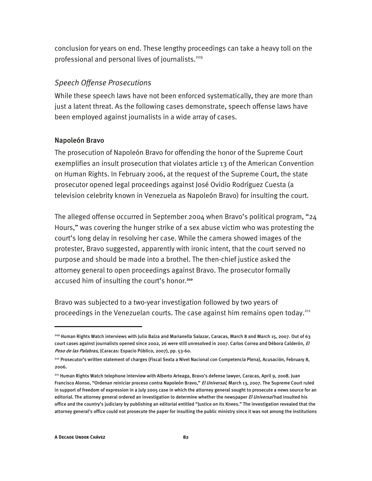conclusion for years on end. These lengthy proceedings can take a heavy toll on the professional and personal lives of journalists.<sup>209</sup>

# *Speech Offense Prosecutions*

While these speech laws have not been enforced systematically, they are more than just a latent threat. As the following cases demonstrate, speech offense laws have been employed against journalists in a wide array of cases.

# Napoleón Bravo

The prosecution of Napoleón Bravo for offending the honor of the Supreme Court exemplifies an insult prosecution that violates article 13 of the American Convention on Human Rights. In February 2006, at the request of the Supreme Court, the state prosecutor opened legal proceedings against José Ovidio Rodríguez Cuesta (a television celebrity known in Venezuela as Napoleón Bravo) for insulting the court.

The alleged offense occurred in September 2004 when Bravo's political program, "24 Hours," was covering the hunger strike of a sex abuse victim who was protesting the court's long delay in resolving her case. While the camera showed images of the protester, Bravo suggested, apparently with ironic intent, that the court served no purpose and should be made into a brothel. The then-chief justice asked the attorney general to open proceedings against Bravo. The prosecutor formally accused him of insulting the court's honor.**<sup>210</sup>**

Bravo was subjected to a two-year investigation followed by two years of proceedings in the Venezuelan courts. The case against him remains open today.<sup>211</sup>

<sup>209</sup> Human Rights Watch interviews with Julio Balza and Marianella Salazar, Caracas, March 8 and March 15, 2007. Out of 63 court cases against journalists opened since 2002, 26 were still unresolved in 2007. Carlos Correa and Débora Calderón, El Peso de las Palabras, (Caracas: Espacio Público, 2007), pp. 53-60.

<sup>210</sup> Prosecutor's written statement of charges (Fiscal Sexta a Nivel Nacional con Competencia Plena), Acusación, February 8, 2006.

<sup>211</sup> Human Rights Watch telephone interview with Alberto Arteaga, Bravo's defense lawyer, Caracas, April 9, 2008. Juan Francisco Alonso, "Ordenan reiniciar proceso contra Napoleón Bravo," El Universal, March 13, 2007. The Supreme Court ruled in support of freedom of expression in a July 2005 case in which the attorney general sought to prosecute a news source for an editorial. The attorney general ordered an investigation to determine whether the newspaper El Universal had insulted his office and the country's judiciary by publishing an editorial entitled "Justice on its Knees." The investigation revealed that the attorney general's office could not prosecute the paper for insulting the public ministry since it was not among the institutions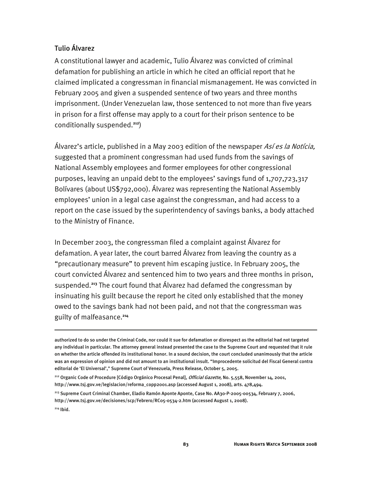# Tulio Álvarez

A constitutional lawyer and academic, Tulio Álvarez was convicted of criminal defamation for publishing an article in which he cited an official report that he claimed implicated a congressman in financial mismanagement. He was convicted in February 2005 and given a suspended sentence of two years and three months imprisonment. (Under Venezuelan law, those sentenced to not more than five years in prison for a first offense may apply to a court for their prison sentence to be conditionally suspended.**<sup>212</sup>**)

Álvarez's article, published in a May 2003 edition of the newspaper *Así es la Notícia,* suggested that a prominent congressman had used funds from the savings of National Assembly employees and former employees for other congressional purposes, leaving an unpaid debt to the employees' savings fund of 1,707,723,317 Bolívares (about US\$792,000). Álvarez was representing the National Assembly employees' union in a legal case against the congressman, and had access to a report on the case issued by the superintendency of savings banks, a body attached to the Ministry of Finance.

In December 2003, the congressman filed a complaint against Álvarez for defamation. A year later, the court barred Álvarez from leaving the country as a "precautionary measure" to prevent him escaping justice. In February 2005, the court convicted Álvarez and sentenced him to two years and three months in prison, suspended.**<sup>213</sup>** The court found that Álvarez had defamed the congressman by insinuating his guilt because the report he cited only established that the money owed to the savings bank had not been paid, and not that the congressman was guilty of malfeasance.**<sup>214</sup>**

authorized to do so under the Criminal Code, nor could it sue for defamation or disrespect as the editorial had not targeted any individual in particular. The attorney general instead presented the case to the Supreme Court and requested that it rule on whether the article offended its institutional honor. In a sound decision, the court concluded unanimously that the article was an expression of opinion and did not amount to an institutional insult. "Improcedente solicitud del Fiscal General contra editorial de 'El Universal'," Supreme Court of Venezuela, Press Release, October 5, 2005.

<sup>&</sup>lt;sup>212</sup> Organic Code of Procedure [Código Orgánico Procesal Penal], *Official Gazette*, No. 5,558, November 14, 2001, http://www.tsj.gov.ve/legislacion/reforma\_copp2001.asp (accessed August 1, 2008), arts. 478,494.

<sup>213</sup> Supreme Court Criminal Chamber, Eladio Ramón Aponte Aponte, Case No. AA30-P-2005-00534, February 7, 2006, http://www.tsj.gov.ve/decisiones/scp/Febrero/RC05-0534-2.htm (accessed August 1, 2008).

<sup>214</sup> Ibid.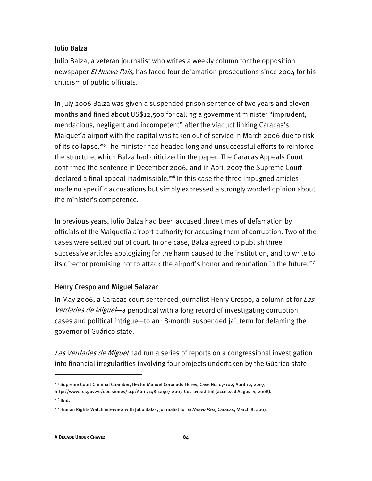## Julio Balza

Julio Balza, a veteran journalist who writes a weekly column for the opposition newspaper El Nuevo País, has faced four defamation prosecutions since 2004 for his criticism of public officials.

In July 2006 Balza was given a suspended prison sentence of two years and eleven months and fined about US\$12,500 for calling a government minister "imprudent, mendacious, negligent and incompetent" after the viaduct linking Caracas's Maiquetía airport with the capital was taken out of service in March 2006 due to risk of its collapse.**<sup>215</sup>** The minister had headed long and unsuccessful efforts to reinforce the structure, which Balza had criticized in the paper. The Caracas Appeals Court confirmed the sentence in December 2006, and in April 2007 the Supreme Court declared a final appeal inadmissible.**<sup>216</sup>** In this case the three impugned articles made no specific accusations but simply expressed a strongly worded opinion about the minister's competence.

In previous years, Julio Balza had been accused three times of defamation by officials of the Maiquetía airport authority for accusing them of corruption. Two of the cases were settled out of court. In one case, Balza agreed to publish three successive articles apologizing for the harm caused to the institution, and to write to its director promising not to attack the airport's honor and reputation in the future.<sup>217</sup>

# Henry Crespo and Miguel Salazar

In May 2006, a Caracas court sentenced journalist Henry Crespo, a columnist for Las Verdades de Miguel—a periodical with a long record of investigating corruption cases and political intrigue—to an 18-month suspended jail term for defaming the governor of Guárico state.

Las Verdades de Miguel had run a series of reports on a congressional investigation into financial irregularities involving four projects undertaken by the Gúarico state

<sup>215</sup> Supreme Court Criminal Chamber, Hector Manuel Coronado Flores, Case No. 07-102, April 12, 2007, http://www.tsj.gov.ve/decisiones/scp/Abril/148-12407-2007-C07-0102.html (accessed August 1, 2008). 216 Ibid.

<sup>&</sup>lt;sup>217</sup> Human Rights Watch interview with Julio Balza, journalist for *El Nuevo País,* Caracas, March 8, 2007.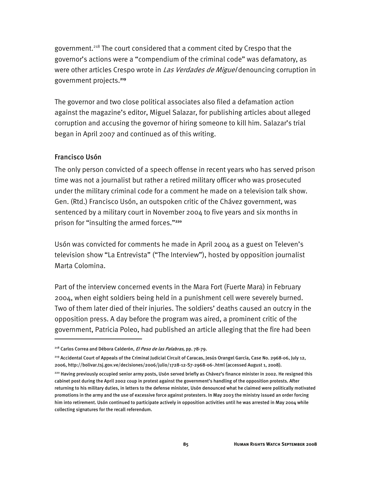government.<sup>218</sup> The court considered that a comment cited by Crespo that the governor's actions were a "compendium of the criminal code" was defamatory, as were other articles Crespo wrote in Las Verdades de Miguel denouncing corruption in government projects.**<sup>219</sup>**

The governor and two close political associates also filed a defamation action against the magazine's editor, Miguel Salazar, for publishing articles about alleged corruption and accusing the governor of hiring someone to kill him. Salazar's trial began in April 2007 and continued as of this writing.

## Francisco Usón

j

The only person convicted of a speech offense in recent years who has served prison time was not a journalist but rather a retired military officer who was prosecuted under the military criminal code for a comment he made on a television talk show. Gen. (Rtd.) Francisco Usón, an outspoken critic of the Chávez government, was sentenced by a military court in November 2004 to five years and six months in prison for "insulting the armed forces."**<sup>220</sup>**

Usón was convicted for comments he made in April 2004 as a guest on Televen's television show "La Entrevista" ("The Interview"), hosted by opposition journalist Marta Colomina.

Part of the interview concerned events in the Mara Fort (Fuerte Mara) in February 2004, when eight soldiers being held in a punishment cell were severely burned. Two of them later died of their injuries. The soldiers' deaths caused an outcry in the opposition press. A day before the program was aired, a prominent critic of the government, Patricia Poleo, had published an article alleging that the fire had been

<sup>&</sup>lt;sup>218</sup> Carlos Correa and Débora Calderón, *El Peso de las Palabras*, pp. 78-79.

<sup>219</sup> Accidental Court of Appeals of the Criminal Judicial Circuit of Caracas, Jesús Orangel García, Case No. 2968-06, July 12, 2006, http://bolivar.tsj.gov.ve/decisiones/2006/julio/1728-12-S7-2968-06-.html (accessed August 1, 2008).

<sup>220</sup> Having previously occupied senior army posts, Usón served briefly as Chávez's finance minister in 2002. He resigned this cabinet post during the April 2002 coup in protest against the government's handling of the opposition protests. After returning to his military duties, in letters to the defense minister, Usón denounced what he claimed were politically motivated promotions in the army and the use of excessive force against protesters. In May 2003 the ministry issued an order forcing him into retirement. Usón continued to participate actively in opposition activities until he was arrested in May 2004 while collecting signatures for the recall referendum.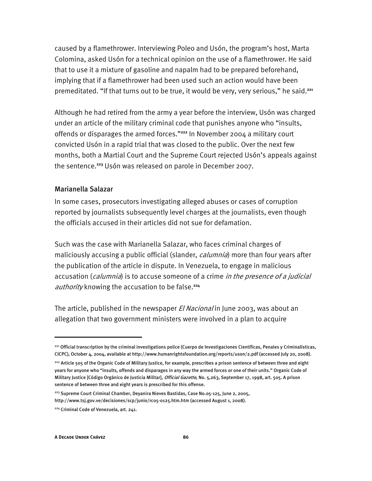caused by a flamethrower. Interviewing Poleo and Usón, the program's host, Marta Colomina, asked Usón for a technical opinion on the use of a flamethrower. He said that to use it a mixture of gasoline and napalm had to be prepared beforehand, implying that if a flamethrower had been used such an action would have been premeditated. "If that turns out to be true, it would be very, very serious," he said.**<sup>221</sup>**

Although he had retired from the army a year before the interview, Usón was charged under an article of the military criminal code that punishes anyone who "insults, offends or disparages the armed forces."**<sup>222</sup>** In November 2004 a military court convicted Usón in a rapid trial that was closed to the public. Over the next few months, both a Martial Court and the Supreme Court rejected Usón's appeals against the sentence.**<sup>223</sup>** Usón was released on parole in December 2007.

#### Marianella Salazar

In some cases, prosecutors investigating alleged abuses or cases of corruption reported by journalists subsequently level charges at the journalists, even though the officials accused in their articles did not sue for defamation.

Such was the case with Marianella Salazar, who faces criminal charges of maliciously accusing a public official (slander, *calumnia*) more than four years after the publication of the article in dispute. In Venezuela, to engage in malicious accusation (calumnia) is to accuse someone of a crime in the presence of a judicial authority knowing the accusation to be false.**<sup>224</sup>**

The article, published in the newspaper *El Nacional* in June 2003, was about an allegation that two government ministers were involved in a plan to acquire

<sup>221</sup> Official transcription by the criminal investigations police (Cuerpo de Investigaciones Científicas, Penales y Criminalísticas, CICPC), October 4, 2004, available at http://www.humanrightsfoundation.org/reports/uson/2.pdf (accessed July 20, 2008).

<sup>222</sup> Article 505 of the Organic Code of Military Justice, for example, prescribes a prison sentence of between three and eight years for anyone who "insults, offends and disparages in any way the armed forces or one of their units." Organic Code of Military Justice [Código Orgánico de Justicia Militar], Official Gazette, No. 5,263, September 17, 1998, art. 505. A prison sentence of between three and eight years is prescribed for this offense.

<sup>&</sup>lt;sup>223</sup> Supreme Court Criminal Chamber, Deyanira Nieves Bastidas, Case No.05-125, June 2, 2005, http://www.tsj.gov.ve/decisiones/scp/junio/rc05-0125.htm.htm (accessed August 1, 2008).

<sup>&</sup>lt;sup>224</sup> Criminal Code of Venezuela, art. 241.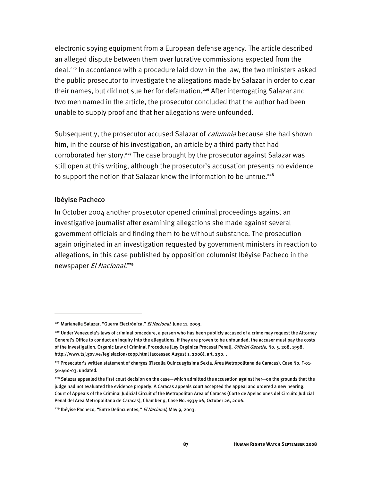electronic spying equipment from a European defense agency. The article described an alleged dispute between them over lucrative commissions expected from the deal.<sup>225</sup> In accordance with a procedure laid down in the law, the two ministers asked the public prosecutor to investigate the allegations made by Salazar in order to clear their names, but did not sue her for defamation.**<sup>226</sup>** After interrogating Salazar and two men named in the article, the prosecutor concluded that the author had been unable to supply proof and that her allegations were unfounded.

Subsequently, the prosecutor accused Salazar of *calumnia* because she had shown him, in the course of his investigation, an article by a third party that had corroborated her story.**<sup>227</sup>** The case brought by the prosecutor against Salazar was still open at this writing, although the prosecutor's accusation presents no evidence to support the notion that Salazar knew the information to be untrue.**<sup>228</sup>**

# Ibéyise Pacheco

-

In October 2004 another prosecutor opened criminal proceedings against an investigative journalist after examining allegations she made against several government officials and finding them to be without substance. The prosecution again originated in an investigation requested by government ministers in reaction to allegations, in this case published by opposition columnist Ibéyise Pacheco in the newspaper El Nacional.**<sup>229</sup>**

<sup>&</sup>lt;sup>225</sup> Marianella Salazar, "Guerra Electrónica," El Nacional, June 11, 2003.

<sup>226</sup> Under Venezuela's laws of criminal procedure, a person who has been publicly accused of a crime may request the Attorney General's Office to conduct an inquiry into the allegations. If they are proven to be unfounded, the accuser must pay the costs of the investigation. Organic Law of Criminal Procedure [Ley Orgánica Procesal Penal], Official Gazette, No. 5. 208, 1998, http://www.tsj.gov.ve/legislacion/copp.html (accessed August 1, 2008), art. 290.,

<sup>227</sup> Prosecutor's written statement of charges (Fiscalía Quincuagésima Sexta, Área Metropolitana de Caracas), Case No. F-01- 56-460-03, undated.

<sup>228</sup> Salazar appealed the first court decision on the case—which admitted the accusation against her—on the grounds that the judge had not evaluated the evidence properly. A Caracas appeals court accepted the appeal and ordered a new hearing. Court of Appeals of the Criminal Judicial Circuit of the Metropolitan Area of Caracas (Corte de Apelaciones del Circuito Judicial Penal del Area Metropolitana de Caracas), Chamber 9, Case No. 1934-06, October 26, 2006.

<sup>&</sup>lt;sup>229</sup> Ibéyise Pacheco, "Entre Delincuentes," El Nacional, May 9, 2003.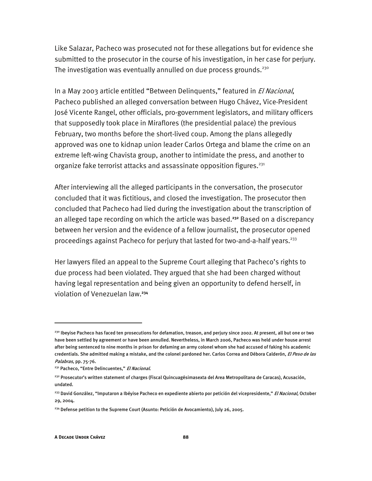Like Salazar, Pacheco was prosecuted not for these allegations but for evidence she submitted to the prosecutor in the course of his investigation, in her case for perjury. The investigation was eventually annulled on due process grounds.<sup>230</sup>

In a May 2003 article entitled "Between Delinquents," featured in El Nacional, Pacheco published an alleged conversation between Hugo Chávez, Vice-President José Vicente Rangel, other officials, pro-government legislators, and military officers that supposedly took place in Miraflores (the presidential palace) the previous February, two months before the short-lived coup. Among the plans allegedly approved was one to kidnap union leader Carlos Ortega and blame the crime on an extreme left-wing Chavista group, another to intimidate the press, and another to organize fake terrorist attacks and assassinate opposition figures.<sup>231</sup>

After interviewing all the alleged participants in the conversation, the prosecutor concluded that it was fictitious, and closed the investigation. The prosecutor then concluded that Pacheco had lied during the investigation about the transcription of an alleged tape recording on which the article was based.**<sup>232</sup>** Based on a discrepancy between her version and the evidence of a fellow journalist, the prosecutor opened proceedings against Pacheco for perjury that lasted for two-and-a-half years.<sup>233</sup>

Her lawyers filed an appeal to the Supreme Court alleging that Pacheco's rights to due process had been violated. They argued that she had been charged without having legal representation and being given an opportunity to defend herself, in violation of Venezuelan law.**<sup>234</sup>**

<sup>&</sup>lt;sup>230</sup> Ibeyise Pacheco has faced ten prosecutions for defamation, treason, and perjury since 2002. At present, all but one or two have been settled by agreement or have been annulled. Nevertheless, in March 2006, Pacheco was held under house arrest after being sentenced to nine months in prison for defaming an army colonel whom she had accused of faking his academic credentials. She admitted making a mistake, and the colonel pardoned her. Carlos Correa and Débora Calderón, El Peso de las Palabras, pp. 75-76.

<sup>&</sup>lt;sup>231</sup> Pacheco, "Entre Delincuentes," El Nacional.

<sup>&</sup>lt;sup>232</sup> Prosecutor's written statement of charges (Fiscal Quincuagésimasexta del Area Metropolitana de Caracas), Acusación, undated.

<sup>&</sup>lt;sup>233</sup> David González, "Imputaron a Ibéyise Pacheco en expediente abierto por petición del vicepresidente," *El Nacional,* October 29, 2004.

<sup>&</sup>lt;sup>234</sup> Defense petition to the Supreme Court (Asunto: Petición de Avocamiento), July 26, 2005.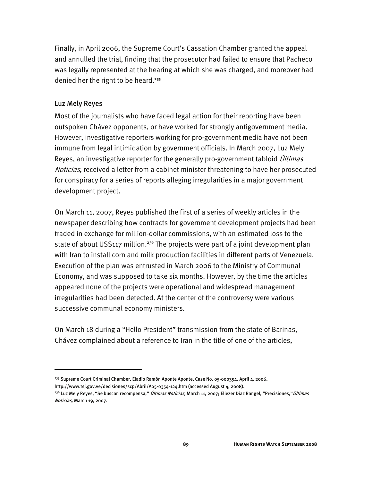Finally, in April 2006, the Supreme Court's Cassation Chamber granted the appeal and annulled the trial, finding that the prosecutor had failed to ensure that Pacheco was legally represented at the hearing at which she was charged, and moreover had denied her the right to be heard.**<sup>235</sup>**

## Luz Mely Reyes

-

Most of the journalists who have faced legal action for their reporting have been outspoken Chávez opponents, or have worked for strongly antigovernment media. However, investigative reporters working for pro-government media have not been immune from legal intimidation by government officials. In March 2007, Luz Mely Reyes, an investigative reporter for the generally pro-government tabloid *Últimas* Noticias, received a letter from a cabinet minister threatening to have her prosecuted for conspiracy for a series of reports alleging irregularities in a major government development project.

On March 11, 2007, Reyes published the first of a series of weekly articles in the newspaper describing how contracts for government development projects had been traded in exchange for million-dollar commissions, with an estimated loss to the state of about US\$117 million.<sup>236</sup> The projects were part of a joint development plan with Iran to install corn and milk production facilities in different parts of Venezuela. Execution of the plan was entrusted in March 2006 to the Ministry of Communal Economy, and was supposed to take six months. However, by the time the articles appeared none of the projects were operational and widespread management irregularities had been detected. At the center of the controversy were various successive communal economy ministers.

On March 18 during a "Hello President" transmission from the state of Barinas, Chávez complained about a reference to Iran in the title of one of the articles,

<sup>&</sup>lt;sup>235</sup> Supreme Court Criminal Chamber, Eladio Ramón Aponte Aponte, Case No. 05-000354, April 4, 2006,

http://www.tsj.gov.ve/decisiones/scp/Abril/A05-0354-124.htm (accessed August 4, 2008).

<sup>&</sup>lt;sup>236</sup> Luz Mely Reyes, "Se buscan recompensa," *Últimas Noticias,* March 11, 2007; Eliezer Díaz Rangel, "Precisiones,"*Últimas* Noticias, March 19, 2007.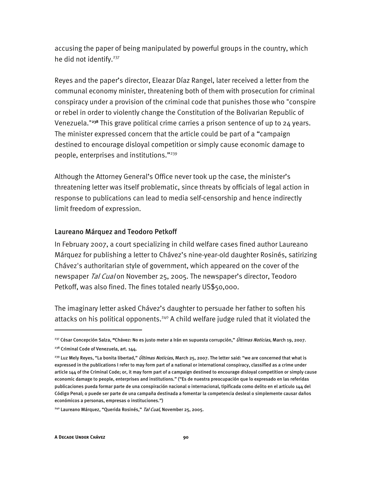accusing the paper of being manipulated by powerful groups in the country, which he did not identify.<sup>237</sup>

Reyes and the paper's director, Eleazar Díaz Rangel, later received a letter from the communal economy minister, threatening both of them with prosecution for criminal conspiracy under a provision of the criminal code that punishes those who "conspire or rebel in order to violently change the Constitution of the Bolivarian Republic of Venezuela."**<sup>238</sup>** This grave political crime carries a prison sentence of up to 24 years. The minister expressed concern that the article could be part of a "campaign destined to encourage disloyal competition or simply cause economic damage to people, enterprises and institutions."239

Although the Attorney General's Office never took up the case, the minister's threatening letter was itself problematic, since threats by officials of legal action in response to publications can lead to media self-censorship and hence indirectly limit freedom of expression.

#### Laureano Márquez and Teodoro Petkoff

In February 2007, a court specializing in child welfare cases fined author Laureano Márquez for publishing a letter to Chávez's nine-year-old daughter Rosinés, satirizing Chávez's authoritarian style of government, which appeared on the cover of the newspaper Tal Cual on November 25, 2005. The newspaper's director, Teodoro Petkoff, was also fined. The fines totaled nearly US\$50,000.

The imaginary letter asked Chávez's daughter to persuade her father to soften his attacks on his political opponents.<sup>240</sup> A child welfare judge ruled that it violated the

<sup>&</sup>lt;sup>237</sup> César Concepción Salza, "Chávez: No es justo meter a Irán en supuesta corrupción," *Últimas Noticias*, March 19, 2007.

<sup>&</sup>lt;sup>238</sup> Criminal Code of Venezuela, art. 144.

<sup>&</sup>lt;sup>239</sup> Luz Mely Reyes, "La bonita libertad," *Últimas Noticias*, March 25, 2007. The letter said: "we are concerned that what is expressed in the publications I refer to may form part of a national or international conspiracy, classified as a crime under article 144 of the Criminal Code; or, it may form part of a campaign destined to encourage disloyal competition or simply cause economic damage to people, enterprises and institutions." ("Es de nuestra preocupación que lo expresado en las referidas publicaciones pueda formar parte de una conspiración nacional o internacional, tipificada como delito en el artículo 144 del Código Penal; o puede ser parte de una campaña destinada a fomentar la competencia desleal o simplemente causar daños económicos a personas, empresas o instituciones.")

<sup>&</sup>lt;sup>240</sup> Laureano Márquez, "Querida Rosinés," Tal Cual, November 25, 2005.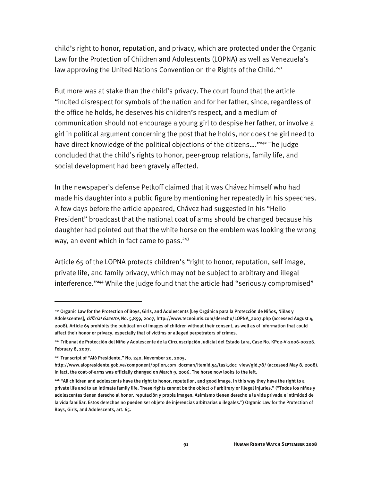child's right to honor, reputation, and privacy, which are protected under the Organic Law for the Protection of Children and Adolescents (LOPNA) as well as Venezuela's law approving the United Nations Convention on the Rights of the Child.<sup>241</sup>

But more was at stake than the child's privacy. The court found that the article "incited disrespect for symbols of the nation and for her father, since, regardless of the office he holds, he deserves his children's respect, and a medium of communication should not encourage a young girl to despise her father, or involve a girl in political argument concerning the post that he holds, nor does the girl need to have direct knowledge of the political objections of the citizens…."**<sup>242</sup>** The judge concluded that the child's rights to honor, peer-group relations, family life, and social development had been gravely affected.

In the newspaper's defense Petkoff claimed that it was Chávez himself who had made his daughter into a public figure by mentioning her repeatedly in his speeches. A few days before the article appeared, Chávez had suggested in his "Hello President" broadcast that the national coat of arms should be changed because his daughter had pointed out that the white horse on the emblem was looking the wrong way, an event which in fact came to pass. $243$ 

Article 65 of the LOPNA protects children's "right to honor, reputation, self image, private life, and family privacy, which may not be subject to arbitrary and illegal interference."**<sup>244</sup>** While the judge found that the article had "seriously compromised"

<sup>&</sup>lt;sup>241</sup> Organic Law for the Protection of Boys, Girls, and Adolescents [Ley Orgánica para la Protección de Niños, Niñas y Adolescentes], Official Gazette, No. 5,859, 2007, http://www.tecnoiuris.com/derecho/LOPNA\_2007.php (accessed August 4, 2008). Article 65 prohibits the publication of images of children without their consent, as well as of information that could affect their honor or privacy, especially that of victims or alleged perpetrators of crimes.

<sup>242</sup> Tribunal de Protección del Niño y Adolescente de la Circunscripción Judicial del Estado Lara, Case No. KP02-V-2006-00226, February 8, 2007.

<sup>&</sup>lt;sup>243</sup> Transcript of "Aló Presidente," No. 240, November 20, 2005,

http://www.alopresidente.gob.ve/component/option,com\_docman/Itemid,54/task,doc\_view/gid,78/ (accessed May 8, 2008). In fact, the coat-of-arms was officially changed on March 9, 2006. The horse now looks to the left.

<sup>&</sup>lt;sup>244</sup> "All children and adolescents have the right to honor, reputation, and good image. In this way they have the right to a private life and to an intimate family life. These rights cannot be the object o f arbitrary or illegal injuries." ("Todos los niños y adolescentes tienen derecho al honor, reputación y propia imagen. Asimismo tienen derecho a la vida privada e intimidad de la vida familiar. Estos derechos no pueden ser objeto de injerencias arbitrarias o ilegales.") Organic Law for the Protection of Boys, Girls, and Adolescents, art. 65.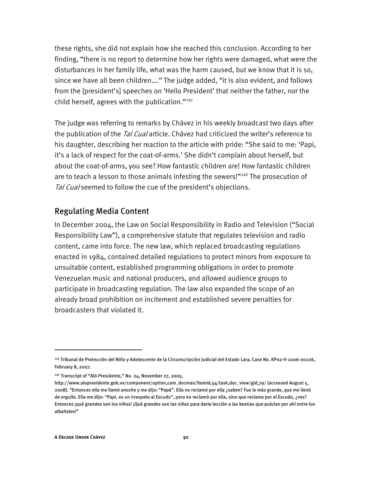these rights, she did not explain how she reached this conclusion. According to her finding, "there is no report to determine how her rights were damaged, what were the disturbances in her family life, what was the harm caused, but we know that it is so, since we have all been children…." The judge added, "it is also evident, and follows from the [president's] speeches on 'Hello President' that neither the father, nor the child herself, agrees with the publication."245

The judge was referring to remarks by Chávez in his weekly broadcast two days after the publication of the *Tal Cual* article. Chávez had criticized the writer's reference to his daughter, describing her reaction to the article with pride: "She said to me: 'Papi, it's a lack of respect for the coat-of-arms.' She didn't complain about herself, but about the coat-of-arms, you see? How fantastic children are! How fantastic children are to teach a lesson to those animals infesting the sewers!"<sup>246</sup> The prosecution of Tal Cual seemed to follow the cue of the president's objections.

# Regulating Media Content

In December 2004, the Law on Social Responsibility in Radio and Television ("Social Responsibility Law"), a comprehensive statute that regulates television and radio content, came into force. The new law, which replaced broadcasting regulations enacted in 1984, contained detailed regulations to protect minors from exposure to unsuitable content, established programming obligations in order to promote Venezuelan music and national producers, and allowed audience groups to participate in broadcasting regulation. The law also expanded the scope of an already broad prohibition on incitement and established severe penalties for broadcasters that violated it.

<sup>245</sup> Tribunal de Protección del Niño y Adolescente de la Circunscripción Judicial del Estado Lara, Case No. KP02-V-2006-00226, February 8, 2007.

<sup>&</sup>lt;sup>246</sup> Transcript of "Aló Presidente," No. 24, November 27, 2005,

http://www.alopresidente.gob.ve/component/option,com\_docman/Itemid,54/task,doc\_view/gid,79/ (accessed August 5, 2008). "Entonces ella me llamó anoche y me dijo: "Papá". Ella no reclamó por ella ¿saben? Fue lo más grande, que me llenó de orgullo. Ella me dijo: "Papi, es un irrespeto al Escudo", pero no reclamó por ella, sino que reclama por el Escudo, ¿ves? Entonces ¡qué grandes son los niños! ¡Qué grandes son las niñas para darle lección a las bestias que pululan por ahí entre los albañales!"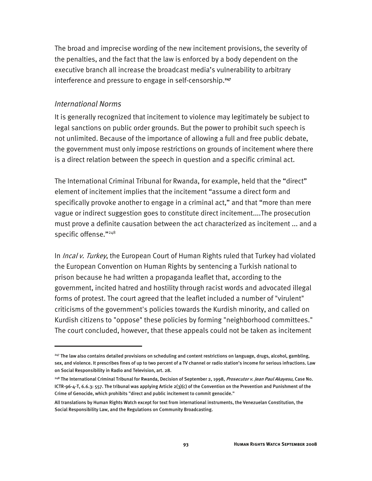The broad and imprecise wording of the new incitement provisions, the severity of the penalties, and the fact that the law is enforced by a body dependent on the executive branch all increase the broadcast media's vulnerability to arbitrary interference and pressure to engage in self-censorship.**<sup>247</sup>**

# *International Norms*

I

It is generally recognized that incitement to violence may legitimately be subject to legal sanctions on public order grounds. But the power to prohibit such speech is not unlimited. Because of the importance of allowing a full and free public debate, the government must only impose restrictions on grounds of incitement where there is a direct relation between the speech in question and a specific criminal act.

The International Criminal Tribunal for Rwanda, for example, held that the "direct" element of incitement implies that the incitement "assume a direct form and specifically provoke another to engage in a criminal act," and that "more than mere vague or indirect suggestion goes to constitute direct incitement....The prosecution must prove a definite causation between the act characterized as incitement ... and a specific offense."<sup>248</sup>

In *Incal v. Turkey*, the European Court of Human Rights ruled that Turkey had violated the European Convention on Human Rights by sentencing a Turkish national to prison because he had written a propaganda leaflet that, according to the government, incited hatred and hostility through racist words and advocated illegal forms of protest. The court agreed that the leaflet included a number of "virulent" criticisms of the government's policies towards the Kurdish minority, and called on Kurdish citizens to "oppose" these policies by forming "neighborhood committees." The court concluded, however, that these appeals could not be taken as incitement

<sup>247</sup> The law also contains detailed provisions on scheduling and content restrictions on language, drugs, alcohol, gambling, sex, and violence. It prescribes fines of up to two percent of a TV channel or radio station's income for serious infractions. Law on Social Responsibility in Radio and Television, art. 28.

<sup>&</sup>lt;sup>248</sup> The International Criminal Tribunal for Rwanda, Decision of September 2, 1998, Prosecutor v. Jean Paul Akayesu, Case No. ICTR-96-4-T, 6.6.3: 557. The tribunal was applying Article 2(3)(c) of the Convention on the Prevention and Punishment of the Crime of Genocide, which prohibits "direct and public incitement to commit genocide."

All translations by Human Rights Watch except for text from international instruments, the Venezuelan Constitution, the Social Responsibility Law, and the Regulations on Community Broadcasting.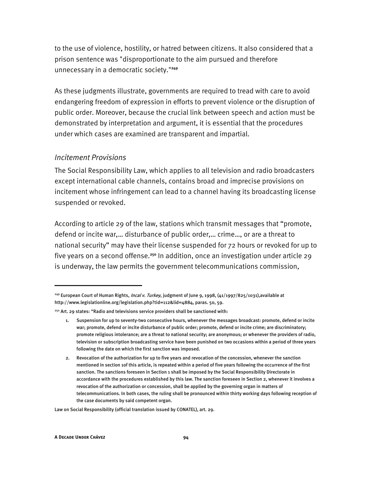to the use of violence, hostility, or hatred between citizens. It also considered that a prison sentence was "disproportionate to the aim pursued and therefore unnecessary in a democratic society."**<sup>249</sup>**

As these judgments illustrate, governments are required to tread with care to avoid endangering freedom of expression in efforts to prevent violence or the disruption of public order. Moreover, because the crucial link between speech and action must be demonstrated by interpretation and argument, it is essential that the procedures under which cases are examined are transparent and impartial.

### *Incitement Provisions*

The Social Responsibility Law, which applies to all television and radio broadcasters except international cable channels, contains broad and imprecise provisions on incitement whose infringement can lead to a channel having its broadcasting license suspended or revoked.

According to article 29 of the law, stations which transmit messages that "promote, defend or incite war,… disturbance of public order,… crime…, or are a threat to national security" may have their license suspended for 72 hours or revoked for up to five years on a second offense.**<sup>250</sup>** In addition, once an investigation under article 29 is underway, the law permits the government telecommunications commission,

j

<sup>&</sup>lt;sup>249</sup> European Court of Human Rights, Incal v. Turkey, judgment of June 9, 1998, (41/1997/825/1031),available at http://www.legislationline.org/legislation.php?tid=112&lid=4884, paras. 50, 59.

<sup>&</sup>lt;sup>250</sup> Art. 29 states: "Radio and televisions service providers shall be sanctioned with:

<sup>1.</sup> Suspension for up to seventy-two consecutive hours, whenever the messages broadcast: promote, defend or incite war; promote, defend or incite disturbance of public order; promote, defend or incite crime; are discriminatory; promote religious intolerance; are a threat to national security; are anonymous; or whenever the providers of radio, television or subscription broadcasting service have been punished on two occasions within a period of three years following the date on which the first sanction was imposed.

<sup>2.</sup> Revocation of the authorization for up to five years and revocation of the concession, whenever the sanction mentioned in section 1of this article, is repeated within a period of five years following the occurrence of the first sanction. The sanctions foreseen in Section 1 shall be imposed by the Social Responsibility Directorate in accordance with the procedures established by this law. The sanction foreseen in Section 2, whenever it involves a revocation of the authorization or concession, shall be applied by the governing organ in matters of telecommunications. In both cases, the ruling shall be pronounced within thirty working days following reception of the case documents by said competent organ.

Law on Social Responsibility (official translation issued by CONATEL), art. 29.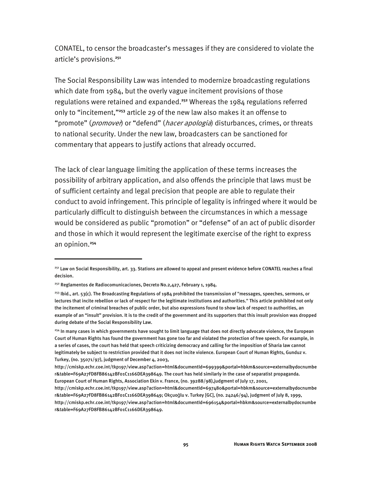CONATEL, to censor the broadcaster's messages if they are considered to violate the article's provisions.**<sup>251</sup>**

The Social Responsibility Law was intended to modernize broadcasting regulations which date from 1984, but the overly vague incitement provisions of those regulations were retained and expanded.**<sup>252</sup>** Whereas the 1984 regulations referred only to "incitement,"**<sup>253</sup>** article 29 of the new law also makes it an offense to "promote" (promover) or "defend" (hacer apologia) disturbances, crimes, or threats to national security. Under the new law, broadcasters can be sanctioned for commentary that appears to justify actions that already occurred.

The lack of clear language limiting the application of these terms increases the possibility of arbitrary application, and also offends the principle that laws must be of sufficient certainty and legal precision that people are able to regulate their conduct to avoid infringement. This principle of legality is infringed where it would be particularly difficult to distinguish between the circumstances in which a message would be considered as public "promotion" or "defense" of an act of public disorder and those in which it would represent the legitimate exercise of the right to express an opinion.**<sup>254</sup>**

j

<sup>&</sup>lt;sup>251</sup> Law on Social Responsibility, art. 33. Stations are allowed to appeal and present evidence before CONATEL reaches a final decision.

<sup>&</sup>lt;sup>252</sup> Reglamentos de Radiocomunicaciones, Decreto No.2,427, February 1, 1984.

<sup>&</sup>lt;sup>253</sup> Ibid., art. 53(c). The Broadcasting Regulations of 1984 prohibited the transmission of "messages, speeches, sermons, or lectures that incite rebellion or lack of respect for the legitimate institutions and authorities." This article prohibited not only the incitement of criminal breaches of public order, but also expressions found to show lack of respect to authorities, an example of an "insult" provision. It is to the credit of the government and its supporters that this insult provision was dropped during debate of the Social Responsibility Law.

<sup>&</sup>lt;sup>254</sup> In many cases in which governments have sought to limit language that does not directly advocate violence, the European Court of Human Rights has found the government has gone too far and violated the protection of free speech. For example, in a series of cases, the court has held that speech criticizing democracy and calling for the imposition of Sharia law cannot legitimately be subject to restriction provided that it does not incite violence. European Court of Human Rights, Gunduz v. Turkey, (no. 35071/97), judgment of December 4, 2003,

http://cmiskp.echr.coe.int/tkp197/view.asp?action=html&documentId=699399&portal=hbkm&source=externalbydocnumbe r&table=F69A27FD8FB86142BF01C1166DEA398649. The court has held similarly in the case of separatist propaganda. European Court of Human Rights, Association Ekin v. France, (no. 39288/98),judgment of July 17, 2001,

http://cmiskp.echr.coe.int/tkp197/view.asp?action=html&documentId=697480&portal=hbkm&source=externalbydocnumbe r&table=F69A27FD8FB86142BF01C1166DEA398649; Okçuoğlu v. Turkey [GC], (no. 24246/94), judgment of July 8, 1999, http://cmiskp.echr.coe.int/tkp197/view.asp?action=html&documentId=696154&portal=hbkm&source=externalbydocnumbe r&table=F69A27FD8FB86142BF01C1166DEA398649.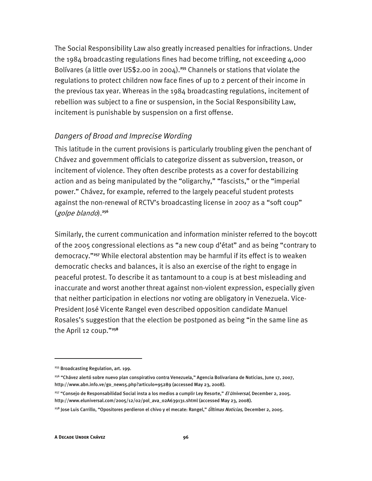The Social Responsibility Law also greatly increased penalties for infractions. Under the 1984 broadcasting regulations fines had become trifling, not exceeding 4,000 Bolívares (a little over US\$2.00 in 2004).**<sup>255</sup>** Channels or stations that violate the regulations to protect children now face fines of up to 2 percent of their income in the previous tax year. Whereas in the 1984 broadcasting regulations, incitement of rebellion was subject to a fine or suspension, in the Social Responsibility Law, incitement is punishable by suspension on a first offense.

# *Dangers of Broad and Imprecise Wording*

This latitude in the current provisions is particularly troubling given the penchant of Chávez and government officials to categorize dissent as subversion, treason, or incitement of violence. They often describe protests as a cover for destabilizing action and as being manipulated by the "oligarchy," "fascists," or the "imperial power." Chávez, for example, referred to the largely peaceful student protests against the non-renewal of RCTV's broadcasting license in 2007 as a "soft coup" (golpe blando).**<sup>256</sup>**

Similarly, the current communication and information minister referred to the boycott of the 2005 congressional elections as "a new coup d'état" and as being "contrary to democracy."**<sup>257</sup>** While electoral abstention may be harmful if its effect is to weaken democratic checks and balances, it is also an exercise of the right to engage in peaceful protest. To describe it as tantamount to a coup is at best misleading and inaccurate and worst another threat against non-violent expression, especially given that neither participation in elections nor voting are obligatory in Venezuela. Vice-President José Vicente Rangel even described opposition candidate Manuel Rosales's suggestion that the election be postponed as being "in the same line as the April 12 coup."**<sup>258</sup>**

<sup>255</sup> Broadcasting Regulation, art. 199.

<sup>&</sup>lt;sup>256</sup> "Chávez alertó sobre nuevo plan conspirativo contra Venezuela," Agencia Bolivariana de Noticias, June 17, 2007, http://www.abn.info.ve/go\_news5.php?articulo=95289 (accessed May 23, 2008).

<sup>&</sup>lt;sup>257</sup> "Consejo de Responsabilidad Social insta a los medios a cumplir Ley Resorte," *El Universal*, December 2, 2005. http://www.eluniversal.com/2005/12/02/pol\_ava\_02A639131.shtml (accessed May 23, 2008).

<sup>&</sup>lt;sup>258</sup> Jose Luis Carrillo, "Opositores perdieron el chivo y el mecate: Rangel," *Últimas Noticias,* December 2, 2005.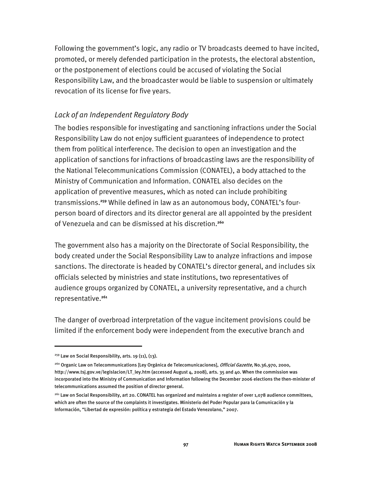Following the government's logic, any radio or TV broadcasts deemed to have incited, promoted, or merely defended participation in the protests, the electoral abstention, or the postponement of elections could be accused of violating the Social Responsibility Law, and the broadcaster would be liable to suspension or ultimately revocation of its license for five years.

# *Lack of an Independent Regulatory Body*

The bodies responsible for investigating and sanctioning infractions under the Social Responsibility Law do not enjoy sufficient guarantees of independence to protect them from political interference. The decision to open an investigation and the application of sanctions for infractions of broadcasting laws are the responsibility of the National Telecommunications Commission (CONATEL), a body attached to the Ministry of Communication and Information. CONATEL also decides on the application of preventive measures, which as noted can include prohibiting transmissions.**259** While defined in law as an autonomous body, CONATEL's fourperson board of directors and its director general are all appointed by the president of Venezuela and can be dismissed at his discretion.**<sup>260</sup>**

The government also has a majority on the Directorate of Social Responsibility, the body created under the Social Responsibility Law to analyze infractions and impose sanctions. The directorate is headed by CONATEL's director general, and includes six officials selected by ministries and state institutions, two representatives of audience groups organized by CONATEL, a university representative, and a church representative.**<sup>261</sup>**

The danger of overbroad interpretation of the vague incitement provisions could be limited if the enforcement body were independent from the executive branch and

 $259$  Law on Social Responsibility, arts. 19 (11), (13).

<sup>&</sup>lt;sup>260</sup> Organic Law on Telecommunications [Ley Orgánica de Telecomunicaciones], *Official Gazette*, No.36,970, 2000, http://www.tsj.gov.ve/legislacion/LT\_ley.htm (accessed August 4, 2008), arts. 35 and 40. When the commission was incorporated into the Ministry of Communication and Information following the December 2006 elections the then-minister of telecommunications assumed the position of director general.

<sup>&</sup>lt;sup>261</sup> Law on Social Responsibility, art 20. CONATEL has organized and maintains a register of over 1,078 audience committees, which are often the source of the complaints it investigates. Ministerio del Poder Popular para la Comunicación y la Información, "Libertad de expresión: política y estrategia del Estado Venezolano," 2007.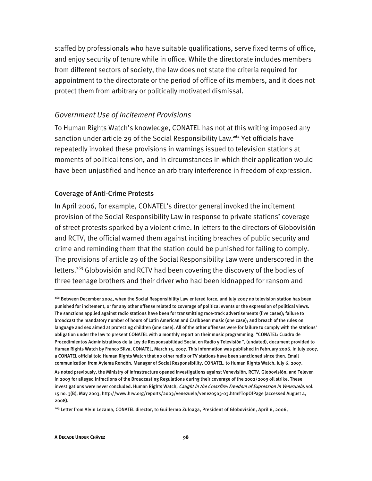staffed by professionals who have suitable qualifications, serve fixed terms of office, and enjoy security of tenure while in office. While the directorate includes members from different sectors of society, the law does not state the criteria required for appointment to the directorate or the period of office of its members, and it does not protect them from arbitrary or politically motivated dismissal.

### *Government Use of Incitement Provisions*

To Human Rights Watch's knowledge, CONATEL has not at this writing imposed any sanction under article 29 of the Social Responsibility Law.**<sup>262</sup>** Yet officials have repeatedly invoked these provisions in warnings issued to television stations at moments of political tension, and in circumstances in which their application would have been unjustified and hence an arbitrary interference in freedom of expression.

### Coverage of Anti-Crime Protests

In April 2006, for example, CONATEL's director general invoked the incitement provision of the Social Responsibility Law in response to private stations' coverage of street protests sparked by a violent crime. In letters to the directors of Globovisión and RCTV, the official warned them against inciting breaches of public security and crime and reminding them that the station could be punished for failing to comply. The provisions of article 29 of the Social Responsibility Law were underscored in the letters.<sup>263</sup> Globovisión and RCTV had been covering the discovery of the bodies of three teenage brothers and their driver who had been kidnapped for ransom and

<sup>&</sup>lt;sup>262</sup> Between December 2004, when the Social Responsibility Law entered force, and July 2007 no television station has been punished for incitement, or for any other offense related to coverage of political events or the expression of political views. The sanctions applied against radio stations have been for transmitting race-track advertisements (five cases); failure to broadcast the mandatory number of hours of Latin American and Caribbean music (one case); and breach of the rules on language and sex aimed at protecting children (one case). All of the other offenses were for failure to comply with the stations' obligation under the law to present CONATEL with a monthly report on their music programming. "CONATEL: Cuadro de Procedimientos Administrativos de la Ley de Responsabilidad Social en Radio y Televisión", (undated), document provided to Human Rights Watch by Franco Silva, CONATEL, March 15, 2007. This information was published in February 2006. In July 2007, a CONATEL official told Human Rights Watch that no other radio or TV stations have been sanctioned since then. Email communication from Aylema Rondón, Manager of Social Responsibility, CONATEL, to Human Rights Watch, July 6, 2007.

As noted previously, the Ministry of Infrastructure opened investigations against Venevisión, RCTV, Globovisión, and Televen in 2003 for alleged infractions of the Broadcasting Regulations during their coverage of the 2002/2003 oil strike. These investigations were never concluded. Human Rights Watch, Caught in the Crossfire: Freedom of Expression in Venezuela, vol. 15 no. 3(B), May 2003, http://www.hrw.org/reports/2003/venezuela/venez0503-03.htm#TopOfPage (accessed August 4, 2008).

<sup>&</sup>lt;sup>263</sup> Letter from Alvin Lezama, CONATEL director, to Guillermo Zuloaga, President of Globovisión, April 6, 2006.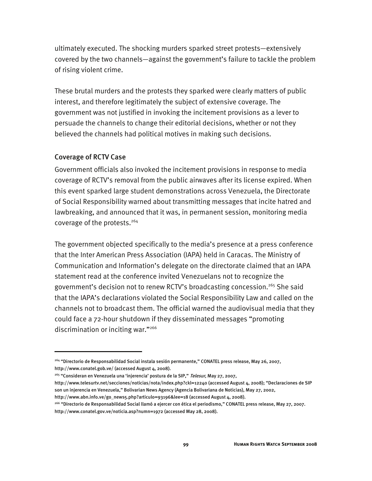ultimately executed. The shocking murders sparked street protests—extensively covered by the two channels—against the government's failure to tackle the problem of rising violent crime.

These brutal murders and the protests they sparked were clearly matters of public interest, and therefore legitimately the subject of extensive coverage. The government was not justified in invoking the incitement provisions as a lever to persuade the channels to change their editorial decisions, whether or not they believed the channels had political motives in making such decisions.

## Coverage of RCTV Case

-

Government officials also invoked the incitement provisions in response to media coverage of RCTV's removal from the public airwaves after its license expired. When this event sparked large student demonstrations across Venezuela, the Directorate of Social Responsibility warned about transmitting messages that incite hatred and lawbreaking, and announced that it was, in permanent session, monitoring media coverage of the protests.<sup>264</sup>

The government objected specifically to the media's presence at a press conference that the Inter American Press Association (IAPA) held in Caracas. The Ministry of Communication and Information's delegate on the directorate claimed that an IAPA statement read at the conference invited Venezuelans not to recognize the government's decision not to renew RCTV's broadcasting concession.<sup>265</sup> She said that the IAPA's declarations violated the Social Responsibility Law and called on the channels not to broadcast them. The official warned the audiovisual media that they could face a 72-hour shutdown if they disseminated messages "promoting discrimination or inciting war."266

- http://www.telesurtv.net/secciones/noticias/nota/index.php?ckl=12240 (accessed August 4, 2008); "Declaraciones de SIP son un injerencia en Venezuela," Bolivarian News Agency (Agencia Bolivariana de Noticias), May 27, 2002,
- http://www.abn.info.ve/go\_news5.php?articulo=93196&lee=18 (accessed August 4, 2008).

<sup>264 &</sup>quot;Directorio de Responsabilidad Social instala sesión permanente," CONATEL press release, May 26, 2007, http://www.conatel.gob.ve/ (accessed August 4, 2008).

<sup>&</sup>lt;sup>265</sup> "Consideran en Venezuela una 'injerencia' postura de la SIP," *Telesur, May 27, 2007,* 

<sup>266 &</sup>quot;Directorio de Responsabilidad Social llamó a ejercer con ética el periodismo," CONATEL press release, May 27, 2007. http://www.conatel.gov.ve/noticia.asp?numn=1972 (accessed May 28, 2008).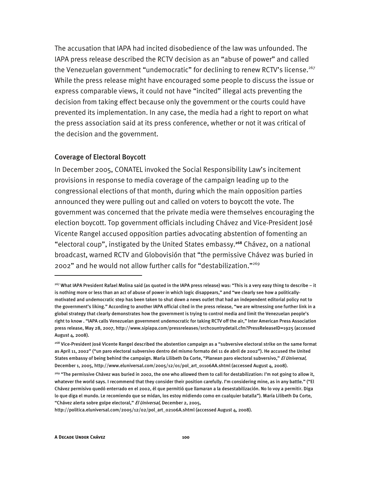The accusation that IAPA had incited disobedience of the law was unfounded. The IAPA press release described the RCTV decision as an "abuse of power" and called the Venezuelan government "undemocratic" for declining to renew RCTV's license.<sup>267</sup> While the press release might have encouraged some people to discuss the issue or express comparable views, it could not have "incited" illegal acts preventing the decision from taking effect because only the government or the courts could have prevented its implementation. In any case, the media had a right to report on what the press association said at its press conference, whether or not it was critical of the decision and the government.

#### Coverage of Electoral Boycott

In December 2005, CONATEL invoked the Social Responsibility Law's incitement provisions in response to media coverage of the campaign leading up to the congressional elections of that month, during which the main opposition parties announced they were pulling out and called on voters to boycott the vote. The government was concerned that the private media were themselves encouraging the election boycott. Top government officials including Chávez and Vice-President José Vicente Rangel accused opposition parties advocating abstention of fomenting an "electoral coup", instigated by the United States embassy.**<sup>268</sup>** Chávez, on a national broadcast, warned RCTV and Globovisión that "the permissive Chávez was buried in 2002" and he would not allow further calls for "destabilization."269

<sup>267</sup> What IAPA President Rafael Molina said (as quoted in the IAPA press release) was: "This is a very easy thing to describe – it is nothing more or less than an act of abuse of power in which logic disappears," and "we clearly see how a politicallymotivated and undemocratic step has been taken to shut down a news outlet that had an independent editorial policy not to the government's liking." According to another IAPA official cited in the press release, "we are witnessing one further link in a global strategy that clearly demonstrates how the government is trying to control media and limit the Venezuelan people's right to know . "IAPA calls Venezuelan government undemocratic for taking RCTV off the air," Inter American Press Association press release, May 28, 2007, http://www.sipiapa.com/pressreleases/srchcountrydetail.cfm?PressReleaseID=1925 (accessed August 4, 2008).

<sup>268</sup> Vice-President José Vicente Rangel described the abstention campaign as a "subversive electoral strike on the same format as April 11, 2002" ("un paro electoral subversivo dentro del mismo formato del 11 de abril de 2002"). He accused the United States embassy of being behind the campaign. María Lilibeth Da Corte, "Planean paro electoral subversivo," El Universal, December 1, 2005, http://www.eluniversal.com/2005/12/01/pol\_art\_01106AA.shtml (accessed August 4, 2008).

<sup>&</sup>lt;sup>269</sup> "The permissive Chávez was buried in 2002, the one who allowed them to call for destabilization: I'm not going to allow it, whatever the world says. I recommend that they consider their position carefully. I'm considering mine, as in any battle." ("El Chávez permisivo quedó enterrado en el 2002, él que permitió que llamaran a la desestabilización. No lo voy a permitir. Diga lo que diga el mundo. Le recomiendo que se midan, los estoy midiendo como en cualquier batalla"). María Lilibeth Da Corte, "Chávez alerta sobre golpe electoral," El Universal, December 2, 2005,

http://politica.eluniversal.com/2005/12/02/pol\_art\_02106A.shtml (accessed August 4, 2008).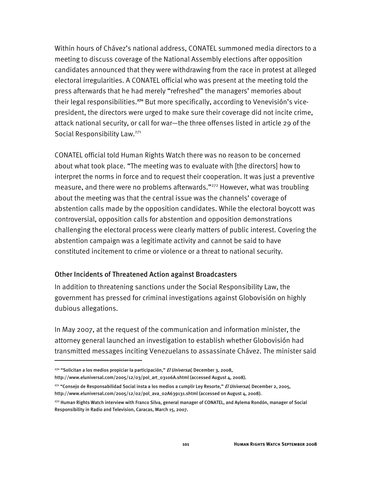Within hours of Chávez's national address, CONATEL summoned media directors to a meeting to discuss coverage of the National Assembly elections after opposition candidates announced that they were withdrawing from the race in protest at alleged electoral irregularities. A CONATEL official who was present at the meeting told the press afterwards that he had merely "refreshed" the managers' memories about their legal responsibilities.**270** But more specifically, according to Venevisión's vicepresident, the directors were urged to make sure their coverage did not incite crime, attack national security, or call for war—the three offenses listed in article 29 of the Social Responsibility Law.<sup>271</sup>

CONATEL official told Human Rights Watch there was no reason to be concerned about what took place. "The meeting was to evaluate with [the directors] how to interpret the norms in force and to request their cooperation. It was just a preventive measure, and there were no problems afterwards."<sup>272</sup> However, what was troubling about the meeting was that the central issue was the channels' coverage of abstention calls made by the opposition candidates. While the electoral boycott was controversial, opposition calls for abstention and opposition demonstrations challenging the electoral process were clearly matters of public interest. Covering the abstention campaign was a legitimate activity and cannot be said to have constituted incitement to crime or violence or a threat to national security.

## Other Incidents of Threatened Action against Broadcasters

In addition to threatening sanctions under the Social Responsibility Law, the government has pressed for criminal investigations against Globovisión on highly dubious allegations.

In May 2007, at the request of the communication and information minister, the attorney general launched an investigation to establish whether Globovisión had transmitted messages inciting Venezuelans to assassinate Chávez. The minister said

<sup>270</sup> "Solicitan a los medios propiciar la participación," El Universal, December 3, 2008,

I

http://www.eluniversal.com/2005/12/03/pol\_art\_03106A.shtml (accessed August 4, 2008).

<sup>271</sup> "Consejo de Responsabilidad Social insta a los medios a cumplir Ley Resorte," *El Universal*, December 2, 2005, http://www.eluniversal.com/2005/12/02/pol\_ava\_02A639131.shtml (accessed on August 4, 2008).

<sup>&</sup>lt;sup>272</sup> Human Rights Watch interview with Franco Silva, general manager of CONATEL, and Aylema Rondón, manager of Social Responsibility in Radio and Television, Caracas, March 15, 2007.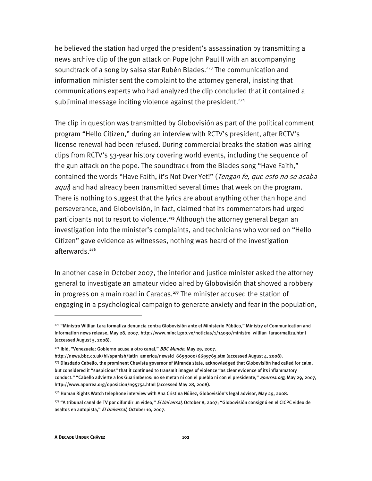he believed the station had urged the president's assassination by transmitting a news archive clip of the gun attack on Pope John Paul II with an accompanying soundtrack of a song by salsa star Rubén Blades.<sup>273</sup> The communication and information minister sent the complaint to the attorney general, insisting that communications experts who had analyzed the clip concluded that it contained a subliminal message inciting violence against the president.<sup>274</sup>

The clip in question was transmitted by Globovisión as part of the political comment program "Hello Citizen," during an interview with RCTV's president, after RCTV's license renewal had been refused. During commercial breaks the station was airing clips from RCTV's 53-year history covering world events, including the sequence of the gun attack on the pope. The soundtrack from the Blades song "Have Faith," contained the words "Have Faith, it's Not Over Yet!" (*Tengan fe, que esto no se acaba*  $aqu\tilde{\theta}$  and had already been transmitted several times that week on the program. There is nothing to suggest that the lyrics are about anything other than hope and perseverance, and Globovisión, in fact, claimed that its commentators had urged participants not to resort to violence.**<sup>275</sup>** Although the attorney general began an investigation into the minister's complaints, and technicians who worked on "Hello Citizen" gave evidence as witnesses, nothing was heard of the investigation afterwards.**<sup>276</sup>**

In another case in October 2007, the interior and justice minister asked the attorney general to investigate an amateur video aired by Globovisión that showed a robbery in progress on a main road in Caracas.**<sup>277</sup>** The minister accused the station of engaging in a psychological campaign to generate anxiety and fear in the population,

<sup>273 &</sup>quot;Ministro Willian Lara formaliza denuncia contra Globovisión ante el Ministerio Público," Ministry of Communication and Information news release, May 28, 2007, http://www.minci.gob.ve/noticias/1/14030/ministro\_willian\_laraormaliza.html (accessed August 5, 2008).

<sup>&</sup>lt;sup>274</sup> Ibid. "Venezuela: Gobierno acusa a otro canal," BBC Mundo, May 29, 2007.

http://news.bbc.co.uk/hi/spanish/latin\_america/newsid\_6699000/6699765.stm (accessed August 4, 2008). <sup>275</sup> Diasdado Cabello, the prominent Chavista governor of Miranda state, acknowledged that Globovisión had called for calm, but considered it "suspicious" that it continued to transmit images of violence "as clear evidence of its inflammatory conduct." "Cabello advierte a los Guarimberos: no se metan ni con el pueblo ni con el presidente," aporrea.org, May 29, 2007, http://www.aporrea.org/oposicion/n95754.html (accessed May 28, 2008).

<sup>276</sup> Human Rights Watch telephone interview with Ana Cristina Núñez, Globovisión's legal advisor, May 29, 2008.

<sup>&</sup>lt;sup>277</sup> "A tribunal canal de TV por difundir un video," *El Universal*, October 8, 2007; "Globovisión consignó en el CICPC video de asaltos en autopista," El Universal, October 10, 2007.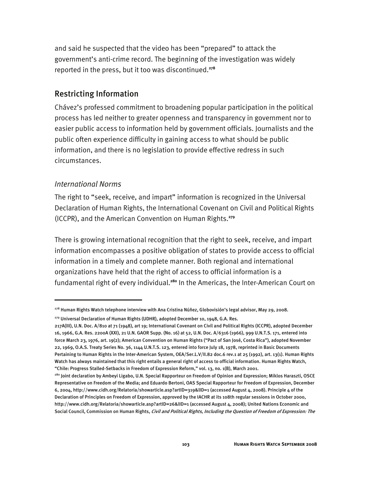and said he suspected that the video has been "prepared" to attack the government's anti-crime record. The beginning of the investigation was widely reported in the press, but it too was discontinued.**<sup>278</sup>**

## Restricting Information

Chávez's professed commitment to broadening popular participation in the political process has led neither to greater openness and transparency in government nor to easier public access to information held by government officials. Journalists and the public often experience difficulty in gaining access to what should be public information, and there is no legislation to provide effective redress in such circumstances.

## *International Norms*

-

The right to "seek, receive, and impart" information is recognized in the Universal Declaration of Human Rights, the International Covenant on Civil and Political Rights (ICCPR), and the American Convention on Human Rights.**<sup>279</sup>**

There is growing international recognition that the right to seek, receive, and impart information encompasses a positive obligation of states to provide access to official information in a timely and complete manner. Both regional and international organizations have held that the right of access to official information is a fundamental right of every individual.**<sup>280</sup>** In the Americas, the Inter-American Court on

<sup>278</sup> Human Rights Watch telephone interview with Ana Cristina Núñez, Globovisión's legal advisor, May 29, 2008.

<sup>&</sup>lt;sup>279</sup> Universal Declaration of Human Rights (UDHR), adopted December 10, 1948, G.A. Res.

<sup>217</sup>A(III), U.N. Doc. A/810 at 71 (1948), art 19; International Covenant on Civil and Political Rights (ICCPR), adopted December 16, 1966, G.A. Res. 2200A (XXI), 21 U.N. GAOR Supp. (No. 16) at 52, U.N. Doc. A/6316 (1966), 999 U.N.T.S. 171, entered into force March 23, 1976, art. 19(2); American Convention on Human Rights ("Pact of San José, Costa Rica"), adopted November 22, 1969, O.A.S. Treaty Series No. 36, 1144 U.N.T.S. 123, entered into force July 18, 1978, reprinted in Basic Documents Pertaining to Human Rights in the Inter-American System, OEA/Ser.L.V/II.82 doc.6 rev.1 at 25 (1992), art. 13(1). Human Rights Watch has always maintained that this right entails a general right of access to official information. Human Rights Watch, "Chile: Progress Stalled-Setbacks in Freedom of Expression Reform," vol. 13, no. 1(B), March 2001.

<sup>280</sup> Joint declaration by Ambeyi Ligabo, U.N. Special Rapporteur on Freedom of Opinion and Expression; Miklos Haraszti, OSCE Representative on Freedom of the Media; and Eduardo Bertoni, OAS Special Rapporteur for Freedom of Expression, December 6, 2004, http://www.cidh.org/Relatoria/showarticle.asp?artID=319&lID=1 (accessed August 4, 2008). Principle 4 of the Declaration of Principles on Freedom of Expression, approved by the IACHR at its 108th regular sessions in October 2000, http://www.cidh.org/Relatoria/showarticle.asp?artID=26&lID=1 (accessed August 4, 2008); United Nations Economic and Social Council, Commission on Human Rights, Civil and Political Rights, Including the Question of Freedom of Expression: The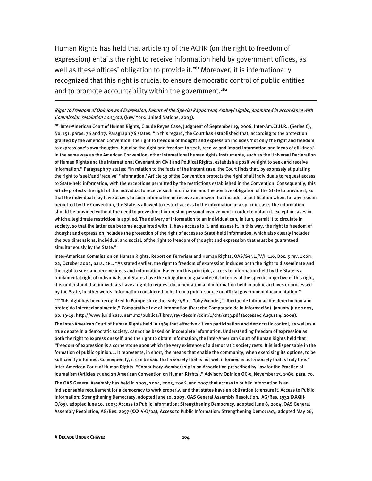Human Rights has held that article 13 of the ACHR (on the right to freedom of expression) entails the right to receive information held by government offices, as well as these offices' obligation to provide it.**<sup>281</sup>** Moreover, it is internationally recognized that this right is crucial to ensure democratic control of public entities and to promote accountability within the government.**<sup>282</sup>**

#### Right to Freedom of Opinion and Expression, Report of the Special Rapporteur, Ambeyi Ligabo, submitted in accordance with Commission resolution 2003/42, (New York: United Nations, 2003).

<sup>281</sup> Inter-American Court of Human Rights, Claude Reyes Case, Judgment of September 19, 2006, Inter-Am.Ct.H.R., (Series C), No. 151, paras. 76 and 77. Paragraph 76 states: "In this regard, the Court has established that, according to the protection granted by the American Convention, the right to freedom of thought and expression includes 'not only the right and freedom to express one's own thoughts, but also the right and freedom to seek, receive and impart information and ideas of all kinds.' In the same way as the American Convention, other international human rights instruments, such as the Universal Declaration of Human Rights and the International Covenant on Civil and Political Rights, establish a positive right to seek and receive information." Paragraph 77 states: "In relation to the facts of the instant case, the Court finds that, by expressly stipulating the right to 'seek'and 'receive' 'information,' Article 13 of the Convention protects the right of all individuals to request access to State-held information, with the exceptions permitted by the restrictions established in the Convention. Consequently, this article protects the right of the individual to receive such information and the positive obligation of the State to provide it, so that the individual may have access to such information or receive an answer that includes a justification when, for any reason permitted by the Convention, the State is allowed to restrict access to the information in a specific case. The information should be provided without the need to prove direct interest or personal involvement in order to obtain it, except in cases in which a legitimate restriction is applied. The delivery of information to an individual can, in turn, permit it to circulate in society, so that the latter can become acquainted with it, have access to it, and assess it. In this way, the right to freedom of thought and expression includes the protection of the right of access to State-held information, which also clearly includes the two dimensions, individual and social, of the right to freedom of thought and expression that must be guaranteed simultaneously by the State."

Inter-American Commission on Human Rights, Report on Terrorism and Human Rights, OAS/Ser.L./V/II 116, Doc. 5 rev. 1 corr. 22, October 2002, para. 281. "As stated earlier, the right to freedom of expression includes both the right to disseminate and the right to seek and receive ideas and information. Based on this principle, access to information held by the State is a fundamental right of individuals and States have the obligation to guarantee it. In terms of the specific objective of this right, it is understood that individuals have a right to request documentation and information held in public archives or processed by the State, in other words, information considered to be from a public source or official government documentation."

<sup>282</sup> This right has been recognized in Europe since the early 1980s. Toby Mendel, "Libertad de Información: derecho humano protegido internacionalmente," Comparative Law of Information (Derecho Comparado de la Información), January-June 2003, pp. 13-19, http://www.juridicas.unam.mx/publica/librev/rev/decoin/cont/1/cnt/cnt3.pdf (accessed August 4, 2008).

The Inter-American Court of Human Rights held in 1985 that effective citizen participation and democratic control, as well as a true debate in a democratic society, cannot be based on incomplete information. Understanding freedom of expression as both the right to express oneself, and the right to obtain information, the Inter-American Court of Human Rights held that "freedom of expression is a cornerstone upon which the very existence of a democratic society rests. It is indispensable in the formation of public opinion.… It represents, in short, the means that enable the community, when exercising its options, to be sufficiently informed. Consequently, it can be said that a society that is not well informed is not a society that is truly free." Inter-American Court of Human Rights, "Compulsory Membership in an Association prescribed by Law for the Practice of Journalism (Articles 13 and 29 American Convention on Human Rights)," Advisory Opinion OC-5, November 13, 1985, para. 70.

The OAS General Assembly has held in 2003, 2004, 2005, 2006, and 2007 that access to public information is an indispensable requirement for a democracy to work properly, and that states have an obligation to ensure it. Access to Public Information: Strengthening Democracy, adopted June 10, 2003, OAS General Assembly Resolution, AG/Res. 1932 (XXXIII-O/03), adopted June 10, 2003; Access to Public Information: Strengthening Democracy, adopted June 8, 2004, OAS General Assembly Resolution, AG/Res. 2057 (XXXIV-O/04); Access to Public Information: Strengthening Democracy, adopted May 26,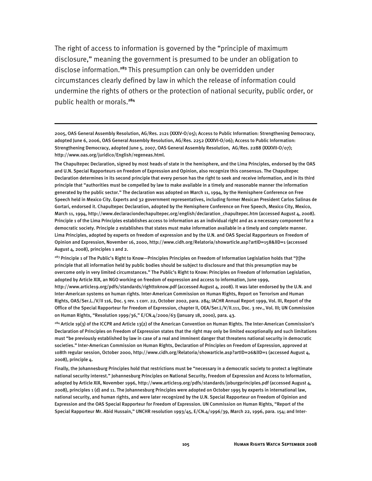The right of access to information is governed by the "principle of maximum disclosure," meaning the government is presumed to be under an obligation to disclose information.**<sup>283</sup>** This presumption can only be overridden under circumstances clearly defined by law in which the release of information could undermine the rights of others or the protection of national security, public order, or public health or morals.**<sup>284</sup>**

2005, OAS General Assembly Resolution, AG/Res. 2121 (XXXV-O/05); Access to Public Information: Strengthening Democracy, adopted June 6, 2006, OAS General Assembly Resolution, AG/Res. 2252 (XXXVI-O/06); Access to Public Information: Strengthening Democracy, adopted June 5, 2007, OAS General Assembly Resolution, AG/Res. 2288 (XXXVII-O/07); http://www.oas.org/juridico/English/regeneas.html.

-

The Chapultepec Declaration, signed by most heads of state in the hemisphere, and the Lima Principles, endorsed by the OAS and U.N. Special Rapporteurs on Freedom of Expression and Opinion, also recognize this consensus. The Chapultepec Declaration determines in its second principle that every person has the right to seek and receive information, and in its third principle that "authorities must be compelled by law to make available in a timely and reasonable manner the information generated by the public sector." The declaration was adopted on March 11, 1994, by the Hemisphere Conference on Free Speech held in Mexico City. Experts and 32 government representatives, including former Mexican President Carlos Salinas de Gortari, endorsed it. Chapultepec Declaration, adopted by the Hemisphere Conference on Free Speech, Mexico City, Mexico, March 11, 1994, http://www.declaraciondechapultepec.org/english/declaration\_chapultepec.htm (accessed August 4, 2008). Principle 1 of the Lima Principles establishes access to information as an individual right and as a necessary component for a democratic society. Principle 2 establishes that states must make information available in a timely and complete manner. Lima Principles, adopted by experts on freedom of expression and by the U.N. and OAS Special Rapporteurs on Freedom of Opinion and Expression, November 16, 2000, http://www.cidh.org/Relatoria/showarticle.asp?artID=158&lID=1 (accessed August 4, 2008), principles 1 and 2.

<sup>283</sup> Principle 1 of The Public's Right to Know—Principles Principles on Freedom of Information Legislation holds that "[t]he principle that all information held by public bodies should be subject to disclosure and that this presumption may be overcome only in very limited circumstances." The Public's Right to Know: Principles on Freedom of Information Legislation, adopted by Article XIX, an NGO working on freedom of expression and access to information, June 1999, http://www.article19.org/pdfs/standards/righttoknow.pdf (accessed August 4, 2008). It was later endorsed by the U.N. and

Inter-American systems on human rights. Inter-American Commission on Human Rights, Report on Terrorism and Human Rights, OAS/Ser.L./V/II 116, Doc. 5 rev. 1 corr. 22, October 2002, para. 284; IACHR Annual Report 1999, Vol. III, Report of the Office of the Special Rapporteur for Freedom of Expression, chapter II, OEA/Ser.L/V/II.111, Doc. 3 rev., Vol. III; UN Commission on Human Rights, "Resolution 1999/36," E/CN.4/2000/63 (January 18, 2000), para. 43.

 $^{284}$  Article 19(3) of the ICCPR and Article 13(2) of the American Convention on Human Rights. The Inter-American Commission's Declaration of Principles on Freedom of Expression states that the right may only be limited exceptionally and such limitations must "be previously established by law in case of a real and imminent danger that threatens national security in democratic societies." Inter-American Commission on Human Rights, Declaration of Principles on Freedom of Expression, approved at 108th regular session, October 2000, http://www.cidh.org/Relatoria/showarticle.asp?artID=26&lID=1 (accessed August 4, 2008), principle 4.

Finally, the Johannesburg Principles hold that restrictions must be "necessary in a democratic society to protect a legitimate national security interest." Johannesburg Principles on National Security, Freedom of Expression and Access to Information, adopted by Article XIX, November 1996, http://www.article19.org/pdfs/standards/joburgprinciples.pdf (accessed August 4, 2008), principles 1 (d) and 11. The Johannesburg Principles were adopted on October 1995 by experts in international law, national security, and human rights, and were later recognized by the U.N. Special Rapporteur on Freedom of Opinion and Expression and the OAS Special Rapporteur for Freedom of Expression. UN Commission on Human Rights, "Report of the Special Rapporteur Mr. Abid Hussain," UNCHR resolution 1993/45, E/CN.4/1996/39, March 22, 1996, para. 154; and Inter-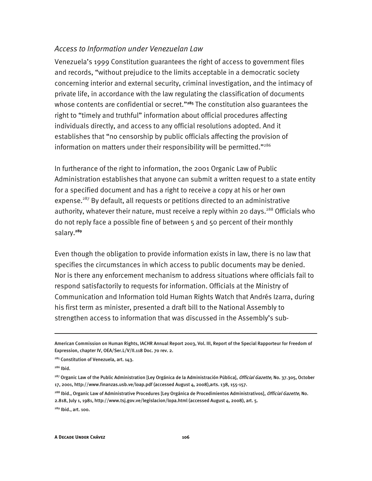### *Access to Information under Venezuelan Law*

Venezuela's 1999 Constitution guarantees the right of access to government files and records, "without prejudice to the limits acceptable in a democratic society concerning interior and external security, criminal investigation, and the intimacy of private life, in accordance with the law regulating the classification of documents whose contents are confidential or secret."**<sup>285</sup>** The constitution also guarantees the right to "timely and truthful" information about official procedures affecting individuals directly, and access to any official resolutions adopted. And it establishes that "no censorship by public officials affecting the provision of information on matters under their responsibility will be permitted."286

In furtherance of the right to information, the 2001 Organic Law of Public Administration establishes that anyone can submit a written request to a state entity for a specified document and has a right to receive a copy at his or her own expense.<sup>287</sup> By default, all requests or petitions directed to an administrative authority, whatever their nature, must receive a reply within 20 days.<sup>288</sup> Officials who do not reply face a possible fine of between 5 and 50 percent of their monthly salary.**<sup>289</sup>**

Even though the obligation to provide information exists in law, there is no law that specifies the circumstances in which access to public documents may be denied. Nor is there any enforcement mechanism to address situations where officials fail to respond satisfactorily to requests for information. Officials at the Ministry of Communication and Information told Human Rights Watch that Andrés Izarra, during his first term as minister, presented a draft bill to the National Assembly to strengthen access to information that was discussed in the Assembly's sub-

j

American Commission on Human Rights, IACHR Annual Report 2003, Vol. III, Report of the Special Rapporteur for Freedom of Expression, chapter IV, OEA/Ser.L/V/II.118 Doc. 70 rev. 2.

<sup>&</sup>lt;sup>285</sup> Constitution of Venezuela, art. 143.

<sup>286</sup> Ibid.

<sup>&</sup>lt;sup>287</sup> Organic Law of the Public Administration [Ley Orgánica de la Administración Pública], *Official Gazette,* No. 37.305, October 17, 2001, http://www.finanzas.usb.ve/loap.pdf (accessed August 4, 2008),arts. 138, 155-157.

<sup>&</sup>lt;sup>288</sup> Ibid., Organic Law of Administrative Procedures [Ley Orgánica de Procedimientos Administrativos], *Official Gazette,* No. 2.818, July 1, 1981, http://www.tsj.gov.ve/legislacion/lopa.html (accessed August 4, 2008), art. 5. 289 Ibid., art. 100.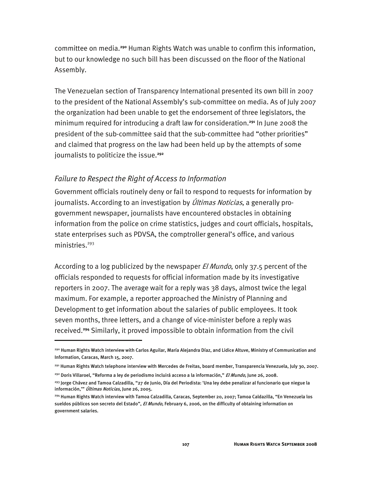committee on media.**<sup>290</sup>** Human Rights Watch was unable to confirm this information, but to our knowledge no such bill has been discussed on the floor of the National Assembly.

The Venezuelan section of Transparency International presented its own bill in 2007 to the president of the National Assembly's sub-committee on media. As of July 2007 the organization had been unable to get the endorsement of three legislators, the minimum required for introducing a draft law for consideration.**<sup>291</sup>** In June 2008 the president of the sub-committee said that the sub-committee had "other priorities" and claimed that progress on the law had been held up by the attempts of some journalists to politicize the issue.**<sup>292</sup>**

### *Failure to Respect the Right of Access to Information*

j

Government officials routinely deny or fail to respond to requests for information by journalists. According to an investigation by *Últimas Noticias*, a generally progovernment newspaper, journalists have encountered obstacles in obtaining information from the police on crime statistics, judges and court officials, hospitals, state enterprises such as PDVSA, the comptroller general's office, and various ministries. $293$ 

According to a log publicized by the newspaper *El Mundo*, only 37.5 percent of the officials responded to requests for official information made by its investigative reporters in 2007. The average wait for a reply was 38 days, almost twice the legal maximum. For example, a reporter approached the Ministry of Planning and Development to get information about the salaries of public employees. It took seven months, three letters, and a change of vice-minister before a reply was received.**<sup>294</sup>** Similarly, it proved impossible to obtain information from the civil

<sup>290</sup> Human Rights Watch interview with Carlos Aguilar, María Alejandra Díaz, and Lidice Altuve, Ministry of Communication and Information, Caracas, March 15, 2007.

<sup>&</sup>lt;sup>291</sup> Human Rights Watch telephone interview with Mercedes de Freitas, board member, Transparencia Venezuela, July 30, 2007.

<sup>&</sup>lt;sup>292</sup> Doris Villaroel, "Reforma a ley de periodismo incluirá acceso a la información," *El Mundo,* June 26, 2008.

<sup>&</sup>lt;sup>293</sup> Jorge Chávez and Tamoa Calzadilla, "27 de Junio, Día del Periodista: 'Una ley debe penalizar al funcionario que niegue la información," Últimas Noticias, June 26, 2005.

<sup>294</sup> Human Rights Watch interview with Tamoa Calzadilla, Caracas, September 20, 2007; Tamoa Caldazilla, "En Venezuela los sueldos públicos son secreto del Estado", El Mundo, February 6, 2006, on the difficulty of obtaining information on government salaries.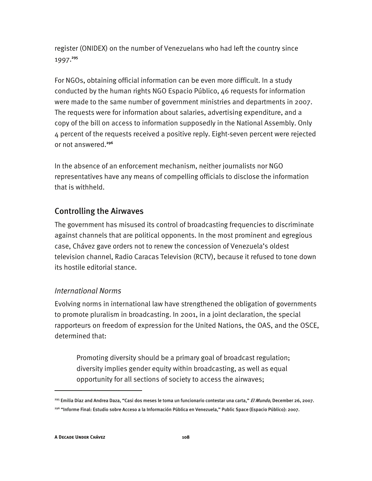register (ONIDEX) on the number of Venezuelans who had left the country since 1997.**<sup>295</sup>**

For NGOs, obtaining official information can be even more difficult. In a study conducted by the human rights NGO Espacio Público, 46 requests for information were made to the same number of government ministries and departments in 2007. The requests were for information about salaries, advertising expenditure, and a copy of the bill on access to information supposedly in the National Assembly. Only 4 percent of the requests received a positive reply. Eight-seven percent were rejected or not answered.**<sup>296</sup>**

In the absence of an enforcement mechanism, neither journalists nor NGO representatives have any means of compelling officials to disclose the information that is withheld.

## Controlling the Airwaves

The government has misused its control of broadcasting frequencies to discriminate against channels that are political opponents. In the most prominent and egregious case, Chávez gave orders not to renew the concession of Venezuela's oldest television channel, Radio Caracas Television (RCTV), because it refused to tone down its hostile editorial stance.

### *International Norms*

Evolving norms in international law have strengthened the obligation of governments to promote pluralism in broadcasting. In 2001, in a joint declaration, the special rapporteurs on freedom of expression for the United Nations, the OAS, and the OSCE, determined that:

Promoting diversity should be a primary goal of broadcast regulation; diversity implies gender equity within broadcasting, as well as equal opportunity for all sections of society to access the airwaves;

**A DECADE UNDER CHÁVEZ 108** 

<sup>&</sup>lt;sup>295</sup> Emilia Díaz and Andrea Daza, "Casi dos meses le toma un funcionario contestar una carta," *El Mundo,* December 26, 2007. <sup>296</sup> "Informe Final: Estudio sobre Acceso a la Información Pública en Venezuela," Public Space (Espacio Público): 2007.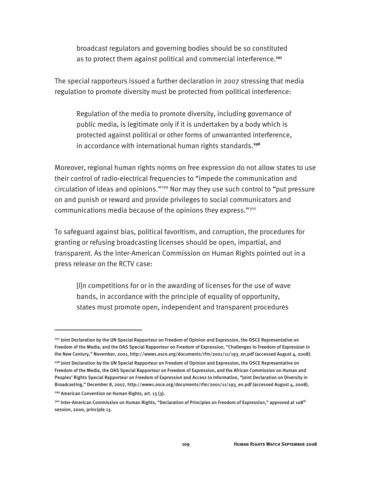broadcast regulators and governing bodies should be so constituted as to protect them against political and commercial interference.**<sup>297</sup>**

The special rapporteurs issued a further declaration in 2007 stressing that media regulation to promote diversity must be protected from political interference:

Regulation of the media to promote diversity, including governance of public media, is legitimate only if it is undertaken by a body which is protected against political or other forms of unwarranted interference, in accordance with international human rights standards.**<sup>298</sup>**

Moreover, regional human rights norms on free expression do not allow states to use their control of radio-electrical frequencies to "impede the communication and circulation of ideas and opinions."<sup>299</sup> Nor may they use such control to "put pressure on and punish or reward and provide privileges to social communicators and communications media because of the opinions they express."<sup>300</sup>

To safeguard against bias, political favoritism, and corruption, the procedures for granting or refusing broadcasting licenses should be open, impartial, and transparent. As the Inter-American Commission on Human Rights pointed out in a press release on the RCTV case:

[I]n competitions for or in the awarding of licenses for the use of wave bands, in accordance with the principle of equality of opportunity, states must promote open, independent and transparent procedures

<sup>&</sup>lt;sup>297</sup> Joint Declaration by the UN Special Rapporteur on Freedom of Opinion and Expression, the OSCE Representative on Freedom of the Media, and the OAS Special Rapporteur on Freedom of Expression, "Challenges to Freedom of Expression in the New Century," November, 2001, http://www1.osce.org/documents/rfm/2001/11/193\_en.pdf (accessed August 4, 2008).

<sup>&</sup>lt;sup>298</sup> Joint Declaration by the UN Special Rapporteur on Freedom of Opinion and Expression, the OSCE Representative on Freedom of the Media, the OAS Special Rapporteur on Freedom of Expression, and the African Commission on Human and Peoples' Rights Special Rapporteur on Freedom of Expression and Access to Information, "Joint Declaration on Diversity in Broadcasting," December 8, 2007, http://www1.osce.org/documents/rfm/2001/11/193\_en.pdf (accessed August 4, 2008).

<sup>299</sup> American Convention on Human Rights, art. 13 (3).

 $3^{00}$  Inter-American Commission on Human Rights, "Declaration of Principles on Freedom of Expression," approved at 108<sup>th</sup> session, 2000, principle 13.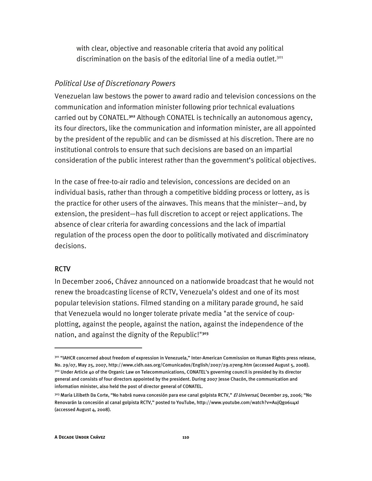with clear, objective and reasonable criteria that avoid any political discrimination on the basis of the editorial line of a media outlet.<sup>301</sup>

## *Political Use of Discretionary Powers*

Venezuelan law bestows the power to award radio and television concessions on the communication and information minister following prior technical evaluations carried out by CONATEL.**<sup>302</sup>** Although CONATEL is technically an autonomous agency, its four directors, like the communication and information minister, are all appointed by the president of the republic and can be dismissed at his discretion. There are no institutional controls to ensure that such decisions are based on an impartial consideration of the public interest rather than the government's political objectives.

In the case of free-to-air radio and television, concessions are decided on an individual basis, rather than through a competitive bidding process or lottery, as is the practice for other users of the airwaves. This means that the minister—and, by extension, the president—has full discretion to accept or reject applications. The absence of clear criteria for awarding concessions and the lack of impartial regulation of the process open the door to politically motivated and discriminatory decisions.

### RCTV

-

In December 2006, Chávez announced on a nationwide broadcast that he would not renew the broadcasting license of RCTV, Venezuela's oldest and one of its most popular television stations. Filmed standing on a military parade ground, he said that Venezuela would no longer tolerate private media "at the service of coupplotting, against the people, against the nation, against the independence of the nation, and against the dignity of the Republic!"**<sup>303</sup>**

<sup>&</sup>lt;sup>301</sup> "IAHCR concerned about freedom of expression in Venezuela," Inter-American Commission on Human Rights press release, No. 29/07, May 25, 2007, http://www.cidh.oas.org/Comunicados/English/2007/29.07eng.htm (accessed August 5, 2008). <sup>302</sup> Under Article 40 of the Organic Law on Telecommunications, CONATEL's governing council is presided by its director general and consists of four directors appointed by the president. During 2007 Jesse Chacón, the communication and information minister, also held the post of director general of CONATEL.

<sup>&</sup>lt;sup>303</sup> María Lilibeth Da Corte, "No habrá nueva concesión para ese canal golpista RCTV," *El Universal,* December 29, 2006; "No Renovarán la concesión al canal golpista RCTV," posted to YouTube, http://www.youtube.com/watch?v=AujQgo6u4xI (accessed August 4, 2008).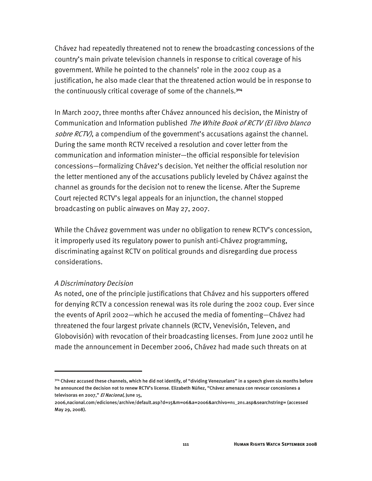Chávez had repeatedly threatened not to renew the broadcasting concessions of the country's main private television channels in response to critical coverage of his government. While he pointed to the channels' role in the 2002 coup as a justification, he also made clear that the threatened action would be in response to the continuously critical coverage of some of the channels.**<sup>304</sup>**

In March 2007, three months after Chávez announced his decision, the Ministry of Communication and Information published The White Book of RCTV (El libro blanco sobre RCTV), a compendium of the government's accusations against the channel. During the same month RCTV received a resolution and cover letter from the communication and information minister—the official responsible for television concessions—formalizing Chávez's decision. Yet neither the official resolution nor the letter mentioned any of the accusations publicly leveled by Chávez against the channel as grounds for the decision not to renew the license. After the Supreme Court rejected RCTV's legal appeals for an injunction, the channel stopped broadcasting on public airwaves on May 27, 2007.

While the Chávez government was under no obligation to renew RCTV's concession, it improperly used its regulatory power to punish anti-Chávez programming, discriminating against RCTV on political grounds and disregarding due process considerations.

### *A Discriminatory Decision*

j

As noted, one of the principle justifications that Chávez and his supporters offered for denying RCTV a concession renewal was its role during the 2002 coup. Ever since the events of April 2002—which he accused the media of fomenting—Chávez had threatened the four largest private channels (RCTV, Venevisión, Televen, and Globovisión) with revocation of their broadcasting licenses. From June 2002 until he made the announcement in December 2006, Chávez had made such threats on at

<sup>&</sup>lt;sup>304</sup> Chávez accused these channels, which he did not identify, of "dividing Venezuelans" in a speech given six months before he announced the decision not to renew RCTV's license. Elizabeth Núñez, "Chávez amenaza con revocar concesiones a televisoras en 2007," El Nacional, June 15,

<sup>2006,</sup>nacional.com/ediciones/archive/default.asp?d=15&m=06&a=2006&archivo=n1\_2n1.asp&searchstring= (accessed May 29, 2008).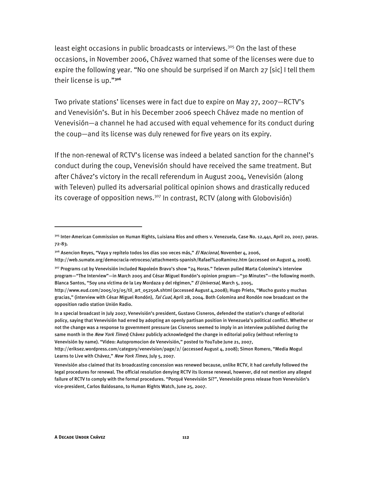least eight occasions in public broadcasts or interviews.<sup>305</sup> On the last of these occasions, in November 2006, Chávez warned that some of the licenses were due to expire the following year. "No one should be surprised if on March 27 [sic] I tell them their license is up."**<sup>306</sup>**

Two private stations' licenses were in fact due to expire on May 27, 2007—RCTV's and Venevisión's. But in his December 2006 speech Chávez made no mention of Venevisión—a channel he had accused with equal vehemence for its conduct during the coup—and its license was duly renewed for five years on its expiry.

If the non-renewal of RCTV's license was indeed a belated sanction for the channel's conduct during the coup, Venevisión should have received the same treatment. But after Chávez's victory in the recall referendum in August 2004, Venevisión (along with Televen) pulled its adversarial political opinion shows and drastically reduced its coverage of opposition news.<sup>307</sup> In contrast, RCTV (along with Globovisión)

http://web.sumate.org/democracia-retroceso/attachments-spanish/Rafael%20Ramirez.htm (accessed on August 4, 2008).

In a special broadcast in July 2007, Venevisión's president, Gustavo Cisneros, defended the station's change of editorial policy, saying that Venevisión had erred by adopting an openly partisan position in Venezuela's political conflict. Whether or not the change was a response to government pressure (as Cisneros seemed to imply in an interview published during the same month in the New York Times) Chávez publicly acknowledged the change in editorial policy (without referring to Venevisión by name). "Video: Autopromocion de Venevisión," posted to YouTube June 21, 2007,

j

<sup>3</sup>º5 Inter-American Commission on Human Rights, Luisiana Ríos and others v. Venezuela, Case No. 12,441, April 20, 2007, paras. 72-83.

<sup>&</sup>lt;sup>306</sup> Asencion Reyes, "Vaya y repítelo todos los días 100 veces más," *El Nacional,* November 4, 2006,

<sup>&</sup>lt;sup>307</sup> Programs cut by Venevisión included Napoleón Bravo's show "24 Horas." Televen pulled Marta Colomina's interview program—"The Interview"—in March 2005 and César Miguel Rondón's opinion program—"30 Minutes"—the following month. Blanca Santos, "Soy una víctima de la Ley Mordaza y del régimen," El Universal, March 5, 2005,

http://www.eud.com/2005/03/05/til\_art\_05250A.shtml (accessed August 4,2008); Hugo Prieto, "Mucho gusto y muchas gracias," (interview with César Miguel Rondón), Tal Cual, April 28, 2004. Both Colomina and Rondón now broadcast on the opposition radio station Unión Radio.

http://eriksez.wordpress.com/category/venevision/page/2/ (accessed August 4, 2008); Simon Romero, "Media Mogul Learns to Live with Chávez," New York Times, July 5, 2007.

Venevisión also claimed that its broadcasting concession was renewed because, unlike RCTV, it had carefully followed the legal procedures for renewal. The official resolution denying RCTV its license renewal, however, did not mention any alleged failure of RCTV to comply with the formal procedures. "Porqué Venevisión Sí?", Venevisión press release from Venevisión's vice-president, Carlos Baldosano, to Human Rights Watch, June 25, 2007.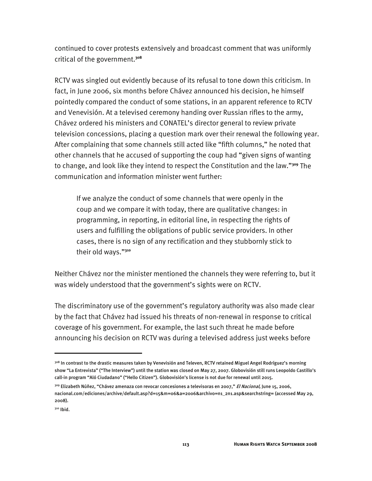continued to cover protests extensively and broadcast comment that was uniformly critical of the government.**<sup>308</sup>**

RCTV was singled out evidently because of its refusal to tone down this criticism. In fact, in June 2006, six months before Chávez announced his decision, he himself pointedly compared the conduct of some stations, in an apparent reference to RCTV and Venevisión. At a televised ceremony handing over Russian rifles to the army, Chávez ordered his ministers and CONATEL's director general to review private television concessions, placing a question mark over their renewal the following year. After complaining that some channels still acted like "fifth columns," he noted that other channels that he accused of supporting the coup had "given signs of wanting to change, and look like they intend to respect the Constitution and the law."**<sup>309</sup>** The communication and information minister went further:

If we analyze the conduct of some channels that were openly in the coup and we compare it with today, there are qualitative changes: in programming, in reporting, in editorial line, in respecting the rights of users and fulfilling the obligations of public service providers. In other cases, there is no sign of any rectification and they stubbornly stick to their old ways."**<sup>310</sup>**

Neither Chávez nor the minister mentioned the channels they were referring to, but it was widely understood that the government's sights were on RCTV.

The discriminatory use of the government's regulatory authority was also made clear by the fact that Chávez had issued his threats of non-renewal in response to critical coverage of his government. For example, the last such threat he made before announcing his decision on RCTV was during a televised address just weeks before

<sup>&</sup>lt;sup>308</sup> In contrast to the drastic measures taken by Venevisión and Televen, RCTV retained Miguel Angel Rodríguez's morning show "La Entrevista" ("The Interview") until the station was closed on May 27, 2007. Globovisión still runs Leopoldo Castillo's call-in program "Aló Ciudadano" ("Hello Citizen"). Globovisión's license is not due for renewal until 2015.

<sup>&</sup>lt;sup>309</sup> Elizabeth Núñez, "Chávez amenaza con revocar concesiones a televisoras en 2007," *El Nacional*, June 15, 2006, nacional.com/ediciones/archive/default.asp?d=15&m=06&a=2006&archivo=n1\_2n1.asp&searchstring= (accessed May 29, 2008).

 $310$  Ibid.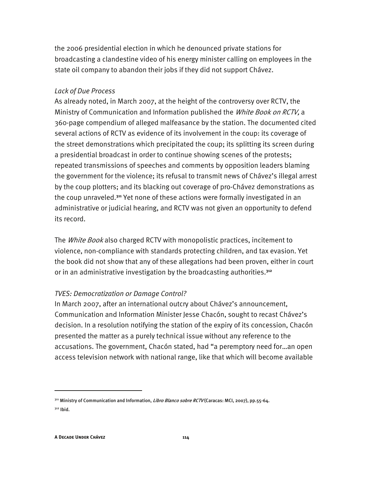the 2006 presidential election in which he denounced private stations for broadcasting a clandestine video of his energy minister calling on employees in the state oil company to abandon their jobs if they did not support Chávez.

#### *Lack of Due Process*

As already noted, in March 2007, at the height of the controversy over RCTV, the Ministry of Communication and Information published the *White Book on RCTV*, a 360-page compendium of alleged malfeasance by the station. The documented cited several actions of RCTV as evidence of its involvement in the coup: its coverage of the street demonstrations which precipitated the coup; its splitting its screen during a presidential broadcast in order to continue showing scenes of the protests; repeated transmissions of speeches and comments by opposition leaders blaming the government for the violence; its refusal to transmit news of Chávez's illegal arrest by the coup plotters; and its blacking out coverage of pro-Chávez demonstrations as the coup unraveled.**<sup>311</sup>** Yet none of these actions were formally investigated in an administrative or judicial hearing, and RCTV was not given an opportunity to defend its record.

The *White Book* also charged RCTV with monopolistic practices, incitement to violence, non-compliance with standards protecting children, and tax evasion. Yet the book did not show that any of these allegations had been proven, either in court or in an administrative investigation by the broadcasting authorities.**<sup>312</sup>**

#### *TVES: Democratization or Damage Control?*

In March 2007, after an international outcry about Chávez's announcement, Communication and Information Minister Jesse Chacón, sought to recast Chávez's decision. In a resolution notifying the station of the expiry of its concession, Chacón presented the matter as a purely technical issue without any reference to the accusations. The government, Chacón stated, had "a peremptory need for…an open access television network with national range, like that which will become available

<sup>&</sup>lt;sup>311</sup> Ministry of Communication and Information, *Libro Blanco sobre RCTV* (Caracas: MCI, 2007), pp.55-64.  $312$  Ibid.

**A DECADE UNDER CHÁVEZ 114**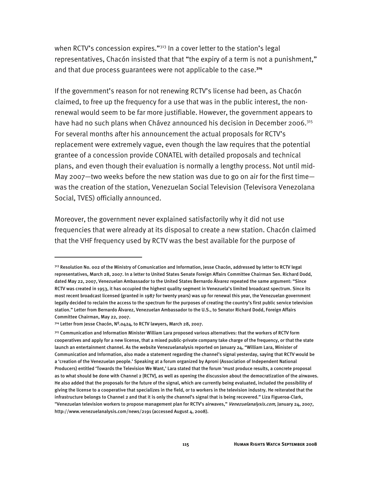when RCTV's concession expires."<sup>313</sup> In a cover letter to the station's legal representatives, Chacón insisted that that "the expiry of a term is not a punishment," and that due process guarantees were not applicable to the case.**<sup>314</sup>**

If the government's reason for not renewing RCTV's license had been, as Chacón claimed, to free up the frequency for a use that was in the public interest, the nonrenewal would seem to be far more justifiable. However, the government appears to have had no such plans when Chávez announced his decision in December 2006.315 For several months after his announcement the actual proposals for RCTV's replacement were extremely vague, even though the law requires that the potential grantee of a concession provide CONATEL with detailed proposals and technical plans, and even though their evaluation is normally a lengthy process. Not until mid-May 2007—two weeks before the new station was due to go on air for the first time was the creation of the station, Venezuelan Social Television (Televisora Venezolana Social, TVES) officially announced.

Moreover, the government never explained satisfactorily why it did not use frequencies that were already at its disposal to create a new station. Chacón claimed that the VHF frequency used by RCTV was the best available for the purpose of

-

<sup>&</sup>lt;sup>313</sup> Resolution No. 002 of the Ministry of Comunication and Information, Jesse Chacón, addressed by letter to RCTV legal representatives, March 28, 2007. In a letter to United States Senate Foreign Affairs Committee Chairman Sen. Richard Dodd, dated May 22, 2007, Venezuelan Ambassador to the United States Bernardo Álvarez repeated the same argument: "Since RCTV was created in 1953, it has occupied the highest quality segment in Venezuela's limited broadcast spectrum. Since its most recent broadcast licensed (granted in 1987 for twenty years) was up for renewal this year, the Venezuelan government legally decided to reclaim the access to the spectrum for the purposes of creating the country's first public service television station." Letter from Bernardo Álvarez, Venezuelan Ambassador to the U.S., to Senator Richard Dodd, Foreign Affairs Committee Chairman, May 22, 2007.

<sup>314</sup> Letter from Jesse Chacón, Nº.0424, to RCTV lawyers, March 28, 2007.

<sup>&</sup>lt;sup>315</sup> Communication and Information Minister William Lara proposed various alternatives: that the workers of RCTV form cooperatives and apply for a new license, that a mixed public-private company take charge of the frequency, or that the state launch an entertainment channel. As the website Venezuelanalysis reported on January 24, "William Lara, Minister of Communication and Information, also made a statement regarding the channel's signal yesterday, saying that RCTV would be a 'creation of the Venezuelan people.' Speaking at a forum organized by Aproni (Association of Independent National Producers) entitled 'Towards the Television We Want,' Lara stated that the forum 'must produce results, a concrete proposal as to what should be done with Channel 2 [RCTV], as well as opening the discussion about the democratization of the airwaves. He also added that the proposals for the future of the signal, which are currently being evaluated, included the possibility of giving the license to a cooperative that specializes in the field, or to workers in the television industry. He reiterated that the infrastructure belongs to Channel 2 and that it is only the channel's signal that is being recovered." Liza Figueroa-Clark, "Venezuelan television workers to propose management plan for RCTV's airwaves," Venezuelanalysis.com, January 24, 2007, http://www.venezuelanalysis.com/news/2191 (accessed August 4, 2008).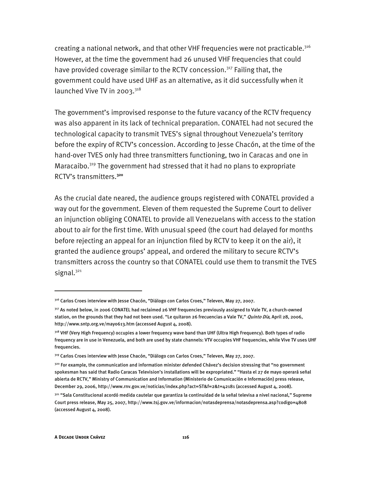creating a national network, and that other VHF frequencies were not practicable.<sup>316</sup> However, at the time the government had 26 unused VHF frequencies that could have provided coverage similar to the RCTV concession.<sup>317</sup> Failing that, the government could have used UHF as an alternative, as it did successfully when it launched Vive TV in 2003. $318$ 

The government's improvised response to the future vacancy of the RCTV frequency was also apparent in its lack of technical preparation. CONATEL had not secured the technological capacity to transmit TVES's signal throughout Venezuela's territory before the expiry of RCTV's concession. According to Jesse Chacón, at the time of the hand-over TVES only had three transmitters functioning, two in Caracas and one in Maracaibo.<sup>319</sup> The government had stressed that it had no plans to expropriate RCTV's transmitters.**<sup>320</sup>**

As the crucial date neared, the audience groups registered with CONATEL provided a way out for the government. Eleven of them requested the Supreme Court to deliver an injunction obliging CONATEL to provide all Venezuelans with access to the station about to air for the first time. With unusual speed (the court had delayed for months before rejecting an appeal for an injunction filed by RCTV to keep it on the air), it granted the audience groups' appeal, and ordered the military to secure RCTV's transmitters across the country so that CONATEL could use them to transmit the TVES signal.<sup>321</sup>

-

<sup>316</sup> Carlos Croes interview with Jesse Chacón, "Diálogo con Carlos Croes," Televen, May 27, 2007.

<sup>317</sup> As noted below, in 2006 CONATEL had reclaimed 26 VHF frequencies previously assigned to Vale TV, a church-owned station, on the grounds that they had not been used. "Le quitaron 26 frecuencias a Vale TV," Quinto Día, April 28, 2006, http://www.sntp.org.ve/mayo613.htm (accessed August 4, 2008).

<sup>&</sup>lt;sup>318</sup> VHF (Very High Frequency) occupies a lower frequency wave band than UHF (Ultra High Frequency). Both types of radio frequency are in use in Venezuela, and both are used by state channels: VTV occupies VHF frequencies, while Vive TV uses UHF frequencies.

<sup>&</sup>lt;sup>319</sup> Carlos Croes interview with Jesse Chacón, "Diálogo con Carlos Croes," Televen, May 27, 2007.

<sup>&</sup>lt;sup>320</sup> For example, the communication and information minister defended Chávez's decision stressing that "no government spokesman has said that Radio Caracas Television's installations will be expropriated." "Hasta el 27 de mayo operará señal abierta de RCTV," Ministry of Communication and Information (Ministerio de Comunicación e Información) press release, December 29, 2006, http://www.rnv.gov.ve/noticias/index.php?act=ST&f=2&t=42181 (accessed August 4, 2008).

<sup>&</sup>lt;sup>321</sup> "Sala Constitucional acordó medida cautelar que garantiza la continuidad de la señal televisa a nivel nacional," Supreme Court press release, May 25, 2007, http://www.tsj.gov.ve/informacion/notasdeprensa/notasdeprensa.asp?codigo=4808 (accessed August 4, 2008).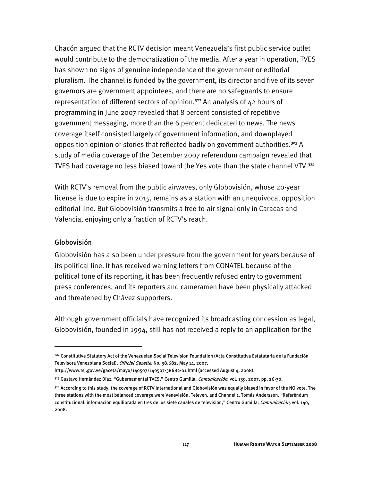Chacón argued that the RCTV decision meant Venezuela's first public service outlet would contribute to the democratization of the media. After a year in operation, TVES has shown no signs of genuine independence of the government or editorial pluralism. The channel is funded by the government, its director and five of its seven governors are government appointees, and there are no safeguards to ensure representation of different sectors of opinion.**<sup>322</sup>** An analysis of 42 hours of programming in June 2007 revealed that 8 percent consisted of repetitive government messaging, more than the 6 percent dedicated to news. The news coverage itself consisted largely of government information, and downplayed opposition opinion or stories that reflected badly on government authorities.**<sup>323</sup>** A study of media coverage of the December 2007 referendum campaign revealed that TVES had coverage no less biased toward the Yes vote than the state channel VTV.**<sup>324</sup>**

With RCTV's removal from the public airwaves, only Globovisión, whose 20-year license is due to expire in 2015, remains as a station with an unequivocal opposition editorial line. But Globovisión transmits a free-to-air signal only in Caracas and Valencia, enjoying only a fraction of RCTV's reach.

#### Globovisión

-

Globovisión has also been under pressure from the government for years because of its political line. It has received warning letters from CONATEL because of the political tone of its reporting, it has been frequently refused entry to government press conferences, and its reporters and cameramen have been physically attacked and threatened by Chávez supporters.

Although government officials have recognized its broadcasting concession as legal, Globovisión, founded in 1994, still has not received a reply to an application for the

<sup>&</sup>lt;sup>322</sup> Constitutive Statutory Act of the Venezuelan Social Television Foundation (Acta Constitutiva Estatutaria de la Fundación Televisora Venezolana Social), Official Gazette, No. 38.682, May 14, 2007,

http://www.tsj.gov.ve/gaceta/mayo/140507/140507-38682-01.html (accessed August 4, 2008).

<sup>323</sup> Gustavo Hernández Díaz, "Gubernamental TVES," Centro Gumilla, *Comunicación,* vol. 139, 2007, pp. 26-30.

<sup>324</sup> According to this study, the coverage of RCTV International and Globovisión was equally biased in favor of the NO vote. The three stations with the most balanced coverage were Venevisión, Televen, and Channel 1. Tomás Andersson, "Referéndum constitucional: información equilibrada en tres de los siete canales de televisión," Centro Gumilla, Comunicación, vol. 140, 2008.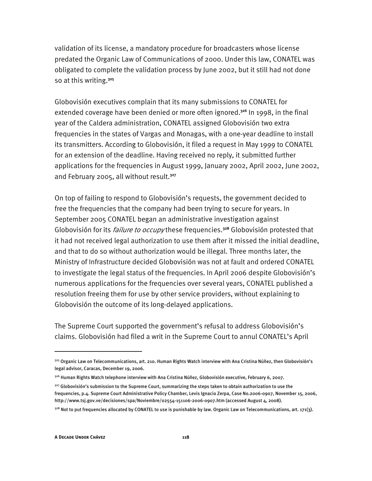validation of its license, a mandatory procedure for broadcasters whose license predated the Organic Law of Communications of 2000. Under this law, CONATEL was obligated to complete the validation process by June 2002, but it still had not done so at this writing.**<sup>325</sup>**

Globovisión executives complain that its many submissions to CONATEL for extended coverage have been denied or more often ignored.**<sup>326</sup>** In 1998, in the final year of the Caldera administration, CONATEL assigned Globovisión two extra frequencies in the states of Vargas and Monagas, with a one-year deadline to install its transmitters. According to Globovisión, it filed a request in May 1999 to CONATEL for an extension of the deadline. Having received no reply, it submitted further applications for the frequencies in August 1999, January 2002, April 2002, June 2002, and February 2005, all without result.**<sup>327</sup>**

On top of failing to respond to Globovisión's requests, the government decided to free the frequencies that the company had been trying to secure for years. In September 2005 CONATEL began an administrative investigation against Globovisión for its failure to occupy these frequencies.**<sup>328</sup>** Globovisión protested that it had not received legal authorization to use them after it missed the initial deadline, and that to do so without authorization would be illegal. Three months later, the Ministry of Infrastructure decided Globovisión was not at fault and ordered CONATEL to investigate the legal status of the frequencies. In April 2006 despite Globovisión's numerous applications for the frequencies over several years, CONATEL published a resolution freeing them for use by other service providers, without explaining to Globovisión the outcome of its long-delayed applications.

The Supreme Court supported the government's refusal to address Globovisión's claims. Globovisión had filed a writ in the Supreme Court to annul CONATEL's April

<sup>325</sup> Organic Law on Telecommunications, art. 210. Human Rights Watch interview with Ana Cristina Núñez, then Globovisión's legal advisor, Caracas, December 19, 2006.

<sup>326</sup> Human Rights Watch telephone interview with Ana Cristina Núñez, Globovisión executive, February 6, 2007.

<sup>&</sup>lt;sup>327</sup> Globovisión's submission to the Supreme Court, summarizing the steps taken to obtain authorization to use the frequencies, p.4. Supreme Court Administrative Policy Chamber, Levis Ignacio Zerpa, Case No.2006-0907, November 15, 2006, http://www.tsj.gov.ve/decisiones/spa/Noviembre/02554-151106-2006-0907.htm (accessed August 4, 2008).

 $3^{28}$  Not to put frequencies allocated by CONATEL to use is punishable by law. Organic Law on Telecommunications, art. 171(3).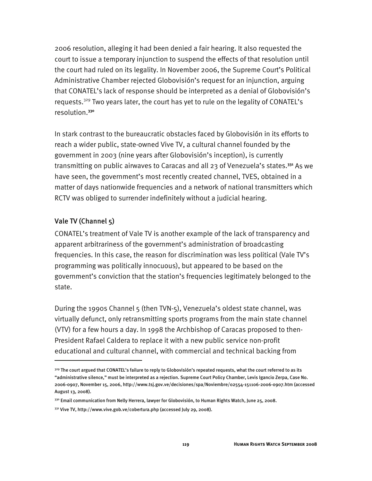2006 resolution, alleging it had been denied a fair hearing. It also requested the court to issue a temporary injunction to suspend the effects of that resolution until the court had ruled on its legality. In November 2006, the Supreme Court's Political Administrative Chamber rejected Globovisión's request for an injunction, arguing that CONATEL's lack of response should be interpreted as a denial of Globovisión's requests.<sup>329</sup> Two years later, the court has yet to rule on the legality of CONATEL's resolution.**<sup>330</sup>**

In stark contrast to the bureaucratic obstacles faced by Globovisión in its efforts to reach a wider public, state-owned Vive TV, a cultural channel founded by the government in 2003 (nine years after Globovisión's inception), is currently transmitting on public airwaves to Caracas and all 23 of Venezuela's states.**<sup>331</sup>** As we have seen, the government's most recently created channel, TVES, obtained in a matter of days nationwide frequencies and a network of national transmitters which RCTV was obliged to surrender indefinitely without a judicial hearing.

### Vale TV (Channel 5)

I

CONATEL's treatment of Vale TV is another example of the lack of transparency and apparent arbitrariness of the government's administration of broadcasting frequencies. In this case, the reason for discrimination was less political (Vale TV's programming was politically innocuous), but appeared to be based on the government's conviction that the station's frequencies legitimately belonged to the state.

During the 1990s Channel 5 (then TVN-5), Venezuela's oldest state channel, was virtually defunct, only retransmitting sports programs from the main state channel (VTV) for a few hours a day. In 1998 the Archbishop of Caracas proposed to then-President Rafael Caldera to replace it with a new public service non-profit educational and cultural channel, with commercial and technical backing from

<sup>&</sup>lt;sup>329</sup> The court argued that CONATEL's failure to reply to Globovisión's repeated requests, what the court referred to as its "administrative silence," must be interpreted as a rejection. Supreme Court Policy Chamber, Levis Igancio Zerpa, Case No. 2006-0907, November 15, 2006, http://www.tsj.gov.ve/decisiones/spa/Noviembre/02554-151106-2006-0907.htm (accessed August 13, 2008).

<sup>33</sup>º Email communication from Nelly Herrera, lawyer for Globovisión, to Human Rights Watch, June 25, 2008.

<sup>331</sup> Vive TV, http://www.vive.gob.ve/cobertura.php (accessed July 29, 2008).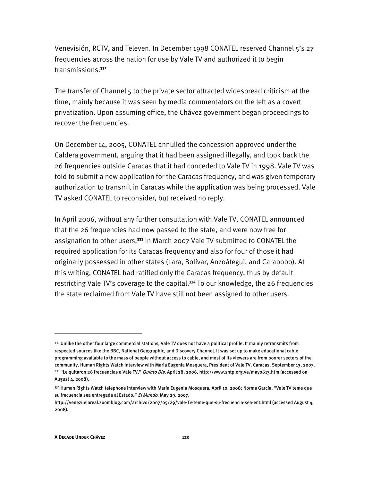Venevisión, RCTV, and Televen. In December 1998 CONATEL reserved Channel 5's 27 frequencies across the nation for use by Vale TV and authorized it to begin transmissions.**<sup>332</sup>**

The transfer of Channel 5 to the private sector attracted widespread criticism at the time, mainly because it was seen by media commentators on the left as a covert privatization. Upon assuming office, the Chávez government began proceedings to recover the frequencies.

On December 14, 2005, CONATEL annulled the concession approved under the Caldera government, arguing that it had been assigned illegally, and took back the 26 frequencies outside Caracas that it had conceded to Vale TV in 1998. Vale TV was told to submit a new application for the Caracas frequency, and was given temporary authorization to transmit in Caracas while the application was being processed. Vale TV asked CONATEL to reconsider, but received no reply.

In April 2006, without any further consultation with Vale TV, CONATEL announced that the 26 frequencies had now passed to the state, and were now free for assignation to other users.**<sup>333</sup>** In March 2007 Vale TV submitted to CONATEL the required application for its Caracas frequency and also for four of those it had originally possessed in other states (Lara, Bolívar, Anzoátegui, and Carabobo). At this writing, CONATEL had ratified only the Caracas frequency, thus by default restricting Vale TV's coverage to the capital.**<sup>334</sup>** To our knowledge, the 26 frequencies the state reclaimed from Vale TV have still not been assigned to other users.

<sup>332</sup> Unlike the other four large commercial stations, Vale TV does not have a political profile. It mainly retransmits from respected sources like the BBC, National Geographic, and Discovery Channel. It was set up to make educational cable programming available to the mass of people without access to cable, and most of its viewers are from poorer sectors of the community. Human Rights Watch interview with María Eugenia Mosquera, President of Vale TV, Caracas, September 13, 2007. <sup>333</sup> "Le quitaron 26 frecuencias a Vale TV," *Quinto Día,* April 28, 2006, http://www.sntp.org.ve/mayo613.htm (accessed on August 4, 2008).

<sup>334</sup> Human Rights Watch telephone interview with María Eugenia Mosquera, April 10, 2008; Norma García, "Vale TV teme que su frecuencia sea entregada al Estado," El Mundo, May 29, 2007,

http://venezuelareal.zoomblog.com/archivo/2007/05/29/vale-Tv-teme-que-su-frecuencia-sea-ent.html (accessed August 4, 2008).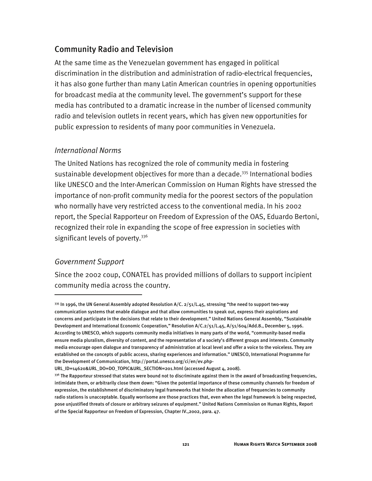## Community Radio and Television

At the same time as the Venezuelan government has engaged in political discrimination in the distribution and administration of radio-electrical frequencies, it has also gone further than many Latin American countries in opening opportunities for broadcast media at the community level. The government's support for these media has contributed to a dramatic increase in the number of licensed community radio and television outlets in recent years, which has given new opportunities for public expression to residents of many poor communities in Venezuela.

## *International Norms*

The United Nations has recognized the role of community media in fostering sustainable development objectives for more than a decade.<sup>335</sup> International bodies like UNESCO and the Inter-American Commission on Human Rights have stressed the importance of non-profit community media for the poorest sectors of the population who normally have very restricted access to the conventional media. In his 2002 report, the Special Rapporteur on Freedom of Expression of the OAS, Eduardo Bertoni, recognized their role in expanding the scope of free expression in societies with significant levels of poverty.<sup>336</sup>

## *Government Support*

j

Since the 2002 coup, CONATEL has provided millions of dollars to support incipient community media across the country.

 $335$  In 1996, the UN General Assembly adopted Resolution A/C.  $2/51/L.45$ , stressing "the need to support two-way communication systems that enable dialogue and that allow communities to speak out, express their aspirations and concerns and participate in the decisions that relate to their development." United Nations General Assembly, "Sustainable Development and International Economic Cooperation," Resolution A/C.2/51/L.45, A/51/604/Add.8., December 5, 1996. According to UNESCO, which supports community media initiatives in many parts of the world, "community-based media ensure media pluralism, diversity of content, and the representation of a society's different groups and interests. Community media encourage open dialogue and transparency of administration at local level and offer a voice to the voiceless. They are established on the concepts of public access, sharing experiences and information." UNESCO, International Programme for the Development of Communication, http://portal.unesco.org/ci/en/ev.php-

URL\_ID=14620&URL\_DO=DO\_TOPIC&URL\_SECTION=201.html (accessed August 4, 2008).

 $336$  The Rapporteur stressed that states were bound not to discriminate against them in the award of broadcasting frequencies, intimidate them, or arbitrarily close them down: "Given the potential importance of these community channels for freedom of expression, the establishment of discriminatory legal frameworks that hinder the allocation of frequencies to community radio stations is unacceptable. Equally worrisome are those practices that, even when the legal framework is being respected, pose unjustified threats of closure or arbitrary seizures of equipment." United Nations Commission on Human Rights, Report of the Special Rapporteur on Freedom of Expression, Chapter IV.,2002, para. 47.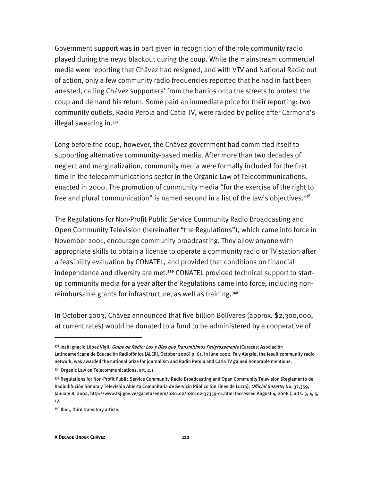Government support was in part given in recognition of the role community radio played during the news blackout during the coup. While the mainstream commercial media were reporting that Chávez had resigned, and with VTV and National Radio out of action, only a few community radio frequencies reported that he had in fact been arrested, calling Chávez supporters' from the barrios onto the streets to protest the coup and demand his return. Some paid an immediate price for their reporting: two community outlets, Radio Perola and Catia TV, were raided by police after Carmona's illegal swearing in.**<sup>337</sup>**

Long before the coup, however, the Chávez government had committed itself to supporting alternative community-based media. After more than two decades of neglect and marginalization, community media were formally included for the first time in the telecommunications sector in the Organic Law of Telecommunications, enacted in 2000. The promotion of community media "for the exercise of the right to free and plural communication" is named second in a list of the law's objectives.<sup>338</sup>

The Regulations for Non-Profit Public Service Community Radio Broadcasting and Open Community Television (hereinafter "the Regulations"), which came into force in November 2001, encourage community broadcasting. They allow anyone with appropriate skills to obtain a license to operate a community radio or TV station after a feasibility evaluation by CONATEL, and provided that conditions on financial independence and diversity are met.**339** CONATEL provided technical support to startup community media for a year after the Regulations came into force, including nonreimbursable grants for infrastructure, as well as training.**<sup>340</sup>**

In October 2003, Chávez announced that five billion Bolívares (approx. \$2,300,000, at current rates) would be donated to a fund to be administered by a cooperative of

j

<sup>337</sup> José Ignacio López Vigil, *Golpe de Radio: Los 3 Días que Transmitimos Peligrosamente* (Caracas: Asociación Latinoamericana de Educación Radiofónica [ALER], October 2006) p. 61. In June 2002, Fe y Alegría, the Jesuit community radio network, was awarded the national prize for journalism and Radio Perola and Catia TV gained honorable mentions.

<sup>338</sup> Organic Law on Telecommunications, art. 2.1.

<sup>339</sup> Regulations for Non-Profit Public Service Community Radio Broadcasting and Open Community Television (Reglamento de Radiodifución Sonora y Televisión Abierta Comunitaria de Servicio Público Sin Fines de Lucro), Official Gazette, No. 37,359, January 8, 2002, http://www.tsj.gov.ve/gaceta/enero/080102/080102-37359-01.html (accessed August 4, 2008 ), arts. 3, 4, 5, 17.

<sup>340</sup> Ibid., third transitory article.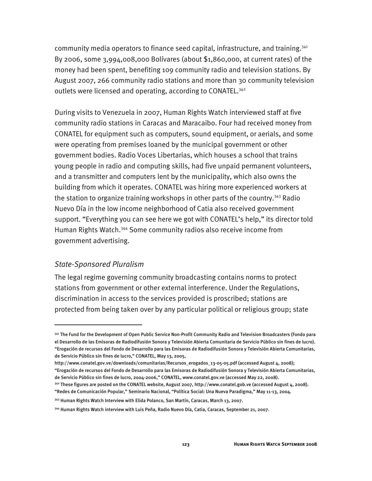community media operators to finance seed capital, infrastructure, and training.<sup>341</sup> By 2006, some 3,994,008,000 Bolívares (about \$1,860,000, at current rates) of the money had been spent, benefiting 109 community radio and television stations. By August 2007, 266 community radio stations and more than 30 community television outlets were licensed and operating, according to CONATEL.<sup>342</sup>

During visits to Venezuela in 2007, Human Rights Watch interviewed staff at five community radio stations in Caracas and Maracaibo. Four had received money from CONATEL for equipment such as computers, sound equipment, or aerials, and some were operating from premises loaned by the municipal government or other government bodies. Radio Voces Libertarias, which houses a school that trains young people in radio and computing skills, had five unpaid permanent volunteers, and a transmitter and computers lent by the municipality, which also owns the building from which it operates. CONATEL was hiring more experienced workers at the station to organize training workshops in other parts of the country.<sup>343</sup> Radio Nuevo Día in the low income neighborhood of Catia also received government support. "Everything you can see here we got with CONATEL's help," its director told Human Rights Watch.<sup>344</sup> Some community radios also receive income from government advertising.

### *State-Sponsored Pluralism*

I

The legal regime governing community broadcasting contains norms to protect stations from government or other external interference. Under the Regulations, discrimination in access to the services provided is proscribed; stations are protected from being taken over by any particular political or religious group; state

<sup>341</sup> The Fund for the Development of Open Public Service Non-Profit Community Radio and Television Broadcasters (Fondo para el Desarrollo de las Emisoras de Radiodifusión Sonora y Televisión Abierta Comunitaria de Servicio Público sin fines de lucro). "Erogación de recursos del Fondo de Desarrollo para las Emisoras de Radiodifusión Sonora y Televisión Abierta Comunitarias, de Servicio Público sin fines de lucro," CONATEL, May 13, 2005,

http://www.conatel.gov.ve/downloads/comunitarias/Recursos\_erogados\_13-05-05.pdf (accessed August 4, 2008);

<sup>&</sup>quot;Erogación de recursos del Fondo de Desarrollo para las Emisoras de Radiodifusión Sonora y Televisión Abierta Comunitarias, de Servicio Público sin fines de lucro, 2004-2006," CONATEL, www.conatel.gov.ve (accessed May 22, 2008).

<sup>342</sup> These figures are posted on the CONATEL website, August 2007, http://www.conatel.gob.ve (accessed August 4, 2008).

<sup>&</sup>quot;Redes de Comunicación Popular," Seminario Nacional, "Política Social: Una Nueva Paradigma," May 11-13, 2004.

<sup>343</sup> Human Rights Watch Interview with Elida Polanco, San Martín, Caracas, March 13, 2007.

<sup>344</sup> Human Rights Watch interview with Luis Peña, Radio Nuevo Día, Catia, Caracas, September 21, 2007.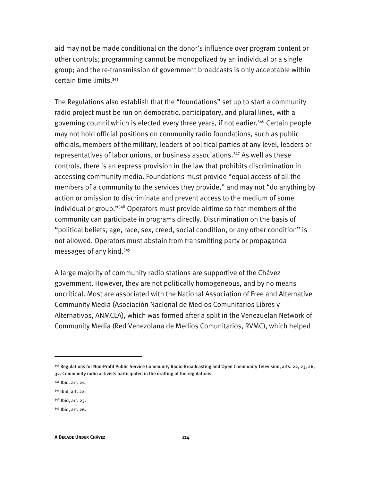aid may not be made conditional on the donor's influence over program content or other controls; programming cannot be monopolized by an individual or a single group; and the re-transmission of government broadcasts is only acceptable within certain time limits.**<sup>345</sup>**

The Regulations also establish that the "foundations" set up to start a community radio project must be run on democratic, participatory, and plural lines, with a governing council which is elected every three years, if not earlier.<sup>346</sup> Certain people may not hold official positions on community radio foundations, such as public officials, members of the military, leaders of political parties at any level, leaders or representatives of labor unions, or business associations.347 As well as these controls, there is an express provision in the law that prohibits discrimination in accessing community media. Foundations must provide "equal access of all the members of a community to the services they provide," and may not "do anything by action or omission to discriminate and prevent access to the medium of some individual or group."348 Operators must provide airtime so that members of the community can participate in programs directly. Discrimination on the basis of "political beliefs, age, race, sex, creed, social condition, or any other condition" is not allowed. Operators must abstain from transmitting party or propaganda messages of any kind.349

A large majority of community radio stations are supportive of the Chávez government. However, they are not politically homogeneous, and by no means uncritical. Most are associated with the National Association of Free and Alternative Community Media (Asociación Nacional de Medios Comunitarios Libres y Alternativos, ANMCLA), which was formed after a split in the Venezuelan Network of Community Media (Red Venezolana de Medios Comunitarios, RVMC), which helped

<sup>345</sup> Regulations for Non-Profit Public Service Community Radio Broadcasting and Open Community Television, arts. 22, 23, 26, 32. Community radio activists participated in the drafting of the regulations.

<sup>346</sup> Ibid. art. 21.

<sup>347</sup> Ibid, art. 22.

<sup>348</sup> Ibid, art. 23.

<sup>349</sup> Ibid, art. 26.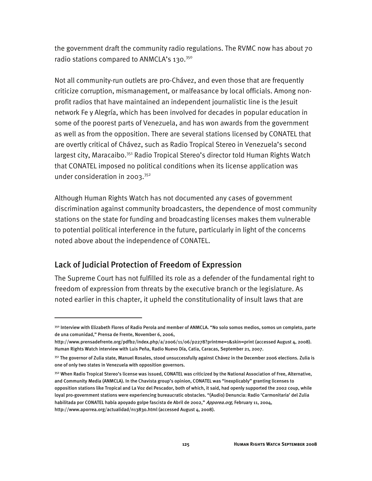the government draft the community radio regulations. The RVMC now has about 70 radio stations compared to ANMCLA's 130.350

Not all community-run outlets are pro-Chávez, and even those that are frequently criticize corruption, mismanagement, or malfeasance by local officials. Among nonprofit radios that have maintained an independent journalistic line is the Jesuit network Fe y Alegría, which has been involved for decades in popular education in some of the poorest parts of Venezuela, and has won awards from the government as well as from the opposition. There are several stations licensed by CONATEL that are overtly critical of Chávez, such as Radio Tropical Stereo in Venezuela's second largest city, Maracaibo.351 Radio Tropical Stereo's director told Human Rights Watch that CONATEL imposed no political conditions when its license application was under consideration in 2003.<sup>352</sup>

Although Human Rights Watch has not documented any cases of government discrimination against community broadcasters, the dependence of most community stations on the state for funding and broadcasting licenses makes them vulnerable to potential political interference in the future, particularly in light of the concerns noted above about the independence of CONATEL.

## Lack of Judicial Protection of Freedom of Expression

I

The Supreme Court has not fulfilled its role as a defender of the fundamental right to freedom of expression from threats by the executive branch or the legislature. As noted earlier in this chapter, it upheld the constitutionality of insult laws that are

<sup>35</sup>º Interview with Elizabeth Flores of Radio Perola and member of ANMCLA. "No solo somos medios, somos un completo, parte de una comunidad," Prensa de Frente, November 6, 2006,

http://www.prensadefrente.org/pdfb2/index.php/a/2006/11/06/p2278?printme=1&skin=print (accessed August 4, 2008). Human Rights Watch interview with Luis Peña, Radio Nuevo Día, Catia, Caracas, September 21, 2007.

<sup>351</sup> The governor of Zulia state, Manuel Rosales, stood unsuccessfully against Chávez in the December 2006 elections. Zulia is one of only two states in Venezuela with opposition governors.

<sup>&</sup>lt;sup>352</sup> When Radio Tropical Stereo's license was issued, CONATEL was criticized by the National Association of Free, Alternative, and Community Media (ANMCLA). In the Chavista group's opinion, CONATEL was "inexplicably" granting licenses to opposition stations like Tropical and La Voz del Pescador, both of which, it said, had openly supported the 2002 coup, while loyal pro-government stations were experiencing bureaucratic obstacles. "(Audio) Denuncia: Radio 'Carmonitaria' del Zulia habilitada por CONATEL había apoyado golpe fascista de Abril de 2002," Apporea.org, February 11, 2004, http://www.aporrea.org/actualidad/n13830.html (accessed August 4, 2008).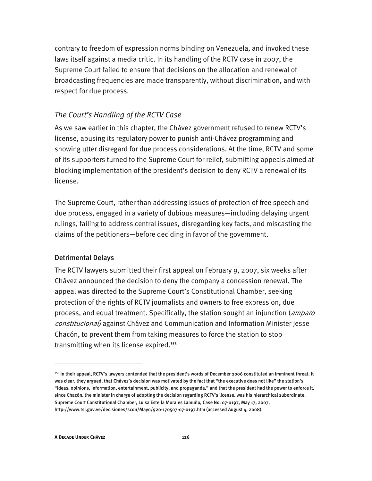contrary to freedom of expression norms binding on Venezuela, and invoked these laws itself against a media critic. In its handling of the RCTV case in 2007, the Supreme Court failed to ensure that decisions on the allocation and renewal of broadcasting frequencies are made transparently, without discrimination, and with respect for due process.

## *The Court's Handling of the RCTV Case*

As we saw earlier in this chapter, the Chávez government refused to renew RCTV's license, abusing its regulatory power to punish anti-Chávez programming and showing utter disregard for due process considerations. At the time, RCTV and some of its supporters turned to the Supreme Court for relief, submitting appeals aimed at blocking implementation of the president's decision to deny RCTV a renewal of its license.

The Supreme Court, rather than addressing issues of protection of free speech and due process, engaged in a variety of dubious measures—including delaying urgent rulings, failing to address central issues, disregarding key facts, and miscasting the claims of the petitioners—before deciding in favor of the government.

### Detrimental Delays

The RCTV lawyers submitted their first appeal on February 9, 2007, six weeks after Chávez announced the decision to deny the company a concession renewal. The appeal was directed to the Supreme Court's Constitutional Chamber, seeking protection of the rights of RCTV journalists and owners to free expression, due process, and equal treatment. Specifically, the station sought an injunction (amparo constitucional) against Chávez and Communication and Information Minister Jesse Chacón, to prevent them from taking measures to force the station to stop transmitting when its license expired.**<sup>353</sup>**

-

<sup>353</sup> In their appeal, RCTV's lawyers contended that the president's words of December 2006 constituted an imminent threat. It was clear, they argued, that Chávez's decision was motivated by the fact that "the executive does not like" the station's "ideas, opinions, information, entertainment, publicity, and propaganda," and that the president had the power to enforce it, since Chacón, the minister in charge of adopting the decision regarding RCTV's license, was his hierarchical subordinate. Supreme Court Constitutional Chamber, Luisa Estella Morales Lamuño, Case No. 07-0197, May 17, 2007, http://www.tsj.gov.ve/decisiones/scon/Mayo/920-170507-07-0197.htm (accessed August 4, 2008).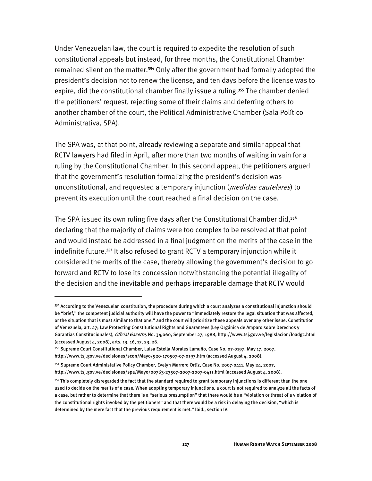Under Venezuelan law, the court is required to expedite the resolution of such constitutional appeals but instead, for three months, the Constitutional Chamber remained silent on the matter.**<sup>354</sup>** Only after the government had formally adopted the president's decision not to renew the license, and ten days before the license was to expire, did the constitutional chamber finally issue a ruling.**<sup>355</sup>** The chamber denied the petitioners' request, rejecting some of their claims and deferring others to another chamber of the court, the Political Administrative Chamber (Sala Político Administrativa, SPA).

The SPA was, at that point, already reviewing a separate and similar appeal that RCTV lawyers had filed in April, after more than two months of waiting in vain for a ruling by the Constitutional Chamber. In this second appeal, the petitioners argued that the government's resolution formalizing the president's decision was unconstitutional, and requested a temporary injunction (*medidas cautelares*) to prevent its execution until the court reached a final decision on the case.

The SPA issued its own ruling five days after the Constitutional Chamber did,**<sup>356</sup>** declaring that the majority of claims were too complex to be resolved at that point and would instead be addressed in a final judgment on the merits of the case in the indefinite future.**<sup>357</sup>** It also refused to grant RCTV a temporary injunction while it considered the merits of the case, thereby allowing the government's decision to go forward and RCTV to lose its concession notwithstanding the potential illegality of the decision and the inevitable and perhaps irreparable damage that RCTV would

-

<sup>&</sup>lt;sup>354</sup> According to the Venezuelan constitution, the procedure during which a court analyzes a constitutional injunction should be "brief," the competent judicial authority will have the power to "immediately restore the legal situation that was affected, or the situation that is most similar to that one," and the court will prioritize these appeals over any other issue. Constitution of Venezuela, art. 27; Law Protecting Constitutional Rights and Guarantees (Ley Orgánica de Amparo sobre Derechos y Garantías Constitucionales), Offcial Gazette, No. 34,060, September 27, 1988, http://www.tsj.gov.ve/legislacion/loadgc.html (accessed August 4, 2008), arts. 13, 16, 17, 23, 26.

<sup>355</sup> Supreme Court Constitutional Chamber, Luisa Estella Morales Lamuño, Case No. 07-0197, May 17, 2007, http://www.tsj.gov.ve/decisiones/scon/Mayo/920-170507-07-0197.htm (accessed August 4, 2008).

<sup>356</sup> Supreme Court Administative Policy Chamber, Evelyn Marrero Ortíz, Case No. 2007-0411, May 24, 2007,

http://www.tsj.gov.ve/decisiones/spa/Mayo/00763-23507-2007-2007-0411.html (accessed August 4, 2008).

<sup>&</sup>lt;sup>357</sup> This completely disregarded the fact that the standard required to grant temporary injunctions is different than the one used to decide on the merits of a case. When adopting temporary injunctions, a court is not required to analyze all the facts of a case, but rather to determine that there is a "serious presumption" that there would be a "violation or threat of a violation of the constitutional rights invoked by the petitioners" and that there would be a risk in delaying the decision, "which is determined by the mere fact that the previous requirement is met." Ibid., section IV.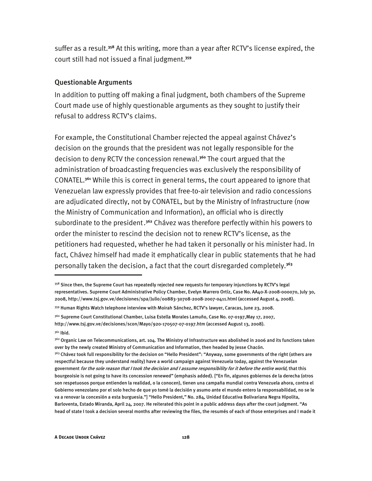suffer as a result.**<sup>358</sup>** At this writing, more than a year after RCTV's license expired, the court still had not issued a final judgment.**<sup>359</sup>**

#### Questionable Arguments

In addition to putting off making a final judgment, both chambers of the Supreme Court made use of highly questionable arguments as they sought to justify their refusal to address RCTV's claims.

For example, the Constitutional Chamber rejected the appeal against Chávez's decision on the grounds that the president was not legally responsible for the decision to deny RCTV the concession renewal.**<sup>360</sup>** The court argued that the administration of broadcasting frequencies was exclusively the responsibility of CONATEL.**<sup>361</sup>** While this is correct in general terms, the court appeared to ignore that Venezuelan law expressly provides that free-to-air television and radio concessions are adjudicated directly, not by CONATEL, but by the Ministry of Infrastructure (now the Ministry of Communication and Information), an official who is directly subordinate to the president. **<sup>362</sup>** Chávez was therefore perfectly within his powers to order the minister to rescind the decision not to renew RCTV's license, as the petitioners had requested, whether he had taken it personally or his minister had. In fact, Chávez himself had made it emphatically clear in public statements that he had personally taken the decision, a fact that the court disregarded completely.**<sup>363</sup>**

<sup>&</sup>lt;sup>358</sup> Since then, the Supreme Court has repeatedly rejected new requests for temporary injunctions by RCTV's legal representatives. Supreme Court Administrative Policy Chamber, Evelyn Marrero Ortíz, Case No. AA40-X-2008-000070, July 30, 2008, http://www.tsj.gov.ve/decisiones/spa/Julio/00883-30708-2008-2007-0411.html (accessed August 4, 2008).

<sup>359</sup> Human Rights Watch telephone interview with Moirah Sánchez, RCTV's lawyer, Caracas, June 23, 2008.

<sup>360</sup> Supreme Court Constitutional Chamber, Luisa Estella Morales Lamuño, Case No. 07-0197,May 17, 2007,

http://www.tsj.gov.ve/decisiones/scon/Mayo/920-170507-07-0197.htm (accessed August 13, 2008).

 $361$  Ibid.

<sup>&</sup>lt;sup>362</sup> Organic Law on Telecommunications, art. 104. The Ministry of Infrastructure was abolished in 2006 and its functions taken over by the newly created Ministry of Communication and Information, then headed by Jesse Chacón.

<sup>&</sup>lt;sup>363</sup> Chávez took full responsibility for the decision on "Hello President": "Anyway, some governments of the right (others are respectful because they understand reality) have a world campaign against Venezuela today, against the Venezuelan government for the sole reason that I took the decision and I assume responsibility for it before the entire world, that this bourgeoisie is not going to have its concession renewed" (emphasis added). ["En fin, algunos gobiernos de la derecha (otros son respetuosos porque entienden la realidad, o la conocen), tienen una campaña mundial contra Venezuela ahora, contra el Gobierno venezolano por el solo hecho de que yo tomé la decisión y asumo ante el mundo entero la responsabilidad, no se le va a renovar la concesión a esta burguesia."] "Hello President," No. 284, Unidad Educativa Bolivariana Negra Hipolita, Barloventa, Estado Miranda, April 24, 2007. He reiterated this point in a public address days after the court judgment. "As head of state I took a decision several months after reviewing the files, the resumés of each of those enterprises and I made it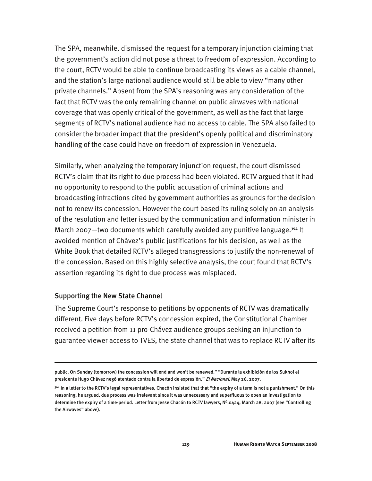The SPA, meanwhile, dismissed the request for a temporary injunction claiming that the government's action did not pose a threat to freedom of expression. According to the court, RCTV would be able to continue broadcasting its views as a cable channel, and the station's large national audience would still be able to view "many other private channels." Absent from the SPA's reasoning was any consideration of the fact that RCTV was the only remaining channel on public airwaves with national coverage that was openly critical of the government, as well as the fact that large segments of RCTV's national audience had no access to cable. The SPA also failed to consider the broader impact that the president's openly political and discriminatory handling of the case could have on freedom of expression in Venezuela.

Similarly, when analyzing the temporary injunction request, the court dismissed RCTV's claim that its right to due process had been violated. RCTV argued that it had no opportunity to respond to the public accusation of criminal actions and broadcasting infractions cited by government authorities as grounds for the decision not to renew its concession. However the court based its ruling solely on an analysis of the resolution and letter issued by the communication and information minister in March 2007—two documents which carefully avoided any punitive language.**<sup>364</sup>** It avoided mention of Chávez's public justifications for his decision, as well as the White Book that detailed RCTV's alleged transgressions to justify the non-renewal of the concession. Based on this highly selective analysis, the court found that RCTV's assertion regarding its right to due process was misplaced.

#### Supporting the New State Channel

I

The Supreme Court's response to petitions by opponents of RCTV was dramatically different. Five days before RCTV's concession expired, the Constitutional Chamber received a petition from 11 pro-Chávez audience groups seeking an injunction to guarantee viewer access to TVES, the state channel that was to replace RCTV after its

public. On Sunday (tomorrow) the concession will end and won't be renewed." "Durante la exhibición de los Sukhoi el presidente Hugo Chávez negó atentado contra la libertad de expresión," El Nacional, May 26, 2007.

<sup>&</sup>lt;sup>364</sup> In a letter to the RCTV's legal representatives, Chacón insisted that that "the expiry of a term is not a punishment." On this reasoning, he argued, due process was irrelevant since it was unnecessary and superfluous to open an investigation to determine the expiry of a time-period. Letter from Jesse Chacón to RCTV lawyers, Nº.0424, March 28, 2007 (see "Controlling the Airwaves" above).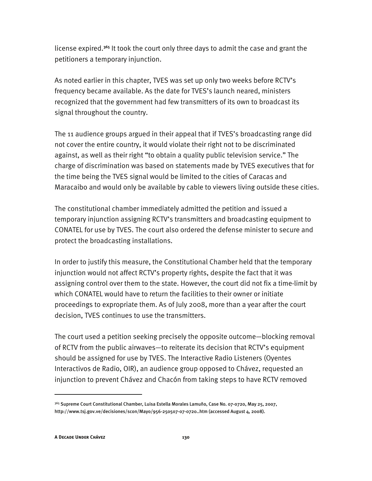license expired.**<sup>365</sup>** It took the court only three days to admit the case and grant the petitioners a temporary injunction.

As noted earlier in this chapter, TVES was set up only two weeks before RCTV's frequency became available. As the date for TVES's launch neared, ministers recognized that the government had few transmitters of its own to broadcast its signal throughout the country.

The 11 audience groups argued in their appeal that if TVES's broadcasting range did not cover the entire country, it would violate their right not to be discriminated against, as well as their right "to obtain a quality public television service." The charge of discrimination was based on statements made by TVES executives that for the time being the TVES signal would be limited to the cities of Caracas and Maracaibo and would only be available by cable to viewers living outside these cities.

The constitutional chamber immediately admitted the petition and issued a temporary injunction assigning RCTV's transmitters and broadcasting equipment to CONATEL for use by TVES. The court also ordered the defense minister to secure and protect the broadcasting installations.

In order to justify this measure, the Constitutional Chamber held that the temporary injunction would not affect RCTV's property rights, despite the fact that it was assigning control over them to the state. However, the court did not fix a time-limit by which CONATEL would have to return the facilities to their owner or initiate proceedings to expropriate them. As of July 2008, more than a year after the court decision, TVES continues to use the transmitters.

The court used a petition seeking precisely the opposite outcome—blocking removal of RCTV from the public airwaves—to reiterate its decision that RCTV's equipment should be assigned for use by TVES. The Interactive Radio Listeners (Oyentes Interactivos de Radio, OIR), an audience group opposed to Chávez, requested an injunction to prevent Chávez and Chacón from taking steps to have RCTV removed

<sup>365</sup> Supreme Court Constitutional Chamber, Luisa Estella Morales Lamuño, Case No. 07-0720, May 25, 2007, http://www.tsj.gov.ve/decisiones/scon/Mayo/956-250507-07-0720..htm (accessed August 4, 2008).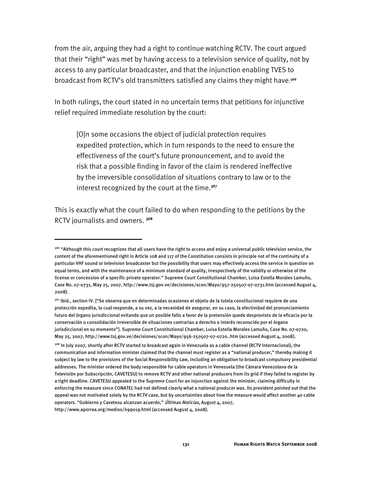from the air, arguing they had a right to continue watching RCTV. The court argued that their "right" was met by having access to a television service of quality, not by access to any particular broadcaster, and that the injunction enabling TVES to broadcast from RCTV's old transmitters satisfied any claims they might have. **366**

In both rulings, the court stated in no uncertain terms that petitions for injunctive relief required immediate resolution by the court:

[O]n some occasions the object of judicial protection requires expedited protection, which in turn responds to the need to ensure the effectiveness of the court's future pronouncement, and to avoid the risk that a possible finding in favor of the claim is rendered ineffective by the irreversible consolidation of situations contrary to law or to the interest recognized by the court at the time.**<sup>367</sup>**

This is exactly what the court failed to do when responding to the petitions by the RCTV journalists and owners. **<sup>368</sup>**

<sup>366 &</sup>quot;Although this court recognizes that all users have the right to access and enjoy a universal public television service, the content of the aforementioned right in Article 108 and 117 of the Constitution consists in principle not of the continuity of a particular VHF sound or television broadcaster but the possibility that users may effectively access the service in question on equal terms, and with the maintenance of a minimum standard of quality, irrespectively of the validity or otherwise of the license or concession of a specific private operator." Supreme Court Constitutional Chamber, Luisa Estella Morales Lamuño, Case No. 07-0731, May 25, 2007, http://www.tsj.gov.ve/decisiones/scon/Mayo/957-250507-07-0731.htm (accessed August 4, 2008).

<sup>367</sup> Ibid., section IV. ["Se observa que en determinadas ocasiones el objeto de la tutela constitucional requiere de una protección expedita, lo cual responde, a su vez, a la necesidad de asegurar, en su caso, la efectividad del pronunciamiento futuro del órgano jurisdiccional evitando que un posible fallo a favor de la pretensión quede desprovisto de la eficacia por la conservación o consolidación irreversible de situaciones contrarias a derecho o interés reconocido por el órgano jurisdiccional en su momento"]. Supreme Court Constitutional Chamber, Luisa Estella Morales Lamuño, Case No. 07-0720, May 25, 2007, http://www.tsj.gov.ve/decisiones/scon/Mayo/956-250507-07-0720..htm (accessed August 4, 2008).

<sup>&</sup>lt;sup>368</sup> In July 2007, shortly after RCTV started to broadcast again in Venezuela as a cable channel (RCTV Internacional), the communication and information minister claimed that the channel must register as a "national producer," thereby making it subject by law to the provisions of the Social Responsibility Law, including an obligation to broadcast compulsory presidential addresses. The minister ordered the body responsible for cable operators in Venezuela (the Cámara Venezolana de la Televisión por Subscripción, CAVETESU) to remove RCTV and other national producers from its grid if they failed to register by a tight deadline. CAVETESU appealed to the Supreme Court for an injunction against the minister, claiming difficulty in enforcing the measure since CONATEL had not defined clearly what a national producer was. Its president pointed out that the appeal was not motivated solely by the RCTV case, but by uncertainties about how the measure would affect another 40 cable operators. "Gobierno y Cavetesu alcanzan acuerdo," Últimas Noticias, August 4, 2007, http://www.aporrea.org/medios/n99019.html (accessed August 4, 2008).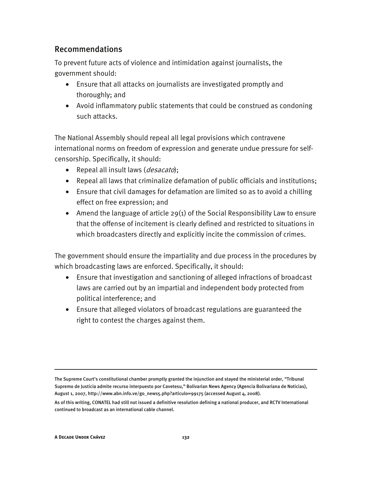## Recommendations

To prevent future acts of violence and intimidation against journalists, the government should:

- Ensure that all attacks on journalists are investigated promptly and thoroughly; and
- Avoid inflammatory public statements that could be construed as condoning such attacks.

The National Assembly should repeal all legal provisions which contravene international norms on freedom of expression and generate undue pressure for selfcensorship. Specifically, it should:

- Repeal all insult laws (*desacato*);
- Repeal all laws that criminalize defamation of public officials and institutions;
- Ensure that civil damages for defamation are limited so as to avoid a chilling effect on free expression; and
- Amend the language of article 29(1) of the Social Responsibility Law to ensure that the offense of incitement is clearly defined and restricted to situations in which broadcasters directly and explicitly incite the commission of crimes.

The government should ensure the impartiality and due process in the procedures by which broadcasting laws are enforced. Specifically, it should:

- Ensure that investigation and sanctioning of alleged infractions of broadcast laws are carried out by an impartial and independent body protected from political interference; and
- Ensure that alleged violators of broadcast regulations are guaranteed the right to contest the charges against them.

-

The Supreme Court's constitutional chamber promptly granted the injunction and stayed the ministerial order, "Tribunal Supremo de Justicia admite recurso interpuesto por Cavetesu," Bolivarian News Agency (Agencia Bolivariana de Noticias), August 1, 2007, http://www.abn.info.ve/go\_news5.php?articulo=99175 (accessed August 4, 2008).

As of this writing, CONATEL had still not issued a definitive resolution defining a national producer, and RCTV International continued to broadcast as an international cable channel.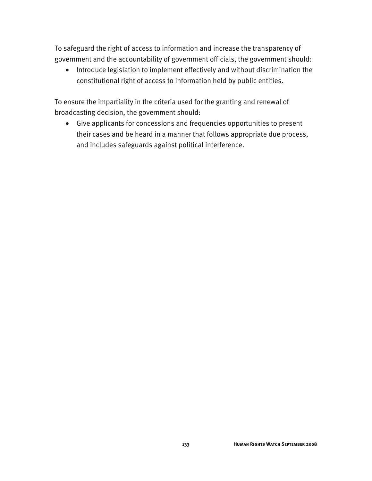To safeguard the right of access to information and increase the transparency of government and the accountability of government officials, the government should:

• Introduce legislation to implement effectively and without discrimination the constitutional right of access to information held by public entities.

To ensure the impartiality in the criteria used for the granting and renewal of broadcasting decision, the government should:

• Give applicants for concessions and frequencies opportunities to present their cases and be heard in a manner that follows appropriate due process, and includes safeguards against political interference.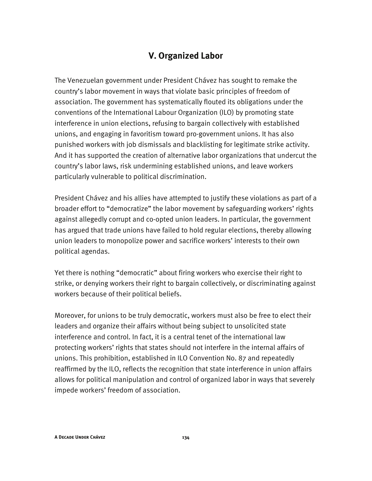# **V. Organized Labor**

The Venezuelan government under President Chávez has sought to remake the country's labor movement in ways that violate basic principles of freedom of association. The government has systematically flouted its obligations under the conventions of the International Labour Organization (ILO) by promoting state interference in union elections, refusing to bargain collectively with established unions, and engaging in favoritism toward pro-government unions. It has also punished workers with job dismissals and blacklisting for legitimate strike activity. And it has supported the creation of alternative labor organizations that undercut the country's labor laws, risk undermining established unions, and leave workers particularly vulnerable to political discrimination.

President Chávez and his allies have attempted to justify these violations as part of a broader effort to "democratize" the labor movement by safeguarding workers' rights against allegedly corrupt and co-opted union leaders. In particular, the government has argued that trade unions have failed to hold regular elections, thereby allowing union leaders to monopolize power and sacrifice workers' interests to their own political agendas.

Yet there is nothing "democratic" about firing workers who exercise their right to strike, or denying workers their right to bargain collectively, or discriminating against workers because of their political beliefs.

Moreover, for unions to be truly democratic, workers must also be free to elect their leaders and organize their affairs without being subject to unsolicited state interference and control. In fact, it is a central tenet of the international law protecting workers' rights that states should not interfere in the internal affairs of unions. This prohibition, established in ILO Convention No. 87 and repeatedly reaffirmed by the ILO, reflects the recognition that state interference in union affairs allows for political manipulation and control of organized labor in ways that severely impede workers' freedom of association.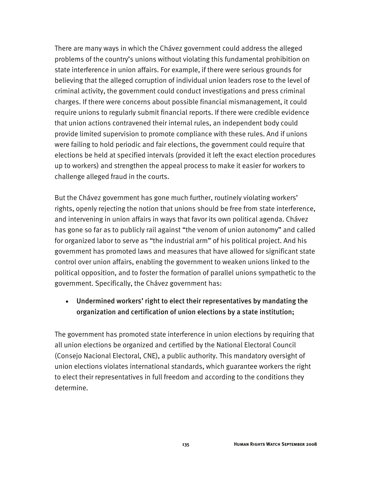There are many ways in which the Chávez government could address the alleged problems of the country's unions without violating this fundamental prohibition on state interference in union affairs. For example, if there were serious grounds for believing that the alleged corruption of individual union leaders rose to the level of criminal activity, the government could conduct investigations and press criminal charges. If there were concerns about possible financial mismanagement, it could require unions to regularly submit financial reports. If there were credible evidence that union actions contravened their internal rules, an independent body could provide limited supervision to promote compliance with these rules. And if unions were failing to hold periodic and fair elections, the government could require that elections be held at specified intervals (provided it left the exact election procedures up to workers) and strengthen the appeal process to make it easier for workers to challenge alleged fraud in the courts.

But the Chávez government has gone much further, routinely violating workers' rights, openly rejecting the notion that unions should be free from state interference, and intervening in union affairs in ways that favor its own political agenda. Chávez has gone so far as to publicly rail against "the venom of union autonomy" and called for organized labor to serve as "the industrial arm" of his political project. And his government has promoted laws and measures that have allowed for significant state control over union affairs, enabling the government to weaken unions linked to the political opposition, and to foster the formation of parallel unions sympathetic to the government. Specifically, the Chávez government has:

• Undermined workers' right to elect their representatives by mandating the organization and certification of union elections by a state institution;

The government has promoted state interference in union elections by requiring that all union elections be organized and certified by the National Electoral Council (Consejo Nacional Electoral, CNE), a public authority. This mandatory oversight of union elections violates international standards, which guarantee workers the right to elect their representatives in full freedom and according to the conditions they determine.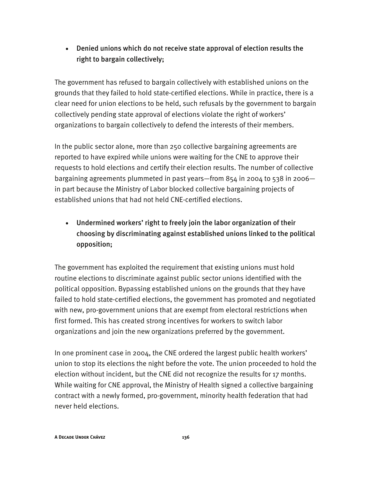• Denied unions which do not receive state approval of election results the right to bargain collectively;

The government has refused to bargain collectively with established unions on the grounds that they failed to hold state-certified elections. While in practice, there is a clear need for union elections to be held, such refusals by the government to bargain collectively pending state approval of elections violate the right of workers' organizations to bargain collectively to defend the interests of their members.

In the public sector alone, more than 250 collective bargaining agreements are reported to have expired while unions were waiting for the CNE to approve their requests to hold elections and certify their election results. The number of collective bargaining agreements plummeted in past years—from 854 in 2004 to 538 in 2006 in part because the Ministry of Labor blocked collective bargaining projects of established unions that had not held CNE-certified elections.

• Undermined workers' right to freely join the labor organization of their choosing by discriminating against established unions linked to the political opposition;

The government has exploited the requirement that existing unions must hold routine elections to discriminate against public sector unions identified with the political opposition. Bypassing established unions on the grounds that they have failed to hold state-certified elections, the government has promoted and negotiated with new, pro-government unions that are exempt from electoral restrictions when first formed. This has created strong incentives for workers to switch labor organizations and join the new organizations preferred by the government.

In one prominent case in 2004, the CNE ordered the largest public health workers' union to stop its elections the night before the vote. The union proceeded to hold the election without incident, but the CNE did not recognize the results for 17 months. While waiting for CNE approval, the Ministry of Health signed a collective bargaining contract with a newly formed, pro-government, minority health federation that had never held elections.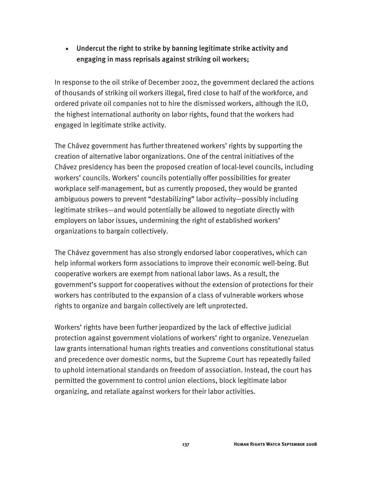## • Undercut the right to strike by banning legitimate strike activity and engaging in mass reprisals against striking oil workers;

In response to the oil strike of December 2002, the government declared the actions of thousands of striking oil workers illegal, fired close to half of the workforce, and ordered private oil companies not to hire the dismissed workers, although the ILO, the highest international authority on labor rights, found that the workers had engaged in legitimate strike activity.

The Chávez government has further threatened workers' rights by supporting the creation of alternative labor organizations. One of the central initiatives of the Chávez presidency has been the proposed creation of local-level councils, including workers' councils. Workers' councils potentially offer possibilities for greater workplace self-management, but as currently proposed, they would be granted ambiguous powers to prevent "destabilizing" labor activity—possibly including legitimate strikes—and would potentially be allowed to negotiate directly with employers on labor issues, undermining the right of established workers' organizations to bargain collectively.

The Chávez government has also strongly endorsed labor cooperatives, which can help informal workers form associations to improve their economic well-being. But cooperative workers are exempt from national labor laws. As a result, the government's support for cooperatives without the extension of protections for their workers has contributed to the expansion of a class of vulnerable workers whose rights to organize and bargain collectively are left unprotected.

Workers' rights have been further jeopardized by the lack of effective judicial protection against government violations of workers' right to organize. Venezuelan law grants international human rights treaties and conventions constitutional status and precedence over domestic norms, but the Supreme Court has repeatedly failed to uphold international standards on freedom of association. Instead, the court has permitted the government to control union elections, block legitimate labor organizing, and retaliate against workers for their labor activities.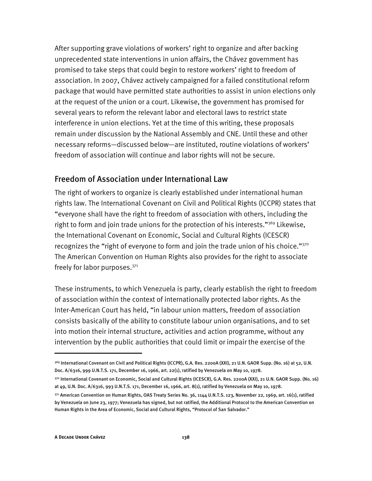After supporting grave violations of workers' right to organize and after backing unprecedented state interventions in union affairs, the Chávez government has promised to take steps that could begin to restore workers' right to freedom of association. In 2007, Chávez actively campaigned for a failed constitutional reform package that would have permitted state authorities to assist in union elections only at the request of the union or a court. Likewise, the government has promised for several years to reform the relevant labor and electoral laws to restrict state interference in union elections. Yet at the time of this writing, these proposals remain under discussion by the National Assembly and CNE. Until these and other necessary reforms—discussed below—are instituted, routine violations of workers' freedom of association will continue and labor rights will not be secure.

## Freedom of Association under International Law

The right of workers to organize is clearly established under international human rights law. The International Covenant on Civil and Political Rights (ICCPR) states that "everyone shall have the right to freedom of association with others, including the right to form and join trade unions for the protection of his interests."<sup>369</sup> Likewise, the International Covenant on Economic, Social and Cultural Rights (ICESCR) recognizes the "right of everyone to form and join the trade union of his choice." $370$ The American Convention on Human Rights also provides for the right to associate freely for labor purposes.<sup>371</sup>

These instruments, to which Venezuela is party, clearly establish the right to freedom of association within the context of internationally protected labor rights. As the Inter-American Court has held, "in labour union matters, freedom of association consists basically of the ability to constitute labour union organisations, and to set into motion their internal structure, activities and action programme, without any intervention by the public authorities that could limit or impair the exercise of the

<sup>369</sup> International Covenant on Civil and Political Rights (ICCPR), G.A. Res. 2200A (XXI), 21 U.N. GAOR Supp. (No. 16) at 52, U.N. Doc. A/6316, 999 U.N.T.S. 171, December 16, 1966, art. 22(1), ratified by Venezuela on May 10, 1978.

<sup>37</sup>º International Covenant on Economic, Social and Cultural Rights (ICESCR), G.A. Res. 2200A (XXI), 21 U.N. GAOR Supp. (No. 16) at 49, U.N. Doc. A/6316, 993 U.N.T.S. 171, December 16, 1966, art. 8(1), ratified by Venezuela on May 10, 1978.

 $371$  American Convention on Human Rights, OAS Treaty Series No. 36, 1144 U.N.T.S. 123, November 22, 1969, art. 16(1), ratified by Venezuela on June 23, 1977; Venezuela has signed, but not ratified, the Additional Protocol to the American Convention on Human Rights in the Area of Economic, Social and Cultural Rights, "Protocol of San Salvador."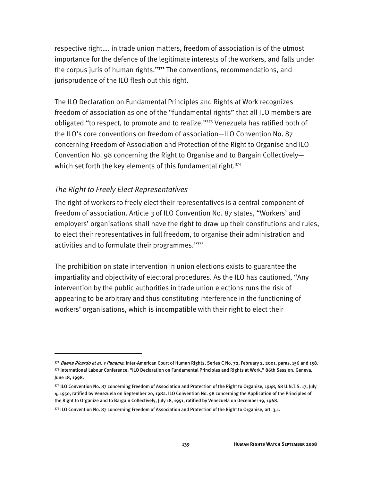respective right…. in trade union matters, freedom of association is of the utmost importance for the defence of the legitimate interests of the workers, and falls under the corpus juris of human rights."**<sup>372</sup>** The conventions, recommendations, and jurisprudence of the ILO flesh out this right.

The ILO Declaration on Fundamental Principles and Rights at Work recognizes freedom of association as one of the "fundamental rights" that all ILO members are obligated "to respect, to promote and to realize."373 Venezuela has ratified both of the ILO's core conventions on freedom of association—ILO Convention No. 87 concerning Freedom of Association and Protection of the Right to Organise and ILO Convention No. 98 concerning the Right to Organise and to Bargain Collectively which set forth the key elements of this fundamental right.<sup>374</sup>

### *The Right to Freely Elect Representatives*

I

The right of workers to freely elect their representatives is a central component of freedom of association. Article 3 of ILO Convention No. 87 states, "Workers' and employers' organisations shall have the right to draw up their constitutions and rules, to elect their representatives in full freedom, to organise their administration and activities and to formulate their programmes."375

The prohibition on state intervention in union elections exists to guarantee the impartiality and objectivity of electoral procedures. As the ILO has cautioned, "Any intervention by the public authorities in trade union elections runs the risk of appearing to be arbitrary and thus constituting interference in the functioning of workers' organisations, which is incompatible with their right to elect their

<sup>372</sup> Baena Ricardo et al. v Panama, Inter-American Court of Human Rights, Series C No. 72, February 2, 2001, paras. 156 and 158. 373 International Labour Conference, "ILO Declaration on Fundamental Principles and Rights at Work," 86th Session, Geneva, June 18, 1998.

<sup>374</sup> ILO Convention No. 87 concerning Freedom of Association and Protection of the Right to Organise, 1948, 68 U.N.T.S. 17, July 4, 1950, ratified by Venezuela on September 20, 1982. ILO Convention No. 98 concerning the Application of the Principles of the Right to Organize and to Bargain Collectively, July 18, 1951, ratified by Venezuela on December 19, 1968.

<sup>375</sup> ILO Convention No. 87 concerning Freedom of Association and Protection of the Right to Organise, art. 3,1.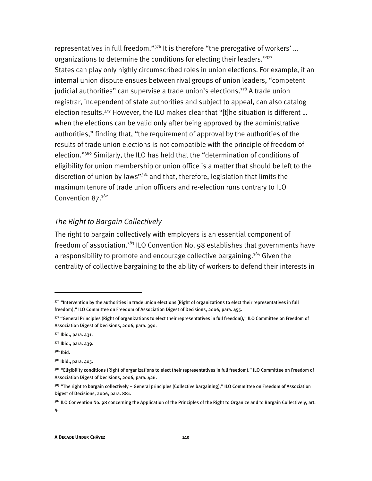representatives in full freedom."<sup>376</sup> It is therefore "the prerogative of workers' ... organizations to determine the conditions for electing their leaders."377 States can play only highly circumscribed roles in union elections. For example, if an internal union dispute ensues between rival groups of union leaders, "competent judicial authorities" can supervise a trade union's elections.<sup>378</sup> A trade union registrar, independent of state authorities and subject to appeal, can also catalog election results.<sup>379</sup> However, the ILO makes clear that "[t]he situation is different ... when the elections can be valid only after being approved by the administrative authorities," finding that, "the requirement of approval by the authorities of the results of trade union elections is not compatible with the principle of freedom of election."380 Similarly, the ILO has held that the "determination of conditions of eligibility for union membership or union office is a matter that should be left to the discretion of union by-laws"<sup>381</sup> and that, therefore, legislation that limits the maximum tenure of trade union officers and re-election runs contrary to ILO Convention 87.<sup>382</sup>

### *The Right to Bargain Collectively*

The right to bargain collectively with employers is an essential component of freedom of association.<sup>383</sup> ILO Convention No. 98 establishes that governments have a responsibility to promote and encourage collective bargaining.<sup>384</sup> Given the centrality of collective bargaining to the ability of workers to defend their interests in

380 Ibid.

<sup>376 &</sup>quot;Intervention by the authorities in trade union elections (Right of organizations to elect their representatives in full freedom)," ILO Committee on Freedom of Association Digest of Decisions, 2006, para. 455.

<sup>377 &</sup>quot;General Principles (Right of organizations to elect their representatives in full freedom)," ILO Committee on Freedom of Association Digest of Decisions, 2006, para. 390.

<sup>378</sup> Ibid., para. 431.

<sup>379</sup> Ibid., para. 439.

<sup>381</sup> Ibid., para. 405.

<sup>&</sup>lt;sup>382</sup> "Eligibility conditions (Right of organizations to elect their representatives in full freedom)," ILO Committee on Freedom of Association Digest of Decisions, 2006, para. 426.

<sup>&</sup>lt;sup>383</sup> "The right to bargain collectively – General principles (Collective bargaining)," ILO Committee on Freedom of Association Digest of Decisions, 2006, para. 881.

<sup>&</sup>lt;sup>384</sup> ILO Convention No. 98 concerning the Application of the Principles of the Right to Organize and to Bargain Collectively, art. 4.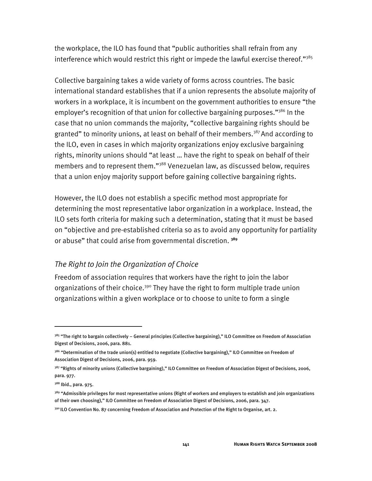the workplace, the ILO has found that "public authorities shall refrain from any interference which would restrict this right or impede the lawful exercise thereof."<sup>385</sup>

Collective bargaining takes a wide variety of forms across countries. The basic international standard establishes that if a union represents the absolute majority of workers in a workplace, it is incumbent on the government authorities to ensure "the employer's recognition of that union for collective bargaining purposes."<sup>386</sup> In the case that no union commands the majority, "collective bargaining rights should be granted" to minority unions, at least on behalf of their members.<sup>387</sup> And according to the ILO, even in cases in which majority organizations enjoy exclusive bargaining rights, minority unions should "at least … have the right to speak on behalf of their members and to represent them."<sup>388</sup> Venezuelan law, as discussed below, requires that a union enjoy majority support before gaining collective bargaining rights.

However, the ILO does not establish a specific method most appropriate for determining the most representative labor organization in a workplace. Instead, the ILO sets forth criteria for making such a determination, stating that it must be based on "objective and pre-established criteria so as to avoid any opportunity for partiality or abuse" that could arise from governmental discretion. **<sup>389</sup>**

# *The Right to Join the Organization of Choice*

Freedom of association requires that workers have the right to join the labor organizations of their choice.<sup>390</sup> They have the right to form multiple trade union organizations within a given workplace or to choose to unite to form a single

<sup>385 &</sup>quot;The right to bargain collectively – General principles (Collective bargaining)," ILO Committee on Freedom of Association Digest of Decisions, 2006, para. 881.

<sup>386 &</sup>quot;Determination of the trade union(s) entitled to negotiate (Collective bargaining)," ILO Committee on Freedom of Association Digest of Decisions, 2006, para. 959.

<sup>&</sup>lt;sup>387</sup> "Rights of minority unions (Collective bargaining)," ILO Committee on Freedom of Association Digest of Decisions, 2006, para. 977.

<sup>&</sup>lt;sup>388</sup> Ibid., para. 975.

<sup>&</sup>lt;sup>389</sup> "Admissible privileges for most representative unions (Right of workers and employers to establish and join organizations of their own choosing)," ILO Committee on Freedom of Association Digest of Decisions, 2006, para. 347.

<sup>39</sup>º ILO Convention No. 87 concerning Freedom of Association and Protection of the Right to Organise, art. 2.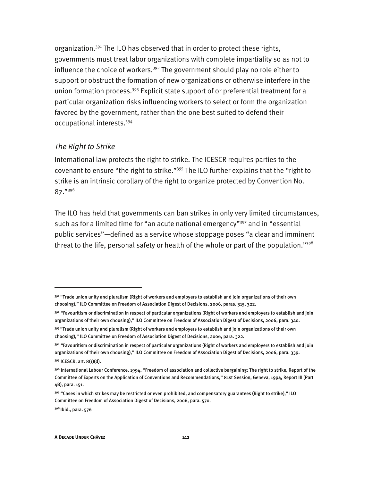organization.<sup>391</sup> The ILO has observed that in order to protect these rights, governments must treat labor organizations with complete impartiality so as not to influence the choice of workers.<sup>392</sup> The government should play no role either to support or obstruct the formation of new organizations or otherwise interfere in the union formation process.<sup>393</sup> Explicit state support of or preferential treatment for a particular organization risks influencing workers to select or form the organization favored by the government, rather than the one best suited to defend their occupational interests.394

#### *The Right to Strike*

International law protects the right to strike. The ICESCR requires parties to the covenant to ensure "the right to strike."<sup>395</sup> The ILO further explains that the "right to strike is an intrinsic corollary of the right to organize protected by Convention No. 87."396

The ILO has held that governments can ban strikes in only very limited circumstances, such as for a limited time for "an acute national emergency"<sup>397</sup> and in "essential public services"—defined as a service whose stoppage poses "a clear and imminent threat to the life, personal safety or health of the whole or part of the population."<sup>398</sup>

-

398 Ibid., para. 576

<sup>&</sup>lt;sup>391</sup> "Trade union unity and pluralism (Right of workers and employers to establish and join organizations of their own choosing)," ILO Committee on Freedom of Association Digest of Decisions, 2006, paras. 315, 322.

<sup>&</sup>lt;sup>392</sup> "Favouritism or discrimination in respect of particular organizations (Right of workers and employers to establish and join organizations of their own choosing)," ILO Committee on Freedom of Association Digest of Decisions, 2006, para. 340.

<sup>&</sup>lt;sup>393</sup> "Trade union unity and pluralism (Right of workers and employers to establish and join organizations of their own choosing)," ILO Committee on Freedom of Association Digest of Decisions, 2006, para. 322.

<sup>&</sup>lt;sup>394</sup> "Favouritism or discrimination in respect of particular organizations (Right of workers and employers to establish and join organizations of their own choosing)," ILO Committee on Freedom of Association Digest of Decisions, 2006, para. 339.

<sup>395</sup> ICESCR, art. 8(1)(d).

<sup>396</sup> International Labour Conference, 1994, "Freedom of association and collective bargaining: The right to strike, Report of the Committee of Experts on the Application of Conventions and Recommendations," 81st Session, Geneva, 1994, Report III (Part 4B), para. 151.

<sup>&</sup>lt;sup>397</sup> "Cases in which strikes may be restricted or even prohibited, and compensatory guarantees (Right to strike)," ILO Committee on Freedom of Association Digest of Decisions, 2006, para. 570.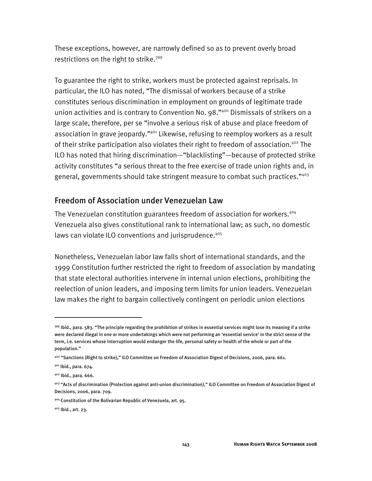These exceptions, however, are narrowly defined so as to prevent overly broad restrictions on the right to strike.<sup>399</sup>

To guarantee the right to strike, workers must be protected against reprisals. In particular, the ILO has noted, "The dismissal of workers because of a strike constitutes serious discrimination in employment on grounds of legitimate trade union activities and is contrary to Convention No. 98."400 Dismissals of strikers on a large scale, therefore, per se "involve a serious risk of abuse and place freedom of association in grave jeopardy."<sup>401</sup> Likewise, refusing to reemploy workers as a result of their strike participation also violates their right to freedom of association.<sup>402</sup> The ILO has noted that hiring discrimination—"blacklisting"—because of protected strike activity constitutes "a serious threat to the free exercise of trade union rights and, in general, governments should take stringent measure to combat such practices."403

# Freedom of Association under Venezuelan Law

The Venezuelan constitution guarantees freedom of association for workers.<sup>404</sup> Venezuela also gives constitutional rank to international law; as such, no domestic laws can violate ILO conventions and jurisprudence.<sup>405</sup>

Nonetheless, Venezuelan labor law falls short of international standards, and the 1999 Constitution further restricted the right to freedom of association by mandating that state electoral authorities intervene in internal union elections, prohibiting the reelection of union leaders, and imposing term limits for union leaders. Venezuelan law makes the right to bargain collectively contingent on periodic union elections

<sup>399</sup> Ibid., para. 583. "The principle regarding the prohibition of strikes in essential services might lose its meaning if a strike were declared illegal in one or more undertakings which were not performing an 'essential service' in the strict sense of the term, i.e. services whose interruption would endanger the life, personal safety or health of the whole or part of the population."

<sup>400 &</sup>quot;Sanctions (Right to strike)," ILO Committee on Freedom of Association Digest of Decisions, 2006, para. 661.

<sup>401</sup> Ibid., para. 674.

<sup>402</sup> Ibid., para. 666.

<sup>403 &</sup>quot;Acts of discrimination (Protection against anti-union discrimination)," ILO Committee on Freedom of Association Digest of Decisions, 2006, para. 709.

<sup>404</sup> Constitution of the Bolivarian Republic of Venezuela, art. 95.

<sup>405</sup> Ibid., art. 23.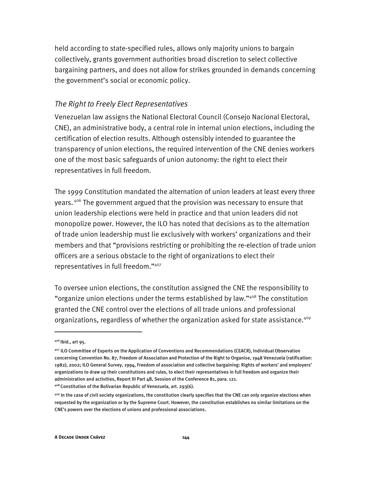held according to state-specified rules, allows only majority unions to bargain collectively, grants government authorities broad discretion to select collective bargaining partners, and does not allow for strikes grounded in demands concerning the government's social or economic policy.

#### *The Right to Freely Elect Representatives*

Venezuelan law assigns the National Electoral Council (Consejo Nacional Electoral, CNE), an administrative body, a central role in internal union elections, including the certification of election results. Although ostensibly intended to guarantee the transparency of union elections, the required intervention of the CNE denies workers one of the most basic safeguards of union autonomy: the right to elect their representatives in full freedom.

The 1999 Constitution mandated the alternation of union leaders at least every three years.<sup>406</sup> The government argued that the provision was necessary to ensure that union leadership elections were held in practice and that union leaders did not monopolize power. However, the ILO has noted that decisions as to the alternation of trade union leadership must lie exclusively with workers' organizations and their members and that "provisions restricting or prohibiting the re-election of trade union officers are a serious obstacle to the right of organizations to elect their representatives in full freedom."407

To oversee union elections, the constitution assigned the CNE the responsibility to "organize union elections under the terms established by law."408 The constitution granted the CNE control over the elections of all trade unions and professional organizations, regardless of whether the organization asked for state assistance.<sup>409</sup>

<sup>406</sup> Ibid., art 95.

<sup>407</sup> ILO Committee of Experts on the Application of Conventions and Recommendations (CEACR), Individual Observation concerning Convention No. 87, Freedom of Association and Protection of the Right to Organise, 1948 Venezuela (ratification: 1982), 2002; ILO General Survey, 1994, Freedom of association and collective bargaining: Rights of workers' and employers' organizations to draw up their constitutions and rules, to elect their representatives in full freedom and organize their administration and activities, Report III Part 4B, Session of the Conference 81, para. 121. 408 Constitution of the Bolivarian Republic of Venezuela, art. 293(6).

<sup>&</sup>lt;sup>409</sup> In the case of civil society organizations, the constitution clearly specifies that the CNE can only organize elections when requested by the organization or by the Supreme Court. However, the constitution establishes no similar limitations on the CNE's powers over the elections of unions and professional associations.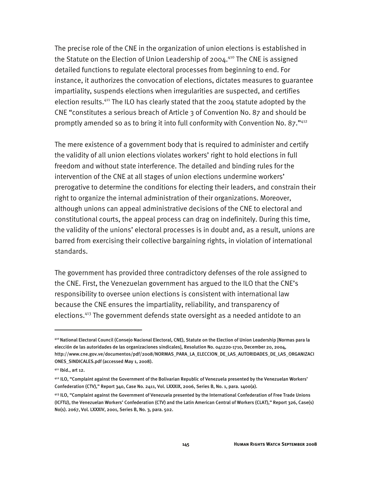The precise role of the CNE in the organization of union elections is established in the Statute on the Election of Union Leadership of 2004.<sup>410</sup> The CNE is assigned detailed functions to regulate electoral processes from beginning to end. For instance, it authorizes the convocation of elections, dictates measures to guarantee impartiality, suspends elections when irregularities are suspected, and certifies election results.411 The ILO has clearly stated that the 2004 statute adopted by the CNE "constitutes a serious breach of Article 3 of Convention No. 87 and should be promptly amended so as to bring it into full conformity with Convention No. 87."412

The mere existence of a government body that is required to administer and certify the validity of all union elections violates workers' right to hold elections in full freedom and without state interference. The detailed and binding rules for the intervention of the CNE at all stages of union elections undermine workers' prerogative to determine the conditions for electing their leaders, and constrain their right to organize the internal administration of their organizations. Moreover, although unions can appeal administrative decisions of the CNE to electoral and constitutional courts, the appeal process can drag on indefinitely. During this time, the validity of the unions' electoral processes is in doubt and, as a result, unions are barred from exercising their collective bargaining rights, in violation of international standards.

The government has provided three contradictory defenses of the role assigned to the CNE. First, the Venezuelan government has argued to the ILO that the CNE's responsibility to oversee union elections is consistent with international law because the CNE ensures the impartiality, reliability, and transparency of elections.413 The government defends state oversight as a needed antidote to an

<sup>410</sup> National Electoral Council (Consejo Nacional Electoral, CNE), Statute on the Election of Union Leadership [Normas para la elección de las autoridades de las organizaciones sindicales], Resolution No. 041220-1710, December 20, 2004, http://www.cne.gov.ve/documentos/pdf/2008/NORMAS\_PARA\_LA\_ELECCION\_DE\_LAS\_AUTORIDADES\_DE\_LAS\_ORGANIZACI ONES\_SINDICALES.pdf (accessed May 1, 2008).

<sup>411</sup> Ibid., art 12.

<sup>412</sup> ILO, "Complaint against the Government of the Bolivarian Republic of Venezuela presented by the Venezuelan Workers' Confederation (CTV)," Report 340, Case No. 2411, Vol. LXXXIX, 2006, Series B, No. 1, para. 1400(a).

<sup>413</sup> ILO, "Complaint against the Government of Venezuela presented by the International Confederation of Free Trade Unions (ICFTU), the Venezuelan Workers' Confederation (CTV) and the Latin American Central of Workers (CLAT)," Report 326, Case(s) No(s). 2067, Vol. LXXXIV, 2001, Series B, No. 3, para. 502.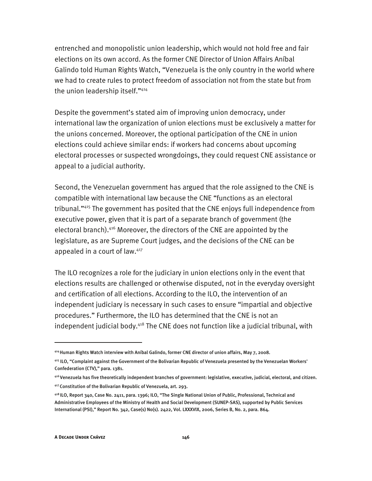entrenched and monopolistic union leadership, which would not hold free and fair elections on its own accord. As the former CNE Director of Union Affairs Aníbal Galindo told Human Rights Watch, "Venezuela is the only country in the world where we had to create rules to protect freedom of association not from the state but from the union leadership itself."414

Despite the government's stated aim of improving union democracy, under international law the organization of union elections must be exclusively a matter for the unions concerned. Moreover, the optional participation of the CNE in union elections could achieve similar ends: if workers had concerns about upcoming electoral processes or suspected wrongdoings, they could request CNE assistance or appeal to a judicial authority.

Second, the Venezuelan government has argued that the role assigned to the CNE is compatible with international law because the CNE "functions as an electoral tribunal."415 The government has posited that the CNE enjoys full independence from executive power, given that it is part of a separate branch of government (the electoral branch).416 Moreover, the directors of the CNE are appointed by the legislature, as are Supreme Court judges, and the decisions of the CNE can be appealed in a court of law.417

The ILO recognizes a role for the judiciary in union elections only in the event that elections results are challenged or otherwise disputed, not in the everyday oversight and certification of all elections. According to the ILO, the intervention of an independent judiciary is necessary in such cases to ensure "impartial and objective procedures." Furthermore, the ILO has determined that the CNE is not an independent judicial body.<sup>418</sup> The CNE does not function like a judicial tribunal, with

416 Venezuela has five theoretically independent branches of government: legislative, executive, judicial, electoral, and citizen.

<sup>414</sup> Human Rights Watch interview with Aníbal Galindo, former CNE director of union affairs, May 7, 2008.

<sup>415</sup> ILO, "Complaint against the Government of the Bolivarian Republic of Venezuela presented by the Venezuelan Workers' Confederation (CTV)," para. 1381.

<sup>417</sup> Constitution of the Bolivarian Republic of Venezuela, art. 293.

<sup>418</sup> ILO, Report 340, Case No. 2411, para. 1396; ILO, "The Single National Union of Public, Professional, Technical and Administrative Employees of the Ministry of Health and Social Development (SUNEP-SAS), supported by Public Services International (PSI)," Report No. 342, Case(s) No(s). 2422, Vol. LXXXVIX, 2006, Series B, No. 2, para. 864.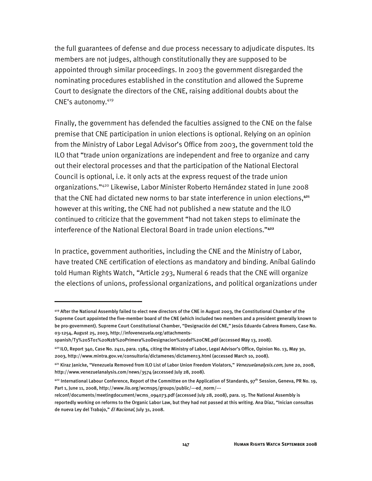the full guarantees of defense and due process necessary to adjudicate disputes. Its members are not judges, although constitutionally they are supposed to be appointed through similar proceedings. In 2003 the government disregarded the nominating procedures established in the constitution and allowed the Supreme Court to designate the directors of the CNE, raising additional doubts about the CNE's autonomy.419

Finally, the government has defended the faculties assigned to the CNE on the false premise that CNE participation in union elections is optional. Relying on an opinion from the Ministry of Labor Legal Advisor's Office from 2003, the government told the ILO that "trade union organizations are independent and free to organize and carry out their electoral processes and that the participation of the National Electoral Council is optional, i.e. it only acts at the express request of the trade union organizations."420 Likewise, Labor Minister Roberto Hernández stated in June 2008 that the CNE had dictated new norms to bar state interference in union elections,**<sup>421</sup>** however at this writing, the CNE had not published a new statute and the ILO continued to criticize that the government "had not taken steps to eliminate the interference of the National Electoral Board in trade union elections."**<sup>422</sup>**

In practice, government authorities, including the CNE and the Ministry of Labor, have treated CNE certification of elections as mandatory and binding. Aníbal Galindo told Human Rights Watch, "Article 293, Numeral 6 reads that the CNE will organize the elections of unions, professional organizations, and political organizations under

<sup>419</sup> After the National Assembly failed to elect new directors of the CNE in August 2003, the Constitutional Chamber of the Supreme Court appointed the five-member board of the CNE (which included two members and a president generally known to be pro-government). Supreme Court Constitutional Chamber, "Designación del CNE," Jesús Eduardo Cabrera Romero, Case No. 03-1254, August 25, 2003, http://infovenezuela.org/attachments-

spanish/T3%20ST01%20N2b%20Primera%20Designacion%20del%20CNE.pdf (accessed May 13, 2008).

<sup>420</sup> ILO, Report 340, Case No. 2411, para. 1384, citing the Ministry of Labor, Legal Advisor's Office, Opinion No. 13, May 30, 2003, http://www.mintra.gov.ve/consultoria/dictamenes/dictamen13.html (accessed March 10, 2008).

<sup>421</sup> Kiraz Janicke, "Venezuela Removed from ILO List of Labor Union Freedom Violators," *Venezuelanalysis.com,* June 20, 2008, http://www.venezuelanalysis.com/news/3574 (accessed July 28, 2008).

<sup>422</sup> International Labour Conference, Report of the Committee on the Application of Standards, 97<sup>th</sup> Session, Geneva, PR No. 19, Part 1, June 11, 2008, http://www.ilo.org/wcmsp5/groups/public/---ed\_norm/---

relconf/documents/meetingdocument/wcms\_094073.pdf (accessed July 28, 2008), para. 15. The National Assembly is reportedly working on reforms to the Organic Labor Law, but they had not passed at this writing. Ana Díaz, "Inician consultas de nueva Ley del Trabajo," El Nacional, July 31, 2008.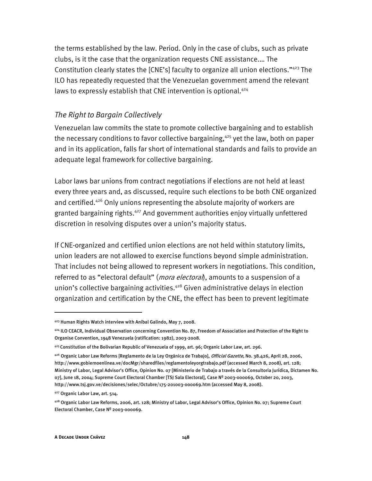the terms established by the law. Period. Only in the case of clubs, such as private clubs, is it the case that the organization requests CNE assistance.… The Constitution clearly states the [CNE's] faculty to organize all union elections."423 The ILO has repeatedly requested that the Venezuelan government amend the relevant laws to expressly establish that CNE intervention is optional.<sup>424</sup>

### *The Right to Bargain Collectively*

Venezuelan law commits the state to promote collective bargaining and to establish the necessary conditions to favor collective bargaining,<sup>425</sup> yet the law, both on paper and in its application, falls far short of international standards and fails to provide an adequate legal framework for collective bargaining.

Labor laws bar unions from contract negotiations if elections are not held at least every three years and, as discussed, require such elections to be both CNE organized and certified.<sup>426</sup> Only unions representing the absolute majority of workers are granted bargaining rights.<sup>427</sup> And government authorities enjoy virtually unfettered discretion in resolving disputes over a union's majority status.

If CNE-organized and certified union elections are not held within statutory limits, union leaders are not allowed to exercise functions beyond simple administration. That includes not being allowed to represent workers in negotiations. This condition, referred to as "electoral default" (*mora electoral*), amounts to a suspension of a union's collective bargaining activities.<sup>428</sup> Given administrative delays in election organization and certification by the CNE, the effect has been to prevent legitimate

<sup>423</sup> Human Rights Watch interview with Aníbal Galindo, May 7, 2008.

<sup>&</sup>lt;sup>424</sup> ILO CEACR, Individual Observation concerning Convention No. 87, Freedom of Association and Protection of the Right to Organise Convention, 1948 Venezuela (ratification: 1982), 2003-2008.

<sup>425</sup> Constitution of the Bolivarian Republic of Venezuela of 1999, art. 96; Organic Labor Law, art. 296.

<sup>&</sup>lt;sup>426</sup> Organic Labor Law Reforms [Reglamento de la Ley Orgánica de Trabajo], *Official Gazette*, No. 38.426, April 28, 2006, http://www.gobiernoenlinea.ve/docMgr/sharedfiles/reglamentoleyorgtrabajo.pdf (accessed March 8, 2008), art. 128; Ministry of Labor, Legal Advisor's Office, Opinion No. 07 [Ministerio de Trabajo a través de la Consultoria Jurídica, Dictamen No. 07], June 18, 2004; Supreme Court Electoral Chamber [TSJ Sala Electoral], Case Nº 2003-000069, October 20, 2003, http://www.tsj.gov.ve/decisiones/selec/Octubre/175-201003-000069.htm (accessed May 8, 2008).

<sup>427</sup> Organic Labor Law, art. 514.

<sup>428</sup> Organic Labor Law Reforms, 2006, art. 128; Ministry of Labor, Legal Advisor's Office, Opinion No. 07; Supreme Court Electoral Chamber, Case Nº 2003-000069.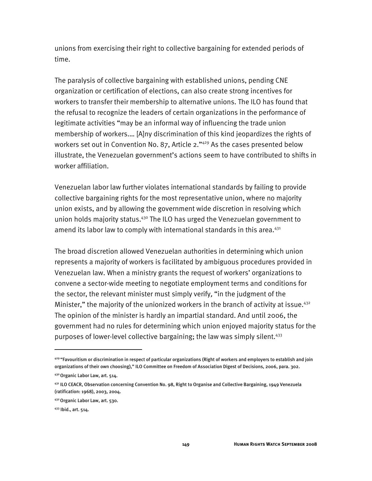unions from exercising their right to collective bargaining for extended periods of time.

The paralysis of collective bargaining with established unions, pending CNE organization or certification of elections, can also create strong incentives for workers to transfer their membership to alternative unions. The ILO has found that the refusal to recognize the leaders of certain organizations in the performance of legitimate activities "may be an informal way of influencing the trade union membership of workers.… [A]ny discrimination of this kind jeopardizes the rights of workers set out in Convention No. 87, Article 2."<sup>429</sup> As the cases presented below illustrate, the Venezuelan government's actions seem to have contributed to shifts in worker affiliation.

Venezuelan labor law further violates international standards by failing to provide collective bargaining rights for the most representative union, where no majority union exists, and by allowing the government wide discretion in resolving which union holds majority status.<sup>430</sup> The ILO has urged the Venezuelan government to amend its labor law to comply with international standards in this area.<sup>431</sup>

The broad discretion allowed Venezuelan authorities in determining which union represents a majority of workers is facilitated by ambiguous procedures provided in Venezuelan law. When a ministry grants the request of workers' organizations to convene a sector-wide meeting to negotiate employment terms and conditions for the sector, the relevant minister must simply verify, "in the judgment of the Minister," the majority of the unionized workers in the branch of activity at issue. $432$ The opinion of the minister is hardly an impartial standard. And until 2006, the government had no rules for determining which union enjoyed majority status for the purposes of lower-level collective bargaining; the law was simply silent.433

<sup>&</sup>lt;sup>429</sup> "Favouritism or discrimination in respect of particular organizations (Right of workers and employers to establish and join organizations of their own choosing)," ILO Committee on Freedom of Association Digest of Decisions, 2006, para. 302. 430 Organic Labor Law, art. 514.

<sup>431</sup> ILO CEACR, Observation concerning Convention No. 98, Right to Organise and Collective Bargaining, 1949 Venezuela (ratification: 1968), 2003, 2004.

<sup>432</sup> Organic Labor Law, art. 530.

<sup>433</sup> Ibid., art. 514.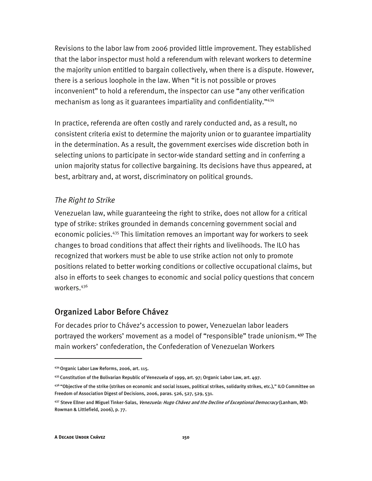Revisions to the labor law from 2006 provided little improvement. They established that the labor inspector must hold a referendum with relevant workers to determine the majority union entitled to bargain collectively, when there is a dispute. However, there is a serious loophole in the law. When "it is not possible or proves inconvenient" to hold a referendum, the inspector can use "any other verification mechanism as long as it guarantees impartiality and confidentiality."434

In practice, referenda are often costly and rarely conducted and, as a result, no consistent criteria exist to determine the majority union or to guarantee impartiality in the determination. As a result, the government exercises wide discretion both in selecting unions to participate in sector-wide standard setting and in conferring a union majority status for collective bargaining. Its decisions have thus appeared, at best, arbitrary and, at worst, discriminatory on political grounds.

### *The Right to Strike*

Venezuelan law, while guaranteeing the right to strike, does not allow for a critical type of strike: strikes grounded in demands concerning government social and economic policies.435 This limitation removes an important way for workers to seek changes to broad conditions that affect their rights and livelihoods. The ILO has recognized that workers must be able to use strike action not only to promote positions related to better working conditions or collective occupational claims, but also in efforts to seek changes to economic and social policy questions that concern workers.436

# Organized Labor Before Chávez

For decades prior to Chávez's accession to power, Venezuelan labor leaders portrayed the workers' movement as a model of "responsible" trade unionism.**<sup>437</sup>** The main workers' confederation, the Confederation of Venezuelan Workers

<sup>434</sup> Organic Labor Law Reforms, 2006, art. 115.

<sup>435</sup> Constitution of the Bolivarian Republic of Venezuela of 1999, art. 97; Organic Labor Law, art. 497.

<sup>436 &</sup>quot;Objective of the strike (strikes on economic and social issues, political strikes, solidarity strikes, etc.)," ILO Committee on Freedom of Association Digest of Decisions, 2006, paras. 526, 527, 529, 531.

<sup>437</sup> Steve Ellner and Miguel Tinker-Salas, *Venezuela: Hugo Chávez and the Decline of Exceptional Democracy* (Lanham, MD: Rowman & Littlefield, 2006), p. 77.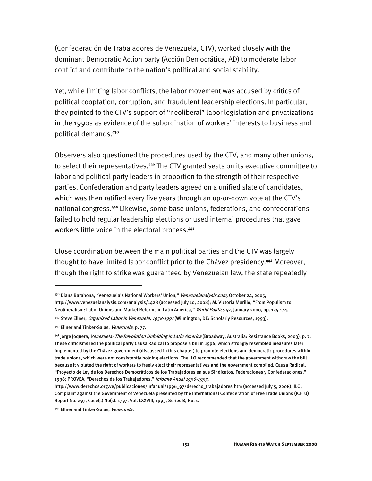(Confederación de Trabajadores de Venezuela, CTV), worked closely with the dominant Democratic Action party (Acción Democrática, AD) to moderate labor conflict and contribute to the nation's political and social stability.

Yet, while limiting labor conflicts, the labor movement was accused by critics of political cooptation, corruption, and fraudulent leadership elections. In particular, they pointed to the CTV's support of "neoliberal" labor legislation and privatizations in the 1990s as evidence of the subordination of workers' interests to business and political demands.**<sup>438</sup>**

Observers also questioned the procedures used by the CTV, and many other unions, to select their representatives.**<sup>439</sup>** The CTV granted seats on its executive committee to labor and political party leaders in proportion to the strength of their respective parties. Confederation and party leaders agreed on a unified slate of candidates, which was then ratified every five years through an up-or-down vote at the CTV's national congress.**<sup>440</sup>** Likewise, some base unions, federations, and confederations failed to hold regular leadership elections or used internal procedures that gave workers little voice in the electoral process.**<sup>441</sup>**

Close coordination between the main political parties and the CTV was largely thought to have limited labor conflict prior to the Chávez presidency.**<sup>442</sup>** Moreover, though the right to strike was guaranteed by Venezuelan law, the state repeatedly

j

<sup>438</sup> Diana Barahona, "Venezuela's National Workers' Union," *Venezuelanalysis.com*, October 24, 2005, http://www.venezuelanalysis.com/analysis/1428 (accessed July 10, 2008); M. Victoria Murillo, "From Populism to Neoliberalism: Labor Unions and Market Reforms in Latin America," World Politics 52, January 2000, pp. 135-174.

<sup>439</sup> Steve Ellner, *Organized Labor in Venezuela, 1958-1991* (Wilmington, DE: Scholarly Resources, 1993).

<sup>440</sup> Ellner and Tinker-Salas, Venezuela, p. 77.

<sup>441</sup> Jorge Joquera, *Venezuela: The Revolution Unfolding in Latin America* (Broadway, Australia: Resistance Books, 2003), p. 7. These criticisms led the political party Causa Radical to propose a bill in 1996, which strongly resembled measures later implemented by the Chávez government (discussed in this chapter) to promote elections and democratic procedures within trade unions, which were not consistently holding elections. The ILO recommended that the government withdraw the bill because it violated the right of workers to freely elect their representatives and the government complied. Causa Radical, "Proyecto de Ley de los Derechos Democráticos de los Trabajadores en sus Sindicatos, Federaciones y Confederaciones," 1996; PROVEA, "Derechos de los Trabajadores," Informe Anual 1996-1997,

http://www.derechos.org.ve/publicaciones/infanual/1996\_97/derecho\_trabajadores.htm (accessed July 5, 2008); ILO, Complaint against the Government of Venezuela presented by the International Confederation of Free Trade Unions (ICFTU) Report No. 297, Case(s) No(s). 1797, Vol. LXXVIII, 1995, Series B, No. 1.

<sup>442</sup> Ellner and Tinker-Salas, Venezuela.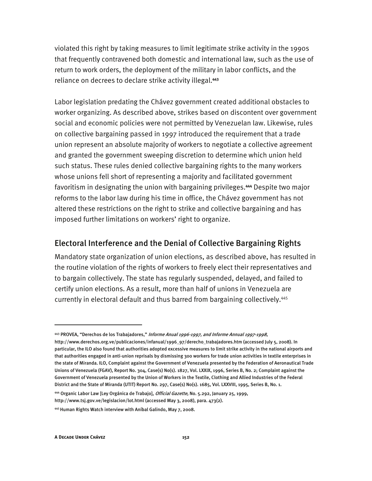violated this right by taking measures to limit legitimate strike activity in the 1990s that frequently contravened both domestic and international law, such as the use of return to work orders, the deployment of the military in labor conflicts, and the reliance on decrees to declare strike activity illegal.**<sup>443</sup>**

Labor legislation predating the Chávez government created additional obstacles to worker organizing. As described above, strikes based on discontent over government social and economic policies were not permitted by Venezuelan law. Likewise, rules on collective bargaining passed in 1997 introduced the requirement that a trade union represent an absolute majority of workers to negotiate a collective agreement and granted the government sweeping discretion to determine which union held such status. These rules denied collective bargaining rights to the many workers whose unions fell short of representing a majority and facilitated government favoritism in designating the union with bargaining privileges.**<sup>444</sup>** Despite two major reforms to the labor law during his time in office, the Chávez government has not altered these restrictions on the right to strike and collective bargaining and has imposed further limitations on workers' right to organize.

### Electoral Interference and the Denial of Collective Bargaining Rights

Mandatory state organization of union elections, as described above, has resulted in the routine violation of the rights of workers to freely elect their representatives and to bargain collectively. The state has regularly suspended, delayed, and failed to certify union elections. As a result, more than half of unions in Venezuela are currently in electoral default and thus barred from bargaining collectively.<sup>445</sup>

<sup>443</sup> PROVEA, "Derechos de los Trabajadores," Informe Anual 1996-1997, and Informe Annual 1997-1998, http://www.derechos.org.ve/publicaciones/infanual/1996\_97/derecho\_trabajadores.htm (accessed July 5, 2008). In particular, the ILO also found that authorities adopted excessive measures to limit strike activity in the national airports and that authorities engaged in anti-union reprisals by dismissing 300 workers for trade union activities in textile enterprises in the state of Miranda. ILO, Complaint against the Government of Venezuela presented by the Federation of Aeronautical Trade Unions of Venezuela (FGAV), Report No. 304, Case(s) No(s). 1827, Vol. LXXIX, 1996, Series B, No. 2; Complaint against the Government of Venezuela presented by the Union of Workers in the Textile, Clothing and Allied Industries of the Federal District and the State of Miranda (UTIT) Report No. 297, Case(s) No(s). 1685, Vol. LXXVIII, 1995, Series B, No. 1.

<sup>444</sup> Organic Labor Law [Ley Orgánica de Trabajo], Official Gazette, No. 5.292, January 25, 1999, http://www.tsj.gov.ve/legislacion/lot.html (accessed May 3, 2008), para. 473(2).

<sup>445</sup> Human Rights Watch interview with Aníbal Galindo, May 7, 2008.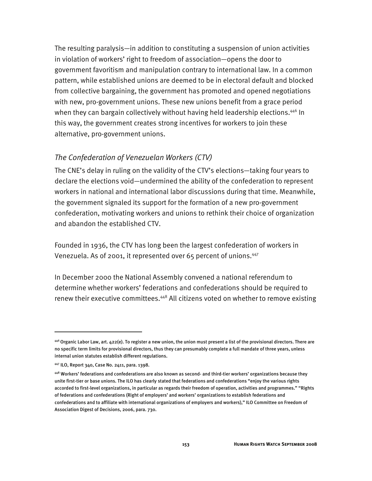The resulting paralysis—in addition to constituting a suspension of union activities in violation of workers' right to freedom of association—opens the door to government favoritism and manipulation contrary to international law. In a common pattern, while established unions are deemed to be in electoral default and blocked from collective bargaining, the government has promoted and opened negotiations with new, pro-government unions. These new unions benefit from a grace period when they can bargain collectively without having held leadership elections.<sup>446</sup> In this way, the government creates strong incentives for workers to join these alternative, pro-government unions.

# *The Confederation of Venezuelan Workers (CTV)*

The CNE's delay in ruling on the validity of the CTV's elections—taking four years to declare the elections void—undermined the ability of the confederation to represent workers in national and international labor discussions during that time. Meanwhile, the government signaled its support for the formation of a new pro-government confederation, motivating workers and unions to rethink their choice of organization and abandon the established CTV.

Founded in 1936, the CTV has long been the largest confederation of workers in Venezuela. As of 2001, it represented over 65 percent of unions. 447

In December 2000 the National Assembly convened a national referendum to determine whether workers' federations and confederations should be required to renew their executive committees.<sup>448</sup> All citizens voted on whether to remove existing

<sup>446</sup> Organic Labor Law, art. 422(e). To register a new union, the union must present a list of the provisional directors. There are no specific term limits for provisional directors, thus they can presumably complete a full mandate of three years, unless internal union statutes establish different regulations.

<sup>447</sup> ILO, Report 340, Case No. 2411, para. 1398.

<sup>&</sup>lt;sup>448</sup> Workers' federations and confederations are also known as second- and third-tier workers' organizations because they unite first-tier or base unions. The ILO has clearly stated that federations and confederations "enjoy the various rights accorded to first-level organizations, in particular as regards their freedom of operation, activities and programmes." "Rights of federations and confederations (Right of employers' and workers' organizations to establish federations and confederations and to affiliate with international organizations of employers and workers)," ILO Committee on Freedom of Association Digest of Decisions, 2006, para. 730.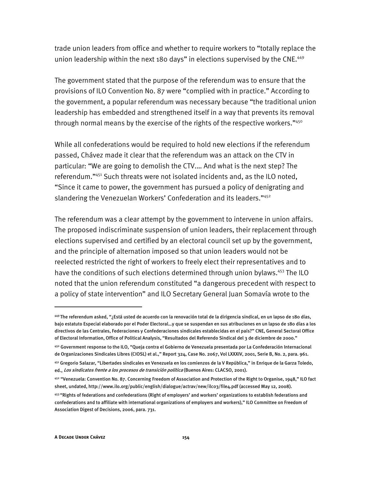trade union leaders from office and whether to require workers to "totally replace the union leadership within the next 180 days" in elections supervised by the CNE.<sup>449</sup>

The government stated that the purpose of the referendum was to ensure that the provisions of ILO Convention No. 87 were "complied with in practice." According to the government, a popular referendum was necessary because "the traditional union leadership has embedded and strengthened itself in a way that prevents its removal through normal means by the exercise of the rights of the respective workers."450

While all confederations would be required to hold new elections if the referendum passed, Chávez made it clear that the referendum was an attack on the CTV in particular: "We are going to demolish the CTV.… And what is the next step? The referendum."451 Such threats were not isolated incidents and, as the ILO noted, "Since it came to power, the government has pursued a policy of denigrating and slandering the Venezuelan Workers' Confederation and its leaders."452

The referendum was a clear attempt by the government to intervene in union affairs. The proposed indiscriminate suspension of union leaders, their replacement through elections supervised and certified by an electoral council set up by the government, and the principle of alternation imposed so that union leaders would not be reelected restricted the right of workers to freely elect their representatives and to have the conditions of such elections determined through union bylaws.<sup>453</sup> The ILO noted that the union referendum constituted "a dangerous precedent with respect to a policy of state intervention" and ILO Secretary General Juan Somavía wrote to the

j

<sup>449</sup> The referendum asked, "¿Está usted de acuerdo con la renovación total de la dirigencia sindical, en un lapso de 180 días, bajo estatuto Especial elaborado por el Poder Electoral…y que se suspendan en sus atribuciones en un lapso de 180 días a los directivos de las Centrales, Federaciones y Confederaciones sindicales establecidas en el país?" CNE, General Sectoral Office of Electoral Information, Office of Political Analysis, "Resultados del Referendo Sindical del 3 de diciembre de 2000."

<sup>45</sup>º Government response to the ILO, "Queja contra el Gobierno de Venezuela presentada por La Confederación Internacional de Organizaciones Sindicales Libres (CIOSL) et al.," Report 324, Case No. 2067, Vol LXXXIV, 2001, Serie B, No. 2, para. 961.

<sup>451</sup> Gregorio Salazar, "Libertades sindicales en Venezuela en los comienzos de la V República," in Enrique de la Garza Toledo, ed., Los sindicatos frente a los procesos de transición política (Buenos Aires: CLACSO, 2001).

<sup>452 &</sup>quot;Venezuela: Convention No. 87. Concerning Freedom of Association and Protection of the Right to Organise, 1948," ILO fact sheet, undated, http://www.ilo.org/public/english/dialogue/actrav/new/ilc03/file4.pdf (accessed May 12, 2008).

<sup>453 &</sup>quot;Rights of federations and confederations (Right of employers' and workers' organizations to establish federations and confederations and to affiliate with international organizations of employers and workers)," ILO Committee on Freedom of Association Digest of Decisions, 2006, para. 731.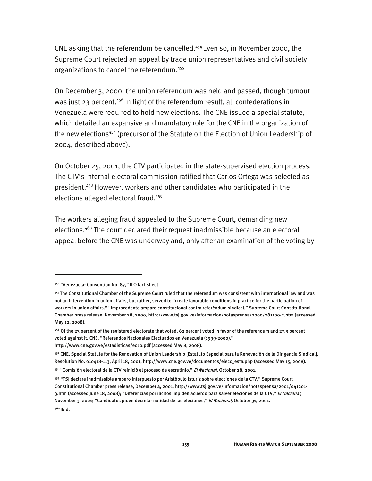CNE asking that the referendum be cancelled.454 Even so, in November 2000, the Supreme Court rejected an appeal by trade union representatives and civil society organizations to cancel the referendum.<sup>455</sup>

On December 3, 2000, the union referendum was held and passed, though turnout was just 23 percent.<sup>456</sup> In light of the referendum result, all confederations in Venezuela were required to hold new elections. The CNE issued a special statute, which detailed an expansive and mandatory role for the CNE in the organization of the new elections<sup>457</sup> (precursor of the Statute on the Election of Union Leadership of 2004, described above).

On October 25, 2001, the CTV participated in the state-supervised election process. The CTV's internal electoral commission ratified that Carlos Ortega was selected as president.458 However, workers and other candidates who participated in the elections alleged electoral fraud.459

The workers alleging fraud appealed to the Supreme Court, demanding new elections.460 The court declared their request inadmissible because an electoral appeal before the CNE was underway and, only after an examination of the voting by

j

<sup>454 &</sup>quot;Venezuela: Convention No. 87," ILO fact sheet.

<sup>455</sup> The Constitutional Chamber of the Supreme Court ruled that the referendum was consistent with international law and was not an intervention in union affairs, but rather, served to "create favorable conditions in practice for the participation of workers in union affairs." "Improcedente amparo constitucional contra referéndum sindical," Supreme Court Constitutional Chamber press release, November 28, 2000, http://www.tsj.gov.ve/informacion/notasprensa/2000/281100-2.htm (accessed May 12, 2008).

<sup>456</sup> Of the 23 percent of the registered electorate that voted, 62 percent voted in favor of the referendum and 27.3 percent voted against it. CNE, "Referendos Nacionales Efectuados en Venezuela (1999-2000)," http://www.cne.gov.ve/estadisticas/e010.pdf (accessed May 8, 2008).

<sup>457</sup> CNE, Special Statute for the Renovation of Union Leadership [Estatuto Especial para la Renovación de la Dirigencia Sindical], Resolution No. 010418-113, April 18, 2001, http://www.cne.gov.ve/documentos/elecc\_esta.php (accessed May 15, 2008).

<sup>458 &</sup>quot;Comisión electoral de la CTV reinició el proceso de escrutinio," El Nacional, October 28, 2001.

<sup>459 &</sup>quot;TSJ declare inadmissible amparo interpuesto por Aristóbulo Isturiz sobre elecciones de la CTV," Supreme Court Constitutional Chamber press release, December 4, 2001, http://www.tsj.gov.ve/informacion/notasprensa/2001/041201- 3.htm (accessed June 18, 2008); "Diferencias por ilícitos impiden acuerdo para salver eleciones de la CTV," El Nacional, November 3, 2001; "Candidatos piden decretar nulidad de las eleciones," El Nacional, October 31, 2001.

<sup>460</sup> Ibid.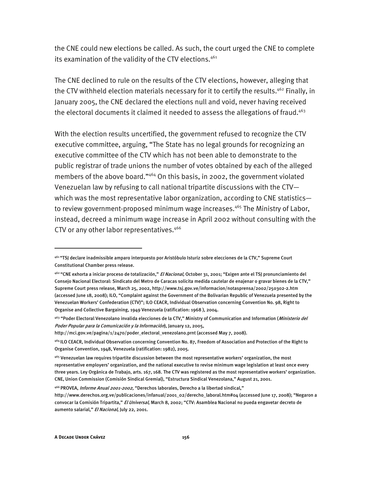the CNE could new elections be called. As such, the court urged the CNE to complete its examination of the validity of the CTV elections.<sup>461</sup>

The CNE declined to rule on the results of the CTV elections, however, alleging that the CTV withheld election materials necessary for it to certify the results.<sup>462</sup> Finally, in January 2005, the CNE declared the elections null and void, never having received the electoral documents it claimed it needed to assess the allegations of fraud.<sup>463</sup>

With the election results uncertified, the government refused to recognize the CTV executive committee, arguing, "The State has no legal grounds for recognizing an executive committee of the CTV which has not been able to demonstrate to the public registrar of trade unions the number of votes obtained by each of the alleged members of the above board."464 On this basis, in 2002, the government violated Venezuelan law by refusing to call national tripartite discussions with the CTV which was the most representative labor organization, according to CNE statistics to review government-proposed minimum wage increases.<sup>465</sup> The Ministry of Labor, instead, decreed a minimum wage increase in April 2002 without consulting with the CTV or any other labor representatives.<sup>466</sup>

<sup>461 &</sup>quot;TSJ declare inadmissible amparo interpuesto por Aristóbulo Isturiz sobre elecciones de la CTV," Supreme Court Constitutional Chamber press release.

<sup>462 &</sup>quot;CNE exhorta a iniciar proceso de totalización," *El Nacional,* October 31, 2001; "Exigen ante el TSJ pronunciamiento del Consejo Nacional Electoral: Sindicato del Metro de Caracas solicita medida cautelar de enajenar o gravar bienes de la CTV," Supreme Court press release, March 25, 2002, http://www.tsj.gov.ve/informacion/notasprensa/2002/250302-2.htm (accessed June 18, 2008); ILO, "Complaint against the Government of the Bolivarian Republic of Venezuela presented by the Venezuelan Workers' Confederation (CTV)"; ILO CEACR, Individual Observation concerning Convention No. 98, Right to Organise and Collective Bargaining, 1949 Venezuela (ratification: 1968 ), 2004.

<sup>&</sup>lt;sup>463</sup> "Poder Electoral Venezolano invalida elecciones de la CTV," Ministry of Communication and Information (*Ministerio del* Poder Popular para la Comunicación y la Información), January 12, 2005,

http://mci.gov.ve/pagina/1/2470/poder\_electoral\_venezolano.prnt (accessed May 7, 2008).

<sup>464</sup> ILO CEACR, Individual Observation concerning Convention No. 87, Freedom of Association and Protection of the Right to Organise Convention, 1948, Venezuela (ratification: 1982), 2005.

<sup>465</sup> Venezuelan law requires tripartite discussion between the most representative workers' organization, the most representative employers' organization, and the national executive to revise minimum wage legislation at least once every three years. Ley Orgánica de Trabajo, arts. 167, 168. The CTV was registered as the most representative workers' organization. CNE, Union Commission (Comisión Sindical Gremial), "Estructura Sindical Venezolana," August 21, 2001.

<sup>466</sup> PROVEA, Informe Anual 2001-2002, "Derechos laborales, Derecho a la libertad sindical,"

http://www.derechos.org.ve/publicaciones/infanual/2001\_02/derecho\_laboral.htm#04 (accessed June 17, 2008); "Negaron a convocar la Comisión Tripartita," El Universal, March 8, 2002; "CTV: Asamblea Nacional no pueda engavetar decreto de aumento salarial," El Nacional, July 22, 2001.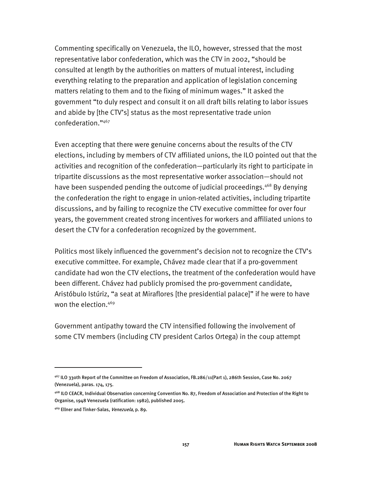Commenting specifically on Venezuela, the ILO, however, stressed that the most representative labor confederation, which was the CTV in 2002, "should be consulted at length by the authorities on matters of mutual interest, including everything relating to the preparation and application of legislation concerning matters relating to them and to the fixing of minimum wages." It asked the government "to duly respect and consult it on all draft bills relating to labor issues and abide by [the CTV's] status as the most representative trade union confederation."467

Even accepting that there were genuine concerns about the results of the CTV elections, including by members of CTV affiliated unions, the ILO pointed out that the activities and recognition of the confederation—particularly its right to participate in tripartite discussions as the most representative worker association—should not have been suspended pending the outcome of judicial proceedings.<sup>468</sup> By denying the confederation the right to engage in union-related activities, including tripartite discussions, and by failing to recognize the CTV executive committee for over four years, the government created strong incentives for workers and affiliated unions to desert the CTV for a confederation recognized by the government.

Politics most likely influenced the government's decision not to recognize the CTV's executive committee. For example, Chávez made clear that if a pro-government candidate had won the CTV elections, the treatment of the confederation would have been different. Chávez had publicly promised the pro-government candidate, Aristóbulo Istúriz, "a seat at Miraflores [the presidential palace]" if he were to have won the election.<sup>469</sup>

Government antipathy toward the CTV intensified following the involvement of some CTV members (including CTV president Carlos Ortega) in the coup attempt

j

<sup>467</sup> ILO 330th Report of the Committee on Freedom of Association, FB.286/11(Part 1), 286th Session, Case No. 2067 (Venezuela), paras. 174, 175.

<sup>468</sup> ILO CEACR, Individual Observation concerning Convention No. 87, Freedom of Association and Protection of the Right to Organise, 1948 Venezuela (ratification: 1982), published 2005.

<sup>469</sup> Ellner and Tinker-Salas, Venezuela, p. 89.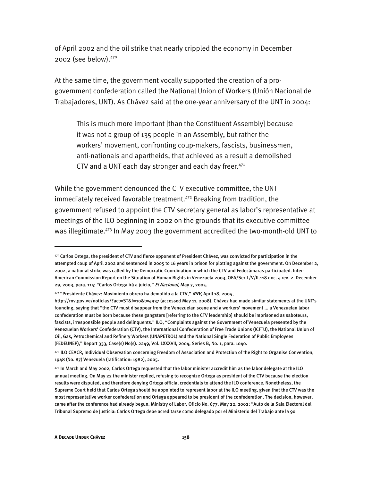of April 2002 and the oil strike that nearly crippled the economy in December 2002 (see below).470

At the same time, the government vocally supported the creation of a progovernment confederation called the National Union of Workers (Unión Nacional de Trabajadores, UNT). As Chávez said at the one-year anniversary of the UNT in 2004:

This is much more important [than the Constituent Assembly] because it was not a group of 135 people in an Assembly, but rather the workers' movement, confronting coup-makers, fascists, businessmen, anti-nationals and apartheids, that achieved as a result a demolished CTV and a UNT each day stronger and each day freer. $471$ 

While the government denounced the CTV executive committee, the UNT immediately received favorable treatment.<sup>472</sup> Breaking from tradition, the government refused to appoint the CTV secretary general as labor's representative at meetings of the ILO beginning in 2002 on the grounds that its executive committee was illegitimate.<sup>473</sup> In May 2003 the government accredited the two-month-old UNT to

<sup>47</sup>º Carlos Ortega, the president of CTV and fierce opponent of President Chávez, was convicted for participation in the attempted coup of April 2002 and sentenced in 2005 to 16 years in prison for plotting against the government. On December 2, 2002, a national strike was called by the Democratic Coordination in which the CTV and Fedecámaras participated. Inter-American Commission Report on the Situation of Human Rights in Venezuela 2003, OEA/Ser.L/V/II.118 doc. 4 rev. 2. December 29, 2003, para. 115; "Carlos Ortega irá a juicio," El Nacional, May 7, 2005.

<sup>&</sup>lt;sup>471</sup> "Presidente Chávez: Movimiento obrero ha demolido a la CTV," RNV, April 18, 2004,

http://rnv.gov.ve/noticias/?act=ST&f=10&t=4937 (accessed May 11, 2008). Chávez had made similar statements at the UNT's founding, saying that "the CTV must disappear from the Venezuelan scene and a workers' movement ... a Venezuelan labor confederation must be born because these gangsters [referring to the CTV leadership] should be imprisoned as saboteurs, fascists, irresponsible people and delinquents." ILO, "Complaints against the Government of Venezuela presented by the Venezuelan Workers' Confederation (CTV), the International Confederation of Free Trade Unions (ICFTU), the National Union of Oil, Gas, Petrochemical and Refinery Workers (UNAPETROL) and the National Single Federation of Public Employees (FEDEUNEP)," Report 333, Case(s) No(s). 2249, Vol. LXXXVII, 2004, Series B, No. 1, para. 1040.

<sup>472</sup> ILO CEACR, Individual Observation concerning Freedom of Association and Protection of the Right to Organise Convention, 1948 (No. 87) Venezuela (ratification: 1982), 2005.

<sup>473</sup> In March and May 2002, Carlos Ortega requested that the labor minister accredit him as the labor delegate at the ILO annual meeting. On May 22 the minister replied, refusing to recognize Ortega as president of the CTV because the election results were disputed, and therefore denying Ortega official credentials to attend the ILO conference. Nonetheless, the Supreme Court held that Carlos Ortega should be appointed to represent labor at the ILO meeting, given that the CTV was the most representative worker confederation and Ortega appeared to be president of the confederation. The decision, however, came after the conference had already begun. Ministry of Labor, Oficio No. 677, May 22, 2002; "Auto de la Sala Electoral del Tribunal Supremo de Justicia: Carlos Ortega debe acreditarse como delegado por el Ministerio del Trabajo ante la 90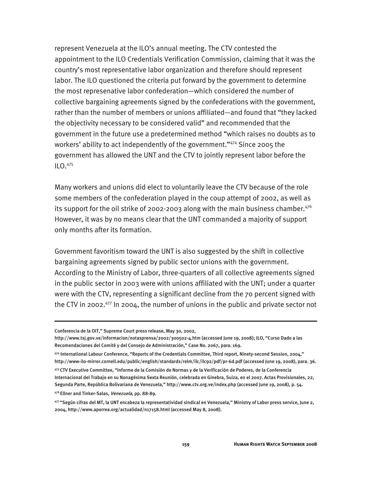represent Venezuela at the ILO's annual meeting. The CTV contested the appointment to the ILO Credentials Verification Commission, claiming that it was the country's most representative labor organization and therefore should represent labor. The ILO questioned the criteria put forward by the government to determine the most represenative labor confederation—which considered the number of collective bargaining agreements signed by the confederations with the government, rather than the number of members or unions affiliated—and found that "they lacked the objectivity necessary to be considered valid" and recommended that the government in the future use a predetermined method "which raises no doubts as to workers' ability to act independently of the government."474 Since 2005 the government has allowed the UNT and the CTV to jointly represent labor before the  $ILO.<sub>475</sub>$ 

Many workers and unions did elect to voluntarily leave the CTV because of the role some members of the confederation played in the coup attempt of 2002, as well as its support for the oil strike of 2002-2003 along with the main business chamber. $476$ However, it was by no means clear that the UNT commanded a majority of support only months after its formation.

Government favoritism toward the UNT is also suggested by the shift in collective bargaining agreements signed by public sector unions with the government. According to the Ministry of Labor, three-quarters of all collective agreements signed in the public sector in 2003 were with unions affiliated with the UNT; under a quarter were with the CTV, representing a significant decline from the 70 percent signed with the CTV in 2002.<sup>477</sup> In 2004, the number of unions in the public and private sector not

Conferencia de la OIT," Supreme Court press release, May 30, 2002,

http://www.tsj.gov.ve/informacion/notasprensa/2002/300502-4.htm (accessed June 19, 2008); ILO, "Curso Dado a las Recomendaciones del Comité y del Consejo de Administración," Case No. 2067, para. 169.

<sup>474</sup> International Labour Conference, "Reports of the Credentials Committee, Third report, Ninety-second Session, 2004," http://www-ilo-mirror.cornell.edu/public/english/standards/relm/ilc/ilc92/pdf/pr-6d.pdf (accessed June 19, 2008), para. 36.

<sup>475</sup> CTV Executive Committee, "Informe de la Comisión de Normas y de la Verificación de Poderes, de la Conferencia Internacional del Trabajo en su Nonagésima Sexta Reunión, celebrada en Ginebra, Suiza, en el 2007. Actas Provisionales, 22, Segunda Parte, República Bolivariana de Venezuela," http://www.ctv.org.ve/index.php (accessed June 19, 2008), p. 54.

<sup>476</sup> Ellner and Tinker-Salas, Venezuela, pp. 88-89.

<sup>477 &</sup>quot;Según cifras del MT, la UNT encabeza la representatividad sindical en Venezuela," Ministry of Labor press service, June 2, 2004, http://www.aporrea.org/actualidad/n17158.html (accessed May 8, 2008).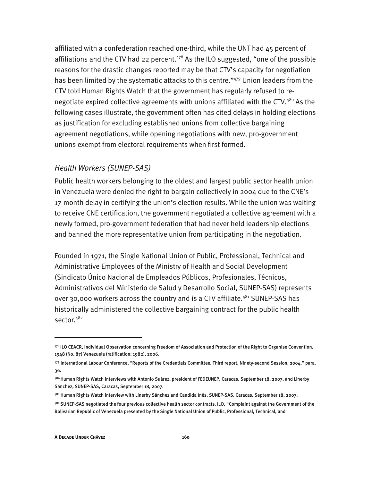affiliated with a confederation reached one-third, while the UNT had 45 percent of affiliations and the CTV had 22 percent. $478$  As the ILO suggested, "one of the possible reasons for the drastic changes reported may be that CTV's capacity for negotiation has been limited by the systematic attacks to this centre."479 Union leaders from the CTV told Human Rights Watch that the government has regularly refused to renegotiate expired collective agreements with unions affiliated with the CTV.<sup>480</sup> As the following cases illustrate, the government often has cited delays in holding elections as justification for excluding established unions from collective bargaining agreement negotiations, while opening negotiations with new, pro-government unions exempt from electoral requirements when first formed.

#### *Health Workers (SUNEP-SAS)*

Public health workers belonging to the oldest and largest public sector health union in Venezuela were denied the right to bargain collectively in 2004 due to the CNE's 17-month delay in certifying the union's election results. While the union was waiting to receive CNE certification, the government negotiated a collective agreement with a newly formed, pro-government federation that had never held leadership elections and banned the more representative union from participating in the negotiation.

Founded in 1971, the Single National Union of Public, Professional, Technical and Administrative Employees of the Ministry of Health and Social Development (Sindicato Único Nacional de Empleados Públicos, Profesionales, Técnicos, Administrativos del Ministerio de Salud y Desarrollo Social, SUNEP-SAS) represents over 30,000 workers across the country and is a CTV affiliate.<sup>481</sup> SUNEP-SAS has historically administered the collective bargaining contract for the public health sector.<sup>482</sup>

j

<sup>478</sup> ILO CEACR, Individual Observation concerning Freedom of Association and Protection of the Right to Organise Convention, 1948 (No. 87) Venezuela (ratification: 1982), 2006.

<sup>479</sup> International Labour Conference, "Reports of the Credentials Committee, Third report, Ninety-second Session, 2004," para. 36.

<sup>480</sup> Human Rights Watch interviews with Antonio Suárez, president of FEDEUNEP, Caracas, September 18, 2007, and Linerby Sánchez, SUNEP-SAS, Caracas, September 18, 2007.

<sup>481</sup> Human Rights Watch interview with Linerby Sánchez and Candida Inés, SUNEP-SAS, Caracas, September 18, 2007.

<sup>482</sup> SUNEP-SAS negotiated the four previous collective health sector contracts. ILO, "Complaint against the Government of the Bolivarian Republic of Venezuela presented by the Single National Union of Public, Professional, Technical, and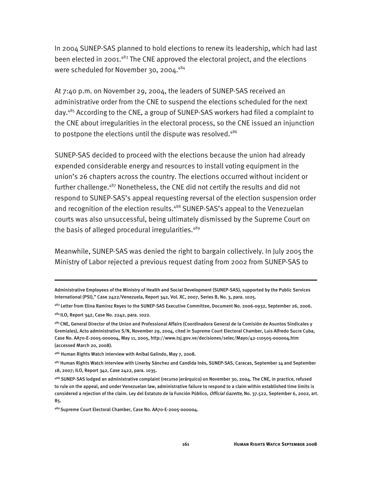In 2004 SUNEP-SAS planned to hold elections to renew its leadership, which had last been elected in 2001.<sup>483</sup> The CNE approved the electoral project, and the elections were scheduled for November 30, 2004.<sup>484</sup>

At 7:40 p.m. on November 29, 2004, the leaders of SUNEP-SAS received an administrative order from the CNE to suspend the elections scheduled for the next day.485 According to the CNE, a group of SUNEP-SAS workers had filed a complaint to the CNE about irregularities in the electoral process, so the CNE issued an injunction to postpone the elections until the dispute was resolved. $486$ 

SUNEP-SAS decided to proceed with the elections because the union had already expended considerable energy and resources to install voting equipment in the union's 26 chapters across the country. The elections occurred without incident or further challenge.<sup>487</sup> Nonetheless, the CNE did not certify the results and did not respond to SUNEP-SAS's appeal requesting reversal of the election suspension order and recognition of the election results.<sup>488</sup> SUNEP-SAS's appeal to the Venezuelan courts was also unsuccessful, being ultimately dismissed by the Supreme Court on the basis of alleged procedural irregularities. $489$ 

Meanwhile, SUNEP-SAS was denied the right to bargain collectively. In July 2005 the Ministry of Labor rejected a previous request dating from 2002 from SUNEP-SAS to

486 Human Rights Watch interview with Aníbal Galindo, May 7, 2008.

j

Administrative Employees of the Ministry of Health and Social Development (SUNEP-SAS), supported by the Public Services International (PSI)," Case 2422/Venezuela, Report 342, Vol. XC, 2007, Series B, No. 3, para. 1025.

<sup>483</sup> Letter from Elina Ramírez Reyes to the SUNEP-SAS Executive Committee, Document No. 2006-0932, September 26, 2006. 484 ILO, Report 342, Case No. 2242, para. 1022.

<sup>485</sup> CNE, General Director of the Union and Professional Affairs (Coordinadora General de la Comisión de Asuntos Sindicales y Gremiales), Acto administrativo S/N, November 29, 2004, cited in Supreme Court Electoral Chamber, Luis Alfredo Sucre Cuba, Case No. AA70-E-2005-000004, May 11, 2005, http://www.tsj.gov.ve/decisiones/selec/Mayo/42-110505-000004.htm (accessed March 20, 2008).

<sup>487</sup> Human Rights Watch interview with Linerby Sánchez and Candida Inés, SUNEP-SAS, Caracas, September 14 and September 18, 2007; ILO, Report 342, Case 2422, para. 1035.

<sup>488</sup> SUNEP-SAS lodged an administrative complaint (recurso jerárquico) on November 30, 2004. The CNE, in practice, refused to rule on the appeal, and under Venezuelan law, administrative failure to respond to a claim within established time limits is considered a rejection of the claim. Ley del Estatuto de la Función Público, Official Gazette, No. 37.522, September 6, 2002, art. 85.

<sup>489</sup> Supreme Court Electoral Chamber, Case No. AA70-E-2005-000004.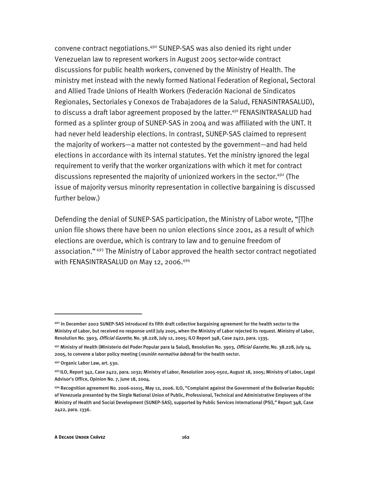convene contract negotiations.490 SUNEP-SAS was also denied its right under Venezuelan law to represent workers in August 2005 sector-wide contract discussions for public health workers, convened by the Ministry of Health. The ministry met instead with the newly formed National Federation of Regional, Sectoral and Allied Trade Unions of Health Workers (Federación Nacional de Sindicatos Regionales, Sectoriales y Conexos de Trabajadores de la Salud, FENASINTRASALUD), to discuss a draft labor agreement proposed by the latter.<sup>491</sup> FENASINTRASALUD had formed as a splinter group of SUNEP-SAS in 2004 and was affiliated with the UNT. It had never held leadership elections. In contrast, SUNEP-SAS claimed to represent the majority of workers—a matter not contested by the government—and had held elections in accordance with its internal statutes. Yet the ministry ignored the legal requirement to verify that the worker organizations with which it met for contract discussions represented the majority of unionized workers in the sector.<sup>492</sup> (The issue of majority versus minority representation in collective bargaining is discussed further below.)

Defending the denial of SUNEP-SAS participation, the Ministry of Labor wrote, "[T]he union file shows there have been no union elections since 2001, as a result of which elections are overdue, which is contrary to law and to genuine freedom of association." 493 The Ministry of Labor approved the health sector contract negotiated with FENASINTRASALUD on May 12, 2006.<sup>494</sup>

<sup>490</sup> In December 2002 SUNEP-SAS introduced its fifth draft collective bargaining agreement for the health sector to the Ministry of Labor, but received no response until July 2005, when the Ministry of Labor rejected its request. Ministry of Labor, Resolution No. 3903, Official Gazette, No. 38.228, July 12, 2005; ILO Report 348, Case 2422, para. 1335.

<sup>491</sup> Ministry of Health (Ministerio del Poder Popular para la Salud), Resolution No. 3903, *Official Gazette,* No. 38.228, July 14, 2005, to convene a labor policy meeting (reunión normativa laboral) for the health sector.

<sup>492</sup> Organic Labor Law, art. 530.

<sup>493</sup> ILO, Report 342, Case 2422, para. 1032; Ministry of Labor, Resolution 2005-0502, August 18, 2005; Ministry of Labor, Legal Advisor's Office, Opinion No. 7, June 18, 2004.

<sup>494</sup> Recognition agreement No. 2006-01015, May 12, 2006. ILO, "Complaint against the Government of the Bolivarian Republic of Venezuela presented by the Single National Union of Public, Professional, Technical and Administrative Employees of the Ministry of Health and Social Development (SUNEP-SAS), supported by Public Services International (PSI)," Report 348, Case 2422, para. 1336.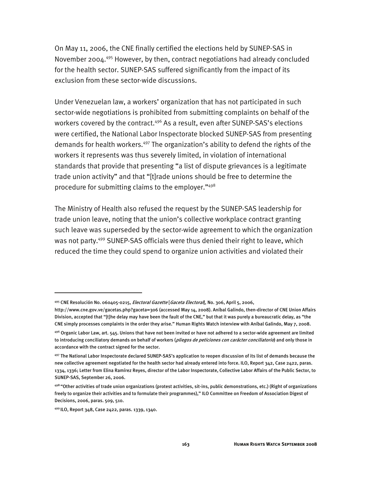On May 11, 2006, the CNE finally certified the elections held by SUNEP-SAS in November 2004.495 However, by then, contract negotiations had already concluded for the health sector. SUNEP-SAS suffered significantly from the impact of its exclusion from these sector-wide discussions.

Under Venezuelan law, a workers' organization that has not participated in such sector-wide negotiations is prohibited from submitting complaints on behalf of the workers covered by the contract.<sup>496</sup> As a result, even after SUNEP-SAS's elections were certified, the National Labor Inspectorate blocked SUNEP-SAS from presenting demands for health workers.<sup>497</sup> The organization's ability to defend the rights of the workers it represents was thus severely limited, in violation of international standards that provide that presenting "a list of dispute grievances is a legitimate trade union activity" and that "[t]rade unions should be free to determine the procedure for submitting claims to the employer."498

The Ministry of Health also refused the request by the SUNEP-SAS leadership for trade union leave, noting that the union's collective workplace contract granting such leave was superseded by the sector-wide agreement to which the organization was not party.<sup>499</sup> SUNEP-SAS officials were thus denied their right to leave, which reduced the time they could spend to organize union activities and violated their

<sup>495</sup> CNE Resolución No. 060405-0215, *Electoral Gazette* [Gaceta Electoral], No. 306, April 5, 2006,

http://www.cne.gov.ve/gacetas.php?gaceta=306 (accessed May 14, 2008). Aníbal Galindo, then-director of CNE Union Affairs Division, accepted that "[t]he delay may have been the fault of the CNE," but that it was purely a bureaucratic delay, as "the CNE simply processes complaints in the order they arise." Human Rights Watch interview with Aníbal Galindo, May 7, 2008.

<sup>496</sup> Organic Labor Law, art. 545. Unions that have not been invited or have not adhered to a sector-wide agreement are limited to introducing conciliatory demands on behalf of workers (pliegos de peticiones con carácter conciliatorio) and only those in accordance with the contract signed for the sector.

<sup>497</sup> The National Labor Inspectorate declared SUNEP-SAS's application to reopen discussion of its list of demands because the new collective agreement negotiated for the health sector had already entered into force. ILO, Report 342, Case 2422, paras. 1334, 1336; Letter from Elina Ramírez Reyes, director of the Labor Inspectorate, Collective Labor Affairs of the Public Sector, to SUNEP-SAS, September 26, 2006.

<sup>498 &</sup>quot;Other activities of trade union organizations (protest activities, sit-ins, public demonstrations, etc.) (Right of organizations freely to organize their activities and to formulate their programmes)," ILO Committee on Freedom of Association Digest of Decisions, 2006, paras. 509, 510.

<sup>499</sup> ILO, Report 348, Case 2422, paras. 1339, 1340.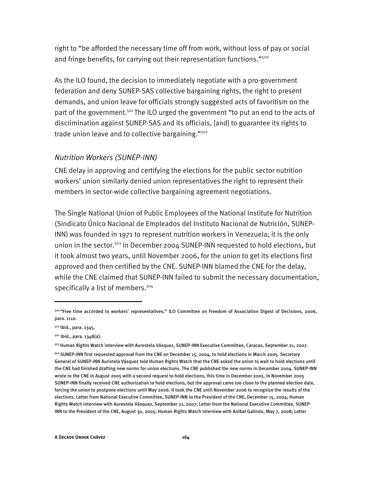right to "be afforded the necessary time off from work, without loss of pay or social and fringe benefits, for carrying out their representation functions."<sup>500</sup>

As the ILO found, the decision to immediately negotiate with a pro-government federation and deny SUNEP-SAS collective bargaining rights, the right to present demands, and union leave for officials strongly suggested acts of favoritism on the part of the government.<sup>501</sup> The ILO urged the government "to put an end to the acts of discrimination against SUNEP-SAS and its officials, [and] to guarantee its rights to trade union leave and to collective bargaining."502

#### *Nutrition Workers (SUNEP-INN)*

CNE delay in approving and certifying the elections for the public sector nutrition workers' union similarly denied union representatives the right to represent their members in sector-wide collective bargaining agreement negotiations.

The Single National Union of Public Employees of the National Institute for Nutrition (Sindicato Único Nacional de Empleados del Instituto Nacional de Nutrición, SUNEP-INN) was founded in 1971 to represent nutrition workers in Venezuela; it is the only union in the sector.<sup>503</sup> In December 2004 SUNEP-INN requested to hold elections, but it took almost two years, until November 2006, for the union to get its elections first approved and then certified by the CNE. SUNEP-INN blamed the CNE for the delay, while the CNE claimed that SUNEP-INN failed to submit the necessary documentation, specifically a list of members.<sup>504</sup>

<sup>500 &</sup>quot;Free time accorded to workers' representatives," ILO Committee on Freedom of Association Digest of Decisions, 2006, para. 1110.

<sup>501</sup> Ibid., para. 1345.

<sup>502</sup> Ibid., para. 1348(a).

<sup>&</sup>lt;sup>503</sup> Human Rights Watch interview with Aurestela Vásquez, SUNEP-INN Executive Committee, Caracas, September 21, 2007.

<sup>504</sup> SUNEP-INN first requested approval from the CNE on December 15, 2004, to hold elections in March 2005. Secretary General of SUNEP-INN Auristela Vásquez told Human Rights Watch that the CNE asked the union to wait to hold elections until the CNE had finished drafting new norms for union elections. The CNE published the new norms in December 2004. SUNEP-INN wrote to the CNE in August 2005 with a second request to hold elections, this time in December 2005. In November 2005 SUNEP-INN finally received CNE authorization to hold elections, but the approval came too close to the planned election date, forcing the union to postpone elections until May 2006. It took the CNE until November 2006 to recognize the results of the elections. Letter from National Executive Committee, SUNEP-INN to the President of the CNE, December 15, 2004; Human Rights Watch interview with Aurestela Vásquez, September 21, 2007; Letter from the National Executive Committee, SUNEP-INN to the President of the CNE, August 30, 2005; Human Rights Watch interview with Aníbal Galindo, May 7, 2008; Letter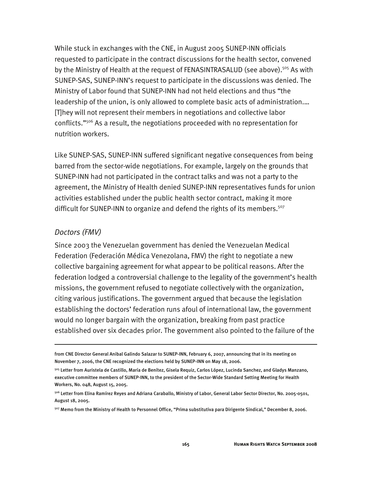While stuck in exchanges with the CNE, in August 2005 SUNEP-INN officials requested to participate in the contract discussions for the health sector, convened by the Ministry of Health at the request of FENASINTRASALUD (see above).<sup>505</sup> As with SUNEP-SAS, SUNEP-INN's request to participate in the discussions was denied. The Ministry of Labor found that SUNEP-INN had not held elections and thus "the leadership of the union, is only allowed to complete basic acts of administration.… [T]hey will not represent their members in negotiations and collective labor conflicts."506 As a result, the negotiations proceeded with no representation for nutrition workers.

Like SUNEP-SAS, SUNEP-INN suffered significant negative consequences from being barred from the sector-wide negotiations. For example, largely on the grounds that SUNEP-INN had not participated in the contract talks and was not a party to the agreement, the Ministry of Health denied SUNEP-INN representatives funds for union activities established under the public health sector contract, making it more difficult for SUNEP-INN to organize and defend the rights of its members.<sup>507</sup>

#### *Doctors (FMV)*

I

Since 2003 the Venezuelan government has denied the Venezuelan Medical Federation (Federación Médica Venezolana, FMV) the right to negotiate a new collective bargaining agreement for what appear to be political reasons. After the federation lodged a controversial challenge to the legality of the government's health missions, the government refused to negotiate collectively with the organization, citing various justifications. The government argued that because the legislation establishing the doctors' federation runs afoul of international law, the government would no longer bargain with the organization, breaking from past practice established over six decades prior. The government also pointed to the failure of the

from CNE Director General Anibal Galindo Salazar to SUNEP-INN, February 6, 2007, announcing that in its meeting on November 7, 2006, the CNE recognized the elections held by SUNEP-INN on May 18, 2006.

<sup>505</sup> Letter from Auristela de Castillo, María de Benítez, Gisela Requiz, Carlos López, Lucinda Sanchez, and Gladys Manzano, executive committee members of SUNEP-INN, to the president of the Sector-Wide Standard Setting Meeting for Health Workers, No. 048, August 15, 2005.

<sup>506</sup> Letter from Elina Ramírez Reyes and Adriana Caraballo, Ministry of Labor, General Labor Sector Director, No. 2005-0501, August 18, 2005.

<sup>507</sup> Memo from the Ministry of Health to Personnel Office, "Prima substitutiva para Dirigente Sindical," December 8, 2006.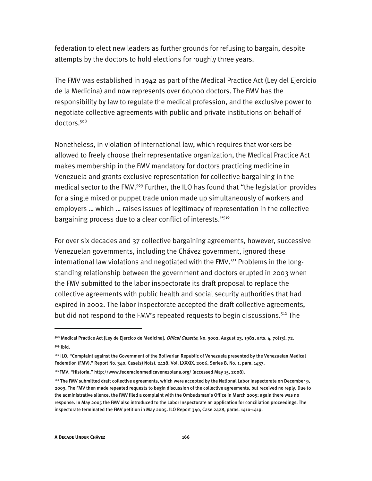federation to elect new leaders as further grounds for refusing to bargain, despite attempts by the doctors to hold elections for roughly three years.

The FMV was established in 1942 as part of the Medical Practice Act (Ley del Ejercicio de la Medicina) and now represents over 60,000 doctors. The FMV has the responsibility by law to regulate the medical profession, and the exclusive power to negotiate collective agreements with public and private institutions on behalf of doctors.508

Nonetheless, in violation of international law, which requires that workers be allowed to freely choose their representative organization, the Medical Practice Act makes membership in the FMV mandatory for doctors practicing medicine in Venezuela and grants exclusive representation for collective bargaining in the medical sector to the FMV.<sup>509</sup> Further, the ILO has found that "the legislation provides for a single mixed or puppet trade union made up simultaneously of workers and employers … which … raises issues of legitimacy of representation in the collective bargaining process due to a clear conflict of interests."<sup>510</sup>

For over six decades and 37 collective bargaining agreements, however, successive Venezuelan governments, including the Chávez government, ignored these international law violations and negotiated with the FMV.<sup>511</sup> Problems in the longstanding relationship between the government and doctors erupted in 2003 when the FMV submitted to the labor inspectorate its draft proposal to replace the collective agreements with public health and social security authorities that had expired in 2002. The labor inspectorate accepted the draft collective agreements, but did not respond to the FMV's repeated requests to begin discussions.<sup>512</sup> The

<sup>&</sup>lt;sup>508</sup> Medical Practice Act [Ley de Ejercico de Medicina], *Offical Gazette,* No. 3002, August 23, 1982, arts. 4, 70(13), 72. 509 Ibid.

<sup>510</sup> ILO, "Complaint against the Government of the Bolivarian Republic of Venezuela presented by the Venezuelan Medical Federation (FMV)," Report No. 340, Case(s) No(s). 2428, Vol. LXXXIX, 2006, Series B, No. 1, para. 1437.

<sup>511</sup> FMV, "Historia," http://www.federacionmedicavenezolana.org/ (accessed May 15, 2008).

<sup>&</sup>lt;sup>512</sup> The FMV submitted draft collective agreements, which were accepted by the National Labor Inspectorate on December 9, 2003. The FMV then made repeated requests to begin discussion of the collective agreements, but received no reply. Due to the administrative silence, the FMV filed a complaint with the Ombudsman's Office in March 2005; again there was no response. In May 2005 the FMV also introduced to the Labor Inspectorate an application for conciliation proceedings. The inspectorate terminated the FMV petition in May 2005. ILO Report 340, Case 2428, paras. 1410-1419.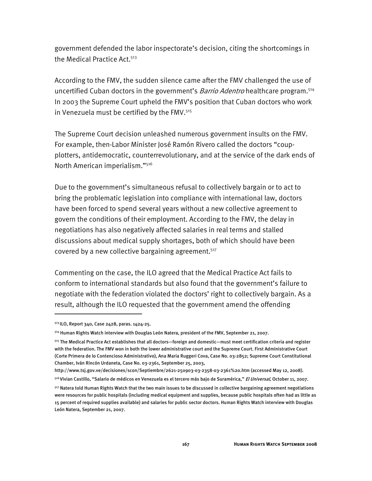government defended the labor inspectorate's decision, citing the shortcomings in the Medical Practice Act.<sup>513</sup>

According to the FMV, the sudden silence came after the FMV challenged the use of uncertified Cuban doctors in the government's *Barrio Adentro* healthcare program.<sup>514</sup> In 2003 the Supreme Court upheld the FMV's position that Cuban doctors who work in Venezuela must be certified by the FMV.<sup>515</sup>

The Supreme Court decision unleashed numerous government insults on the FMV. For example, then-Labor Minister José Ramón Rivero called the doctors "coupplotters, antidemocratic, counterrevolutionary, and at the service of the dark ends of North American imperialism."516

Due to the government's simultaneous refusal to collectively bargain or to act to bring the problematic legislation into compliance with international law, doctors have been forced to spend several years without a new collective agreement to govern the conditions of their employment. According to the FMV, the delay in negotiations has also negatively affected salaries in real terms and stalled discussions about medical supply shortages, both of which should have been covered by a new collective bargaining agreement.<sup>517</sup>

Commenting on the case, the ILO agreed that the Medical Practice Act fails to conform to international standards but also found that the government's failure to negotiate with the federation violated the doctors' right to collectively bargain. As a result, although the ILO requested that the government amend the offending

<sup>513</sup> ILO, Report 340, Case 2428, paras. 1424-25.

<sup>514</sup> Human Rights Watch interview with Douglas León Natera, president of the FMV, September 21, 2007.

<sup>515</sup> The Medical Practice Act establishes that all doctors—foreign and domestic—must meet certification criteria and register with the federation. The FMV won in both the lower administrative court and the Supreme Court. First Administrative Court (Corte Primera de lo Contencioso Administrativo), Ana Maria Ruggeri Cova, Case No. 03-2852; Supreme Court Constitutional Chamber, Iván Rincón Urdaneta, Case No. 03-2361, September 25, 2003,

http://www.tsj.gov.ve/decisiones/scon/Septiembre/2621-250903-03-2358-03-2361%20.htm (accessed May 12, 2008).

<sup>&</sup>lt;sup>516</sup> Vivian Castillo, "Salario de médicos en Venezuela es el tercero más bajo de Suramérica," *El Universal*, October 11, 2007.

<sup>517</sup> Natera told Human Rights Watch that the two main issues to be discussed in collective bargaining agreement negotiations were resources for public hospitals (including medical equipment and supplies, because public hospitals often had as little as 15 percent of required supplies available) and salaries for public sector doctors. Human Rights Watch interview with Douglas León Natera, September 21, 2007.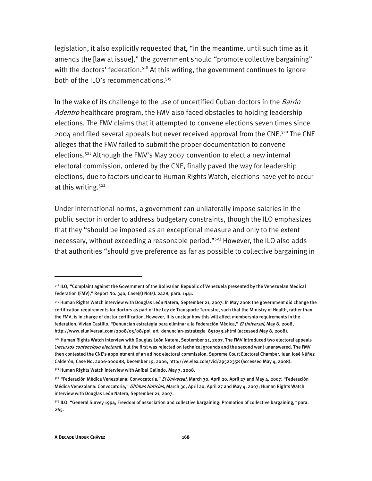legislation, it also explicitly requested that, "in the meantime, until such time as it amends the [law at issue]," the government should "promote collective bargaining" with the doctors' federation.<sup>518</sup> At this writing, the government continues to ignore both of the ILO's recommendations.<sup>519</sup>

In the wake of its challenge to the use of uncertified Cuban doctors in the Barrio Adentro healthcare program, the FMV also faced obstacles to holding leadership elections. The FMV claims that it attempted to convene elections seven times since 2004 and filed several appeals but never received approval from the CNE.<sup>520</sup> The CNE alleges that the FMV failed to submit the proper documentation to convene elections.<sup>521</sup> Although the FMV's May 2007 convention to elect a new internal electoral commission, ordered by the CNE, finally paved the way for leadership elections, due to factors unclear to Human Rights Watch, elections have yet to occur at this writing.<sup>522</sup>

Under international norms, a government can unilaterally impose salaries in the public sector in order to address budgetary constraints, though the ILO emphasizes that they "should be imposed as an exceptional measure and only to the extent necessary, without exceeding a reasonable period."523 However, the ILO also adds that authorities "should give preference as far as possible to collective bargaining in

j

<sup>518</sup> ILO, "Complaint against the Government of the Bolivarian Republic of Venezuela presented by the Venezuelan Medical Federation (FMV)," Report No. 340, Case(s) No(s). 2428, para. 1441.

<sup>519</sup> Human Rights Watch interview with Douglas León Natera, September 21, 2007. In May 2008 the government did change the certification requirements for doctors as part of the Ley de Transporte Terrestre, such that the Ministry of Health, rather than the FMV, is in charge of doctor certification. However, it is unclear how this will affect membership requirements in the federation. Vivian Castillo, "Denuncian estrategia para eliminar a la Federación Médica," El Universal, May 8, 2008, http://www.eluniversal.com/2008/05/08/pol\_art\_denuncian-estrategia\_851053.shtml (accessed May 8, 2008).

<sup>520</sup> Human Rights Watch interview with Douglas León Natera, September 21, 2007. The FMV introduced two electoral appeals (recursos contencioso electoral), but the first was rejected on technical grounds and the second went unanswered. The FMV then contested the CNE's appointment of an ad hoc electoral commission. Supreme Court Electoral Chamber, Juan José Núñez Calderón, Case No. 2006-000088, December 19, 2006, http://ve.vlex.com/vid/29522358 (accessed May 4, 2008).

<sup>521</sup> Human Rights Watch interview with Aníbal Galindo, May 7, 2008.

<sup>522 &</sup>quot;Federación Médica Venezolana: Convocatoria," *El Universal,* March 30, April 20, April 27 and May 4, 2007; "Federación Médica Venezolana: Convocatoria," *Últimas Noticias,* March 30, April 20, April 27 and May 4, 2007; Human Rights Watch interview with Douglas León Natera, September 21, 2007.

<sup>523</sup> ILO, "General Survey 1994, Freedom of association and collective bargaining: Promotion of collective bargaining," para. 265.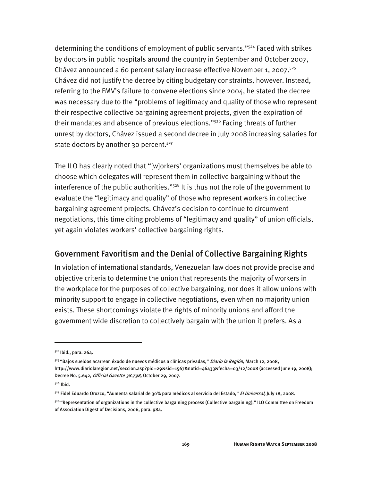determining the conditions of employment of public servants."524 Faced with strikes by doctors in public hospitals around the country in September and October 2007, Chávez announced a 60 percent salary increase effective November 1, 2007.<sup>525</sup> Chávez did not justify the decree by citing budgetary constraints, however. Instead, referring to the FMV's failure to convene elections since 2004, he stated the decree was necessary due to the "problems of legitimacy and quality of those who represent their respective collective bargaining agreement projects, given the expiration of their mandates and absence of previous elections."526 Facing threats of further unrest by doctors, Chávez issued a second decree in July 2008 increasing salaries for state doctors by another 30 percent.**<sup>527</sup>**

The ILO has clearly noted that "[w]orkers' organizations must themselves be able to choose which delegates will represent them in collective bargaining without the interference of the public authorities." $528$  It is thus not the role of the government to evaluate the "legitimacy and quality" of those who represent workers in collective bargaining agreement projects. Chávez's decision to continue to circumvent negotiations, this time citing problems of "legitimacy and quality" of union officials, yet again violates workers' collective bargaining rights.

# Government Favoritism and the Denial of Collective Bargaining Rights

In violation of international standards, Venezuelan law does not provide precise and objective criteria to determine the union that represents the majority of workers in the workplace for the purposes of collective bargaining, nor does it allow unions with minority support to engage in collective negotiations, even when no majority union exists. These shortcomings violate the rights of minority unions and afford the government wide discretion to collectively bargain with the union it prefers. As a

<sup>524</sup> Ibid., para. 264.

<sup>&</sup>lt;sup>525</sup> "Bajos sueldos acarrean éxodo de nuevos médicos a clínicas privadas," *Diario la Región,* March 12, 2008, http://www.diariolaregion.net/seccion.asp?pid=29&sid=1567&notid=46433&fecha=03/12/2008 (accessed June 19, 2008); Decree No. 5.642, Official Gazette 38.798, October 29, 2007.

<sup>526</sup> Ibid.

<sup>&</sup>lt;sup>527</sup> Fidel Eduardo Orozco, "Aumenta salarial de 30% para médicos al servicio del Estado," *El Universal,* July 18, 2008.

<sup>&</sup>lt;sup>528</sup> "Representation of organizations in the collective bargaining process (Collective bargaining)," ILO Committee on Freedom of Association Digest of Decisions, 2006, para. 984.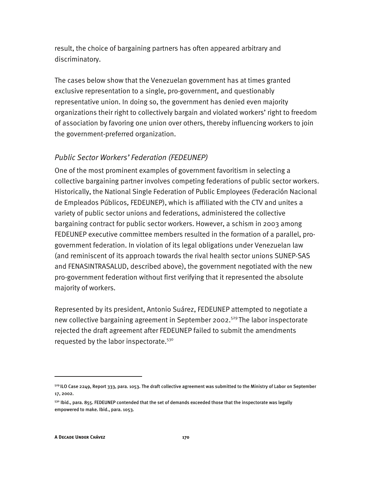result, the choice of bargaining partners has often appeared arbitrary and discriminatory.

The cases below show that the Venezuelan government has at times granted exclusive representation to a single, pro-government, and questionably representative union. In doing so, the government has denied even majority organizations their right to collectively bargain and violated workers' right to freedom of association by favoring one union over others, thereby influencing workers to join the government-preferred organization.

# *Public Sector Workers' Federation (FEDEUNEP)*

One of the most prominent examples of government favoritism in selecting a collective bargaining partner involves competing federations of public sector workers. Historically, the National Single Federation of Public Employees (Federación Nacional de Empleados Públicos, FEDEUNEP), which is affiliated with the CTV and unites a variety of public sector unions and federations, administered the collective bargaining contract for public sector workers. However, a schism in 2003 among FEDEUNEP executive committee members resulted in the formation of a parallel, progovernment federation. In violation of its legal obligations under Venezuelan law (and reminiscent of its approach towards the rival health sector unions SUNEP-SAS and FENASINTRASALUD, described above), the government negotiated with the new pro-government federation without first verifying that it represented the absolute majority of workers.

Represented by its president, Antonio Suárez, FEDEUNEP attempted to negotiate a new collective bargaining agreement in September 2002.<sup>529</sup> The labor inspectorate rejected the draft agreement after FEDEUNEP failed to submit the amendments requested by the labor inspectorate.<sup>530</sup>

<sup>529</sup> ILO Case 2249, Report 333, para. 1053. The draft collective agreement was submitted to the Ministry of Labor on September 17, 2002.

<sup>53</sup>º Ibid., para. 855. FEDEUNEP contended that the set of demands exceeded those that the inspectorate was legally empowered to make. Ibid., para. 1053.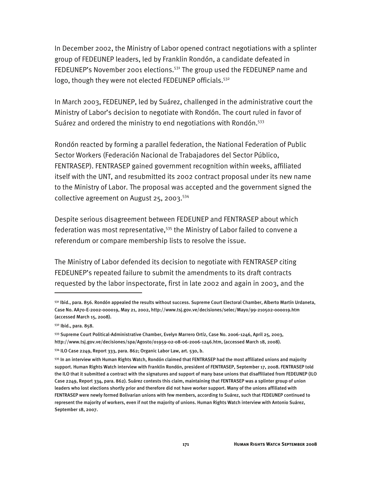In December 2002, the Ministry of Labor opened contract negotiations with a splinter group of FEDEUNEP leaders, led by Franklin Rondón, a candidate defeated in FEDEUNEP's November 2001 elections.<sup>531</sup> The group used the FEDEUNEP name and logo, though they were not elected FEDEUNEP officials.<sup>532</sup>

In March 2003, FEDEUNEP, led by Suárez, challenged in the administrative court the Ministry of Labor's decision to negotiate with Rondón. The court ruled in favor of Suárez and ordered the ministry to end negotiations with Rondón.<sup>533</sup>

Rondón reacted by forming a parallel federation, the National Federation of Public Sector Workers (Federación Nacional de Trabajadores del Sector Público, FENTRASEP). FENTRASEP gained government recognition within weeks, affiliated itself with the UNT, and resubmitted its 2002 contract proposal under its new name to the Ministry of Labor. The proposal was accepted and the government signed the collective agreement on August 25, 2003.<sup>534</sup>

Despite serious disagreement between FEDEUNEP and FENTRASEP about which federation was most representative,<sup>535</sup> the Ministry of Labor failed to convene a referendum or compare membership lists to resolve the issue.

The Ministry of Labor defended its decision to negotiate with FENTRASEP citing FEDEUNEP's repeated failure to submit the amendments to its draft contracts requested by the labor inspectorate, first in late 2002 and again in 2003, and the

<sup>531</sup> Ibid., para. 856. Rondón appealed the results without success. Supreme Court Electoral Chamber, Alberto Martín Urdaneta, Case No. AA70-E-2002-000019, May 21, 2002, http://www.tsj.gov.ve/decisiones/selec/Mayo/99-210502-000019.htm (accessed March 15, 2008).

<sup>532</sup> Ibid., para. 858.

<sup>533</sup> Supreme Court Political-Administrative Chamber, Evelyn Marrero Ortíz, Case No. 2006-1246, April 25, 2003, http://www.tsj.gov.ve/decisiones/spa/Agosto/01959-02-08-06-2006-1246.htm, (accessed March 18, 2008).

<sup>534</sup> ILO Case 2249, Report 333, para. 862; Organic Labor Law, art. 530, b.

<sup>535</sup> In an interview with Human Rights Watch, Rondón claimed that FENTRASEP had the most affiliated unions and majority support. Human Rights Watch interview with Franklin Rondón, president of FENTRASEP, September 17, 2008. FENTRASEP told the ILO that it submitted a contract with the signatures and support of many base unions that disaffiliated from FEDEUNEP (ILO Case 2249, Report 334, para. 862). Suárez contests this claim, maintaining that FENTRASEP was a splinter group of union leaders who lost elections shortly prior and therefore did not have worker support. Many of the unions affiliated with FENTRASEP were newly formed Bolivarian unions with few members, according to Suárez, such that FEDEUNEP continued to represent the majority of workers, even if not the majority of unions. Human Rights Watch interview with Antonio Suárez, September 18, 2007.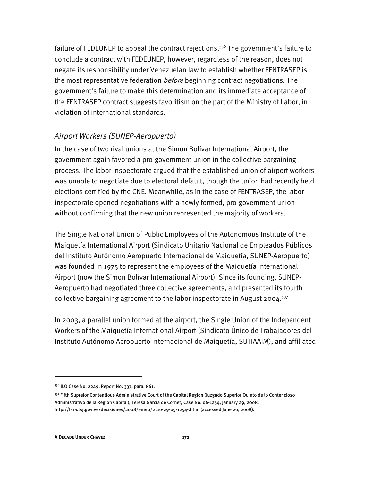failure of FEDEUNEP to appeal the contract rejections.<sup>536</sup> The government's failure to conclude a contract with FEDEUNEP, however, regardless of the reason, does not negate its responsibility under Venezuelan law to establish whether FENTRASEP is the most representative federation *before* beginning contract negotiations. The government's failure to make this determination and its immediate acceptance of the FENTRASEP contract suggests favoritism on the part of the Ministry of Labor, in violation of international standards.

# *Airport Workers (SUNEP-Aeropuerto)*

In the case of two rival unions at the Simon Bolívar International Airport, the government again favored a pro-government union in the collective bargaining process. The labor inspectorate argued that the established union of airport workers was unable to negotiate due to electoral default, though the union had recently held elections certified by the CNE. Meanwhile, as in the case of FENTRASEP, the labor inspectorate opened negotiations with a newly formed, pro-government union without confirming that the new union represented the majority of workers.

The Single National Union of Public Employees of the Autonomous Institute of the Maiquetía International Airport (Sindicato Unitario Nacional de Empleados Públicos del Instituto Autónomo Aeropuerto Internacional de Maiquetía, SUNEP-Aeropuerto) was founded in 1975 to represent the employees of the Maiquetía International Airport (now the Simon Bolívar International Airport). Since its founding, SUNEP-Aeropuerto had negotiated three collective agreements, and presented its fourth collective bargaining agreement to the labor inspectorate in August 2004.<sup>537</sup>

In 2003, a parallel union formed at the airport, the Single Union of the Independent Workers of the Maiquetía International Airport (Sindicato Único de Trabajadores del Instituto Autónomo Aeropuerto Internacional de Maiquetía, SUTIAAIM), and affiliated

<sup>536</sup> ILO Case No. 2249, Report No. 337, para. 861.

<sup>537</sup> Fifth Supreior Contentious Administrative Court of the Capital Region (Juzgado Superior Quinto de lo Contencioso Administrativo de la Región Capital), Teresa García de Cornet, Case No. 06-1254, January 29, 2008, http://lara.tsj.gov.ve/decisiones/2008/enero/2110-29-05-1254-.html (accessed June 20, 2008).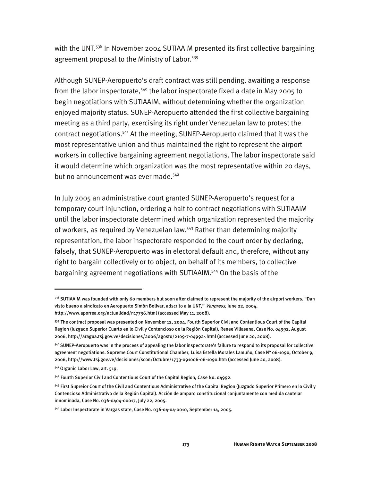with the UNT.<sup>538</sup> In November 2004 SUTIAAIM presented its first collective bargaining agreement proposal to the Ministry of Labor.<sup>539</sup>

Although SUNEP-Aeropuerto's draft contract was still pending, awaiting a response from the labor inspectorate,<sup>540</sup> the labor inspectorate fixed a date in May 2005 to begin negotiations with SUTIAAIM, without determining whether the organization enjoyed majority status. SUNEP-Aeropuerto attended the first collective bargaining meeting as a third party, exercising its right under Venezuelan law to protest the contract negotiations.541 At the meeting, SUNEP-Aeropuerto claimed that it was the most representative union and thus maintained the right to represent the airport workers in collective bargaining agreement negotiations. The labor inspectorate said it would determine which organization was the most representative within 20 days, but no announcement was ever made.<sup>542</sup>

In July 2005 an administrative court granted SUNEP-Aeropuerto's request for a temporary court injunction, ordering a halt to contract negotiations with SUTIAAIM until the labor inspectorate determined which organization represented the majority of workers, as required by Venezuelan law.<sup>543</sup> Rather than determining majority representation, the labor inspectorate responded to the court order by declaring, falsely, that SUNEP-Aeropuerto was in electoral default and, therefore, without any right to bargain collectively or to object, on behalf of its members, to collective bargaining agreement negotiations with SUTIAAIM.544 On the basis of the

 $^{538}$  SUTIAAIM was founded with only 60 members but soon after claimed to represent the majority of the airport workers. "Dan visto bueno a sindicato en Aeropuerto Simón Bolívar, adscrito a la UNT," Venpress, June 22, 2004, http://www.aporrea.org/actualidad/n17736.html (accessed May 11, 2008).

<sup>539</sup> The contract proposal was presented on November 12, 2004. Fourth Superior Civil and Contentious Court of the Capital Region (Juzgado Superior Cuarto en lo Civil y Contencioso de la Región Capital), Renee Villasana, Case No. 04992, August 2006, http://aragua.tsj.gov.ve/decisiones/2006/agosto/2109-7-04992-.html (accessed June 20, 2008).

<sup>540</sup> SUNEP-Aeropuerto was in the process of appealing the labor inspectorate's failure to respond to its proposal for collective agreement negotiations. Supreme Court Constitutional Chamber, Luisa Estella Morales Lamuño, Case N° 06-1090, October 9, 2006, http://www.tsj.gov.ve/decisiones/scon/Octubre/1733-091006-06-1090.htm (accessed June 20, 2008).

<sup>541</sup> Organic Labor Law, art. 519.

<sup>542</sup> Fourth Superior Civil and Contentious Court of the Capital Region, Case No. 04992.

<sup>543</sup> First Supreior Court of the Civil and Contentious Administrative of the Capital Region (Juzgado Superior Primero en lo Civil y Contencioso Administrativo de la Región Capital). Acción de amparo constitucional conjuntamente con medida cautelar innominada, Case No. 036-0404-00017, July 22, 2005.

<sup>544</sup> Labor Inspectorate in Vargas state, Case No. 036-04-04-0010, September 14, 2005.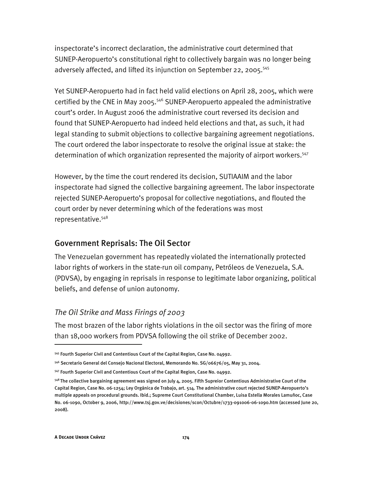inspectorate's incorrect declaration, the administrative court determined that SUNEP-Aeropuerto's constitutional right to collectively bargain was no longer being adversely affected, and lifted its injunction on September 22, 2005.<sup>545</sup>

Yet SUNEP-Aeropuerto had in fact held valid elections on April 28, 2005, which were certified by the CNE in May 2005.546 SUNEP-Aeropuerto appealed the administrative court's order. In August 2006 the administrative court reversed its decision and found that SUNEP-Aeropuerto had indeed held elections and that, as such, it had legal standing to submit objections to collective bargaining agreement negotiations. The court ordered the labor inspectorate to resolve the original issue at stake: the determination of which organization represented the majority of airport workers.<sup>547</sup>

However, by the time the court rendered its decision, SUTIAAIM and the labor inspectorate had signed the collective bargaining agreement. The labor inspectorate rejected SUNEP-Aeropuerto's proposal for collective negotiations, and flouted the court order by never determining which of the federations was most representative.548

## Government Reprisals: The Oil Sector

The Venezuelan government has repeatedly violated the internationally protected labor rights of workers in the state-run oil company, Petróleos de Venezuela, S.A. (PDVSA), by engaging in reprisals in response to legitimate labor organizing, political beliefs, and defense of union autonomy.

### *The Oil Strike and Mass Firings of 2003*

The most brazen of the labor rights violations in the oil sector was the firing of more than 18,000 workers from PDVSA following the oil strike of December 2002.

<sup>545</sup> Fourth Superior Civil and Contentious Court of the Capital Region, Case No. 04992.

<sup>546</sup> Secretario General del Consejo Nacional Electoral, Memorando No. SG/06676/05, May 31, 2004.

<sup>547</sup> Fourth Superior Civil and Contentious Court of the Capital Region, Case No. 04992.

<sup>&</sup>lt;sup>548</sup> The collective bargaining agreement was signed on July 4, 2005. Fifth Supreior Contentious Administrative Court of the Capital Region, Case No. 06-1254; Ley Orgánica de Trabajo, art. 514. The administrative court rejected SUNEP-Aeropuerto's multiple appeals on procedural grounds. Ibid.; Supreme Court Constitutional Chamber, Luisa Estella Morales Lamuñoc, Case No. 06-1090, October 9, 2006, http://www.tsj.gov.ve/decisiones/scon/Octubre/1733-091006-06-1090.htm (accessed June 20, 2008).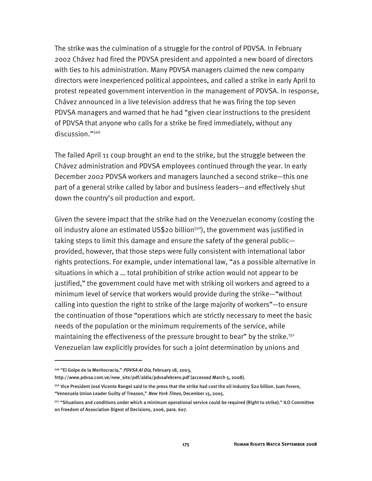The strike was the culmination of a struggle for the control of PDVSA. In February 2002 Chávez had fired the PDVSA president and appointed a new board of directors with ties to his administration. Many PDVSA managers claimed the new company directors were inexperienced political appointees, and called a strike in early April to protest repeated government intervention in the management of PDVSA. In response, Chávez announced in a live television address that he was firing the top seven PDVSA managers and warned that he had "given clear instructions to the president of PDVSA that anyone who calls for a strike be fired immediately, without any discussion."549

The failed April 11 coup brought an end to the strike, but the struggle between the Chávez administration and PDVSA employees continued through the year. In early December 2002 PDVSA workers and managers launched a second strike—this one part of a general strike called by labor and business leaders—and effectively shut down the country's oil production and export.

Given the severe impact that the strike had on the Venezuelan economy (costing the oil industry alone an estimated US\$20 billion<sup>550</sup>), the government was justified in taking steps to limit this damage and ensure the safety of the general public provided, however, that those steps were fully consistent with international labor rights protections. For example, under international law, "as a possible alternative in situations in which a … total prohibition of strike action would not appear to be justified," the government could have met with striking oil workers and agreed to a minimum level of service that workers would provide during the strike—"without calling into question the right to strike of the large majority of workers"—to ensure the continuation of those "operations which are strictly necessary to meet the basic needs of the population or the minimum requirements of the service, while maintaining the effectiveness of the pressure brought to bear" by the strike.<sup>551</sup> Venezuelan law explicitly provides for such a joint determination by unions and

<sup>549 &</sup>quot;El Golpe de la Meritocracia," PDVSA Al Día, February 18, 2003,

http://www.pdvsa.com.ve/new\_site/pdf/aldia/pdvsafebrero.pdf (accessed March 5, 2008).

<sup>550</sup> Vice President José Vicente Rangel said to the press that the strike had cost the oil industry \$20 billion. Juan Forero, "Venezuela Union Leader Guilty of Treason," New York Times, December 15, 2005.

<sup>551 &</sup>quot;Situations and conditions under which a minimum operational service could be required (Right to strike)." ILO Committee on Freedom of Association Digest of Decisions, 2006, para. 607.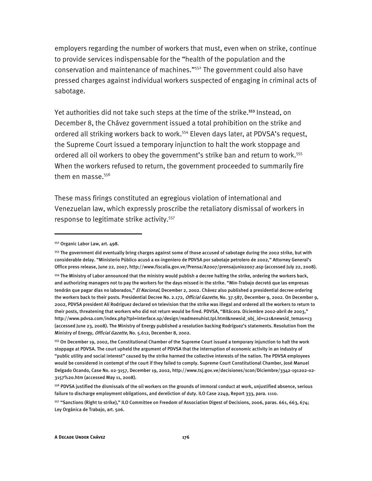employers regarding the number of workers that must, even when on strike, continue to provide services indispensable for the "health of the population and the conservation and maintenance of machines."552 The government could also have pressed charges against individual workers suspected of engaging in criminal acts of sabotage.

Yet authorities did not take such steps at the time of the strike.**<sup>553</sup>** Instead, on December 8, the Chávez government issued a total prohibition on the strike and ordered all striking workers back to work.<sup>554</sup> Eleven days later, at PDVSA's request, the Supreme Court issued a temporary injunction to halt the work stoppage and ordered all oil workers to obey the government's strike ban and return to work.<sup>555</sup> When the workers refused to return, the government proceeded to summarily fire them en masse.<sup>556</sup>

These mass firings constituted an egregious violation of international and Venezuelan law, which expressly proscribe the retaliatory dismissal of workers in response to legitimate strike activity.<sup>557</sup>

-

<sup>552</sup> Organic Labor Law, art. 498.

<sup>553</sup> The government did eventually bring charges against some of those accused of sabotage during the 2002 strike, but with considerable delay. "Ministerio Público acusó a ex-ingeniero de PDVSA por sabotaje petrolero de 2002," Attorney General's Office press release, June 22, 2007, http://www.fiscalia.gov.ve/Prensa/A2007/prensajunio2007.asp (accessed July 22, 2008). <sup>554</sup> The Ministry of Labor announced that the ministry would publish a decree halting the strike, ordering the workers back, and authorizing managers not to pay the workers for the days missed in the strike. "Min-Trabajo decretó que las empresas tendrán que pagar días no laborados," El Nacional, December 2, 2002. Chávez also published a presidential decree ordering the workers back to their posts. Presidential Decree No. 2.172, Official Gazette, No. 37.587, December 9, 2002. On December 9, 2002, PDVSA president Alí Rodríguez declared on television that the strike was illegal and ordered all the workers to return to their posts, threatening that workers who did not return would be fired. PDVSA, "Bitácora. Diciembre 2002-abril de 2003," http://www.pdvsa.com/index.php?tpl=interface.sp/design/readmenuhist.tpl.html&newsid\_obj\_id=121&newsid\_temas=13

<sup>(</sup>accessed June 23, 2008). The Ministry of Energy published a resolution backing Rodríguez's statements. Resolution from the Ministry of Energy, Official Gazette, No. 5.612, December 8, 2002.

<sup>555</sup> On December 19, 2002, the Constitutional Chamber of the Supreme Court issued a temporary injunction to halt the work stoppage at PDVSA. The court upheld the argument of PDVSA that the interruption of economic activity in an industry of "public utility and social interest" caused by the strike harmed the collective interests of the nation. The PDVSA employees would be considered in contempt of the court if they failed to comply. Supreme Court Constitutional Chamber, José Manuel Delgado Ocando, Case No. 02-3157, December 19, 2002, http://www.tsj.gov.ve/decisiones/scon/Diciembre/3342-191202-02- 3157%20.htm (accessed May 11, 2008).

<sup>556</sup> PDVSA justified the dismissals of the oil workers on the grounds of immoral conduct at work, unjustified absence, serious failure to discharge employment obligations, and dereliction of duty. ILO Case 2249, Report 333, para. 1110.

<sup>557 &</sup>quot;Sanctions (Right to strike)," ILO Committee on Freedom of Association Digest of Decisions, 2006, paras. 661, 663, 674; Ley Orgánica de Trabajo, art. 506.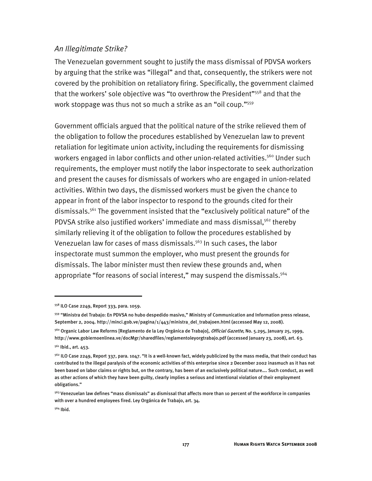#### *An Illegitimate Strike?*

The Venezuelan government sought to justify the mass dismissal of PDVSA workers by arguing that the strike was "illegal" and that, consequently, the strikers were not covered by the prohibition on retaliatory firing. Specifically, the government claimed that the workers' sole objective was "to overthrow the President"<sup>558</sup> and that the work stoppage was thus not so much a strike as an "oil coup."<sup>559</sup>

Government officials argued that the political nature of the strike relieved them of the obligation to follow the procedures established by Venezuelan law to prevent retaliation for legitimate union activity, including the requirements for dismissing workers engaged in labor conflicts and other union-related activities.<sup>560</sup> Under such requirements, the employer must notify the labor inspectorate to seek authorization and present the causes for dismissals of workers who are engaged in union-related activities. Within two days, the dismissed workers must be given the chance to appear in front of the labor inspector to respond to the grounds cited for their dismissals.561 The government insisted that the "exclusively political nature" of the PDVSA strike also justified workers' immediate and mass dismissal, $562$  thereby similarly relieving it of the obligation to follow the procedures established by Venezuelan law for cases of mass dismissals.<sup>563</sup> In such cases, the labor inspectorate must summon the employer, who must present the grounds for dismissals. The labor minister must then review these grounds and, when appropriate "for reasons of social interest," may suspend the dismissals.<sup>564</sup>

<sup>558</sup> ILO Case 2249, Report 333, para. 1059.

<sup>559 &</sup>quot;Ministra del Trabajo: En PDVSA no hubo despedido masivo," Ministry of Communication and Information press release, September 2, 2004. http://minci.gob.ve/pagina/1/443/ministra\_del\_trabajoen.html (accessed May 12, 2008).

<sup>&</sup>lt;sup>560</sup> Organic Labor Law Reforms [Reglamento de la Ley Orgánica de Trabajo], *Official Gazette,* No. 5.295, January 25, 1999, http://www.gobiernoenlinea.ve/docMgr/sharedfiles/reglamentoleyorgtrabajo.pdf (accessed January 23, 2008), art. 63.

<sup>&</sup>lt;sup>561</sup> Ibid., art. 453.

 $562$  ILO Case 2249, Report 337, para. 1047. "It is a well-known fact, widely publicized by the mass media, that their conduct has contributed to the illegal paralysis of the economic activities of this enterprise since 2 December 2002 inasmuch as it has not been based on labor claims or rights but, on the contrary, has been of an exclusively political nature…. Such conduct, as well as other actions of which they have been guilty, clearly implies a serious and intentional violation of their employment obligations."

<sup>563</sup> Venezuelan law defines "mass dismissals" as dismissal that affects more than 10 percent of the workforce in companies with over a hundred employees fired. Ley Orgánica de Trabajo, art. 34.

<sup>564</sup> Ibid.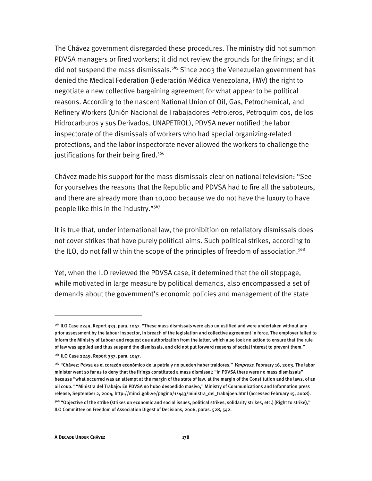The Chávez government disregarded these procedures. The ministry did not summon PDVSA managers or fired workers; it did not review the grounds for the firings; and it did not suspend the mass dismissals.<sup>565</sup> Since 2003 the Venezuelan government has denied the Medical Federation (Federación Médica Venezolana, FMV) the right to negotiate a new collective bargaining agreement for what appear to be political reasons. According to the nascent National Union of Oil, Gas, Petrochemical, and Refinery Workers (Unión Nacional de Trabajadores Petroleros, Petroquímicos, de los Hidrocarburos y sus Derivados, UNAPETROL), PDVSA never notified the labor inspectorate of the dismissals of workers who had special organizing-related protections, and the labor inspectorate never allowed the workers to challenge the justifications for their being fired. $566$ 

Chávez made his support for the mass dismissals clear on national television: "See for yourselves the reasons that the Republic and PDVSA had to fire all the saboteurs, and there are already more than 10,000 because we do not have the luxury to have people like this in the industry."567

It is true that, under international law, the prohibition on retaliatory dismissals does not cover strikes that have purely political aims. Such political strikes, according to the ILO, do not fall within the scope of the principles of freedom of association.<sup>568</sup>

Yet, when the ILO reviewed the PDVSA case, it determined that the oil stoppage, while motivated in large measure by political demands, also encompassed a set of demands about the government's economic policies and management of the state

<sup>565</sup> ILO Case 2249, Report 333, para. 1047. "These mass dismissals were also unjustified and were undertaken without any prior assessment by the labour inspector, in breach of the legislation and collective agreement in force. The employer failed to inform the Ministry of Labour and request due authorization from the latter, which also took no action to ensure that the rule of law was applied and thus suspend the dismissals, and did not put forward reasons of social interest to prevent them."

<sup>566</sup> ILO Case 2249, Report 337, para. 1047.

<sup>567 &</sup>quot;Chávez: Pdvsa es el corazón económico de la patria y no pueden haber traidores," Venpress, February 16, 2003. The labor minister went so far as to deny that the firings constituted a mass dismissal: "In PDVSA there were no mass dismissals" because "what occurred was an attempt at the margin of the state of law, at the margin of the Constitution and the laws, of an oil coup." "Ministra del Trabajo: En PDVSA no hubo despedido masivo," Ministry of Communications and Information press release, September 2, 2004, http://minci.gob.ve/pagina/1/443/ministra\_del\_trabajoen.html (accessed February 15, 2008). 568 "Objective of the strike (strikes on economic and social issues, political strikes, solidarity strikes, etc.) (Right to strike)," ILO Committee on Freedom of Association Digest of Decisions, 2006, paras. 528, 542.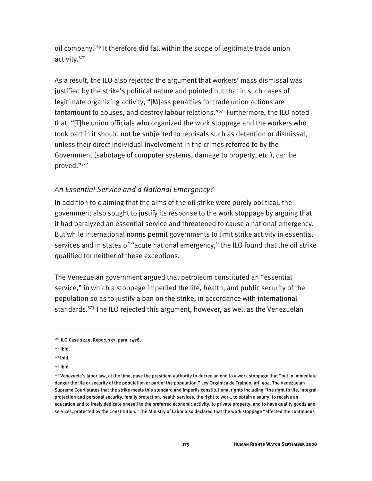oil company.569 It therefore did fall within the scope of legitimate trade union activity.570

As a result, the ILO also rejected the argument that workers' mass dismissal was justified by the strike's political nature and pointed out that in such cases of legitimate organizing activity, "[M]ass penalties for trade union actions are tantamount to abuses, and destroy labour relations."571 Furthermore, the ILO noted that, "[T]he union officials who organized the work stoppage and the workers who took part in it should not be subjected to reprisals such as detention or dismissal, unless their direct individual involvement in the crimes referred to by the Government (sabotage of computer systems, damage to property, etc.), can be proved."572

## *An Essential Service and a National Emergency?*

In addition to claiming that the aims of the oil strike were purely political, the government also sought to justify its response to the work stoppage by arguing that it had paralyzed an essential service and threatened to cause a national emergency. But while international norms permit governments to limit strike activity in essential services and in states of "acute national emergency," the ILO found that the oil strike qualified for neither of these exceptions.

The Venezuelan government argued that petroleum constituted an "essential service," in which a stoppage imperiled the life, health, and public security of the population so as to justify a ban on the strike, in accordance with international standards.573 The ILO rejected this argument, however, as well as the Venezuelan

<sup>569</sup> ILO Case 2249, Report 337, para. 1478.

<sup>570</sup> Ibid.

<sup>571</sup> Ibid.

<sup>572</sup> Ibid.

<sup>573</sup> Venezuela's labor law, at the time, gave the president authority to decree an end to a work stoppage that "put in immediate danger the life or security of the population or part of the population." Ley Orgánica de Trabajo, art. 504. The Venezuelan Supreme Court states that the strike meets this standard and imperils constitutional rights including "the right to life, integral protection and personal security, family protection, health services, the right to work, to obtain a salary, to receive an education and to freely dedicate oneself to the preferred economic activity, to private property, and to have quality goods and services, protected by the Constitution." The Ministry of Labor also declared that the work stoppage "affected the continuous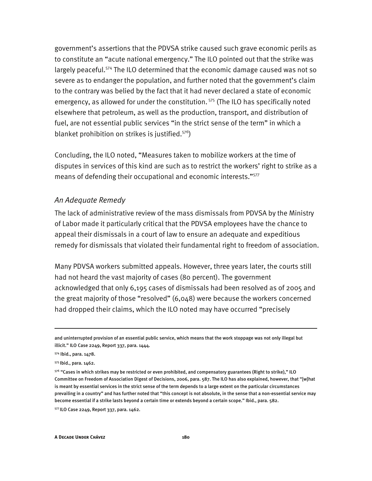government's assertions that the PDVSA strike caused such grave economic perils as to constitute an "acute national emergency." The ILO pointed out that the strike was largely peaceful.<sup>574</sup> The ILO determined that the economic damage caused was not so severe as to endanger the population, and further noted that the government's claim to the contrary was belied by the fact that it had never declared a state of economic emergency, as allowed for under the constitution.<sup>575</sup> (The ILO has specifically noted elsewhere that petroleum, as well as the production, transport, and distribution of fuel, are not essential public services "in the strict sense of the term" in which a blanket prohibition on strikes is justified. $576$ )

Concluding, the ILO noted, "Measures taken to mobilize workers at the time of disputes in services of this kind are such as to restrict the workers' right to strike as a means of defending their occupational and economic interests."<sup>577</sup>

#### *An Adequate Remedy*

The lack of administrative review of the mass dismissals from PDVSA by the Ministry of Labor made it particularly critical that the PDVSA employees have the chance to appeal their dismissals in a court of law to ensure an adequate and expeditious remedy for dismissals that violated their fundamental right to freedom of association.

Many PDVSA workers submitted appeals. However, three years later, the courts still had not heard the vast majority of cases (80 percent). The government acknowledged that only 6,195 cases of dismissals had been resolved as of 2005 and the great majority of those "resolved" (6,048) were because the workers concerned had dropped their claims, which the ILO noted may have occurred "precisely

I

577 ILO Case 2249, Report 337, para. 1462.

and uninterrupted provision of an essential public service, which means that the work stoppage was not only illegal but illicit." ILO Case 2249, Report 337, para. 1444.

<sup>574</sup> Ibid., para. 1478.

<sup>575</sup> Ibid., para. 1462.

 $576$  "Cases in which strikes may be restricted or even prohibited, and compensatory guarantees (Right to strike)," ILO Committee on Freedom of Association Digest of Decisions, 2006, para. 587. The ILO has also explained, however, that "[w]hat is meant by essential services in the strict sense of the term depends to a large extent on the particular circumstances prevailing in a country" and has further noted that "this concept is not absolute, in the sense that a non-essential service may become essential if a strike lasts beyond a certain time or extends beyond a certain scope." Ibid., para. 582.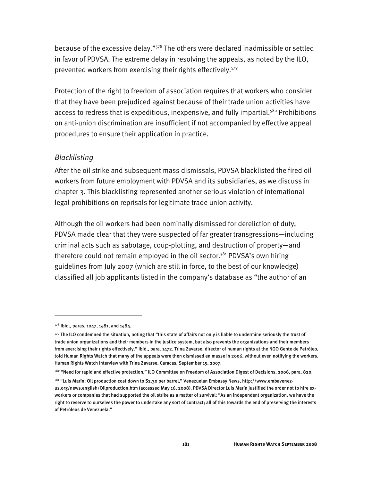because of the excessive delay."<sup>578</sup> The others were declared inadmissible or settled in favor of PDVSA. The extreme delay in resolving the appeals, as noted by the ILO, prevented workers from exercising their rights effectively.<sup>579</sup>

Protection of the right to freedom of association requires that workers who consider that they have been prejudiced against because of their trade union activities have access to redress that is expeditious, inexpensive, and fully impartial.<sup>580</sup> Prohibitions on anti-union discrimination are insufficient if not accompanied by effective appeal procedures to ensure their application in practice.

#### *Blacklisting*

After the oil strike and subsequent mass dismissals, PDVSA blacklisted the fired oil workers from future employment with PDVSA and its subsidiaries, as we discuss in chapter 3. This blacklisting represented another serious violation of international legal prohibitions on reprisals for legitimate trade union activity.

Although the oil workers had been nominally dismissed for dereliction of duty, PDVSA made clear that they were suspected of far greater transgressions—including criminal acts such as sabotage, coup-plotting, and destruction of property—and therefore could not remain employed in the oil sector.<sup>581</sup> PDVSA's own hiring guidelines from July 2007 (which are still in force, to the best of our knowledge) classified all job applicants listed in the company's database as "the author of an

<sup>578</sup> Ibid., paras. 1047, 1481, and 1484.

<sup>579</sup> The ILO condemned the situation, noting that "this state of affairs not only is liable to undermine seriously the trust of trade union organizations and their members in the justice system, but also prevents the organizations and their members from exercising their rights effectively." Ibid., para. 1472. Trina Zavarse, director of human rights at the NGO Gente de Petróleo, told Human Rights Watch that many of the appeals were then dismissed en masse in 2006, without even notifying the workers. Human Rights Watch interview with Trina Zavarse, Caracas, September 15, 2007.

<sup>580 &</sup>quot;Need for rapid and effective protection," ILO Committee on Freedom of Association Digest of Decisions, 2006, para. 820.

<sup>581 &</sup>quot;Luis Marín: Oil production cost down to \$2.30 per barrel," Venezuelan Embassy News, http://www.embavenezus.org/news.english/Oilproduction.htm (accessed May 16, 2008). PDVSA Director Luis Marín justified the order not to hire exworkers or companies that had supported the oil strike as a matter of survival: "As an independent organization, we have the right to reserve to ourselves the power to undertake any sort of contract; all of this towards the end of preserving the interests of Petróleos de Venezuela."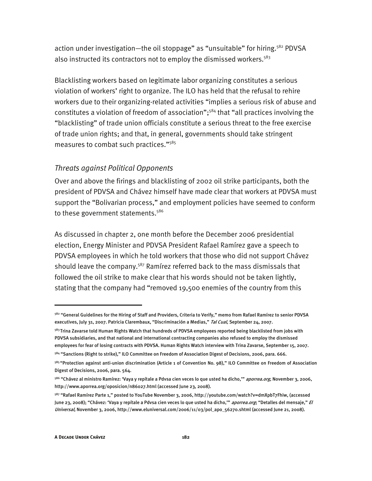action under investigation—the oil stoppage" as "unsuitable" for hiring.<sup>582</sup> PDVSA also instructed its contractors not to employ the dismissed workers.<sup>583</sup>

Blacklisting workers based on legitimate labor organizing constitutes a serious violation of workers' right to organize. The ILO has held that the refusal to rehire workers due to their organizing-related activities "implies a serious risk of abuse and constitutes a violation of freedom of association";584 that "all practices involving the "blacklisting" of trade union officials constitute a serious threat to the free exercise of trade union rights; and that, in general, governments should take stringent measures to combat such practices."585

#### *Threats against Political Opponents*

Over and above the firings and blacklisting of 2002 oil strike participants, both the president of PDVSA and Chávez himself have made clear that workers at PDVSA must support the "Bolivarian process," and employment policies have seemed to conform to these government statements. $586$ 

As discussed in chapter 2, one month before the December 2006 presidential election, Energy Minister and PDVSA President Rafael Ramírez gave a speech to PDVSA employees in which he told workers that those who did not support Chávez should leave the company.<sup>587</sup> Ramírez referred back to the mass dismissals that followed the oil strike to make clear that his words should not be taken lightly, stating that the company had "removed 19,500 enemies of the country from this

-

<sup>&</sup>lt;sup>582</sup> "General Guidelines for the Hiring of Staff and Providers, Criteria to Verify," memo from Rafael Ramírez to senior PDVSA executives, July 31, 2007. Patricia Clarembaux, "Discriminación a Medias," Tal Cual, September 24, 2007.

<sup>&</sup>lt;sup>583</sup> Trina Zavarse told Human Rights Watch that hundreds of PDVSA employees reported being blacklisted from jobs with PDVSA subsidiaries, and that national and international contracting companies also refused to employ the dismissed employees for fear of losing contracts with PDVSA. Human Rights Watch interview with Trina Zavarse, September 15, 2007.

<sup>&</sup>lt;sup>584</sup> "Sanctions (Right to strike)," ILO Committee on Freedom of Association Digest of Decisions, 2006, para. 666.

<sup>585 &</sup>quot;Protection against anti-union discrimination (Article 1 of Convention No. 98)," ILO Committee on Freedom of Association Digest of Decisions, 2006, para. 564.

<sup>&</sup>lt;sup>586</sup> "Chávez al ministro Ramírez: 'Vaya y repítale a Pdvsa cien veces lo que usted ha dicho,'" *aporrea.org*, November 3, 2006, http://www.aporrea.org/oposicion/n86027.html (accessed June 23, 2008).

<sup>587 &</sup>quot;Rafael Ramírez Parte 1," posted to YouTube November 3, 2006, http://youtube.com/watch?v=dmXpbT7Fhiw, (accessed June 23, 2008); "Chávez: 'Vaya y repítale a Pdvsa cien veces lo que usted ha dicho," aporrea.org; "Detalles del mensaje," El Universal, November 3, 2006, http://www.eluniversal.com/2006/11/03/pol\_apo\_56270.shtml (accessed June 21, 2008).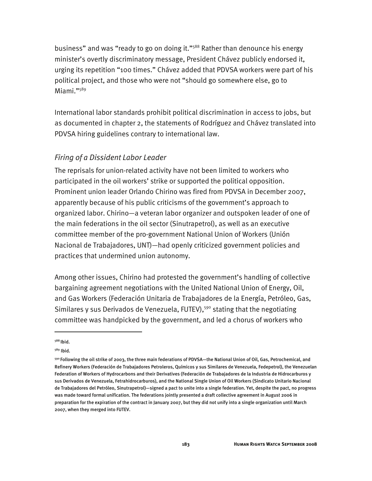business" and was "ready to go on doing it."<sup>588</sup> Rather than denounce his energy minister's overtly discriminatory message, President Chávez publicly endorsed it, urging its repetition "100 times." Chávez added that PDVSA workers were part of his political project, and those who were not "should go somewhere else, go to Miami."589

International labor standards prohibit political discrimination in access to jobs, but as documented in chapter 2, the statements of Rodríguez and Chávez translated into PDVSA hiring guidelines contrary to international law.

## *Firing of a Dissident Labor Leader*

The reprisals for union-related activity have not been limited to workers who participated in the oil workers' strike or supported the political opposition. Prominent union leader Orlando Chirino was fired from PDVSA in December 2007, apparently because of his public criticisms of the government's approach to organized labor. Chirino—a veteran labor organizer and outspoken leader of one of the main federations in the oil sector (Sinutrapetrol), as well as an executive committee member of the pro-government National Union of Workers (Unión Nacional de Trabajadores, UNT)—had openly criticized government policies and practices that undermined union autonomy.

Among other issues, Chirino had protested the government's handling of collective bargaining agreement negotiations with the United National Union of Energy, Oil, and Gas Workers (Federación Unitaria de Trabajadores de la Energía, Petróleo, Gas, Similares y sus Derivados de Venezuela, FUTEV),<sup>590</sup> stating that the negotiating committee was handpicked by the government, and led a chorus of workers who

<sup>588</sup> Ibid.

<sup>589</sup> Ibid.

<sup>590</sup> Following the oil strike of 2003, the three main federations of PDVSA—the National Union of Oil, Gas, Petrochemical, and Refinery Workers (Federación de Trabajadores Petroleros, Químicos y sus Similares de Venezuela, Fedepetrol), the Venezuelan Federation of Workers of Hydrocarbons and their Derivatives (Federación de Trabajadores de la Industria de Hidrocarburos y sus Derivados de Venezuela, Fetrahidrocarburos), and the National Single Union of Oil Workers (Sindicato Unitario Nacional de Trabajadores del Petróleo, Sinutrapetrol)—signed a pact to unite into a single federation. Yet, despite the pact, no progress was made toward formal unification. The federations jointly presented a draft collective agreement in August 2006 in preparation for the expiration of the contract in January 2007, but they did not unify into a single organization until March 2007, when they merged into FUTEV.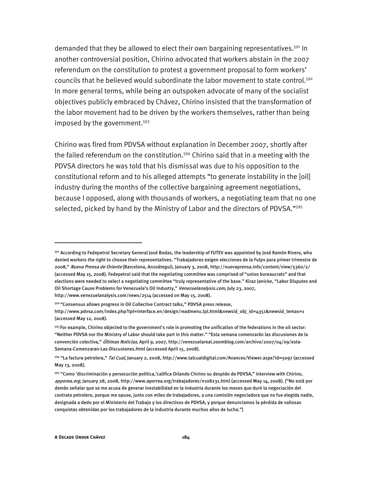demanded that they be allowed to elect their own bargaining representatives.<sup>591</sup> In another controversial position, Chirino advocated that workers abstain in the 2007 referendum on the constitution to protest a government proposal to form workers' councils that he believed would subordinate the labor movement to state control.<sup>592</sup> In more general terms, while being an outspoken advocate of many of the socialist objectives publicly embraced by Chávez, Chirino insisted that the transformation of the labor movement had to be driven by the workers themselves, rather than being imposed by the government. $593$ 

Chirino was fired from PDVSA without explanation in December 2007, shortly after the failed referendum on the constitution.<sup>594</sup> Chirino said that in a meeting with the PDVSA directors he was told that his dismissal was due to his opposition to the constitutional reform and to his alleged attempts "to generate instability in the [oil] industry during the months of the collective bargaining agreement negotiations, because I opposed, along with thousands of workers, a negotiating team that no one selected, picked by hand by the Ministry of Labor and the directors of PDVSA."<sup>595</sup>

-

<sup>591</sup> According to Fedepetrol Secretary General José Bodas, the leadership of FUTEV was appointed by José Ramón Rivero, who denied workers the right to choose their representatives. "Trabajadores exigen elecciones de la Futpv para primer trimestre de 2008," Nueva Prensa de Oriente (Barcelona, Anzoátegui), January 3, 2008, http://nuevaprensa.info/content/view/5360/2/ (accessed May 15, 2008). Fedepetrol said that the negotiating committee was comprised of "union bureaucrats" and that elections were needed to select a negotiating committee "truly representative of the base." Kiraz Janicke, "Labor Disputes and Oil Shortage Cause Problems for Venezuela's Oil Industry," Venezuelanalysis.com, July 23, 2007, http://www.venezuelanalysis.com/news/2514 (accessed on May 15, 2008).

<sup>592 &</sup>quot;Consensus allows progress in Oil Collective Contract talks," PDVSA press release,

http://www.pdvsa.com/index.php?tpl=interface.en/design/readmenu.tpl.html&newsid\_obj\_id=4351&newsid\_temas=1 (accessed May 12, 2008).

<sup>593</sup> For example, Chirino objected to the government's role in promoting the unification of the federations in the oil sector: "Neither PDVSA nor the Ministry of Labor should take part in this matter." "Esta semana comenzarán las discusiones de la convención colectiva," Últimas Noticias, April 9, 2007, http://venezuelareal.zoomblog.com/archivo/2007/04/09/esta-Semana-Comenzaran-Las-Discusiones.html (accessed April 15, 2008).

<sup>&</sup>lt;sup>594</sup> "La factura petrolera," *Tal Cual,* January 2, 2008, http://www.talcualdigital.com/Avances/Viewer.aspx?id=5097 (accessed May 13, 2008).

<sup>595 &</sup>quot;Como 'discriminación y persecución política,'califica Orlando Chirino su despido de PDVSA," interview with Chirino, apporea.org, January 28, 2008, http://www.aporrea.org/trabajadores/n108231.html (accessed May 14, 2008). ["No está por demás señalar que se me acusa de generar inestabilidad en la industria durante los meses que duró la negociación del contrato petrolero, porque me opuse, junto con miles de trabajadores, a una comisión negociadora que no fue elegida nadie, designada a dedo por el Ministerio del Trabajo y los directivos de PDVSA, y porque denunciamos la pérdida de valiosas conquistas obtenidas por los trabajadores de la industria durante muchos años de lucha."]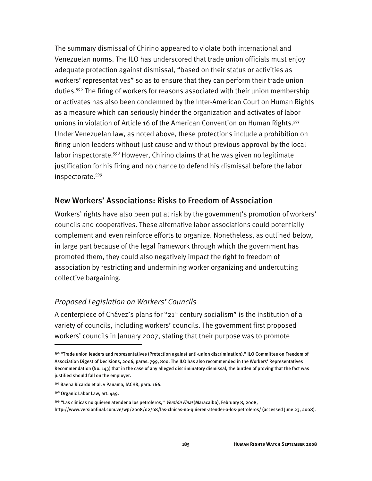The summary dismissal of Chirino appeared to violate both international and Venezuelan norms. The ILO has underscored that trade union officials must enjoy adequate protection against dismissal, "based on their status or activities as workers' representatives" so as to ensure that they can perform their trade union duties.596 The firing of workers for reasons associated with their union membership or activates has also been condemned by the Inter-American Court on Human Rights as a measure which can seriously hinder the organization and activates of labor unions in violation of Article 16 of the American Convention on Human Rights.**<sup>597</sup>** Under Venezuelan law, as noted above, these protections include a prohibition on firing union leaders without just cause and without previous approval by the local labor inspectorate.<sup>598</sup> However, Chirino claims that he was given no legitimate justification for his firing and no chance to defend his dismissal before the labor inspectorate.599

#### New Workers' Associations: Risks to Freedom of Association

Workers' rights have also been put at risk by the government's promotion of workers' councils and cooperatives. These alternative labor associations could potentially complement and even reinforce efforts to organize. Nonetheless, as outlined below, in large part because of the legal framework through which the government has promoted them, they could also negatively impact the right to freedom of association by restricting and undermining worker organizing and undercutting collective bargaining.

## *Proposed Legislation on Workers' Councils*

A centerpiece of Chávez's plans for "21<sup>st</sup> century socialism" is the institution of a variety of councils, including workers' councils. The government first proposed workers' councils in January 2007, stating that their purpose was to promote

I

http://www.versionfinal.com.ve/wp/2008/02/08/las-clnicas-no-quieren-atender-a-los-petroleros/ (accessed June 23, 2008).

<sup>596 &</sup>quot;Trade union leaders and representatives (Protection against anti-union discrimination)," ILO Committee on Freedom of Association Digest of Decisions, 2006, paras. 799, 800. The ILO has also recommended in the Workers' Representatives Recommendation (No. 143) that in the case of any alleged discriminatory dismissal, the burden of proving that the fact was justified should fall on the employer.

<sup>597</sup> Baena Ricardo et al. v Panama, IACHR, para. 166.

<sup>598</sup> Organic Labor Law, art. 449.

<sup>&</sup>lt;sup>599</sup> "Las clínicas no quieren atender a los petroleros," *Versión Final* (Maracaibo), February 8, 2008,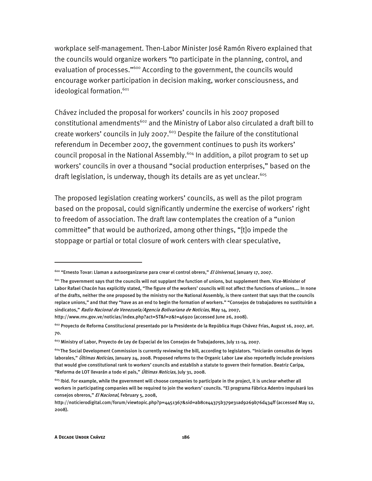workplace self-management. Then-Labor Minister José Ramón Rivero explained that the councils would organize workers "to participate in the planning, control, and evaluation of processes."<sup>600</sup> According to the government, the councils would encourage worker participation in decision making, worker consciousness, and ideological formation.<sup>601</sup>

Chávez included the proposal for workers' councils in his 2007 proposed constitutional amendments<sup>602</sup> and the Ministry of Labor also circulated a draft bill to create workers' councils in July 2007.<sup>603</sup> Despite the failure of the constitutional referendum in December 2007, the government continues to push its workers' council proposal in the National Assembly.<sup>604</sup> In addition, a pilot program to set up workers' councils in over a thousand "social production enterprises," based on the draft legislation, is underway, though its details are as yet unclear.<sup>605</sup>

The proposed legislation creating workers' councils, as well as the pilot program based on the proposal, could significantly undermine the exercise of workers' right to freedom of association. The draft law contemplates the creation of a "union committee" that would be authorized, among other things, "[t]o impede the stoppage or partial or total closure of work centers with clear speculative,

-

<sup>&</sup>lt;sup>600</sup> "Ernesto Tovar: Llaman a autoorganizarse para crear el control obrero," *El Universal*, January 17, 2007.

<sup>&</sup>lt;sup>601</sup> The government says that the councils will not supplant the function of unions, but supplement them. Vice-Minister of Labor Rafael Chacón has explicitly stated, "The figure of the workers' councils will not affect the functions of unions.… In none of the drafts, neither the one proposed by the ministry nor the National Assembly, is there content that says that the councils replace unions," and that they "have as an end to begin the formation of workers." "Consejos de trabajadores no sustituirán a sindicatos," Radio Nacional de Venezuela/Agencia Bolivariana de Noticias, May 14, 2007,

http://www.rnv.gov.ve/noticias/index.php?act=ST&f=2&t=46920 (accessed June 26, 2008).

<sup>602</sup> Proyecto de Reforma Constitucional presentado por la Presidente de la República Hugo Chávez Frías, August 16, 2007, art. 70.

 $603$  Ministry of Labor, Proyecto de Ley de Especial de los Consejos de Trabajadores, July 11-14, 2007.

<sup>&</sup>lt;sup>604</sup> The Social Development Commission is currently reviewing the bill, according to legislators. "Iniciarán consultas de leyes laborales," Últimas Noticias, January 24, 2008. Proposed reforms to the Organic Labor Law also reportedly include provisions that would give constitutional rank to workers' councils and establish a statute to govern their formation. Beatriz Caripa, "Reforma de LOT llevarán a todo el país," Últimas Noticias, July 31, 2008.

<sup>&</sup>lt;sup>605</sup> Ibid. For example, while the government will choose companies to participate in the project, it is unclear whether all workers in participating companies will be required to join the workers' councils. "El programa Fábrica Adentro impulsará los consejos obreros," El Nacional, February 5, 2008,

http://noticierodigital.com/forum/viewtopic.php?p=4451367&sid=ab8ce44375b379e31ad9269b76d434ff (accessed May 12, 2008).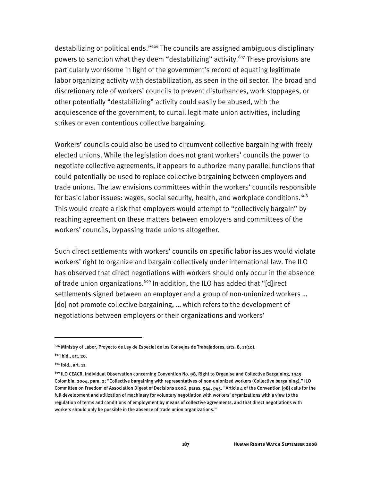destabilizing or political ends."606 The councils are assigned ambiguous disciplinary powers to sanction what they deem "destabilizing" activity.<sup>607</sup> These provisions are particularly worrisome in light of the government's record of equating legitimate labor organizing activity with destabilization, as seen in the oil sector. The broad and discretionary role of workers' councils to prevent disturbances, work stoppages, or other potentially "destabilizing" activity could easily be abused, with the acquiescence of the government, to curtail legitimate union activities, including strikes or even contentious collective bargaining.

Workers' councils could also be used to circumvent collective bargaining with freely elected unions. While the legislation does not grant workers' councils the power to negotiate collective agreements, it appears to authorize many parallel functions that could potentially be used to replace collective bargaining between employers and trade unions. The law envisions committees within the workers' councils responsible for basic labor issues: wages, social security, health, and workplace conditions.  $608$ This would create a risk that employers would attempt to "collectively bargain" by reaching agreement on these matters between employers and committees of the workers' councils, bypassing trade unions altogether.

Such direct settlements with workers' councils on specific labor issues would violate workers' right to organize and bargain collectively under international law. The ILO has observed that direct negotiations with workers should only occur in the absence of trade union organizations.<sup>609</sup> In addition, the ILO has added that "[d]irect settlements signed between an employer and a group of non-unionized workers … [do] not promote collective bargaining, ... which refers to the development of negotiations between employers or their organizations and workers'

j

<sup>606</sup> Ministry of Labor, Proyecto de Ley de Especial de los Consejos de Trabajadores, arts. 8, 11(10).

<sup>607</sup> Ibid., art. 20.

<sup>608</sup> Ibid., art. 11.

<sup>609</sup> ILO CEACR, Individual Observation concerning Convention No. 98, Right to Organise and Collective Bargaining, 1949 Colombia, 2004, para. 2; "Collective bargaining with representatives of non-unionized workers (Collective bargaining)," ILO Committee on Freedom of Association Digest of Decisions 2006, paras. 944, 945. "Article 4 of the Convention [98] calls for the full development and utilization of machinery for voluntary negotiation with workers' organizations with a view to the regulation of terms and conditions of employment by means of collective agreements, and that direct negotiations with workers should only be possible in the absence of trade union organizations."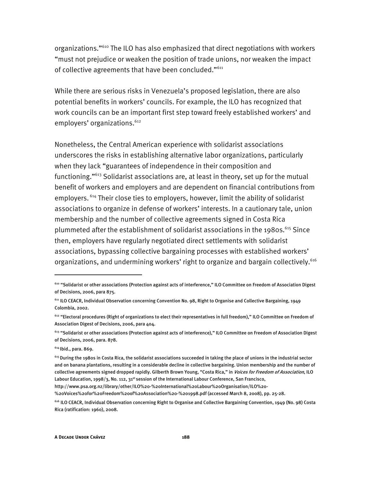organizations."610 The ILO has also emphasized that direct negotiations with workers "must not prejudice or weaken the position of trade unions, nor weaken the impact of collective agreements that have been concluded."<sup>611</sup>

While there are serious risks in Venezuela's proposed legislation, there are also potential benefits in workers' councils. For example, the ILO has recognized that work councils can be an important first step toward freely established workers' and employers' organizations.<sup>612</sup>

Nonetheless, the Central American experience with solidarist associations underscores the risks in establishing alternative labor organizations, particularly when they lack "guarantees of independence in their composition and functioning."613 Solidarist associations are, at least in theory, set up for the mutual benefit of workers and employers and are dependent on financial contributions from employers. 614 Their close ties to employers, however, limit the ability of solidarist associations to organize in defense of workers' interests. In a cautionary tale, union membership and the number of collective agreements signed in Costa Rica plummeted after the establishment of solidarist associations in the 1980s.<sup>615</sup> Since then, employers have regularly negotiated direct settlements with solidarist associations, bypassing collective bargaining processes with established workers' organizations, and undermining workers' right to organize and bargain collectively.<sup>616</sup>

j

%20Voices%20for%20Freedom%20of%20Association%20-%201998.pdf (accessed March 8, 2008), pp. 25-28.

<sup>610 &</sup>quot;Solidarist or other associations (Protection against acts of interference," ILO Committee on Freedom of Association Digest of Decisions, 2006, para 875.

<sup>611</sup> ILO CEACR, Individual Observation concerning Convention No. 98, Right to Organise and Collective Bargaining, 1949 Colombia, 2002.

<sup>612 &</sup>quot;Electoral procedures (Right of organizations to elect their representatives in full freedom)," ILO Committee on Freedom of Association Digest of Decisions, 2006, para 404.

<sup>&</sup>lt;sup>613</sup> "Solidarist or other associations (Protection against acts of interference)," ILO Committee on Freedom of Association Digest of Decisions, 2006, para. 878.

<sup>614</sup> Ibid., para. 869.

 $^{615}$ During the 1980s in Costa Rica, the solidarist associations succeeded in taking the place of unions in the industrial sector and on banana plantations, resulting in a considerable decline in collective bargaining. Union membership and the number of collective agreements signed dropped rapidly. Gilberth Brown Young, "Costa Rica," in Voices for Freedom of Association, ILO Labour Education, 1998/3, No. 112, 31<sup>st</sup> session of the International Labour Conference, San Francisco,

http://www.psa.org.nz/library/other/ILO%20-%20International%20Labour%20Organisation/ILO%20-

<sup>616</sup> ILO CEACR, Individual Observation concerning Right to Organise and Collective Bargaining Convention, 1949 (No. 98) Costa Rica (ratification: 1960), 2008.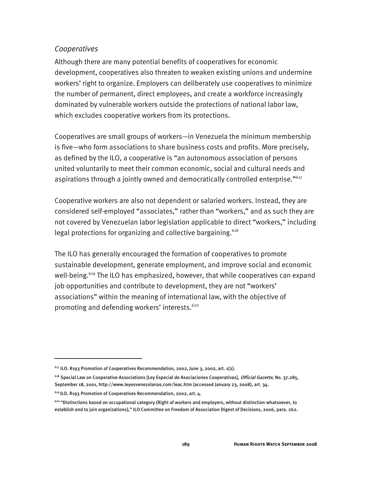#### *Cooperatives*

Although there are many potential benefits of cooperatives for economic development, cooperatives also threaten to weaken existing unions and undermine workers' right to organize. Employers can deliberately use cooperatives to minimize the number of permanent, direct employees, and create a workforce increasingly dominated by vulnerable workers outside the protections of national labor law, which excludes cooperative workers from its protections.

Cooperatives are small groups of workers—in Venezuela the minimum membership is five—who form associations to share business costs and profits. More precisely, as defined by the ILO, a cooperative is "an autonomous association of persons united voluntarily to meet their common economic, social and cultural needs and aspirations through a jointly owned and democratically controlled enterprise."<sup>617</sup>

Cooperative workers are also not dependent or salaried workers. Instead, they are considered self-employed "associates," rather than "workers," and as such they are not covered by Venezuelan labor legislation applicable to direct "workers," including legal protections for organizing and collective bargaining.<sup>618</sup>

The ILO has generally encouraged the formation of cooperatives to promote sustainable development, generate employment, and improve social and economic well-being.<sup>619</sup> The ILO has emphasized, however, that while cooperatives can expand job opportunities and contribute to development, they are not "workers' associations" within the meaning of international law, with the objective of promoting and defending workers' interests.<sup>620</sup>

 $617$  ILO. R193 Promotion of Cooperatives Recommendation, 2002, June 3, 2002, art. 1(2).

<sup>&</sup>lt;sup>618</sup> Special Law on Cooperative Associations [Ley Especial de Asociaciones Cooperativas], *Official Gazette,* No. 37.285, September 18, 2001, http://www.leyesvenezolanas.com/leac.htm (accessed January 23, 2008), art. 34.

<sup>619</sup> ILO. R193 Promotion of Cooperatives Recommendation, 2002, art. 4.

 $620$  "Distinctions based on occupational category (Right of workers and employers, without distinction whatsoever, to establish and to join organizations)," ILO Committee on Freedom of Association Digest of Decisions, 2006, para. 262.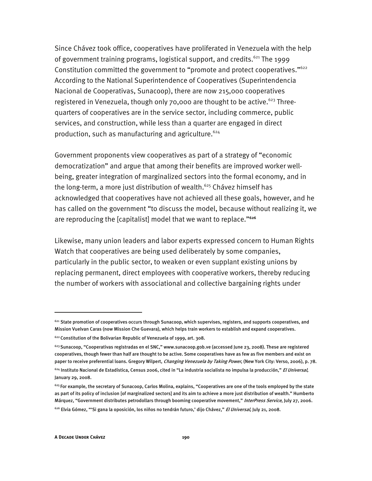Since Chávez took office, cooperatives have proliferated in Venezuela with the help of government training programs, logistical support, and credits.<sup>621</sup> The 1999 Constitution committed the government to "promote and protect cooperatives."<sup>622</sup> According to the National Superintendence of Cooperatives (Superintendencia Nacional de Cooperativas, Sunacoop), there are now 215,000 cooperatives registered in Venezuela, though only 70,000 are thought to be active.<sup>623</sup> Threequarters of cooperatives are in the service sector, including commerce, public services, and construction, while less than a quarter are engaged in direct production, such as manufacturing and agriculture.<sup>624</sup>

Government proponents view cooperatives as part of a strategy of "economic democratization" and argue that among their benefits are improved worker wellbeing, greater integration of marginalized sectors into the formal economy, and in the long-term, a more just distribution of wealth.<sup>625</sup> Chávez himself has acknowledged that cooperatives have not achieved all these goals, however, and he has called on the government "to discuss the model, because without realizing it, we are reproducing the [capitalist] model that we want to replace."**<sup>626</sup>**

Likewise, many union leaders and labor experts expressed concern to Human Rights Watch that cooperatives are being used deliberately by some companies, particularly in the public sector, to weaken or even supplant existing unions by replacing permanent, direct employees with cooperative workers, thereby reducing the number of workers with associational and collective bargaining rights under

-

 $621$  State promotion of cooperatives occurs through Sunacoop, which supervises, registers, and supports cooperatives, and Mission Vuelvan Caras (now Mission Che Guevara), which helps train workers to establish and expand cooperatives.

<sup>622</sup> Constitution of the Bolivarian Republic of Venezuela of 1999, art. 308.

<sup>&</sup>lt;sup>623</sup> Sunacoop, "Cooperativas registradas en el SNC," www.sunacoop.gob.ve (accessed June 23, 2008). These are registered cooperatives, though fewer than half are thought to be active. Some cooperatives have as few as five members and exist on paper to receive preferential loans. Gregory Wilpert, Changing Venezuela by Taking Power, (New York City: Verso, 2006), p. 78.

<sup>&</sup>lt;sup>624</sup> Instituto Nacional de Estadística, Census 2006, cited in "La industria socialista no impulsa la producción," El Universal, January 29, 2008.

 $625$  For example, the secretary of Sunacoop, Carlos Molina, explains, "Cooperatives are one of the tools employed by the state as part of its policy of inclusion [of marginalized sectors] and its aim to achieve a more just distribution of wealth." Humberto Márquez, "Government distributes petrodollars through booming cooperative movement," InterPress Service, July 27, 2006.

<sup>&</sup>lt;sup>626</sup> Elvia Gómez, "'Si gana la oposición, los niños no tendrán futuro,' dijo Chávez," *El Universal,* July 21, 2008.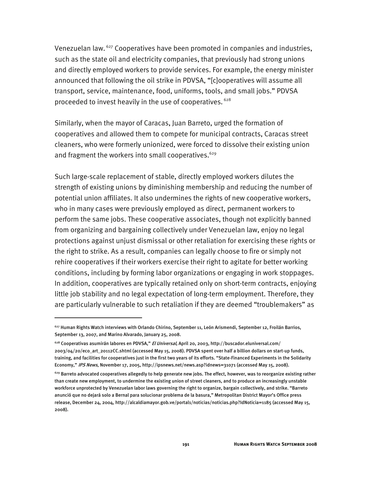Venezuelan law. 627 Cooperatives have been promoted in companies and industries, such as the state oil and electricity companies, that previously had strong unions and directly employed workers to provide services. For example, the energy minister announced that following the oil strike in PDVSA, "[c]ooperatives will assume all transport, service, maintenance, food, uniforms, tools, and small jobs." PDVSA proceeded to invest heavily in the use of cooperatives. <sup>628</sup>

Similarly, when the mayor of Caracas, Juan Barreto, urged the formation of cooperatives and allowed them to compete for municipal contracts, Caracas street cleaners, who were formerly unionized, were forced to dissolve their existing union and fragment the workers into small cooperatives.<sup>629</sup>

Such large-scale replacement of stable, directly employed workers dilutes the strength of existing unions by diminishing membership and reducing the number of potential union affiliates. It also undermines the rights of new cooperative workers, who in many cases were previously employed as direct, permanent workers to perform the same jobs. These cooperative associates, though not explicitly banned from organizing and bargaining collectively under Venezuelan law, enjoy no legal protections against unjust dismissal or other retaliation for exercising these rights or the right to strike. As a result, companies can legally choose to fire or simply not rehire cooperatives if their workers exercise their right to agitate for better working conditions, including by forming labor organizations or engaging in work stoppages. In addition, cooperatives are typically retained only on short-term contracts, enjoying little job stability and no legal expectation of long-term employment. Therefore, they are particularly vulnerable to such retaliation if they are deemed "troublemakers" as

<sup>&</sup>lt;sup>627</sup> Human Rights Watch interviews with Orlando Chirino, September 11, León Arismendi, September 12, Froilán Barrios, September 13, 2007, and Marino Alvarado, January 25, 2008.

<sup>&</sup>lt;sup>628</sup> Cooperativas asumirán labores en PDVSA," *El Universal*, April 20, 2003, http://buscador.eluniversal.com/ 2003/04/20/eco\_art\_20112CC.shtml (accessed May 15, 2008). PDVSA spent over half a billion dollars on start-up funds, training, and facilities for cooperatives just in the first two years of its efforts. "State-Financed Experiments in the Solidarity Economy," IPS News, November 17, 2005, http://ipsnews.net/news.asp?idnews=31071 (accessed May 15, 2008).

 $^{629}$  Barreto advocated cooperatives allegedly to help generate new jobs. The effect, however, was to reorganize existing rather than create new employment, to undermine the existing union of street cleaners, and to produce an increasingly unstable workforce unprotected by Venezuelan labor laws governing the right to organize, bargain collectively, and strike. "Barreto anunció que no dejará solo a Bernal para solucionar problema de la basura," Metropolitan District Mayor's Office press release, December 24, 2004, http://alcaldiamayor.gob.ve/portal1/noticias/noticias.php?IdNoticia=1185 (accessed May 15, 2008).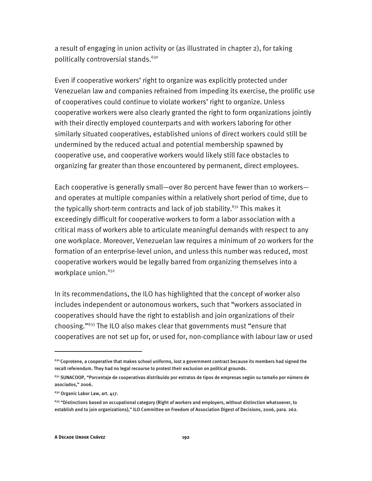a result of engaging in union activity or (as illustrated in chapter 2), for taking politically controversial stands.<sup>630</sup>

Even if cooperative workers' right to organize was explicitly protected under Venezuelan law and companies refrained from impeding its exercise, the prolific use of cooperatives could continue to violate workers' right to organize. Unless cooperative workers were also clearly granted the right to form organizations jointly with their directly employed counterparts and with workers laboring for other similarly situated cooperatives, established unions of direct workers could still be undermined by the reduced actual and potential membership spawned by cooperative use, and cooperative workers would likely still face obstacles to organizing far greater than those encountered by permanent, direct employees.

Each cooperative is generally small—over 80 percent have fewer than 10 workers and operates at multiple companies within a relatively short period of time, due to the typically short-term contracts and lack of job stability.<sup>631</sup> This makes it exceedingly difficult for cooperative workers to form a labor association with a critical mass of workers able to articulate meaningful demands with respect to any one workplace. Moreover, Venezuelan law requires a minimum of 20 workers for the formation of an enterprise-level union, and unless this number was reduced, most cooperative workers would be legally barred from organizing themselves into a workplace union.<sup>632</sup>

In its recommendations, the ILO has highlighted that the concept of worker also includes independent or autonomous workers, such that "workers associated in cooperatives should have the right to establish and join organizations of their choosing."633 The ILO also makes clear that governments must "ensure that cooperatives are not set up for, or used for, non-compliance with labour law or used

 $^{630}$  Coprotene, a cooperative that makes school uniforms, lost a government contract because its members had signed the recall referendum. They had no legal recourse to protest their exclusion on political grounds.

<sup>&</sup>lt;sup>631</sup> SUNACOOP, "Porcentaje de cooperativas distribuido por estratos de tipos de empresas según su tamaño por número de asociados," 2006.

<sup>632</sup> Organic Labor Law, art. 417.

 $633$  "Distinctions based on occupational category (Right of workers and employers, without distinction whatsoever, to establish and to join organizations)," ILO Committee on Freedom of Association Digest of Decisions, 2006, para. 262.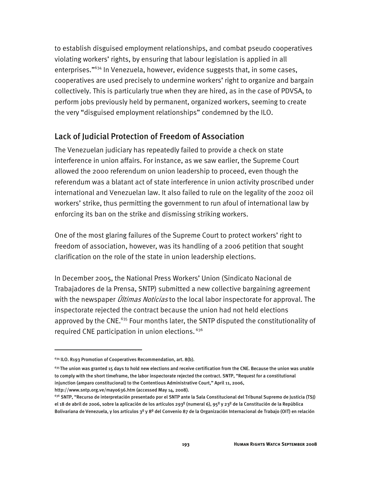to establish disguised employment relationships, and combat pseudo cooperatives violating workers' rights, by ensuring that labour legislation is applied in all enterprises."634 In Venezuela, however, evidence suggests that, in some cases, cooperatives are used precisely to undermine workers' right to organize and bargain collectively. This is particularly true when they are hired, as in the case of PDVSA, to perform jobs previously held by permanent, organized workers, seeming to create the very "disguised employment relationships" condemned by the ILO.

# Lack of Judicial Protection of Freedom of Association

The Venezuelan judiciary has repeatedly failed to provide a check on state interference in union affairs. For instance, as we saw earlier, the Supreme Court allowed the 2000 referendum on union leadership to proceed, even though the referendum was a blatant act of state interference in union activity proscribed under international and Venezuelan law. It also failed to rule on the legality of the 2002 oil workers' strike, thus permitting the government to run afoul of international law by enforcing its ban on the strike and dismissing striking workers.

One of the most glaring failures of the Supreme Court to protect workers' right to freedom of association, however, was its handling of a 2006 petition that sought clarification on the role of the state in union leadership elections.

In December 2005, the National Press Workers' Union (Sindicato Nacional de Trabajadores de la Prensa, SNTP) submitted a new collective bargaining agreement with the newspaper *Últimas Noticias* to the local labor inspectorate for approval. The inspectorate rejected the contract because the union had not held elections approved by the CNE.<sup>635</sup> Four months later, the SNTP disputed the constitutionality of required CNE participation in union elections. 636

 $634$  ILO. R193 Promotion of Cooperatives Recommendation, art. 8(b).

 $635$  The union was granted 15 days to hold new elections and receive certification from the CNE. Because the union was unable to comply with the short timeframe, the labor inspectorate rejected the contract. SNTP, "Request for a constitutional injunction (amparo constitucional) to the Contentious Administrative Court," April 11, 2006,

http://www.sntp.org.ve/mayo636.htm (accessed May 14, 2008).

<sup>636</sup> SNTP, "Recurso de interpretación presentado por el SNTP ante la Sala Constitucional del Tribunal Supremo de Justicia (TSJ) el 18 de abril de 2006, sobre la aplicación de los artículos 293º (numeral 6), 95º y 23º de la Constitución de la República Bolivariana de Venezuela, y los artículos 3º y 8º del Convenio 87 de la Organización Internacional de Trabajo (OIT) en relación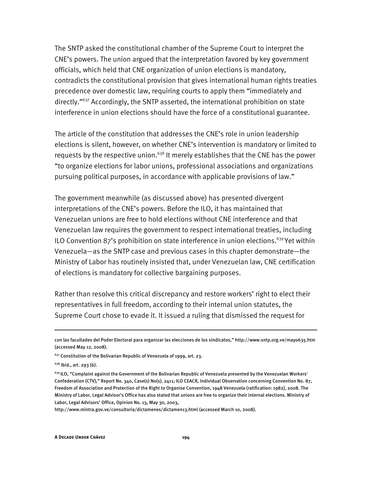The SNTP asked the constitutional chamber of the Supreme Court to interpret the CNE's powers. The union argued that the interpretation favored by key government officials, which held that CNE organization of union elections is mandatory, contradicts the constitutional provision that gives international human rights treaties precedence over domestic law, requiring courts to apply them "immediately and directly."637 Accordingly, the SNTP asserted, the international prohibition on state interference in union elections should have the force of a constitutional guarantee.

The article of the constitution that addresses the CNE's role in union leadership elections is silent, however, on whether CNE's intervention is mandatory or limited to requests by the respective union.<sup>638</sup> It merely establishes that the CNE has the power "to organize elections for labor unions, professional associations and organizations pursuing political purposes, in accordance with applicable provisions of law."

The government meanwhile (as discussed above) has presented divergent interpretations of the CNE's powers. Before the ILO, it has maintained that Venezuelan unions are free to hold elections without CNE interference and that Venezuelan law requires the government to respect international treaties, including ILO Convention 87's prohibition on state interference in union elections.<sup>639</sup> Yet within Venezuela—as the SNTP case and previous cases in this chapter demonstrate—the Ministry of Labor has routinely insisted that, under Venezuelan law, CNE certification of elections is mandatory for collective bargaining purposes.

Rather than resolve this critical discrepancy and restore workers' right to elect their representatives in full freedom, according to their internal union statutes, the Supreme Court chose to evade it. It issued a ruling that dismissed the request for

I

http://www.mintra.gov.ve/consultoria/dictamenes/dictamen13.html (accessed March 10, 2008).

con las facultades del Poder Electoral para organizar las elecciones de los sindicatos," http://www.sntp.org.ve/mayo635.htm (accessed May 12, 2008).

 $637$  Constitution of the Bolivarian Republic of Venezuela of 1999, art. 23.

<sup>638</sup> Ibid., art. 293 (6).

 $639$  ILO, "Complaint against the Government of the Bolivarian Republic of Venezuela presented by the Venezuelan Workers' Confederation (CTV)," Report No. 340, Case(s) No(s). 2411; ILO CEACR, Individual Observation concerning Convention No. 87, Freedom of Association and Protection of the Right to Organise Convention, 1948 Venezuela (ratification: 1982), 2008. The Ministry of Labor, Legal Advisor's Office has also stated that unions are free to organize their internal elections. Ministry of Labor, Legal Advisors' Office, Opinion No. 13, May 30, 2003,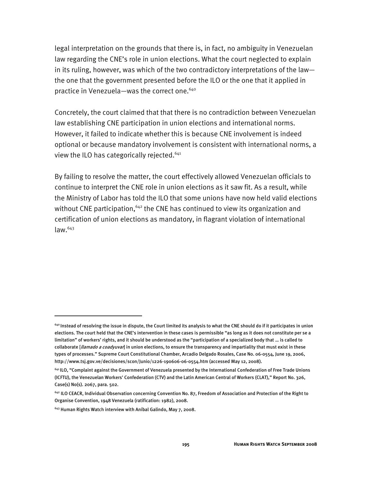legal interpretation on the grounds that there is, in fact, no ambiguity in Venezuelan law regarding the CNE's role in union elections. What the court neglected to explain in its ruling, however, was which of the two contradictory interpretations of the law the one that the government presented before the ILO or the one that it applied in practice in Venezuela—was the correct one.<sup>640</sup>

Concretely, the court claimed that that there is no contradiction between Venezuelan law establishing CNE participation in union elections and international norms. However, it failed to indicate whether this is because CNE involvement is indeed optional or because mandatory involvement is consistent with international norms, a view the ILO has categorically rejected. $641$ 

By failing to resolve the matter, the court effectively allowed Venezuelan officials to continue to interpret the CNE role in union elections as it saw fit. As a result, while the Ministry of Labor has told the ILO that some unions have now held valid elections without CNE participation,<sup>642</sup> the CNE has continued to view its organization and certification of union elections as mandatory, in flagrant violation of international  $law<sup>643</sup>$ 

<sup>640</sup> Instead of resolving the issue in dispute, the Court limited its analysis to what the CNE should do if it participates in union elections. The court held that the CNE's intervention in these cases is permissible "as long as it does not constitute per se a limitation" of workers' rights, and it should be understood as the "participation of a specialized body that … is called to collaborate [llamado a coadyuvar] in union elections, to ensure the transparency and impartiality that must exist in these types of processes." Supreme Court Constitutional Chamber, Arcadio Delgado Rosales, Case No. 06-0554, June 19, 2006, http://www.tsj.gov.ve/decisiones/scon/Junio/1226-190606-06-0554.htm (accessed May 12, 2008).

<sup>641</sup> ILO, "Complaint against the Government of Venezuela presented by the International Confederation of Free Trade Unions (ICFTU), the Venezuelan Workers' Confederation (CTV) and the Latin American Central of Workers (CLAT)," Report No. 326, Case(s) No(s). 2067, para. 502.

<sup>&</sup>lt;sup>642</sup> ILO CEACR, Individual Observation concerning Convention No. 87, Freedom of Association and Protection of the Right to Organise Convention, 1948 Venezuela (ratification: 1982), 2008.

<sup>643</sup> Human Rights Watch interview with Aníbal Galindo, May 7, 2008.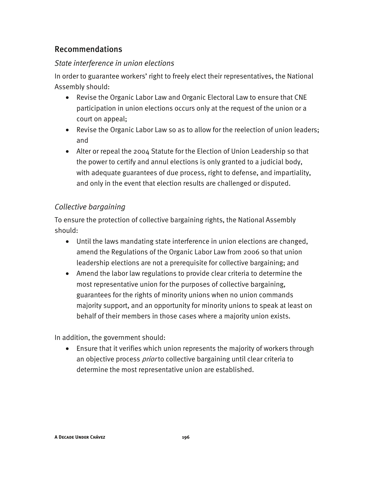# Recommendations

## *State interference in union elections*

In order to guarantee workers' right to freely elect their representatives, the National Assembly should:

- Revise the Organic Labor Law and Organic Electoral Law to ensure that CNE participation in union elections occurs only at the request of the union or a court on appeal;
- Revise the Organic Labor Law so as to allow for the reelection of union leaders; and
- Alter or repeal the 2004 Statute for the Election of Union Leadership so that the power to certify and annul elections is only granted to a judicial body, with adequate guarantees of due process, right to defense, and impartiality, and only in the event that election results are challenged or disputed.

## *Collective bargaining*

To ensure the protection of collective bargaining rights, the National Assembly should:

- Until the laws mandating state interference in union elections are changed, amend the Regulations of the Organic Labor Law from 2006 so that union leadership elections are not a prerequisite for collective bargaining; and
- Amend the labor law regulations to provide clear criteria to determine the most representative union for the purposes of collective bargaining, guarantees for the rights of minority unions when no union commands majority support, and an opportunity for minority unions to speak at least on behalf of their members in those cases where a majority union exists.

In addition, the government should:

• Ensure that it verifies which union represents the majority of workers through an objective process *prior* to collective bargaining until clear criteria to determine the most representative union are established.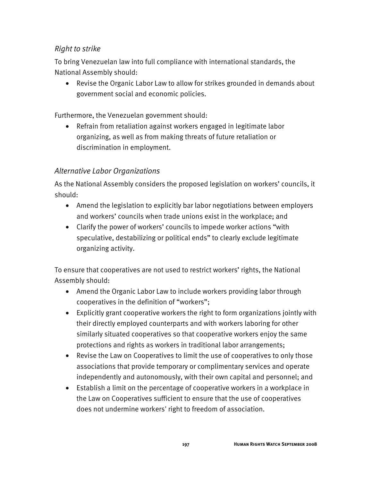## *Right to strike*

To bring Venezuelan law into full compliance with international standards, the National Assembly should:

• Revise the Organic Labor Law to allow for strikes grounded in demands about government social and economic policies.

Furthermore, the Venezuelan government should:

• Refrain from retaliation against workers engaged in legitimate labor organizing, as well as from making threats of future retaliation or discrimination in employment.

# *Alternative Labor Organizations*

As the National Assembly considers the proposed legislation on workers' councils, it should:

- Amend the legislation to explicitly bar labor negotiations between employers and workers' councils when trade unions exist in the workplace; and
- Clarify the power of workers' councils to impede worker actions "with speculative, destabilizing or political ends" to clearly exclude legitimate organizing activity.

To ensure that cooperatives are not used to restrict workers' rights, the National Assembly should:

- Amend the Organic Labor Law to include workers providing labor through cooperatives in the definition of "workers";
- Explicitly grant cooperative workers the right to form organizations jointly with their directly employed counterparts and with workers laboring for other similarly situated cooperatives so that cooperative workers enjoy the same protections and rights as workers in traditional labor arrangements;
- Revise the Law on Cooperatives to limit the use of cooperatives to only those associations that provide temporary or complimentary services and operate independently and autonomously, with their own capital and personnel; and
- Establish a limit on the percentage of cooperative workers in a workplace in the Law on Cooperatives sufficient to ensure that the use of cooperatives does not undermine workers' right to freedom of association.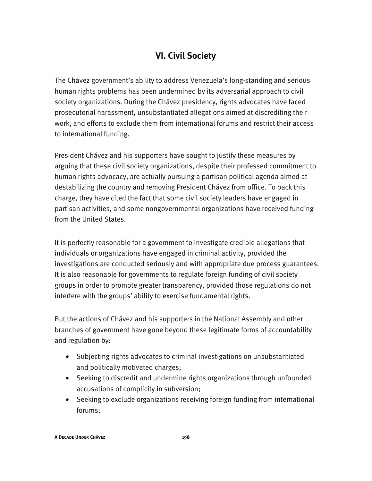# **VI. Civil Society**

The Chávez government's ability to address Venezuela's long-standing and serious human rights problems has been undermined by its adversarial approach to civil society organizations. During the Chávez presidency, rights advocates have faced prosecutorial harassment, unsubstantiated allegations aimed at discrediting their work, and efforts to exclude them from international forums and restrict their access to international funding.

President Chávez and his supporters have sought to justify these measures by arguing that these civil society organizations, despite their professed commitment to human rights advocacy, are actually pursuing a partisan political agenda aimed at destabilizing the country and removing President Chávez from office. To back this charge, they have cited the fact that some civil society leaders have engaged in partisan activities, and some nongovernmental organizations have received funding from the United States.

It is perfectly reasonable for a government to investigate credible allegations that individuals or organizations have engaged in criminal activity, provided the investigations are conducted seriously and with appropriate due process guarantees. It is also reasonable for governments to regulate foreign funding of civil society groups in order to promote greater transparency, provided those regulations do not interfere with the groups' ability to exercise fundamental rights.

But the actions of Chávez and his supporters in the National Assembly and other branches of government have gone beyond these legitimate forms of accountability and regulation by:

- Subjecting rights advocates to criminal investigations on unsubstantiated and politically motivated charges;
- Seeking to discredit and undermine rights organizations through unfounded accusations of complicity in subversion;
- Seeking to exclude organizations receiving foreign funding from international forums;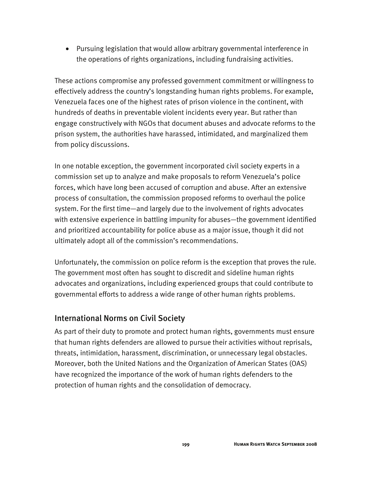• Pursuing legislation that would allow arbitrary governmental interference in the operations of rights organizations, including fundraising activities.

These actions compromise any professed government commitment or willingness to effectively address the country's longstanding human rights problems. For example, Venezuela faces one of the highest rates of prison violence in the continent, with hundreds of deaths in preventable violent incidents every year. But rather than engage constructively with NGOs that document abuses and advocate reforms to the prison system, the authorities have harassed, intimidated, and marginalized them from policy discussions.

In one notable exception, the government incorporated civil society experts in a commission set up to analyze and make proposals to reform Venezuela's police forces, which have long been accused of corruption and abuse. After an extensive process of consultation, the commission proposed reforms to overhaul the police system. For the first time—and largely due to the involvement of rights advocates with extensive experience in battling impunity for abuses—the government identified and prioritized accountability for police abuse as a major issue, though it did not ultimately adopt all of the commission's recommendations.

Unfortunately, the commission on police reform is the exception that proves the rule. The government most often has sought to discredit and sideline human rights advocates and organizations, including experienced groups that could contribute to governmental efforts to address a wide range of other human rights problems.

# International Norms on Civil Society

As part of their duty to promote and protect human rights, governments must ensure that human rights defenders are allowed to pursue their activities without reprisals, threats, intimidation, harassment, discrimination, or unnecessary legal obstacles. Moreover, both the United Nations and the Organization of American States (OAS) have recognized the importance of the work of human rights defenders to the protection of human rights and the consolidation of democracy.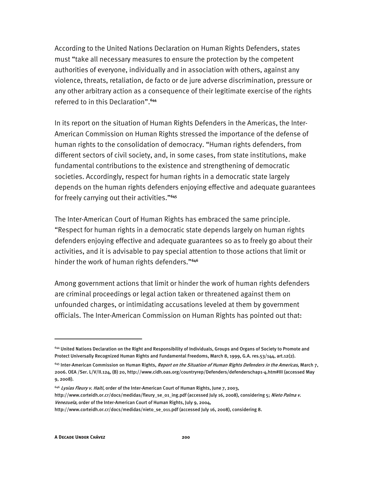According to the United Nations Declaration on Human Rights Defenders, states must "take all necessary measures to ensure the protection by the competent authorities of everyone, individually and in association with others, against any violence, threats, retaliation, de facto or de jure adverse discrimination, pressure or any other arbitrary action as a consequence of their legitimate exercise of the rights referred to in this Declaration".**<sup>644</sup>**

In its report on the situation of Human Rights Defenders in the Americas, the Inter-American Commission on Human Rights stressed the importance of the defense of human rights to the consolidation of democracy. "Human rights defenders, from different sectors of civil society, and, in some cases, from state institutions, make fundamental contributions to the existence and strengthening of democratic societies. Accordingly, respect for human rights in a democratic state largely depends on the human rights defenders enjoying effective and adequate guarantees for freely carrying out their activities."**<sup>645</sup>**

The Inter-American Court of Human Rights has embraced the same principle. "Respect for human rights in a democratic state depends largely on human rights defenders enjoying effective and adequate guarantees so as to freely go about their activities, and it is advisable to pay special attention to those actions that limit or hinder the work of human rights defenders."**<sup>646</sup>**

Among government actions that limit or hinder the work of human rights defenders are criminal proceedings or legal action taken or threatened against them on unfounded charges, or intimidating accusations leveled at them by government officials. The Inter-American Commission on Human Rights has pointed out that:

j

<sup>644</sup> United Nations Declaration on the Right and Responsibility of Individuals, Groups and Organs of Society to Promote and Protect Universally Recognized Human Rights and Fundamental Freedoms, March 8, 1999, G.A. res.53/144, art.12(2).

<sup>&</sup>lt;sup>645</sup> Inter-American Commission on Human Rights, Report on the Situation of Human Rights Defenders in the Americas, March 7, 2006. OEA /Ser. L/V/II.124, (B) 20, http://www.cidh.oas.org/countryrep/Defenders/defenderschap1-4.htm#III (accessed May 9, 2008).

<sup>&</sup>lt;sup>646</sup> Lysias Fleury v. Haiti, order of the Inter-American Court of Human Rights, June 7, 2003,

http://www.corteidh.or.cr/docs/medidas/fleury\_se\_01\_ing.pdf (accessed July 16, 2008), considering 5; Nieto Palma v. Venezuela, order of the Inter-American Court of Human Rights, July 9, 2004,

http://www.corteidh.or.cr/docs/medidas/nieto\_se\_011.pdf (accessed July 16, 2008), considering 8.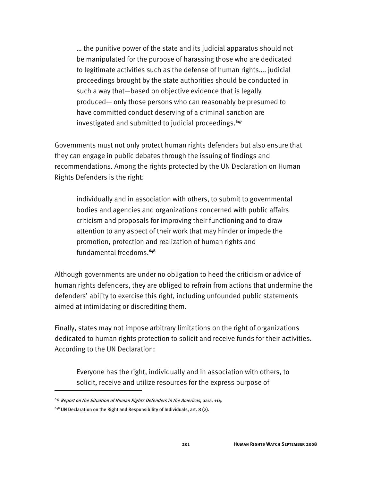… the punitive power of the state and its judicial apparatus should not be manipulated for the purpose of harassing those who are dedicated to legitimate activities such as the defense of human rights…. judicial proceedings brought by the state authorities should be conducted in such a way that—based on objective evidence that is legally produced— only those persons who can reasonably be presumed to have committed conduct deserving of a criminal sanction are investigated and submitted to judicial proceedings.**<sup>647</sup>**

Governments must not only protect human rights defenders but also ensure that they can engage in public debates through the issuing of findings and recommendations. Among the rights protected by the UN Declaration on Human Rights Defenders is the right:

individually and in association with others, to submit to governmental bodies and agencies and organizations concerned with public affairs criticism and proposals for improving their functioning and to draw attention to any aspect of their work that may hinder or impede the promotion, protection and realization of human rights and fundamental freedoms.**<sup>648</sup>**

Although governments are under no obligation to heed the criticism or advice of human rights defenders, they are obliged to refrain from actions that undermine the defenders' ability to exercise this right, including unfounded public statements aimed at intimidating or discrediting them.

Finally, states may not impose arbitrary limitations on the right of organizations dedicated to human rights protection to solicit and receive funds for their activities. According to the UN Declaration:

Everyone has the right, individually and in association with others, to solicit, receive and utilize resources for the express purpose of

-

 $647$  Report on the Situation of Human Rights Defenders in the Americas, para. 114.

 $648$  UN Declaration on the Right and Responsibility of Individuals, art. 8 (2).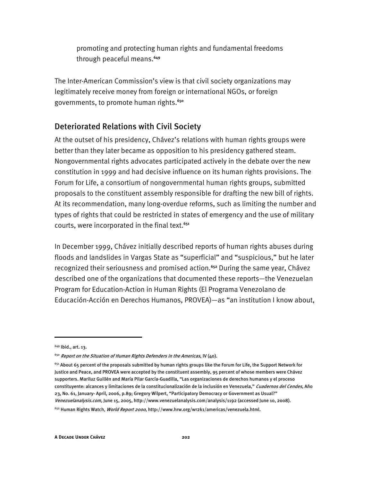promoting and protecting human rights and fundamental freedoms through peaceful means.**<sup>649</sup>**

The Inter-American Commission's view is that civil society organizations may legitimately receive money from foreign or international NGOs, or foreign governments, to promote human rights.**<sup>650</sup>**

## Deteriorated Relations with Civil Society

At the outset of his presidency, Chávez's relations with human rights groups were better than they later became as opposition to his presidency gathered steam. Nongovernmental rights advocates participated actively in the debate over the new constitution in 1999 and had decisive influence on its human rights provisions. The Forum for Life, a consortium of nongovernmental human rights groups, submitted proposals to the constituent assembly responsible for drafting the new bill of rights. At its recommendation, many long-overdue reforms, such as limiting the number and types of rights that could be restricted in states of emergency and the use of military courts, were incorporated in the final text.**<sup>651</sup>**

In December 1999, Chávez initially described reports of human rights abuses during floods and landslides in Vargas State as "superficial" and "suspicious," but he later recognized their seriousness and promised action.**<sup>652</sup>** During the same year, Chávez described one of the organizations that documented these reports—the Venezuelan Program for Education-Action in Human Rights (El Programa Venezolano de Educación-Acción en Derechos Humanos, PROVEA)—as "an institution I know about,

j

<sup>649</sup> Ibid., art. 13.

 $650$  Report on the Situation of Human Rights Defenders in the Americas, IV (40).

 $651$  About 65 percent of the proposals submitted by human rights groups like the Forum for Life, the Support Network for Justice and Peace, and PROVEA were accepted by the constituent assembly, 95 percent of whose members were Chávez supporters. Mariluz Guillén and María Pilar García-Guadilla, "Las organizaciones de derechos humanos y el proceso constituyente: alcances y limitaciones de la constitucionalización de la inclusión en Venezuela," Cuadernos del Cendes, Año 23, No. 61, January- April, 2006, p.89; Gregory Wilpert, "Participatory Democracy or Government as Usual?" Venezuelanalysis.com, June 15, 2005, http://www.venezuelanalysis.com/analysis/1192 (accessed June 10, 2008).

<sup>&</sup>lt;sup>652</sup> Human Rights Watch, *World Report 2000,* http://www.hrw.org/wr2k1/americas/venezuela.html.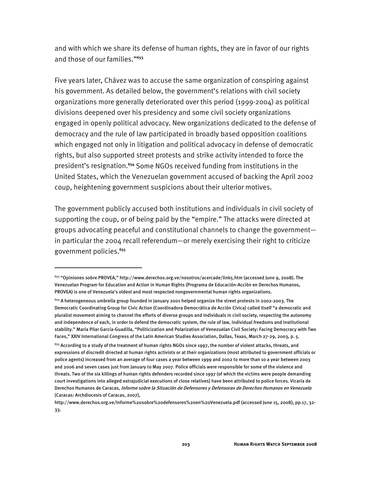and with which we share its defense of human rights, they are in favor of our rights and those of our families."**<sup>653</sup>**

Five years later, Chávez was to accuse the same organization of conspiring against his government. As detailed below, the government's relations with civil society organizations more generally deteriorated over this period (1999-2004) as political divisions deepened over his presidency and some civil society organizations engaged in openly political advocacy. New organizations dedicated to the defense of democracy and the rule of law participated in broadly based opposition coalitions which engaged not only in litigation and political advocacy in defense of democratic rights, but also supported street protests and strike activity intended to force the president's resignation.**<sup>654</sup>** Some NGOs received funding from institutions in the United States, which the Venezuelan government accused of backing the April 2002 coup, heightening government suspicions about their ulterior motives.

The government publicly accused both institutions and individuals in civil society of supporting the coup, or of being paid by the "empire." The attacks were directed at groups advocating peaceful and constitutional channels to change the government in particular the 2004 recall referendum—or merely exercising their right to criticize government policies.**<sup>655</sup>**

<sup>&</sup>lt;sup>653</sup> "Opiniones sobre PROVEA," http://www.derechos.org.ve/nosotros/acercade/link5.htm (accessed June 9, 2008). The Venezuelan Program for Education and Action in Human Rights (Programa de Educación-Acción en Derechos Humanos, PROVEA) is one of Venezuela's oldest and most respected nongovernmental human rights organizations.

<sup>654</sup> A heterogeneous umbrella group founded in January 2001 helped organize the street protests in 2002-2003. The Democratic Coordinating Group for Civic Action (Coordinadora Democrática de Acción Cívica) called itself "a democratic and pluralist movement aiming to channel the efforts of diverse groups and individuals in civil society, respecting the autonomy and independence of each, in order to defend the democratic system, the rule of law, individual freedoms and institutional stability." María Pilar García-Guadilla, "Politicization and Polarization of Venezuelan Civil Society: Facing Democracy with Two Faces," XXIV International Congress of the Latin American Studies Association, Dallas, Texas, March 27-29, 2003, p. 5.

<sup>&</sup>lt;sup>655</sup> According to a study of the treatment of human rights NGOs since 1997, the number of violent attacks, threats, and expressions of discredit directed at human rights activists or at their organizations (most attributed to government officials or police agents) increased from an average of four cases a year between 1999 and 2002 to more than 10 a year between 2003 and 2006 and seven cases just from January to May 2007. Police officials were responsible for some of the violence and threats. Two of the six killings of human rights defenders recorded since 1997 (of which the victims were people demanding court investigations into alleged extrajudicial executions of close relatives) have been attributed to police forces. Vicaría de Derechos Humanos de Caracas, Informe sobre la Situación de Defensores y Defensoras de Derechos Humanos en Venezuela (Caracas: Archdiocesis of Caracas, 2007),

http://www.derechos.org.ve/Informe%20sobre%20defensores%20en%20Venezuela.pdf (accessed June 15, 2008), pp.17, 32- 33.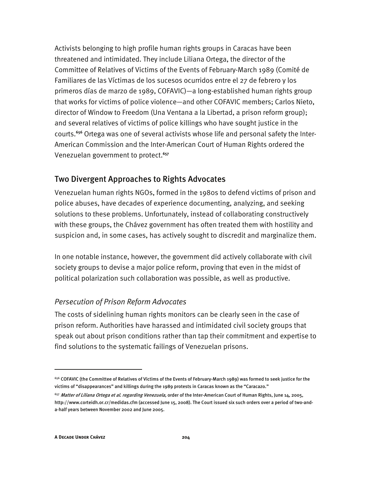Activists belonging to high profile human rights groups in Caracas have been threatened and intimidated. They include Liliana Ortega, the director of the Committee of Relatives of Victims of the Events of February-March 1989 (Comité de Familiares de las Víctimas de los sucesos ocurridos entre el 27 de febrero y los primeros días de marzo de 1989, COFAVIC)—a long-established human rights group that works for victims of police violence—and other COFAVIC members; Carlos Nieto, director of Window to Freedom (Una Ventana a la Libertad, a prison reform group); and several relatives of victims of police killings who have sought justice in the courts.**656** Ortega was one of several activists whose life and personal safety the Inter-American Commission and the Inter-American Court of Human Rights ordered the Venezuelan government to protect.**<sup>657</sup>**

#### Two Divergent Approaches to Rights Advocates

Venezuelan human rights NGOs, formed in the 1980s to defend victims of prison and police abuses, have decades of experience documenting, analyzing, and seeking solutions to these problems. Unfortunately, instead of collaborating constructively with these groups, the Chávez government has often treated them with hostility and suspicion and, in some cases, has actively sought to discredit and marginalize them.

In one notable instance, however, the government did actively collaborate with civil society groups to devise a major police reform, proving that even in the midst of political polarization such collaboration was possible, as well as productive.

#### *Persecution of Prison Reform Advocates*

The costs of sidelining human rights monitors can be clearly seen in the case of prison reform. Authorities have harassed and intimidated civil society groups that speak out about prison conditions rather than tap their commitment and expertise to find solutions to the systematic failings of Venezuelan prisons.

j

<sup>&</sup>lt;sup>656</sup> COFAVIC (the Committee of Relatives of Victims of the Events of February-March 1989) was formed to seek justice for the victims of "disappearances" and killings during the 1989 protests in Caracas known as the "Caracazo."

<sup>&</sup>lt;sup>657</sup> Matter of Liliana Ortega et al. regarding Venezuela, order of the Inter-American Court of Human Rights, June 14, 2005, http://www.corteidh.or.cr/medidas.cfm (accessed June 15, 2008). The Court issued six such orders over a period of two-anda-half years between November 2002 and June 2005.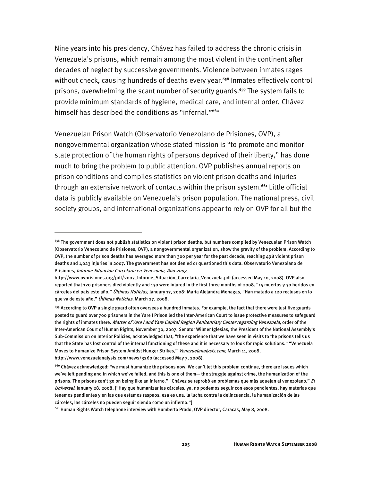Nine years into his presidency, Chávez has failed to address the chronic crisis in Venezuela's prisons, which remain among the most violent in the continent after decades of neglect by successive governments. Violence between inmates rages without check, causing hundreds of deaths every year.**<sup>658</sup>** Inmates effectively control prisons, overwhelming the scant number of security guards.**<sup>659</sup>** The system fails to provide minimum standards of hygiene, medical care, and internal order. Chávez himself has described the conditions as "infernal."<sup>660</sup>

Venezuelan Prison Watch (Observatorio Venezolano de Prisiones, OVP), a nongovernmental organization whose stated mission is "to promote and monitor state protection of the human rights of persons deprived of their liberty," has done much to bring the problem to public attention. OVP publishes annual reports on prison conditions and compiles statistics on violent prison deaths and injuries through an extensive network of contacts within the prison system.**<sup>661</sup>** Little official data is publicly available on Venezuela's prison population. The national press, civil society groups, and international organizations appear to rely on OVP for all but the

j

<sup>&</sup>lt;sup>658</sup> The government does not publish statistics on violent prison deaths, but numbers compiled by Venezuelan Prison Watch (Observatorio Venezolano de Prisiones, OVP), a nongovernmental organization, show the gravity of the problem. According to OVP, the number of prison deaths has averaged more than 300 per year for the past decade, reaching 498 violent prison deaths and 1,023 injuries in 2007. The government has not denied or questioned this data. Observatorio Venezolano de Prisiones, Informe Situación Carcelaria en Venezuela, Año 2007,

http://www.ovprisiones.org/pdf/2007\_Informe\_Situación\_Carcelaria\_Venezuela.pdf (accessed May 10, 2008). OVP also reported that 120 prisoners died violently and 130 were injured in the first three months of 2008. "15 muertos y 30 heridos en cárceles del país este año," Últimas Noticias, January 17, 2008; María Alejandra Monagas, "Han matado a 120 reclusos en lo que va de este año," *Últimas Noticias*, March 27, 2008.

<sup>&</sup>lt;sup>659</sup> According to OVP a single guard often oversees a hundred inmates. For example, the fact that there were just five guards posted to guard over 700 prisoners in the Yare I Prison led the Inter-American Court to issue protective measures to safeguard the rights of inmates there. Matter of Yare I and Yare Capital Region Penitentiary Center regarding Venezuela, order of the Inter-American Court of Human Rights, November 30, 2007. Senator Wilmer Iglesias, the President of the National Assembly's Sub-Commission on Interior Policies, acknowledged that, "the experience that we have seen in visits to the prisons tells us that the State has lost control of the internal functioning of these and it is necessary to look for rapid solutions." "Venezuela Moves to Humanize Prison System Amidst Hunger Strikes," Venezuelanalysis.com, March 11, 2008, http://www.venezuelanalysis.com/news/3260 (accessed May 7, 2008).

<sup>&</sup>lt;sup>660</sup> Chávez acknowledged: "we must humanize the prisons now. We can't let this problem continue, there are issues which we've left pending and in which we've failed, and this is one of them— the struggle against crime, the humanization of the prisons. The prisons can't go on being like an inferno." "Chávez se reprobó en problemas que más aquejan al venezolano," El Universal, January 28, 2008. ["Hay que humanizar las cárceles, ya, no podemos seguir con esos pendientes, hay materias que tenemos pendientes y en las que estamos raspaos, esa es una, la lucha contra la delincuencia, la humanización de las cárceles, las cárceles no pueden seguir siendo como un infierno."]

<sup>661</sup> Human Rights Watch telephone interview with Humberto Prado, OVP director, Caracas, May 8, 2008.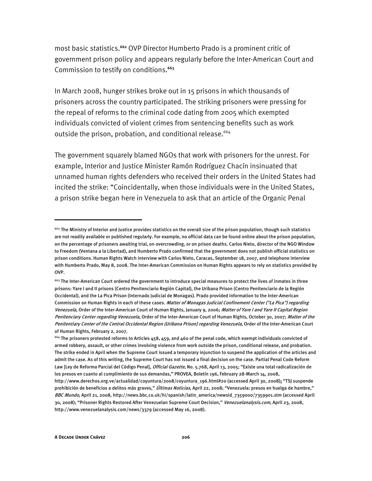most basic statistics.**<sup>662</sup>** OVP Director Humberto Prado is a prominent critic of government prison policy and appears regularly before the Inter-American Court and Commission to testify on conditions.**<sup>663</sup>**

In March 2008, hunger strikes broke out in 15 prisons in which thousands of prisoners across the country participated. The striking prisoners were pressing for the repeal of reforms to the criminal code dating from 2005 which exempted individuals convicted of violent crimes from sentencing benefits such as work outside the prison, probation, and conditional release.<sup>664</sup>

The government squarely blamed NGOs that work with prisoners for the unrest. For example, Interior and Justice Minister Ramón Rodríguez Chacín insinuated that unnamed human rights defenders who received their orders in the United States had incited the strike: "Coincidentally, when those individuals were in the United States, a prison strike began here in Venezuela to ask that an article of the Organic Penal

<sup>&</sup>lt;sup>662</sup> The Ministry of Interior and Justice provides statistics on the overall size of the prison population, though such statistics are not readily available or published regularly. For example, no official data can be found online about the prison population, on the percentage of prisoners awaiting trial, on overcrowding, or on prison deaths. Carlos Nieto, director of the NGO Window to Freedom (Ventana a la Libertad), and Humberto Prado confirmed that the government does not publish official statistics on prison conditions. Human Rights Watch interview with Carlos Nieto, Caracas, September 18, 2007, and telephone interview with Humberto Prado, May 8, 2008. The Inter-American Commission on Human Rights appears to rely on statistics provided by OVP.

<sup>663</sup> The Inter-American Court ordered the government to introduce special measures to protect the lives of inmates in three prisons: Yare I and II prisons (Centro Penitenciario Región Capital), the Uribana Prison (Centro Penitenciario de la Región Occidental), and the La Pica Prison (Internado Judicial de Monagas). Prado provided information to the Inter-American Commission on Human Rights in each of these cases. Matter of Monagas Judicial Confinement Center ("La Pica") regarding Venezuela, Order of the Inter-American Court of Human Rights, January 9, 2006; Matter of Yare I and Yare II Capital Region Penitenciary Center regarding Venezuela, Order of the Inter-American Court of Human Rights, October 30, 2007; Matter of the Penitentiary Center of the Central Occidental Region (Uribana Prison) regarding Venezuela, Order of the Inter-American Court of Human Rights, February 2, 2007.

 $664$  The prisoners protested reforms to Articles 458, 459, and 460 of the penal code, which exempt individuals convicted of armed robbery, assault, or other crimes involving violence from work outside the prison, conditional release, and probation. The strike ended in April when the Supreme Court issued a temporary injunction to suspend the application of the articles and admit the case. As of this writing, the Supreme Court has not issued a final decision on the case. Partial Penal Code Reform Law [Ley de Reforma Parcial del Código Penal], Official Gazette, No. 5.768, April 13, 2005; "Existe una total radicalización de los presos en cuanto al cumplimiento de sus demandas," PROVEA, Boletín 196, February 28-March 14, 2008,

http://www.derechos.org.ve/actualidad/coyuntura/2008/coyuntura\_196.html#20 (accessed April 30, 2008); "TSJ suspende prohibición de beneficios a delitos más graves," *Últimas Noticias,* April 22, 2008; "Venezuela: presos en huelga de hambre," BBC Mundo, April 21, 2008, http://news.bbc.co.uk/hi/spanish/latin\_america/newsid\_7359000/7359901.stm (accessed April 30, 2008); "Prisoner Rights Restored After Venezuelan Supreme Court Decision," *Venezuelanalysis.com*, April 23, 2008, http://www.venezuelanalysis.com/news/3379 (accessed May 16, 2008).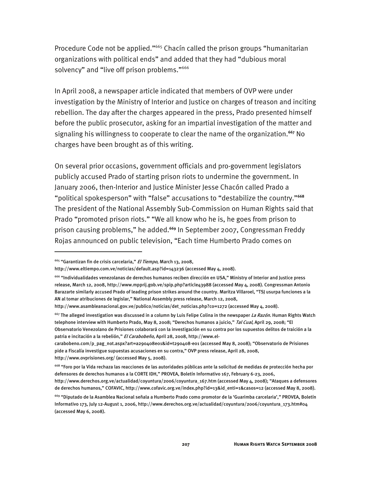Procedure Code not be applied."<sup>665</sup> Chacín called the prison groups "humanitarian organizations with political ends" and added that they had "dubious moral solvency" and "live off prison problems."<sup>666</sup>

In April 2008, a newspaper article indicated that members of OVP were under investigation by the Ministry of Interior and Justice on charges of treason and inciting rebellion. The day after the charges appeared in the press, Prado presented himself before the public prosecutor, asking for an impartial investigation of the matter and signaling his willingness to cooperate to clear the name of the organization.**<sup>667</sup>** No charges have been brought as of this writing.

On several prior occasions, government officials and pro-government legislators publicly accused Prado of starting prison riots to undermine the government. In January 2006, then-Interior and Justice Minister Jesse Chacón called Prado a "political spokesperson" with "false" accusations to "destabilize the country."**<sup>668</sup>** The president of the National Assembly Sub-Commission on Human Rights said that Prado "promoted prison riots." "We all know who he is, he goes from prison to prison causing problems," he added.**<sup>669</sup>** In September 2007, Congressman Freddy Rojas announced on public television, "Each time Humberto Prado comes on

<sup>&</sup>lt;sup>665</sup> "Garantizan fin de crisis carcelaria," El Tiempo, March 13, 2008,

http://www.eltiempo.com.ve/noticias/default.asp?id=143236 (accessed May 4, 2008).

<sup>666 &</sup>quot;Individualidades venezolanas de derechos humanos reciben dirección en USA," Ministry of Interior and Justice press release, March 12, 2008, http://www.mpprij.gob.ve/spip.php?article43988 (accessed May 4, 2008). Congressman Antonio Barazarte similarly accused Prado of leading prison strikes around the country. Maritza Villaroel, "TSJ usurpa funciones a la AN al tomar atribuciones de legislar," National Assembly press release, March 12, 2008,

http://www.asambleanacional.gov.ve/publico/noticias/det\_noticias.php?co=1272 (accessed May 4, 2008).

<sup>&</sup>lt;sup>667</sup> The alleged investigation was discussed in a column by Luis Felipe Colina in the newspaper *La Razón.* Human Rights Watch telephone interview with Humberto Prado, May 8, 2008; "Derechos humanos a juicio," *Tal Cual*, April 29, 2008; "El Observatorio Venezolano de Prisiones colaborará con la investigación en su contra por los supuestos delitos de traición a la patria e incitación a la rebelión," El Carabobeño, April 28, 2008, http://www.el-

carabobeno.com/p\_pag\_not.aspx?art=a290408e01&id=t290408-e01 (accessed May 8, 2008); "Observatorio de Prisiones pide a Fiscalía investigue supuestas acusaciones en su contra," OVP press release, April 28, 2008, http://www.ovprisiones.org/ (accessed May 5, 2008).

<sup>668 &</sup>quot;Foro por la Vida rechaza las reacciones de las autoridades públicas ante la solicitud de medidas de protección hecha por defensores de derechos humanos a la CORTE IDH," PROVEA, Boletín Informativo 167, February 6-23, 2006,

http://www.derechos.org.ve/actualidad/coyuntura/2006/coyuntura\_167.htm (accessed May 4, 2008); "Ataques a defensores de derechos humanos," COFAVIC, http://www.cofavic.org.ve/index.php?id=13&id\_enti=1&casos=12 (accessed May 8, 2008).

<sup>669 &</sup>quot;Diputado de la Asamblea Nacional señala a Humberto Prado como promotor de la 'Guarimba carcelaria'," PROVEA, Boletín Informativo 173, July 12-August 1, 2006, http://www.derechos.org.ve/actualidad/coyuntura/2006/coyuntura\_173.htm#04 (accessed May 6, 2008).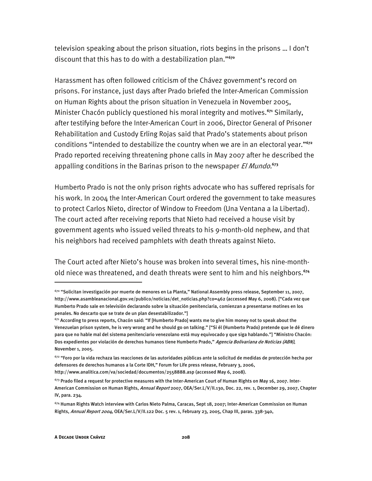television speaking about the prison situation, riots begins in the prisons … I don't discount that this has to do with a destabilization plan."**<sup>670</sup>**

Harassment has often followed criticism of the Chávez government's record on prisons. For instance, just days after Prado briefed the Inter-American Commission on Human Rights about the prison situation in Venezuela in November 2005, Minister Chacón publicly questioned his moral integrity and motives.**<sup>671</sup>** Similarly, after testifying before the Inter-American Court in 2006, Director General of Prisoner Rehabilitation and Custody Erling Rojas said that Prado's statements about prison conditions "intended to destabilize the country when we are in an electoral year."**<sup>672</sup>** Prado reported receiving threatening phone calls in May 2007 after he described the appalling conditions in the Barinas prison to the newspaper El Mundo.**<sup>673</sup>**

Humberto Prado is not the only prison rights advocate who has suffered reprisals for his work. In 2004 the Inter-American Court ordered the government to take measures to protect Carlos Nieto, director of Window to Freedom (Una Ventana a la Libertad). The court acted after receiving reports that Nieto had received a house visit by government agents who issued veiled threats to his 9-month-old nephew, and that his neighbors had received pamphlets with death threats against Nieto.

The Court acted after Nieto's house was broken into several times, his nine-monthold niece was threatened, and death threats were sent to him and his neighbors.**<sup>674</sup>**

j

 $670$  "Solicitan investigación por muerte de menores en La Planta," National Assembly press release, September 11, 2007, http://www.asambleanacional.gov.ve/publico/noticias/det\_noticias.php?co=462 (accessed May 6, 2008). ["Cada vez que Humberto Prado sale en televisión declarando sobre la situación penitenciaria, comienzan a presentarse motines en los penales. No descarto que se trate de un plan desestabilizador."]

 $671$  According to press reports, Chacón said: "If [Humberto Prado] wants me to give him money not to speak about the Venezuelan prison system, he is very wrong and he should go on talking." ["Si él (Humberto Prado) pretende que le dé dinero para que no hable mal del sistema penitenciario venezolano está muy equivocado y que siga hablando."] "Ministro Chacón: Dos expedientes por violación de derechos humanos tiene Humberto Prado," Agencia Bolivariana de Noticias (ABN), November 1, 2005.

<sup>672 &</sup>quot;Foro por la vida rechaza las reacciones de las autoridades públicas ante la solicitud de medidas de protección hecha por defensores de derechos humanos a la Corte IDH," Forum for Life press release, February 3, 2006,

http://www.analitica.com/va/sociedad/documentos/2558888.asp (accessed May 6, 2008).

<sup>&</sup>lt;sup>673</sup> Prado filed a request for protective measures with the Inter-American Court of Human Rights on May 16, 2007. Inter-American Commission on Human Rights, *Annual Report* 2007, OEA/Ser.L/V/II.130, Doc. 22, rev. 1, December 29, 2007, Chapter IV, para. 234.

 $^{674}$  Human Rights Watch interview with Carlos Nieto Palma, Caracas, Sept 18, 2007; Inter-American Commission on Human Rights, Annual Report 2004, OEA/Ser.L/V/II.122 Doc. 5 rev. 1, February 23, 2005, Chap III, paras. 338-340,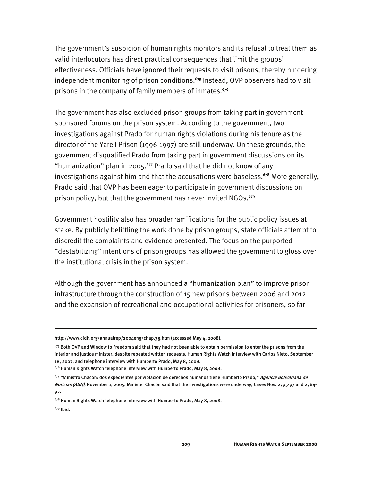The government's suspicion of human rights monitors and its refusal to treat them as valid interlocutors has direct practical consequences that limit the groups' effectiveness. Officials have ignored their requests to visit prisons, thereby hindering independent monitoring of prison conditions.**<sup>675</sup>** Instead, OVP observers had to visit prisons in the company of family members of inmates.**<sup>676</sup>**

The government has also excluded prison groups from taking part in governmentsponsored forums on the prison system. According to the government, two investigations against Prado for human rights violations during his tenure as the director of the Yare I Prison (1996-1997) are still underway. On these grounds, the government disqualified Prado from taking part in government discussions on its "humanization" plan in 2005.**<sup>677</sup>** Prado said that he did not know of any investigations against him and that the accusations were baseless.**<sup>678</sup>** More generally, Prado said that OVP has been eager to participate in government discussions on prison policy, but that the government has never invited NGOs.**<sup>679</sup>**

Government hostility also has broader ramifications for the public policy issues at stake. By publicly belittling the work done by prison groups, state officials attempt to discredit the complaints and evidence presented. The focus on the purported "destabilizing" intentions of prison groups has allowed the government to gloss over the institutional crisis in the prison system.

Although the government has announced a "humanization plan" to improve prison infrastructure through the construction of 15 new prisons between 2006 and 2012 and the expansion of recreational and occupational activities for prisoners, so far

http://www.cidh.org/annualrep/2004eng/chap.3g.htm (accessed May 4, 2008).

 $675$  Both OVP and Window to Freedom said that they had not been able to obtain permission to enter the prisons from the interior and justice minister, despite repeated written requests. Human Rights Watch interview with Carlos Nieto, September 18, 2007, and telephone interview with Humberto Prado, May 8, 2008.

<sup>676</sup> Human Rights Watch telephone interview with Humberto Prado, May 8, 2008.

<sup>&</sup>lt;sup>677</sup> "Ministro Chacón: dos expedientes por violación de derechos humanos tiene Humberto Prado," *Agencia Bolivariana de* Noticias (ABN), November 1, 2005. Minister Chacón said that the investigations were underway, Cases Nos. 2795-97 and 2764-97.

<sup>678</sup> Human Rights Watch telephone interview with Humberto Prado, May 8, 2008.

<sup>679</sup> Ibid.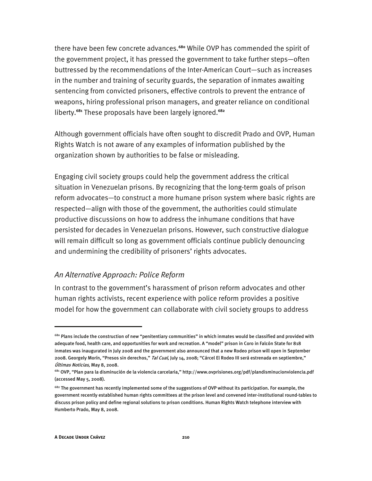there have been few concrete advances.**<sup>680</sup>** While OVP has commended the spirit of the government project, it has pressed the government to take further steps—often buttressed by the recommendations of the Inter-American Court—such as increases in the number and training of security guards, the separation of inmates awaiting sentencing from convicted prisoners, effective controls to prevent the entrance of weapons, hiring professional prison managers, and greater reliance on conditional liberty.**<sup>681</sup>** These proposals have been largely ignored.**<sup>682</sup>**

Although government officials have often sought to discredit Prado and OVP, Human Rights Watch is not aware of any examples of information published by the organization shown by authorities to be false or misleading.

Engaging civil society groups could help the government address the critical situation in Venezuelan prisons. By recognizing that the long-term goals of prison reform advocates—to construct a more humane prison system where basic rights are respected—align with those of the government, the authorities could stimulate productive discussions on how to address the inhumane conditions that have persisted for decades in Venezuelan prisons. However, such constructive dialogue will remain difficult so long as government officials continue publicly denouncing and undermining the credibility of prisoners' rights advocates.

#### *An Alternative Approach: Police Reform*

In contrast to the government's harassment of prison reform advocates and other human rights activists, recent experience with police reform provides a positive model for how the government can collaborate with civil society groups to address

<sup>680</sup> Plans include the construction of new "penitentiary communities" in which inmates would be classified and provided with adequate food, health care, and opportunities for work and recreation. A "model" prison in Coro in Falcón State for 818 inmates was inaugurated in July 2008 and the government also announced that a new Rodeo prison will open in September 2008. Georgely Morín, "Presos sin derechos," Tal Cual, July 14, 2008; "Cárcel El Rodeo III será estrenada en septiembre," Últimas Noticias, May 8, 2008.

<sup>681</sup> OVP, "Plan para la disminución de la violencia carcelaria," http://www.ovprisiones.org/pdf/plandisminucionviolencia.pdf (accessed May 5, 2008).

<sup>&</sup>lt;sup>682</sup> The government has recently implemented some of the suggestions of OVP without its participation. For example, the government recently established human rights committees at the prison level and convened inter-institutional round-tables to discuss prison policy and define regional solutions to prison conditions. Human Rights Watch telephone interview with Humberto Prado, May 8, 2008.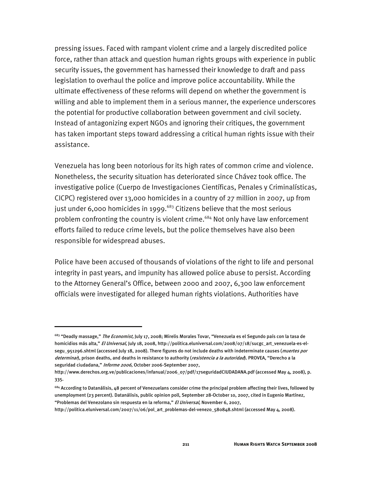pressing issues. Faced with rampant violent crime and a largely discredited police force, rather than attack and question human rights groups with experience in public security issues, the government has harnessed their knowledge to draft and pass legislation to overhaul the police and improve police accountability. While the ultimate effectiveness of these reforms will depend on whether the government is willing and able to implement them in a serious manner, the experience underscores the potential for productive collaboration between government and civil society. Instead of antagonizing expert NGOs and ignoring their critiques, the government has taken important steps toward addressing a critical human rights issue with their assistance.

Venezuela has long been notorious for its high rates of common crime and violence. Nonetheless, the security situation has deteriorated since Chávez took office. The investigative police (Cuerpo de Investigaciones Científicas, Penales y Criminalísticas, CICPC) registered over 13,000 homicides in a country of 27 million in 2007, up from just under 6,000 homicides in 1999. $683$  Citizens believe that the most serious problem confronting the country is violent crime.<sup>684</sup> Not only have law enforcement efforts failed to reduce crime levels, but the police themselves have also been responsible for widespread abuses.

Police have been accused of thousands of violations of the right to life and personal integrity in past years, and impunity has allowed police abuse to persist. According to the Attorney General's Office, between 2000 and 2007, 6,300 law enforcement officials were investigated for alleged human rights violations. Authorities have

-

<sup>&</sup>lt;sup>683</sup> "Deadly massage," *The Economist,* July 17, 2008; Mirelis Morales Tovar, "Venezuela es el Segundo país con la tasa de homicidios más alta," El Universal, July 18, 2008, http://politica.eluniversal.com/2008/07/18/sucgc\_art\_venezuela-es-elsegu\_951296.shtml (accessed July 18, 2008). There figures do not include deaths with indeterminate causes (muertes por determinar), prison deaths, and deaths in resistance to authority (resistencia a la autoridad). PROVEA, "Derecho a la seguridad ciudadana," Informe 2006, October 2006-September 2007,

http://www.derechos.org.ve/publicaciones/infanual/2006\_07/pdf/17seguridadCIUDADANA.pdf (accessed May 4, 2008), p. 335.

 $^{684}$  According to Datanálisis, 48 percent of Venezuelans consider crime the principal problem affecting their lives, followed by unemployment (23 percent). Datanálisis, public opinion poll, September 28-October 10, 2007, cited in Eugenio Martínez, "Problemas del Venezolano sin respuesta en la reforma," El Universal, November 6, 2007,

http://politica.eluniversal.com/2007/11/06/pol\_art\_problemas-del-venezo\_580848.shtml (accessed May 4, 2008).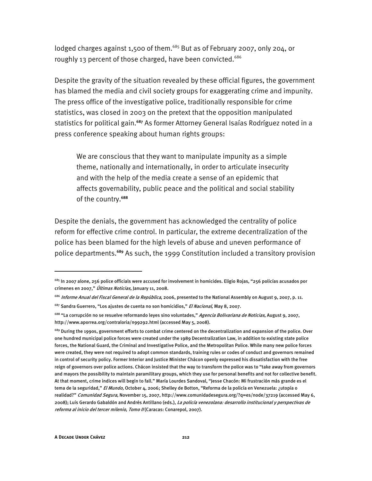lodged charges against 1,500 of them.<sup>685</sup> But as of February 2007, only 204, or roughly 13 percent of those charged, have been convicted.<sup>686</sup>

Despite the gravity of the situation revealed by these official figures, the government has blamed the media and civil society groups for exaggerating crime and impunity. The press office of the investigative police, traditionally responsible for crime statistics, was closed in 2003 on the pretext that the opposition manipulated statistics for political gain.**<sup>687</sup>** As former Attorney General Isaías Rodríguez noted in a press conference speaking about human rights groups:

We are conscious that they want to manipulate impunity as a simple theme, nationally and internationally, in order to articulate insecurity and with the help of the media create a sense of an epidemic that affects governability, public peace and the political and social stability of the country.**<sup>688</sup>**

Despite the denials, the government has acknowledged the centrality of police reform for effective crime control. In particular, the extreme decentralization of the police has been blamed for the high levels of abuse and uneven performance of police departments.**<sup>689</sup>** As such, the 1999 Constitution included a transitory provision

<sup>&</sup>lt;sup>685</sup> In 2007 alone, 256 police officials were accused for involvement in homicides. Eligio Rojas, "256 policías acusados por crímenes en 2007," Últimas Noticias, January 11, 2008.

<sup>686</sup> Informe Anual del Fiscal General de la República, 2006, presented to the National Assembly on August 9, 2007, p. 11.

<sup>&</sup>lt;sup>687</sup> Sandra Guerrero, "Los ajustes de cuenta no son homicidios," *El Nacional,* May 8, 2007.

<sup>&</sup>lt;sup>688</sup> "La corrupción no se resuelve reformando leyes sino voluntades," *Agencia Bolivariana de Noticias,* August 9, 2007, http://www.aporrea.org/contraloria/n99292.html (accessed May 5, 2008).

<sup>&</sup>lt;sup>689</sup> During the 1990s, government efforts to combat crime centered on the decentralization and expansion of the police. Over one hundred municipal police forces were created under the 1989 Decentralization Law, in addition to existing state police forces, the National Guard, the Criminal and Investigative Police, and the Metropolitan Police. While many new police forces were created, they were not required to adopt common standards, training rules or codes of conduct and governors remained in control of security policy. Former Interior and Justice Minister Chácon openly expressed his dissatisfaction with the free reign of governors over police actions. Chácon insisted that the way to transform the police was to "take away from governors and mayors the possibility to maintain paramilitary groups, which they use for personal benefits and not for collective benefit. At that moment, crime indices will begin to fall." María Lourdes Sandoval, "Jesse Chacón: Mi frustración más grande es el tema de la seguridad," El Mundo, October 4, 2006; Shelley de Botton, "Reforma de la policía en Venezuela: ¿utopía o realidad?" Comunidad Segura, November 15, 2007, http://www.comunidadesegura.org/?q=es/node/37219 (accessed May 6, 2008); Luís Gerardo Gabaldón and Andrés Antillano (eds.), La policía venezolana: desarrollo institucional y perspectivas de reforma al inicio del tercer milenio, Tomo II (Caracas: Conarepol, 2007).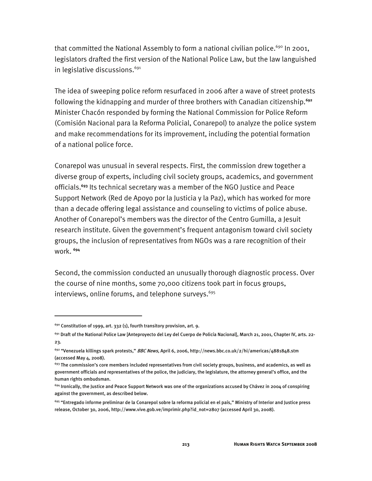that committed the National Assembly to form a national civilian police.<sup>690</sup> In 2001, legislators drafted the first version of the National Police Law, but the law languished in legislative discussions.<sup>691</sup>

The idea of sweeping police reform resurfaced in 2006 after a wave of street protests following the kidnapping and murder of three brothers with Canadian citizenship.**<sup>692</sup>** Minister Chacón responded by forming the National Commission for Police Reform (Comisión Nacional para la Reforma Policial, Conarepol) to analyze the police system and make recommendations for its improvement, including the potential formation of a national police force.

Conarepol was unusual in several respects. First, the commission drew together a diverse group of experts, including civil society groups, academics, and government officials.**<sup>693</sup>** Its technical secretary was a member of the NGO Justice and Peace Support Network (Red de Apoyo por la Justicia y la Paz), which has worked for more than a decade offering legal assistance and counseling to victims of police abuse. Another of Conarepol's members was the director of the Centro Gumilla, a Jesuit research institute. Given the government's frequent antagonism toward civil society groups, the inclusion of representatives from NGOs was a rare recognition of their work. **<sup>694</sup>**

Second, the commission conducted an unusually thorough diagnostic process. Over the course of nine months, some 70,000 citizens took part in focus groups, interviews, online forums, and telephone surveys.<sup>695</sup>

<sup>&</sup>lt;sup>690</sup> Constitution of 1999, art. 332 (1), fourth transitory provision, art. 9.

<sup>691</sup> Draft of the National Police Law [Anteproyecto del Ley del Cuerpo de Policía Nacional], March 21, 2001, Chapter IV, arts. 22- 23.

<sup>&</sup>lt;sup>692</sup> "Venezuela killings spark protests," *BBC News,* April 6, 2006, http://news.bbc.co.uk/2/hi/americas/4881848.stm (accessed May 4, 2008).

 $693$  The commission's core members included representatives from civil society groups, business, and academics, as well as government officials and representatives of the police, the judiciary, the legislature, the attorney general's office, and the human rights ombudsman.

 $694$  Ironically, the Justice and Peace Support Network was one of the organizations accused by Chávez in 2004 of conspiring against the government, as described below.

 $695$  "Entregado informe preliminar de la Conarepol sobre la reforma policial en el país," Ministry of Interior and Justice press release, October 30, 2006, http://www.vive.gob.ve/imprimir.php?id\_not=2807 (accessed April 30, 2008).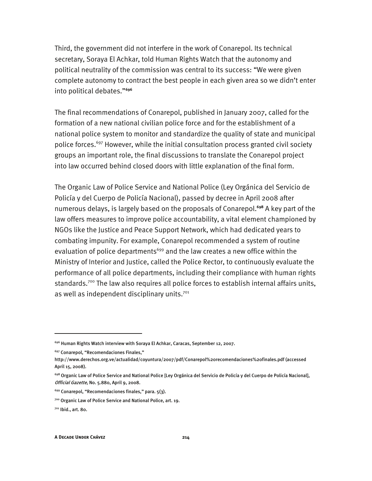Third, the government did not interfere in the work of Conarepol. Its technical secretary, Soraya El Achkar, told Human Rights Watch that the autonomy and political neutrality of the commission was central to its success: "We were given complete autonomy to contract the best people in each given area so we didn't enter into political debates."**<sup>696</sup>**

The final recommendations of Conarepol, published in January 2007, called for the formation of a new national civilian police force and for the establishment of a national police system to monitor and standardize the quality of state and municipal police forces.<sup>697</sup> However, while the initial consultation process granted civil society groups an important role, the final discussions to translate the Conarepol project into law occurred behind closed doors with little explanation of the final form.

The Organic Law of Police Service and National Police (Ley Orgánica del Servicio de Policía y del Cuerpo de Policía Nacional), passed by decree in April 2008 after numerous delays, is largely based on the proposals of Conarepol.**<sup>698</sup>** A key part of the law offers measures to improve police accountability, a vital element championed by NGOs like the Justice and Peace Support Network, which had dedicated years to combating impunity. For example, Conarepol recommended a system of routine evaluation of police departments<sup>699</sup> and the law creates a new office within the Ministry of Interior and Justice, called the Police Rector, to continuously evaluate the performance of all police departments, including their compliance with human rights standards.<sup>700</sup> The law also requires all police forces to establish internal affairs units, as well as independent disciplinary units.<sup>701</sup>

j

<sup>696</sup> Human Rights Watch interview with Soraya El Achkar, Caracas, September 12, 2007.

<sup>697</sup> Conarepol, "Recomendaciones Finales,"

http://www.derechos.org.ve/actualidad/coyuntura/2007/pdf/Conarepol%20recomendaciones%20finales.pdf (accessed April 15, 2008).

<sup>&</sup>lt;sup>698</sup> Organic Law of Police Service and National Police [Ley Orgánica del Servicio de Policía y del Cuerpo de Policía Nacional], Official Gazette, No. 5.880, April 9, 2008.

<sup>699</sup> Conarepol, "Recomendaciones finales," para. 5(3).

<sup>700</sup> Organic Law of Police Service and National Police, art. 19.

<sup>701</sup> Ibid., art. 80.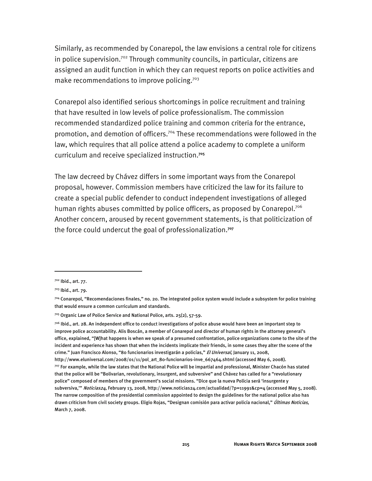Similarly, as recommended by Conarepol, the law envisions a central role for citizens in police supervision.<sup>702</sup> Through community councils, in particular, citizens are assigned an audit function in which they can request reports on police activities and make recommendations to improve policing.<sup>703</sup>

Conarepol also identified serious shortcomings in police recruitment and training that have resulted in low levels of police professionalism. The commission recommended standardized police training and common criteria for the entrance, promotion, and demotion of officers.704 These recommendations were followed in the law, which requires that all police attend a police academy to complete a uniform curriculum and receive specialized instruction.**<sup>705</sup>**

The law decreed by Chávez differs in some important ways from the Conarepol proposal, however. Commission members have criticized the law for its failure to create a special public defender to conduct independent investigations of alleged human rights abuses committed by police officers, as proposed by Conarepol.<sup>706</sup> Another concern, aroused by recent government statements, is that politicization of the force could undercut the goal of professionalization.**<sup>707</sup>**

<sup>702</sup> Ibid., art. 77.

<sup>703</sup> Ibid., art. 79.

<sup>704</sup> Conarepol, "Recomendaciones finales," no. 20. The integrated police system would include a subsystem for police training that would ensure a common curriculum and standards.

<sup>705</sup> Organic Law of Police Service and National Police, arts. 25(2), 57-59.

 $^{706}$  Ibid., art. 28. An independent office to conduct investigations of police abuse would have been an important step to improve police accountability. Alis Boscán, a member of Conarepol and director of human rights in the attorney general's office, explained, "[W]hat happens is when we speak of a presumed confrontation, police organizations come to the site of the incident and experience has shown that when the incidents implicate their friends, in some cases they alter the scene of the crime." Juan Francisco Alonso, "80 funcionarios investigarán a policías," El Universal, January 11, 2008,

http://www.eluniversal.com/2008/01/11/pol\_art\_80-funcionarios-inve\_667464.shtml (accessed May 6, 2008). 7º7 For example, while the law states that the National Police will be impartial and professional, Minister Chacón has stated that the police will be "Bolivarian, revolutionary, insurgent, and subversive" and Chávez has called for a "revolutionary police" composed of members of the government's social missions. "Dice que la nueva Polícia será 'insurgente y subversiva," Noticias24, February 13, 2008, http://www.noticias24.com/actualidad/?p=11991&cp=4 (accessed May 5, 2008). The narrow composition of the presidential commission appointed to design the guidelines for the national police also has drawn criticism from civil society groups. Eligio Rojas, "Designan comisión para activar policía nacional," Últimas Noticias, March 7, 2008.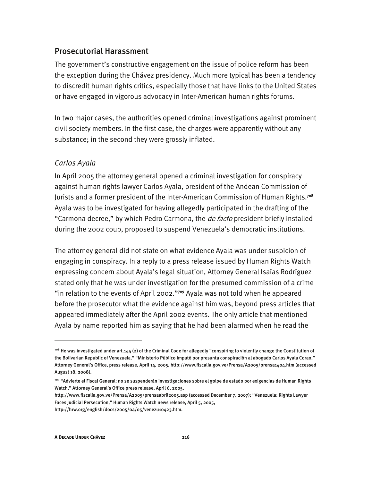### Prosecutorial Harassment

The government's constructive engagement on the issue of police reform has been the exception during the Chávez presidency. Much more typical has been a tendency to discredit human rights critics, especially those that have links to the United States or have engaged in vigorous advocacy in Inter-American human rights forums.

In two major cases, the authorities opened criminal investigations against prominent civil society members. In the first case, the charges were apparently without any substance; in the second they were grossly inflated.

#### *Carlos Ayala*

In April 2005 the attorney general opened a criminal investigation for conspiracy against human rights lawyer Carlos Ayala, president of the Andean Commission of Jurists and a former president of the Inter-American Commission of Human Rights.**<sup>708</sup>** Ayala was to be investigated for having allegedly participated in the drafting of the "Carmona decree," by which Pedro Carmona, the *de facto* president briefly installed during the 2002 coup, proposed to suspend Venezuela's democratic institutions.

The attorney general did not state on what evidence Ayala was under suspicion of engaging in conspiracy. In a reply to a press release issued by Human Rights Watch expressing concern about Ayala's legal situation, Attorney General Isaías Rodríguez stated only that he was under investigation for the presumed commission of a crime "in relation to the events of April 2002."**<sup>709</sup>** Ayala was not told when he appeared before the prosecutor what the evidence against him was, beyond press articles that appeared immediately after the April 2002 events. The only article that mentioned Ayala by name reported him as saying that he had been alarmed when he read the

j

 $^{708}$  He was investigated under art.144 (2) of the Criminal Code for allegedly "conspiring to violently change the Constitution of the Bolivarian Republic of Venezuela." "Ministerio Público imputó por presunta conspiración al abogado Carlos Ayala Corao," Attorney General's Office, press release, April 14, 2005, http://www.fiscalia.gov.ve/Prensa/A2005/prensa1404.htm (accessed August 18, 2008).

<sup>709 &</sup>quot;Advierte el Fiscal General: no se suspenderán investigaciones sobre el golpe de estado por exigencias de Human Rights Watch," Attorney General's Office press release, April 6, 2005,

http://www.fiscalia.gov.ve/Prensa/A2005/prensaabril2005.asp (accessed December 7, 2007); "Venezuela: Rights Lawyer Faces Judicial Persecution," Human Rights Watch news release, April 5, 2005,

http://hrw.org/english/docs/2005/04/05/venezu10423.htm.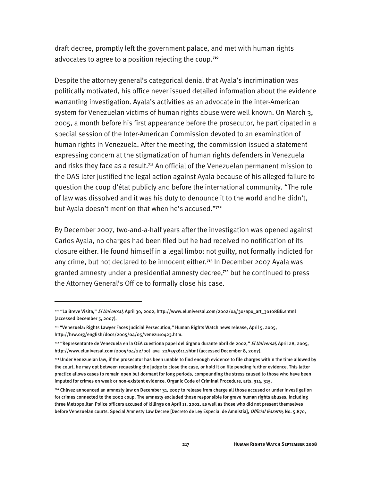draft decree, promptly left the government palace, and met with human rights advocates to agree to a position rejecting the coup.**<sup>710</sup>**

Despite the attorney general's categorical denial that Ayala's incrimination was politically motivated, his office never issued detailed information about the evidence warranting investigation. Ayala's activities as an advocate in the inter-American system for Venezuelan victims of human rights abuse were well known. On March 3, 2005, a month before his first appearance before the prosecutor, he participated in a special session of the Inter-American Commission devoted to an examination of human rights in Venezuela. After the meeting, the commission issued a statement expressing concern at the stigmatization of human rights defenders in Venezuela and risks they face as a result.**<sup>711</sup>** An official of the Venezuelan permanent mission to the OAS later justified the legal action against Ayala because of his alleged failure to question the coup d'état publicly and before the international community. "The rule of law was dissolved and it was his duty to denounce it to the world and he didn't, but Ayala doesn't mention that when he's accused."**<sup>712</sup>**

By December 2007, two-and-a-half years after the investigation was opened against Carlos Ayala, no charges had been filed but he had received no notification of its closure either. He found himself in a legal limbo: not guilty, not formally indicted for any crime, but not declared to be innocent either.**<sup>713</sup>** In December 2007 Ayala was granted amnesty under a presidential amnesty decree,**<sup>714</sup>** but he continued to press the Attorney General's Office to formally close his case.

<sup>&</sup>lt;sup>710</sup> "La Breve Visita," *El Universal,* April 30, 2002, http://www.eluniversal.com/2002/04/30/apo\_art\_30108BB.shtml (accessed December 5, 2007).

<sup>711 &</sup>quot;Venezuela: Rights Lawyer Faces Judicial Persecution," Human Rights Watch news release, April 5, 2005, http://hrw.org/english/docs/2005/04/05/venezu10423.htm.

<sup>&</sup>lt;sup>712</sup> "Representante de Venezuela en la OEA cuestiona papel del órgano durante abril de 2002," *El Universal,* April 28, 2005, http://www.eluniversal.com/2005/04/22/pol\_ava\_22A553611.shtml (accessed December 8, 2007).

 $713$  Under Venezuelan law, if the prosecutor has been unable to find enough evidence to file charges within the time allowed by the court, he may opt between requesting the judge to close the case, or hold it on file pending further evidence. This latter practice allows cases to remain open but dormant for long periods, compounding the stress caused to those who have been imputed for crimes on weak or non-existent evidence. Organic Code of Criminal Procedure, arts. 314, 315.

<sup>714</sup> Chávez announced an amnesty law on December 31, 2007 to release from charge all those accused or under investigation for crimes connected to the 2002 coup. The amnesty excluded those responsible for grave human rights abuses, including three Metropolitan Police officers accused of killings on April 11, 2002, as well as those who did not present themselves before Venezuelan courts. Special Amnesty Law Decree [Decreto de Ley Especial de Amnistía], Official Gazette, No. 5.870,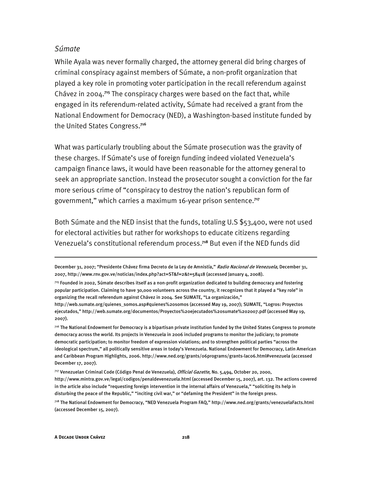#### *Súmate*

j

While Ayala was never formally charged, the attorney general did bring charges of criminal conspiracy against members of Súmate, a non-profit organization that played a key role in promoting voter participation in the recall referendum against Chávez in 2004.**<sup>715</sup>** The conspiracy charges were based on the fact that, while engaged in its referendum-related activity, Súmate had received a grant from the National Endowment for Democracy (NED), a Washington-based institute funded by the United States Congress.**<sup>716</sup>**

What was particularly troubling about the Súmate prosecution was the gravity of these charges. If Súmate's use of foreign funding indeed violated Venezuela's campaign finance laws, it would have been reasonable for the attorney general to seek an appropriate sanction. Instead the prosecutor sought a conviction for the far more serious crime of "conspiracy to destroy the nation's republican form of government," which carries a maximum 16-year prison sentence.**<sup>717</sup>**

Both Súmate and the NED insist that the funds, totaling U.S \$53,400, were not used for electoral activities but rather for workshops to educate citizens regarding Venezuela's constitutional referendum process.**<sup>718</sup>** But even if the NED funds did

December 31, 2007; "Presidente Chávez firma Decreto de la Ley de Amnistía," Radio Nacional de Venezuela, December 31, 2007, http://www.rnv.gov.ve/noticias/index.php?act=ST&f=2&t=58418 (accessed January 4, 2008).

<sup>715</sup> Founded in 2002, Súmate describes itself as a non-profit organization dedicated to building democracy and fostering popular participation. Claiming to have 30,000 volunteers across the country, it recognizes that it played a "key role" in organizing the recall referendum against Chávez in 2004. See SUMATE, "La organización,"

http://web.sumate.org/quienes\_somos.asp#quienes%20somos (accessed May 19, 2007); SUMATE, "Logros: Proyectos ejecutados," http://web.sumate.org/documentos/Proyectos%20ejecutados%20sumate%202007.pdf (accessed May 19, 2007).

<sup>716</sup> The National Endowment for Democracy is a bipartisan private institution funded by the United States Congress to promote democracy across the world. Its projects in Venezuela in 2006 included programs to monitor the judiciary; to promote democratic participation; to monitor freedom of expression violations; and to strengthen political parties "across the ideological spectrum," all politically sensitive areas in today's Venezuela. National Endowment for Democracy, Latin American and Caribbean Program Highlights, 2006. http://www.ned.org/grants/06programs/grants-lac06.html#venezuela (accessed December 17, 2007).

<sup>7&</sup>lt;sup>17</sup> Venezuelan Criminal Code (Código Penal de Venezuela), *Official Gazette,* No. 5,494, October 20, 2000, http://www.mintra.gov.ve/legal/codigos/penaldevenezuela.html (accessed December 15, 2007), art. 132. The actions covered in the article also include "requesting foreign intervention in the internal affairs of Venezuela," "soliciting its help in disturbing the peace of the Republic," "inciting civil war," or "defaming the President" in the foreign press.

<sup>718</sup> The National Endowment for Democracy, "NED Venezuela Program FAQ," http://www.ned.org/grants/venezuelaFacts.html (accessed December 15, 2007).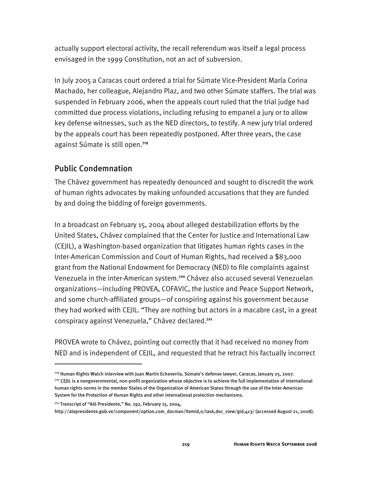actually support electoral activity, the recall referendum was itself a legal process envisaged in the 1999 Constitution, not an act of subversion.

In July 2005 a Caracas court ordered a trial for Súmate Vice-President María Corina Machado, her colleague, Alejandro Plaz, and two other Súmate staffers. The trial was suspended in February 2006, when the appeals court ruled that the trial judge had committed due process violations, including refusing to empanel a jury or to allow key defense witnesses, such as the NED directors, to testify. A new jury trial ordered by the appeals court has been repeatedly postponed. After three years, the case against Súmate is still open.**<sup>719</sup>**

## Public Condemnation

The Chávez government has repeatedly denounced and sought to discredit the work of human rights advocates by making unfounded accusations that they are funded by and doing the bidding of foreign governments.

In a broadcast on February 15, 2004 about alleged destabilization efforts by the United States, Chávez complained that the Center for Justice and International Law (CEJIL), a Washington-based organization that litigates human rights cases in the Inter-American Commission and Court of Human Rights, had received a \$83,000 grant from the National Endowment for Democracy (NED) to file complaints against Venezuela in the inter-American system.**<sup>720</sup>** Chávez also accused several Venezuelan organizations—including PROVEA, COFAVIC, the Justice and Peace Support Network, and some church-affiliated groups—of conspiring against his government because they had worked with CEJIL. "They are nothing but actors in a macabre cast, in a great conspiracy against Venezuela," Chávez declared.**<sup>721</sup>**

PROVEA wrote to Chávez, pointing out correctly that it had received no money from NED and is independent of CEJIL, and requested that he retract his factually incorrect

721 Transcript of "Aló Presidente," No. 192, February 15, 2004,

-

http://alopresidente.gob.ve/component/option,com\_docman/Itemid,0/task,doc\_view/gid,413/ (accessed August 21, 2008).

<sup>719</sup> Human Rights Watch interview with Juan Martín Echeverría, Súmate's defense lawyer, Caracas, January 25, 2007.

<sup>720</sup> CEJIL is a nongovernmental, non-profit organization whose objective is to achieve the full implementation of international human rights norms in the member States of the Organization of American States through the use of the Inter-American System for the Protection of Human Rights and other international protection mechanisms.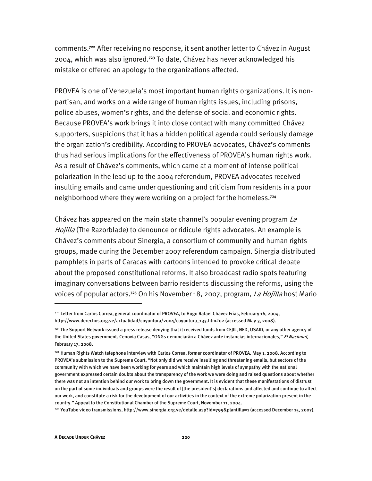comments.**<sup>722</sup>** After receiving no response, it sent another letter to Chávez in August 2004, which was also ignored.**<sup>723</sup>** To date, Chávez has never acknowledged his mistake or offered an apology to the organizations affected.

PROVEA is one of Venezuela's most important human rights organizations. It is nonpartisan, and works on a wide range of human rights issues, including prisons, police abuses, women's rights, and the defense of social and economic rights. Because PROVEA's work brings it into close contact with many committed Chávez supporters, suspicions that it has a hidden political agenda could seriously damage the organization's credibility. According to PROVEA advocates, Chávez's comments thus had serious implications for the effectiveness of PROVEA's human rights work. As a result of Chávez's comments, which came at a moment of intense political polarization in the lead up to the 2004 referendum, PROVEA advocates received insulting emails and came under questioning and criticism from residents in a poor neighborhood where they were working on a project for the homeless.**<sup>724</sup>**

Chávez has appeared on the main state channel's popular evening program La Hojilla (The Razorblade) to denounce or ridicule rights advocates. An example is Chávez's comments about Sinergia, a consortium of community and human rights groups, made during the December 2007 referendum campaign. Sinergia distributed pamphlets in parts of Caracas with cartoons intended to provoke critical debate about the proposed constitutional reforms. It also broadcast radio spots featuring imaginary conversations between barrio residents discussing the reforms, using the voices of popular actors.**<sup>725</sup>** On his November 18, 2007, program, La Hojilla host Mario

<sup>722</sup> Letter from Carlos Correa, general coordinator of PROVEA, to Hugo Rafael Chávez Frías, February 16, 2004, http://www.derechos.org.ve/actualidad/coyuntura/2004/coyuntura\_133.htm#02 (accessed May 3, 2008).

<sup>723</sup> The Support Network issued a press release denying that it received funds from CEJIL, NED, USAID, or any other agency of the United States government. Cenovia Casas, "ONGs denunciarán a Chávez ante instancias internacionales," El Nacional, February 17, 2008.

<sup>724</sup> Human Rights Watch telephone interview with Carlos Correa, former coordinator of PROVEA, May 1, 2008. According to PROVEA's submission to the Supreme Court, "Not only did we receive insulting and threatening emails, but sectors of the community with which we have been working for years and which maintain high levels of sympathy with the national government expressed certain doubts about the transparency of the work we were doing and raised questions about whether there was not an intention behind our work to bring down the government. It is evident that these manifestations of distrust on the part of some individuals and groups were the result of [the president's] declarations and affected and continue to affect our work, and constitute a risk for the development of our activities in the context of the extreme polarization present in the country." Appeal to the Constitutional Chamber of the Supreme Court, November 11, 2004.

<sup>725</sup> YouTube video transmissions, http://www.sinergia.org.ve/detalle.asp?id=799&plantilla=1 (accessed December 15, 2007).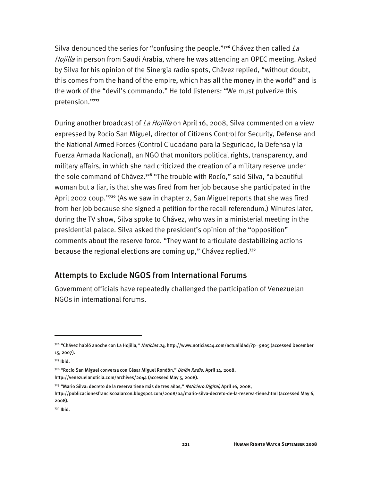Silva denounced the series for "confusing the people."**<sup>726</sup>** Chávez then called La Hojilla in person from Saudi Arabia, where he was attending an OPEC meeting. Asked by Silva for his opinion of the Sinergia radio spots, Chávez replied, "without doubt, this comes from the hand of the empire, which has all the money in the world" and is the work of the "devil's commando." He told listeners: "We must pulverize this pretension."**<sup>727</sup>**

During another broadcast of *La Hojilla* on April 16, 2008, Silva commented on a view expressed by Rocío San Miguel, director of Citizens Control for Security, Defense and the National Armed Forces (Control Ciudadano para la Seguridad, la Defensa y la Fuerza Armada Nacional), an NGO that monitors political rights, transparency, and military affairs, in which she had criticized the creation of a military reserve under the sole command of Chávez.**<sup>728</sup>** "The trouble with Rocío," said Silva, "a beautiful woman but a liar, is that she was fired from her job because she participated in the April 2002 coup."**<sup>729</sup>** (As we saw in chapter 2, San Miguel reports that she was fired from her job because she signed a petition for the recall referendum.) Minutes later, during the TV show, Silva spoke to Chávez, who was in a ministerial meeting in the presidential palace. Silva asked the president's opinion of the "opposition" comments about the reserve force. "They want to articulate destabilizing actions because the regional elections are coming up," Chávez replied.**<sup>730</sup>**

## Attempts to Exclude NGOS from International Forums

Government officials have repeatedly challenged the participation of Venezuelan NGOs in international forums.

j

<sup>&</sup>lt;sup>726</sup> "Chávez habló anoche con La Hojilla," *Noticias 24,* http://www.noticias24.com/actualidad/?p=9805 (accessed December 15, 2007).

<sup>727</sup> Ibid.

<sup>&</sup>lt;sup>728</sup> "Rocío San Miguel conversa con César Miguel Rondón," *Unión Radio,* April 14, 2008, http://venezuelanoticia.com/archives/2044 (accessed May 5, 2008).

<sup>&</sup>lt;sup>729</sup> "Mario Silva: decreto de la reserva tiene más de tres años," *Noticiero Digital*, April 16, 2008,

http://publicacionesfranciscoalarcon.blogspot.com/2008/04/mario-silva-decreto-de-la-reserva-tiene.html (accessed May 6, 2008).

<sup>730</sup> Ibid.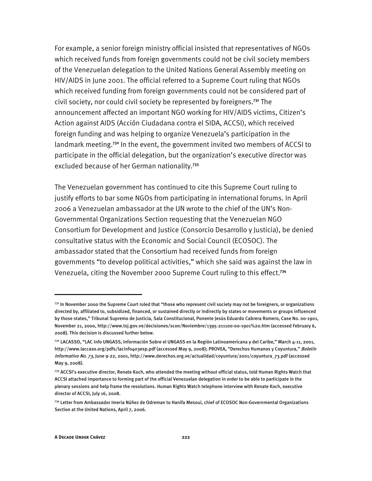For example, a senior foreign ministry official insisted that representatives of NGOs which received funds from foreign governments could not be civil society members of the Venezuelan delegation to the United Nations General Assembly meeting on HIV/AIDS in June 2001. The official referred to a Supreme Court ruling that NGOs which received funding from foreign governments could not be considered part of civil society, nor could civil society be represented by foreigners.**<sup>731</sup>** The announcement affected an important NGO working for HIV/AIDS victims, Citizen's Action against AIDS (Acción Ciudadana contra el SIDA, ACCSI), which received foreign funding and was helping to organize Venezuela's participation in the landmark meeting.**<sup>732</sup>** In the event, the government invited two members of ACCSI to participate in the official delegation, but the organization's executive director was excluded because of her German nationality.**<sup>733</sup>**

The Venezuelan government has continued to cite this Supreme Court ruling to justify efforts to bar some NGOs from participating in international forums. In April 2006 a Venezuelan ambassador at the UN wrote to the chief of the UN's Non-Governmental Organizations Section requesting that the Venezuelan NGO Consortium for Development and Justice (Consorcio Desarrollo y Justicia), be denied consultative status with the Economic and Social Council (ECOSOC). The ambassador stated that the Consortium had received funds from foreign governments "to develop political activities," which she said was against the law in Venezuela, citing the November 2000 Supreme Court ruling to this effect.**<sup>734</sup>**

<sup>731</sup> In November 2000 the Supreme Court ruled that "those who represent civil society may not be foreigners, or organizations directed by, affiliated to, subsidized, financed, or sustained directly or indirectly by states or movements or groups influenced by those states," Tribunal Supremo de Justicia, Sala Constitucional, Ponente Jesús Eduardo Cabrera Romero, Case No. 00-1901, November 21, 2000, http://www.tsj.gov.ve/decisiones/scon/Noviembre/1395-211100-00-1901%20.htm (accessed February 6, 2008). This decision is discussed further below.

<sup>732</sup> LACASSO, "LAC Info UNGASS, Información Sobre el UNGASS en la Región Latinoamericana y del Caribe," March 4-11, 2001, http://www.laccaso.org/pdfs/lacinfo403esp.pdf (accessed May 9, 2008); PROVEA, "Derechos Humanos y Coyuntura," Boletín Informativo No. 73, June 9-22, 2001, http://www.derechos.org.ve/actualidad/coyuntura/2001/coyuntura\_73.pdf (accessed May 9, 2008).

<sup>733</sup> ACCSI's executive director, Renate Koch, who attended the meeting without official status, told Human Rights Watch that ACCSI attached importance to forming part of the official Venezuelan delegation in order to be able to participate in the plenary sessions and help frame the resolutions. Human Rights Watch telephone interview with Renate Koch, executive director of ACCSI, July 16, 2008.

<sup>734</sup> Letter from Ambassador Imeria Núñez de Odreman to Hanifa Mesoui, chief of ECOSOC Non-Governmental Organizations Section at the United Nations, April 7, 2006.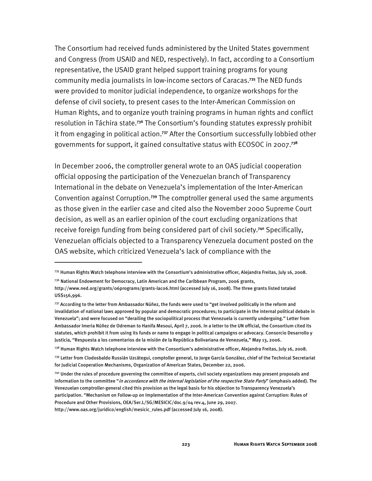The Consortium had received funds administered by the United States government and Congress (from USAID and NED, respectively). In fact, according to a Consortium representative, the USAID grant helped support training programs for young community media journalists in low-income sectors of Caracas.**<sup>735</sup>** The NED funds were provided to monitor judicial independence, to organize workshops for the defense of civil society, to present cases to the Inter-American Commission on Human Rights, and to organize youth training programs in human rights and conflict resolution in Táchira state.**<sup>736</sup>** The Consortium's founding statutes expressly prohibit it from engaging in political action.**<sup>737</sup>** After the Consortium successfully lobbied other governments for support, it gained consultative status with ECOSOC in 2007.**<sup>738</sup>**

In December 2006, the comptroller general wrote to an OAS judicial cooperation official opposing the participation of the Venezuelan branch of Transparency International in the debate on Venezuela's implementation of the Inter-American Convention against Corruption.**<sup>739</sup>** The comptroller general used the same arguments as those given in the earlier case and cited also the November 2000 Supreme Court decision, as well as an earlier opinion of the court excluding organizations that receive foreign funding from being considered part of civil society.**<sup>740</sup>** Specifically, Venezuelan officials objected to a Transparency Venezuela document posted on the OAS website, which criticized Venezuela's lack of compliance with the

I

 $^{738}$  Human Rights Watch telephone interview with the Consortium's administrative officer, Alejandra Freitas, July 16, 2008.

<sup>735</sup> Human Rights Watch telephone interview with the Consortium's administrative officer, Alejandra Freitas, July 16, 2008.

<sup>736</sup> National Endowment for Democracy, Latin American and the Caribbean Program, 2006 grants,

http://www.ned.org/grants/06programs/grants-lac06.html (accessed July 16, 2008). The three grants listed totaled US\$156,996.

<sup>737</sup> According to the letter from Ambassador Núñez, the funds were used to "get involved politically in the reform and invalidation of national laws approved by popular and democratic procedures; to participate in the internal political debate in Venezuela"; and were focused on "derailing the sociopolitical process that Venezuela is currently undergoing." Letter from Ambassador Imeria Núñez de Odreman to Hanifa Mesoui, April 7, 2006. In a letter to the UN official, the Consortium cited its statutes, which prohibit it from using its funds or name to engage in political campaigns or advocacy. Consorcio Desarrollo y Justicia, "Respuesta a los comentarios de la misión de la República Bolivariana de Venezuela," May 13, 2006.

<sup>739</sup> Letter from Clodosbaldo Russián Uzcátegui, comptoller general, to Jorge García González, chief of the Technical Secretariat for Judicial Cooperation Mechanisms, Organization of American States, December 22, 2006.

<sup>74</sup>º Under the rules of procedure governing the committee of experts, civil society organizations may present proposals and information to the committee "in accordance with the internal legislation of the respective State Party" (emphasis added). The Venezuelan comptroller-general cited this provision as the legal basis for his objection to Transparency Venezuela's participation. "Mechanism on Follow-up on Implementation of the Inter-American Convention against Corruption: Rules of Procedure and Other Provisions, OEA/Ser.L/SG/MESICIC/doc.9/04 rev.4, June 29, 2007.

http://www.oas.org/juridico/english/mesicic\_rules.pdf (accessed July 16, 2008).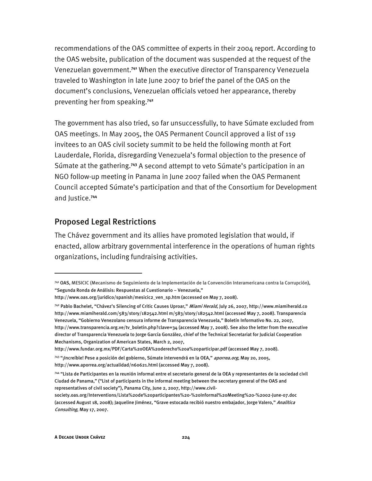recommendations of the OAS committee of experts in their 2004 report. According to the OAS website, publication of the document was suspended at the request of the Venezuelan government.**<sup>741</sup>** When the executive director of Transparency Venezuela traveled to Washington in late June 2007 to brief the panel of the OAS on the document's conclusions, Venezuelan officials vetoed her appearance, thereby preventing her from speaking.**<sup>742</sup>**

The government has also tried, so far unsuccessfully, to have Súmate excluded from OAS meetings. In May 2005, the OAS Permanent Council approved a list of 119 invitees to an OAS civil society summit to be held the following month at Fort Lauderdale, Florida, disregarding Venezuela's formal objection to the presence of Súmate at the gathering.**<sup>743</sup>** A second attempt to veto Súmate's participation in an NGO follow-up meeting in Panama in June 2007 failed when the OAS Permanent Council accepted Súmate's participation and that of the Consortium for Development and Justice.**<sup>744</sup>**

### Proposed Legal Restrictions

The Chávez government and its allies have promoted legislation that would, if enacted, allow arbitrary governmental interference in the operations of human rights organizations, including fundraising activities.

<sup>741</sup> OAS, MESICIC (Mecanismo de Seguimiento de la Implementación de la Convención Interamericana contra la Corrupción), "Segunda Ronda de Análisis: Respuestas al Cuestionario – Venezuela,"

http://www.oas.org/juridico/spanish/mesicic2\_ven\_sp.htm (accessed on May 7, 2008).

<sup>742</sup> Pablo Bachelet, "Chávez's Silencing of Critic Causes Uproar," Miami Herald, July 26, 2007, http://www.miamiherald.co http://www.miamiherald.com/583/story/182542.html m/583/story/182542.html (accessed May 7, 2008). Transparencia Venezuela, "Gobierno Venezolano censura informe de Transparencia Venezuela," Boletín Informativo No. 22, 2007, http://www.transparencia.org.ve/tv\_boletin.php?clave=34 (accessed May 7, 2008). See also the letter from the executive director of Transparencia Venezuela to Jorge García González, chief of the Technical Secretariat for Judicial Cooperation Mechanisms, Organization of American States, March 2, 2007,

http://www.fundar.org.mx/PDF/Carta%20OEA%20derecho%20a%20participar.pdf (accessed May 7, 2008).

<sup>&</sup>lt;sup>743</sup> "¡Increíble! Pese a posición del gobierno, Súmate intervendrá en la OEA," *aporrea.org,* May 20, 2005,

http://www.aporrea.org/actualidad/n60621.html (accessed May 7, 2008).

<sup>744 &</sup>quot;Lista de Participantes en la reunión informal entre el secretario general de la OEA y representantes de la sociedad civil Ciudad de Panama," ("List of participants in the informal meeting between the secretary general of the OAS and representatives of civil society"), Panama City, June 2, 2007, http://www.civil-

society.oas.org/Interventions/Lista%20de%20participantes%20-%20Informal%20Meeting%20-%2002-June-07.doc (accessed August 18, 2008); Jaqueline Jiménez, "Grave estocada recibió nuestro embajador, Jorge Valero," *Analítica* Consulting, May 17, 2007.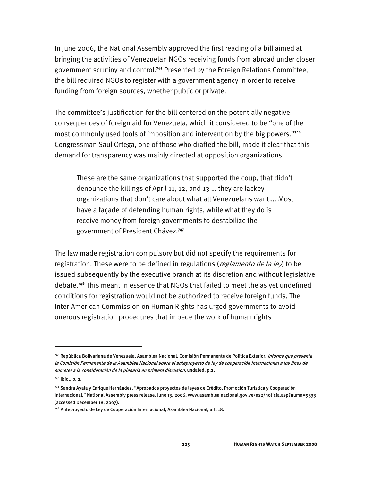In June 2006, the National Assembly approved the first reading of a bill aimed at bringing the activities of Venezuelan NGOs receiving funds from abroad under closer government scrutiny and control.**<sup>745</sup>** Presented by the Foreign Relations Committee, the bill required NGOs to register with a government agency in order to receive funding from foreign sources, whether public or private.

The committee's justification for the bill centered on the potentially negative consequences of foreign aid for Venezuela, which it considered to be "one of the most commonly used tools of imposition and intervention by the big powers."**<sup>746</sup>** Congressman Saul Ortega, one of those who drafted the bill, made it clear that this demand for transparency was mainly directed at opposition organizations:

These are the same organizations that supported the coup, that didn't denounce the killings of April 11, 12, and 13 … they are lackey organizations that don't care about what all Venezuelans want…. Most have a façade of defending human rights, while what they do is receive money from foreign governments to destabilize the government of President Chávez.**<sup>747</sup>**

The law made registration compulsory but did not specify the requirements for registration. These were to be defined in regulations (*reglamento de la ley*) to be issued subsequently by the executive branch at its discretion and without legislative debate.**<sup>748</sup>** This meant in essence that NGOs that failed to meet the as yet undefined conditions for registration would not be authorized to receive foreign funds. The Inter-American Commission on Human Rights has urged governments to avoid onerous registration procedures that impede the work of human rights

-

<sup>&</sup>lt;sup>745</sup> República Bolivariana de Venezuela, Asamblea Nacional, Comisión Permanente de Política Exterior, *Informe que presenta* la Comisión Permanente de la Asamblea Nacional sobre el anteproyecto de ley de cooperación internacional a los fines de someter a la consideración de la plenaria en primera discusión, undated, p.2.

<sup>746</sup> Ibid., p. 2.

<sup>747</sup> Sandra Ayala y Enrique Hernández, "Aprobados proyectos de leyes de Crédito, Promoción Turística y Cooperación Internacional," National Assembly press release, June 13, 2006, www.asamblea nacional.gov.ve/ns2/noticia.asp?numn=9333 (accessed December 18, 2007).

<sup>748</sup> Anteproyecto de Ley de Cooperación Internacional, Asamblea Nacional, art. 18.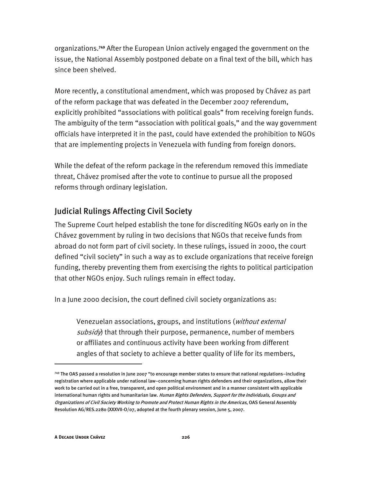organizations.**<sup>749</sup>** After the European Union actively engaged the government on the issue, the National Assembly postponed debate on a final text of the bill, which has since been shelved.

More recently, a constitutional amendment, which was proposed by Chávez as part of the reform package that was defeated in the December 2007 referendum, explicitly prohibited "associations with political goals" from receiving foreign funds. The ambiguity of the term "association with political goals," and the way government officials have interpreted it in the past, could have extended the prohibition to NGOs that are implementing projects in Venezuela with funding from foreign donors.

While the defeat of the reform package in the referendum removed this immediate threat, Chávez promised after the vote to continue to pursue all the proposed reforms through ordinary legislation.

## Judicial Rulings Affecting Civil Society

The Supreme Court helped establish the tone for discrediting NGOs early on in the Chávez government by ruling in two decisions that NGOs that receive funds from abroad do not form part of civil society. In these rulings, issued in 2000, the court defined "civil society" in such a way as to exclude organizations that receive foreign funding, thereby preventing them from exercising the rights to political participation that other NGOs enjoy. Such rulings remain in effect today.

In a June 2000 decision, the court defined civil society organizations as:

Venezuelan associations, groups, and institutions (without external subsidy) that through their purpose, permanence, number of members or affiliates and continuous activity have been working from different angles of that society to achieve a better quality of life for its members,

-

<sup>749</sup> The OAS passed a resolution in June 2007 "to encourage member states to ensure that national regulations–including registration where applicable under national law–concerning human rights defenders and their organizations, allow their work to be carried out in a free, transparent, and open political environment and in a manner consistent with applicable international human rights and humanitarian law. Human Rights Defenders, Support for the Individuals, Groups and Organizations of Civil Society Working to Promote and Protect Human Rights in the Americas, OAS General Assembly Resolution AG/RES.2280 (XXXVII-O/07, adopted at the fourth plenary session, June 5, 2007.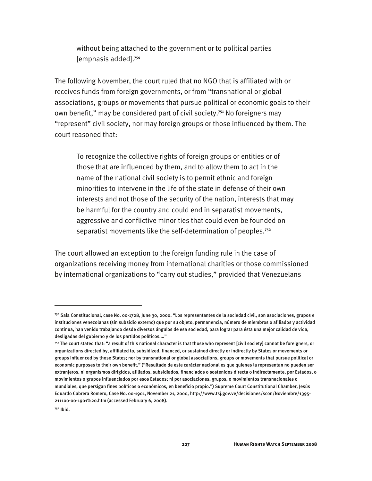without being attached to the government or to political parties [emphasis added].**<sup>750</sup>**

The following November, the court ruled that no NGO that is affiliated with or receives funds from foreign governments, or from "transnational or global associations, groups or movements that pursue political or economic goals to their own benefit," may be considered part of civil society.**<sup>751</sup>** No foreigners may "represent" civil society, nor may foreign groups or those influenced by them. The court reasoned that:

To recognize the collective rights of foreign groups or entities or of those that are influenced by them, and to allow them to act in the name of the national civil society is to permit ethnic and foreign minorities to intervene in the life of the state in defense of their own interests and not those of the security of the nation, interests that may be harmful for the country and could end in separatist movements, aggressive and conflictive minorities that could even be founded on separatist movements like the self-determination of peoples.**<sup>752</sup>**

The court allowed an exception to the foreign funding rule in the case of organizations receiving money from international charities or those commissioned by international organizations to "carry out studies," provided that Venezuelans

<sup>750</sup> Sala Constitucional, case No. 00-1728, June 30, 2000. "Los representantes de la sociedad civil, son asociaciones, grupos e instituciones venezolanas (sin subsidio externo) que por su objeto, permanencia, número de miembros o afiliados y actividad continua, han venido trabajando desde diversos ángulos de esa sociedad, para lograr para ésta una mejor calidad de vida, desligadas del gobierno y de los partidos políticos…."

<sup>751</sup> The court stated that: "a result of this national character is that those who represent [civil society] cannot be foreigners, or organizations directed by, affiliated to, subsidized, financed, or sustained directly or indirectly by States or movements or groups influenced by those States; nor by transnational or global associations, groups or movements that pursue political or economic purposes to their own benefit." ("Resultado de este carácter nacional es que quienes la representan no pueden ser extranjeros, ni organismos dirigidos, afiliados, subsidiados, financiados o sostenidos directa o indirectamente, por Estados, o movimientos o grupos influenciados por esos Estados; ni por asociaciones, grupos, o movimientos transnacionales o mundiales, que persigan fines políticos o económicos, en beneficio propio.") Supreme Court Constitutional Chamber, Jesús Eduardo Cabrera Romero, Case No. 00-1901, November 21, 2000, http://www.tsj.gov.ve/decisiones/scon/Noviembre/1395- 211100-00-1901%20.htm (accessed February 6, 2008).

<sup>752</sup> Ibid.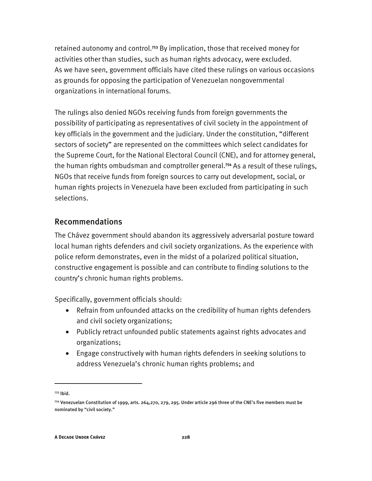retained autonomy and control.**<sup>753</sup>** By implication, those that received money for activities other than studies, such as human rights advocacy, were excluded. As we have seen, government officials have cited these rulings on various occasions as grounds for opposing the participation of Venezuelan nongovernmental organizations in international forums.

The rulings also denied NGOs receiving funds from foreign governments the possibility of participating as representatives of civil society in the appointment of key officials in the government and the judiciary. Under the constitution, "different sectors of society" are represented on the committees which select candidates for the Supreme Court, for the National Electoral Council (CNE), and for attorney general, the human rights ombudsman and comptroller general.**<sup>754</sup>** As a result of these rulings, NGOs that receive funds from foreign sources to carry out development, social, or human rights projects in Venezuela have been excluded from participating in such selections.

## Recommendations

The Chávez government should abandon its aggressively adversarial posture toward local human rights defenders and civil society organizations. As the experience with police reform demonstrates, even in the midst of a polarized political situation, constructive engagement is possible and can contribute to finding solutions to the country's chronic human rights problems.

Specifically, government officials should:

- Refrain from unfounded attacks on the credibility of human rights defenders and civil society organizations;
- Publicly retract unfounded public statements against rights advocates and organizations;
- Engage constructively with human rights defenders in seeking solutions to address Venezuela's chronic human rights problems; and

753 Ibid.

<sup>754</sup> Venezuelan Constitution of 1999, arts. 264,270, 279, 295. Under article 296 three of the CNE's five members must be nominated by "civil society."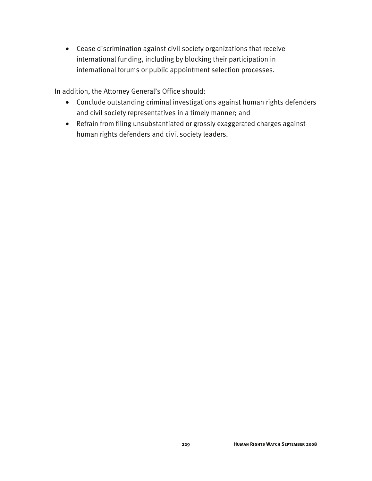• Cease discrimination against civil society organizations that receive international funding, including by blocking their participation in international forums or public appointment selection processes.

In addition, the Attorney General's Office should:

- Conclude outstanding criminal investigations against human rights defenders and civil society representatives in a timely manner; and
- Refrain from filing unsubstantiated or grossly exaggerated charges against human rights defenders and civil society leaders.